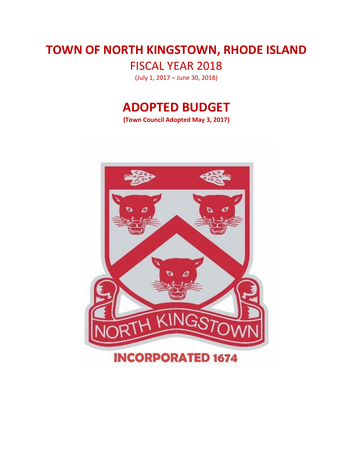# **TOWN OF NORTH KINGSTOWN, RHODE ISLAND**

FISCAL YEAR 2018

(July 1, 2017 – June 30, 2018)

# **ADOPTED BUDGET**

**(Town Council Adopted May 3, 2017)** 

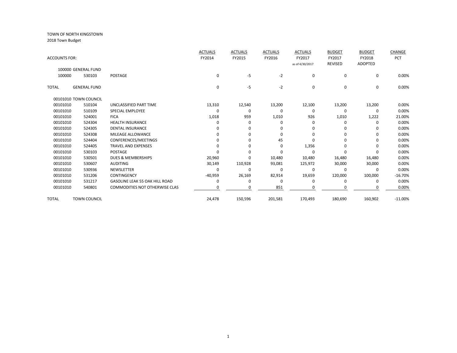|                      |                       |                                       | <b>ACTUALS</b> | <b>ACTUALS</b> | <b>ACTUALS</b> | <b>ACTUALS</b>  | <b>BUDGET</b>  | <b>BUDGET</b>  | CHANGE     |
|----------------------|-----------------------|---------------------------------------|----------------|----------------|----------------|-----------------|----------------|----------------|------------|
| <b>ACCOUNTS FOR:</b> |                       |                                       | FY2014         | FY2015         | FY2016         | FY2017          | FY2017         | FY2018         | <b>PCT</b> |
|                      |                       |                                       |                |                |                | as of 4/30/2017 | <b>REVISED</b> | <b>ADOPTED</b> |            |
|                      | 100000 GENERAL FUND   |                                       |                |                |                |                 |                |                |            |
| 100000               | 530103                | POSTAGE                               | $\mathbf 0$    | $-5$           | $-2$           | $\mathbf 0$     | $\mathbf 0$    | 0              | 0.00%      |
| <b>TOTAL</b>         | <b>GENERAL FUND</b>   |                                       | 0              | $-5$           | $-2$           | 0               | $\mathbf 0$    | 0              | 0.00%      |
|                      | 00101010 TOWN COUNCIL |                                       |                |                |                |                 |                |                |            |
| 00101010             | 510104                | UNCLASSIFIED PART TIME                | 13,310         | 12,540         | 13,200         | 12,100          | 13,200         | 13,200         | 0.00%      |
| 00101010             | 510109                | <b>SPECIAL EMPLOYEE</b>               | 0              | 0              | $\Omega$       | 0               | 0              | 0              | 0.00%      |
| 00101010             | 524001                | <b>FICA</b>                           | 1,018          | 959            | 1,010          | 926             | 1,010          | 1,222          | 21.00%     |
| 00101010             | 524304                | <b>HEALTH INSURANCE</b>               | 0              | 0              | $\Omega$       | 0               | $\Omega$       | 0              | 0.00%      |
| 00101010             | 524305                | <b>DENTAL INSURANCE</b>               | O              | 0              | 0              | $\Omega$        | $\Omega$       | 0              | 0.00%      |
| 00101010             | 524308                | MILEAGE ALLOWANCE                     | 0              | 0              | 0              | 0               | $\Omega$       | 0              | 0.00%      |
| 00101010             | 524404                | CONFERENCES/MEETINGS                  | U              | $\Omega$       | 45             | n               | ŋ              | 0              | 0.00%      |
| 00101010             | 524405                | <b>TRAVEL AND EXPENSES</b>            | O              | $\Omega$       | 0              | 1,356           | $\Omega$       | $\Omega$       | 0.00%      |
| 00101010             | 530103                | <b>POSTAGE</b>                        | U              | O              | $\Omega$       | $\Omega$        | $\Omega$       | $\Omega$       | 0.00%      |
| 00101010             | 530501                | <b>DUES &amp; MEMBERSHIPS</b>         | 20,960         | $\Omega$       | 10,480         | 10,480          | 16,480         | 16,480         | 0.00%      |
| 00101010             | 530607                | <b>AUDITING</b>                       | 30,149         | 110,928        | 93,081         | 125,972         | 30,000         | 30,000         | 0.00%      |
| 00101010             | 530936                | NEWSLETTER                            | 0              | 0              | $\Omega$       | $\Omega$        | 0              | $\Omega$       | 0.00%      |
| 00101010             | 531206                | <b>CONTINGENCY</b>                    | $-40,959$      | 26,169         | 82,914         | 19,659          | 120,000        | 100,000        | $-16.70%$  |
| 00101010             | 531217                | <b>GASOLINE LEAK 55 OAK HILL ROAD</b> | 0              | $\Omega$       | $\Omega$       | $\Omega$        | $\Omega$       | $\Omega$       | 0.00%      |
| 00101010             | 540801                | <b>COMMODITIES NOT OTHERWISE CLAS</b> | o              | 0              | 851            |                 | ŋ              | 0              | 0.00%      |
| <b>TOTAL</b>         | <b>TOWN COUNCIL</b>   |                                       | 24,478         | 150,596        | 201,581        | 170,493         | 180,690        | 160,902        | $-11.00%$  |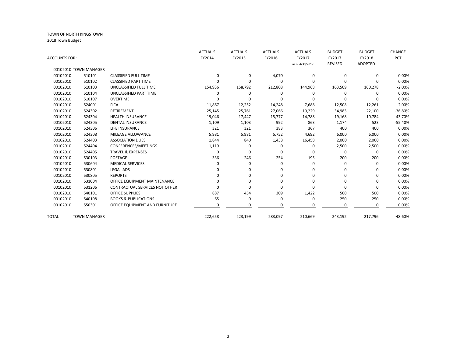|               |                       |                                       | <b>ACTUALS</b> | <b>ACTUALS</b> | <b>ACTUALS</b> | <b>ACTUALS</b>  | <b>BUDGET</b>  | <b>BUDGET</b>  | CHANGE    |
|---------------|-----------------------|---------------------------------------|----------------|----------------|----------------|-----------------|----------------|----------------|-----------|
| ACCOUNTS FOR: |                       |                                       | FY2014         | FY2015         | FY2016         | FY2017          | FY2017         | FY2018         | PCT       |
|               |                       |                                       |                |                |                | as of 4/30/2017 | <b>REVISED</b> | <b>ADOPTED</b> |           |
|               | 00102010 TOWN MANAGER |                                       |                |                |                |                 |                |                |           |
| 00102010      | 510101                | <b>CLASSIFIED FULL TIME</b>           | $\Omega$       | $\Omega$       | 4,070          | 0               | $\Omega$       | $\Omega$       | 0.00%     |
| 00102010      | 510102                | <b>CLASSIFIED PART TIME</b>           | O              | 0              | 0              | 0               | 0              | O              | 0.00%     |
| 00102010      | 510103                | UNCLASSIFIED FULL TIME                | 154,936        | 158,792        | 212,808        | 144,968         | 163,509        | 160,278        | $-2.00%$  |
| 00102010      | 510104                | UNCLASSIFIED PART TIME                | $\Omega$       | 0              | 0              | 0               | 0              | $\Omega$       | 0.00%     |
| 00102010      | 510107                | <b>OVERTIME</b>                       | O              | ŋ              | O              | $\Omega$        | 0              |                | 0.00%     |
| 00102010      | 524001                | <b>FICA</b>                           | 11,867         | 12,252         | 14,248         | 7,688           | 12,508         | 12,261         | $-2.00%$  |
| 00102010      | 524302                | <b>RETIREMENT</b>                     | 25,145         | 25,761         | 27,066         | 19,229          | 34,983         | 22,100         | $-36.80%$ |
| 00102010      | 524304                | <b>HEALTH INSURANCE</b>               | 19,046         | 17,447         | 15,777         | 14,788          | 19,168         | 10,784         | $-43.70%$ |
| 00102010      | 524305                | <b>DENTAL INSURANCE</b>               | 1,109          | 1,103          | 992            | 863             | 1,174          | 523            | $-55.40%$ |
| 00102010      | 524306                | <b>LIFE INSURANCE</b>                 | 321            | 321            | 383            | 367             | 400            | 400            | 0.00%     |
| 00102010      | 524308                | <b>MILEAGE ALLOWANCE</b>              | 5,981          | 5,981          | 5,752          | 4,692           | 6,000          | 6,000          | 0.00%     |
| 00102010      | 524403                | <b>ASSOCIATION DUES</b>               | 1,844          | 840            | 1,438          | 16,458          | 2,000          | 2,000          | 0.00%     |
| 00102010      | 524404                | CONFERENCES/MEETINGS                  | 1,119          | 0              | 0              | 0               | 2,500          | 2,500          | 0.00%     |
| 00102010      | 524405                | <b>TRAVEL &amp; EXPENSES</b>          | $\Omega$       | 0              | 0              |                 | 0              | $\mathbf 0$    | 0.00%     |
| 00102010      | 530103                | <b>POSTAGE</b>                        | 336            | 246            | 254            | 195             | 200            | 200            | 0.00%     |
| 00102010      | 530604                | <b>MEDICAL SERVICES</b>               | ŋ              | 0              | 0              | 0               | $\Omega$       | $\Omega$       | 0.00%     |
| 00102010      | 530801                | <b>LEGAL ADS</b>                      | ი              | o              | 0              | O               | 0              | 0              | 0.00%     |
| 00102010      | 530805                | <b>REPORTS</b>                        |                | U              | 0              | $\Omega$        | 0              | $\Omega$       | 0.00%     |
| 00102010      | 531004                | OFFICE EQUIPMENT MAINTENANCE          | ŋ              | O              | 0              | $\Omega$        | 0              | $\Omega$       | 0.00%     |
| 00102010      | 531206                | <b>CONTRACTUAL SERVICES NOT OTHER</b> | O              | 0              | 0              | $\mathbf 0$     | $\Omega$       | 0              | 0.00%     |
| 00102010      | 540101                | <b>OFFICE SUPPLIES</b>                | 887            | 454            | 309            | 1,422           | 500            | 500            | 0.00%     |
| 00102010      | 540108                | <b>BOOKS &amp; PUBLICATIONS</b>       | 65             | 0              | 0              | 0               | 250            | 250            | 0.00%     |
| 00102010      | 550301                | OFFICE EQUIPMENT AND FURNITURE        | O              | 0              | 0              | n               | 0              | $\Omega$       | 0.00%     |
|               |                       |                                       |                |                |                |                 |                |                |           |
| TOTAL         | <b>TOWN MANAGER</b>   |                                       | 222,658        | 223,199        | 283,097        | 210,669         | 243,192        | 217,796        | $-48.60%$ |
|               |                       |                                       |                |                |                |                 |                |                |           |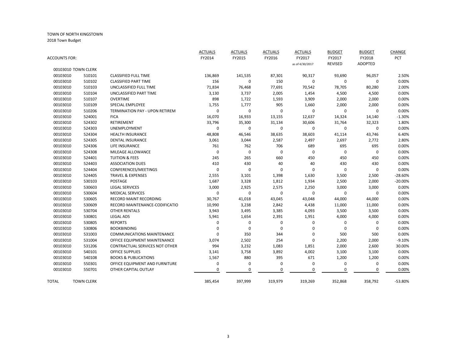|                      |                     |                                   | <b>ACTUALS</b> | <b>ACTUALS</b> | <b>ACTUALS</b> | <b>ACTUALS</b>  | <b>BUDGET</b>  | <b>BUDGET</b>  | CHANGE    |
|----------------------|---------------------|-----------------------------------|----------------|----------------|----------------|-----------------|----------------|----------------|-----------|
| <b>ACCOUNTS FOR:</b> |                     |                                   | FY2014         | FY2015         | FY2016         | FY2017          | FY2017         | FY2018         | PCT       |
|                      |                     |                                   |                |                |                | as of 4/30/2017 | <b>REVISED</b> | <b>ADOPTED</b> |           |
|                      | 00103010 TOWN CLERK |                                   |                |                |                |                 |                |                |           |
| 00103010             | 510101              | <b>CLASSIFIED FULL TIME</b>       | 136,869        | 141,535        | 87,301         | 90,317          | 93,690         | 96,057         | 2.50%     |
| 00103010             | 510102              | <b>CLASSIFIED PART TIME</b>       | 156            | 0              | 150            | 0               | 0              | 0              | 0.00%     |
| 00103010             | 510103              | UNCLASSIFIED FULL TIME            | 71,834         | 76,468         | 77,691         | 70,542          | 78,705         | 80,280         | 2.00%     |
| 00103010             | 510104              | UNCLASSIFIED PART TIME            | 3,130          | 3,737          | 2,005          | 1,454           | 4,500          | 4,500          | 0.00%     |
| 00103010             | 510107              | <b>OVERTIME</b>                   | 898            | 1,722          | 1,593          | 3,909           | 2,000          | 2,000          | 0.00%     |
| 00103010             | 510109              | SPECIAL EMPLOYEE                  | 1,755          | 1,777          | 905            | 1,660           | 2,000          | 2,000          | 0.00%     |
| 00103010             | 510206              | TERMINATION PAY - UPON RETIREM    | $\mathbf 0$    | $\mathbf 0$    | 0              | $\mathbf 0$     | 0              | 0              | 0.00%     |
| 00103010             | 524001              | <b>FICA</b>                       | 16,070         | 16,933         | 13,155         | 12,637          | 14,324         | 14,140         | $-1.30%$  |
| 00103010             | 524302              | RETIREMENT                        | 33,796         | 35,300         | 31,134         | 30,606          | 31,764         | 32,323         | 1.80%     |
| 00103010             | 524303              | <b>UNEMPLOYMENT</b>               | 0              | $\mathbf 0$    | 0              | 0               | $\mathbf 0$    | 0              | 0.00%     |
| 00103010             | 524304              | <b>HEALTH INSURANCE</b>           | 48,808         | 46,546         | 38,635         | 38,603          | 41,114         | 43,746         | 6.40%     |
| 00103010             | 524305              | <b>DENTAL INSURANCE</b>           | 3,061          | 3,044          | 2,587          | 2,497           | 2,697          | 2,772          | 2.80%     |
| 00103010             | 524306              | LIFE INSURANCE                    | 761            | 762            | 706            | 689             | 695            | 695            | 0.00%     |
| 00103010             | 524308              | MILEAGE ALLOWANCE                 | 0              | $\pmb{0}$      | 0              | $\mathbf 0$     | 0              | $\mathbf 0$    | 0.00%     |
| 00103010             | 524401              | <b>TUITION &amp; FEES</b>         | 245            | 265            | 660            | 450             | 450            | 450            | 0.00%     |
| 00103010             | 524403              | <b>ASSOCIATION DUES</b>           | 410            | 430            | 40             | 40              | 430            | 430            | 0.00%     |
| 00103010             | 524404              | CONFERENCES/MEETINGS              | $\mathbf 0$    | $\mathbf 0$    | 0              | $\mathbf 0$     | 0              | 0              | 0.00%     |
| 00103010             | 524405              | <b>TRAVEL &amp; EXPENSES</b>      | 2,555          | 3,101          | 1,398          | 1,630           | 3,500          | 2,500          | $-28.60%$ |
| 00103010             | 530103              | POSTAGE                           | 1,687          | 3,328          | 1,812          | 1,934           | 2,500          | 2,000          | $-20.00%$ |
| 00103010             | 530603              | <b>LEGAL SERVICES</b>             | 3,000          | 2,925          | 2,575          | 2,250           | 3,000          | 3,000          | 0.00%     |
| 00103010             | 530604              | <b>MEDICAL SERVICES</b>           | 0              | $\mathbf 0$    | $\pmb{0}$      | $\mathbf 0$     | 0              | 0              | 0.00%     |
| 00103010             | 530605              | RECORD MAINT RECORDING            | 30,767         | 41,018         | 43,045         | 43,048          | 44,000         | 44,000         | 0.00%     |
| 00103010             | 530609              | RECORD MAINTENANCE-CODIFICATIO    | 10,990         | 3,238          | 2,842          | 4,438           | 11,000         | 11,000         | 0.00%     |
| 00103010             | 530704              | <b>OTHER RENTALS</b>              | 3,943          | 3,495          | 3,385          | 4,093           | 3,500          | 3,500          | 0.00%     |
| 00103010             | 530801              | <b>LEGAL ADS</b>                  | 5,941          | 1,654          | 2,391          | 1,951           | 4,000          | 4,000          | 0.00%     |
| 00103010             | 530805              | <b>REPORTS</b>                    | 0              | 0              | 0              | 0               | 0              | 0              | 0.00%     |
| 00103010             | 530806              | <b>BOOKBINDING</b>                | 0              | $\mathbf 0$    | 0              | 0               | $\mathbf 0$    | 0              | 0.00%     |
| 00103010             | 531003              | <b>COMMUNICATIONS MAINTENANCE</b> | 0              | 350            | 344            | 0               | 500            | 500            | 0.00%     |
| 00103010             | 531004              | OFFICE EQUIPMENT MAINTENANCE      | 3,074          | 2,502          | 254            | 0               | 2,200          | 2,000          | $-9.10%$  |
| 00103010             | 531206              | CONTRACTUAL SERVICES NOT OTHER    | 994            | 3,232          | 1,083          | 1,851           | 2,000          | 2,600          | 30.00%    |
| 00103010             | 540101              | <b>OFFICE SUPPLIES</b>            | 3,141          | 3,758          | 3,892          | 4,002           | 3,100          | 3,100          | 0.00%     |
| 00103010             | 540108              | <b>BOOKS &amp; PUBLICATIONS</b>   | 1,567          | 880            | 395            | 671             | 1,200          | 1,200          | 0.00%     |
| 00103010             | 550301              | OFFICE EQUIPMENT AND FURNITURE    | 0              | $\mathbf 0$    | 0              | $\mathbf 0$     | 0              | 0              | 0.00%     |
| 00103010             | 550701              | OTHER CAPITAL OUTLAY              | 0              | $\mathbf 0$    | 0              | 0               | 0              | 0              | 0.00%     |
|                      |                     |                                   |                |                |                |                 |                |                |           |
| TOTAL                | <b>TOWN CLERK</b>   |                                   | 385,454        | 397,999        | 319,979        | 319,269         | 352,868        | 358,792        | $-53.80%$ |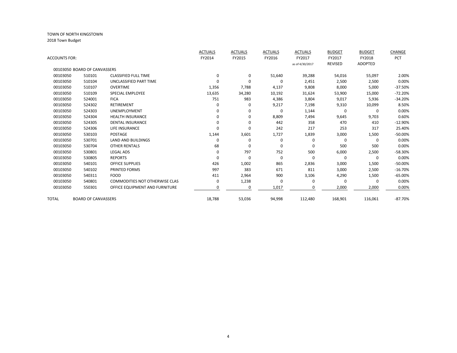|               |                              |                                       | <b>ACTUALS</b> | <b>ACTUALS</b> | <b>ACTUALS</b> | <b>ACTUALS</b>  | <b>BUDGET</b>  | <b>BUDGET</b> | <b>CHANGE</b> |
|---------------|------------------------------|---------------------------------------|----------------|----------------|----------------|-----------------|----------------|---------------|---------------|
| ACCOUNTS FOR: |                              |                                       | FY2014         | FY2015         | FY2016         | FY2017          | FY2017         | FY2018        | PCT           |
|               |                              |                                       |                |                |                | as of 4/30/2017 | <b>REVISED</b> | ADOPTED       |               |
|               | 00103050 BOARD OF CANVASSERS |                                       |                |                |                |                 |                |               |               |
| 00103050      | 510101                       | <b>CLASSIFIED FULL TIME</b>           | 0              | 0              | 51,640         | 39,288          | 54,016         | 55,097        | 2.00%         |
| 00103050      | 510104                       | UNCLASSIFIED PART TIME                | $\Omega$       | 0              | 0              | 2,451           | 2,500          | 2,500         | 0.00%         |
| 00103050      | 510107                       | <b>OVERTIME</b>                       | 1,356          | 7,788          | 4,137          | 9,808           | 8,000          | 5,000         | $-37.50%$     |
| 00103050      | 510109                       | <b>SPECIAL EMPLOYEE</b>               | 13,635         | 34,280         | 10,192         | 31,624          | 53,900         | 15,000        | $-72.20%$     |
| 00103050      | 524001                       | <b>FICA</b>                           | 751            | 983            | 4,386          | 3,804           | 9,017          | 5,936         | $-34.20%$     |
| 00103050      | 524302                       | <b>RETIREMENT</b>                     | 0              | 0              | 9,217          | 7,198           | 9,310          | 10,099        | 8.50%         |
| 00103050      | 524303                       | <b>UNEMPLOYMENT</b>                   | 0              | 0              | 0              | 1,144           | 0              | 0             | 0.00%         |
| 00103050      | 524304                       | <b>HEALTH INSURANCE</b>               | 0              | 0              | 8,809          | 7,494           | 9,645          | 9,703         | 0.60%         |
| 00103050      | 524305                       | <b>DENTAL INSURANCE</b>               | 0              | 0              | 442            | 358             | 470            | 410           | $-12.90%$     |
| 00103050      | 524306                       | LIFE INSURANCE                        | $\Omega$       | 0              | 242            | 217             | 253            | 317           | 25.40%        |
| 00103050      | 530103                       | <b>POSTAGE</b>                        | 1,144          | 3,601          | 1,727          | 1,839           | 3,000          | 1,500         | $-50.00%$     |
| 00103050      | 530701                       | <b>LAND AND BUILDINGS</b>             | $\Omega$       | $\Omega$       | 0              | 0               | $\Omega$       | $\Omega$      | 0.00%         |
| 00103050      | 530704                       | <b>OTHER RENTALS</b>                  | 68             | 0              | 0              | 0               | 500            | 500           | 0.00%         |
| 00103050      | 530801                       | <b>LEGAL ADS</b>                      | 0              | 797            | 752            | 500             | 6,000          | 2,500         | $-58.30%$     |
| 00103050      | 530805                       | <b>REPORTS</b>                        | $\Omega$       | $\Omega$       | 0              | 0               | 0              | $\Omega$      | 0.00%         |
| 00103050      | 540101                       | <b>OFFICE SUPPLIES</b>                | 426            | 1,002          | 865            | 2,836           | 3,000          | 1,500         | $-50.00%$     |
| 00103050      | 540102                       | PRINTED FORMS                         | 997            | 383            | 671            | 811             | 3,000          | 2,500         | $-16.70%$     |
| 00103050      | 540311                       | <b>FOOD</b>                           | 411            | 2,964          | 900            | 3,106           | 4,290          | 1,500         | $-65.00%$     |
| 00103050      | 540801                       | <b>COMMODITIES NOT OTHERWISE CLAS</b> | 0              | 1,238          | 0              | 0               | $\mathbf 0$    | $\Omega$      | 0.00%         |
| 00103050      | 550301                       | OFFICE EQUIPMENT AND FURNITURE        | O              | 0              | 1,017          |                 | 2,000          | 2,000         | 0.00%         |
| TOTAL         | <b>BOARD OF CANVASSERS</b>   |                                       | 18,788         | 53,036         | 94,998         | 112,480         | 168,901        | 116,061       | $-87.70%$     |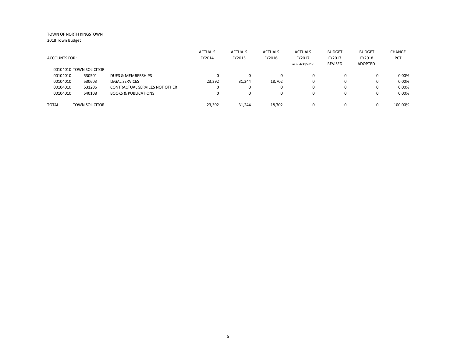|               |                         |                                 | <b>ACTUALS</b> | <b>ACTUALS</b> | <b>ACTUALS</b> | <b>ACTUALS</b>  | <b>BUDGET</b> | <b>BUDGET</b> | CHANGE      |
|---------------|-------------------------|---------------------------------|----------------|----------------|----------------|-----------------|---------------|---------------|-------------|
| ACCOUNTS FOR: |                         |                                 | FY2014         | FY2015         | FY2016         | FY2017          | FY2017        | FY2018        | <b>PCT</b>  |
|               |                         |                                 |                |                |                | as of 4/30/2017 | REVISED       | ADOPTED       |             |
|               | 00104010 TOWN SOLICITOR |                                 |                |                |                |                 |               |               |             |
| 00104010      | 530501                  | DUES & MEMBERSHIPS              | 0              | 0              |                | $\Omega$        | 0             |               | 0.00%       |
| 00104010      | 530603                  | <b>LEGAL SERVICES</b>           | 23,392         | 31,244         | 18,702         | 0               | 0             |               | 0.00%       |
| 00104010      | 531206                  | CONTRACTUAL SERVICES NOT OTHER  | 0              | 0              | $\Omega$       | $\Omega$        | 0             |               | 0.00%       |
| 00104010      | 540108                  | <b>BOOKS &amp; PUBLICATIONS</b> | n              | U              |                |                 | ŋ             |               | 0.00%       |
|               |                         |                                 |                |                |                |                 |               |               |             |
| TOTAL         | <b>TOWN SOLICITOR</b>   |                                 | 23,392         | 31,244         | 18,702         | $\Omega$        | 0             |               | $-100.00\%$ |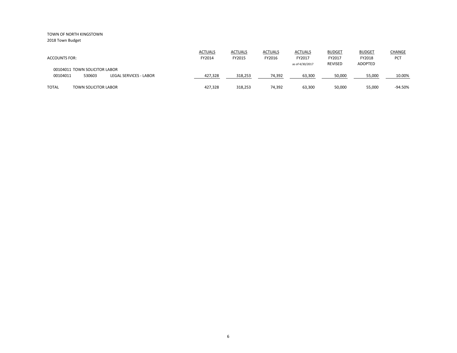| <b>ACCOUNTS FOR:</b>                                | <b>ACTUALS</b><br>FY2014 | <b>ACTUALS</b><br>FY2015 | <b>ACTUALS</b><br>FY2016 | <b>ACTUALS</b><br>FY2017 | <b>BUDGET</b><br>FY2017 | <b>BUDGET</b><br>FY2018 | CHANGE<br>PCT |
|-----------------------------------------------------|--------------------------|--------------------------|--------------------------|--------------------------|-------------------------|-------------------------|---------------|
| 00104011 TOWN SOLICITOR LABOR                       |                          |                          |                          | as of 4/30/2017          | <b>REVISED</b>          | ADOPTED                 |               |
| 530603<br>00104011<br><b>LEGAL SERVICES - LABOR</b> | 427,328                  | 318,253                  | 74,392                   | 63,300                   | 50,000                  | 55,000                  | 10.00%        |
| <b>TOTAL</b><br><b>TOWN SOLICITOR LABOR</b>         | 427,328                  | 318,253                  | 74,392                   | 63,300                   | 50,000                  | 55,000                  | -94.50%       |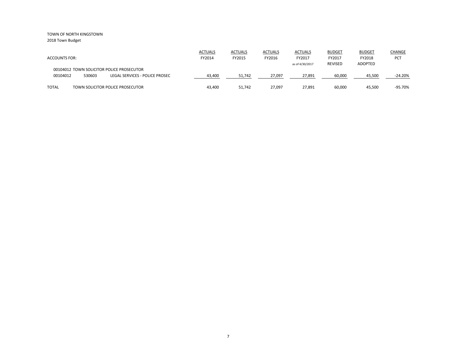| <b>ACCOUNTS FOR:</b> |                                           | <b>ACTUALS</b><br>FY2014 | <b>ACTUALS</b><br>FY2015 | <b>ACTUALS</b><br>FY2016 | <b>ACTUALS</b><br>FY2017 | <b>BUDGET</b><br>FY2017 | <b>BUDGET</b><br>FY2018 | CHANGE<br>PCT |
|----------------------|-------------------------------------------|--------------------------|--------------------------|--------------------------|--------------------------|-------------------------|-------------------------|---------------|
|                      | 00104012 TOWN SOLICITOR POLICE PROSECUTOR |                          |                          |                          | as of 4/30/2017          | <b>REVISED</b>          | ADOPTED                 |               |
| 00104012<br>530603   | LEGAL SERVICES - POLICE PROSEC            | 43,400                   | 51,742                   | 27,097                   | 27,891                   | 60,000                  | 45,500                  | $-24.20%$     |
| <b>TOTAL</b>         | TOWN SOLICITOR POLICE PROSECUTOR          | 43,400                   | 51,742                   | 27,097                   | 27,891                   | 60,000                  | 45,500                  | -95.70%       |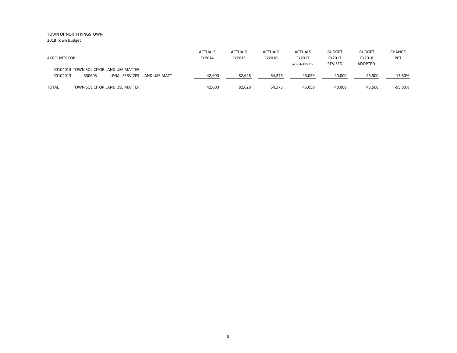|                      |        |                                         | <b>ACTUALS</b> | <b>ACTUALS</b> | <b>ACTUALS</b> | <b>ACTUALS</b>  | <b>BUDGET</b>  | <b>BUDGET</b>  | <b>CHANGE</b> |
|----------------------|--------|-----------------------------------------|----------------|----------------|----------------|-----------------|----------------|----------------|---------------|
| <b>ACCOUNTS FOR:</b> |        |                                         | FY2014         | FY2015         | FY2016         | FY2017          | FY2017         | FY2018         | PCT           |
|                      |        |                                         |                |                |                | as of 4/30/2017 | <b>REVISED</b> | <b>ADOPTED</b> |               |
|                      |        | 00104013 TOWN SOLICITOR LAND USE MATTER |                |                |                |                 |                |                |               |
| 00104013             | 530603 | LEGAL SERVICES - LAND USE MATT          | 42,600         | 82,628         | 64,375         | 45,059          | 40,000         | 45,500         | 13.80%        |
|                      |        |                                         |                |                |                |                 |                |                |               |
| <b>TOTAL</b>         |        | TOWN SOLICITOR LAND USE MATTER          | 42.600         | 82,628         | 64,375         | 45,059          | 40,000         | 45,500         | -95.80%       |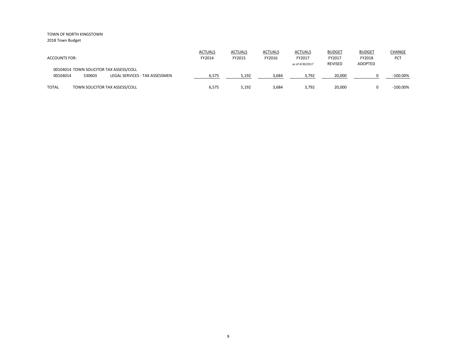| <b>ACCOUNTS FOR:</b> |        |                                                                           | <b>ACTUALS</b><br>FY2014 | <b>ACTUALS</b><br>FY2015 | <b>ACTUALS</b><br>FY2016 | <b>ACTUALS</b><br>FY2017<br>as of 4/30/2017 | <b>BUDGET</b><br>FY2017<br><b>REVISED</b> | <b>BUDGET</b><br>FY2018<br>ADOPTED | <b>CHANGE</b><br><b>PCT</b> |
|----------------------|--------|---------------------------------------------------------------------------|--------------------------|--------------------------|--------------------------|---------------------------------------------|-------------------------------------------|------------------------------------|-----------------------------|
| 00104014             | 530603 | 00104014 TOWN SOLICITOR TAX ASSESS/COLL<br>LEGAL SERVICES - TAX ASSESSMEN | 6,575                    | 5,192                    | 3,684                    | 3,792                                       | 20,000                                    |                                    | $-100.00\%$                 |
| <b>TOTAL</b>         |        | TOWN SOLICITOR TAX ASSESS/COLL                                            | 6,575                    | 5,192                    | 3,684                    | 3,792                                       | 20,000                                    |                                    | $-100.00\%$                 |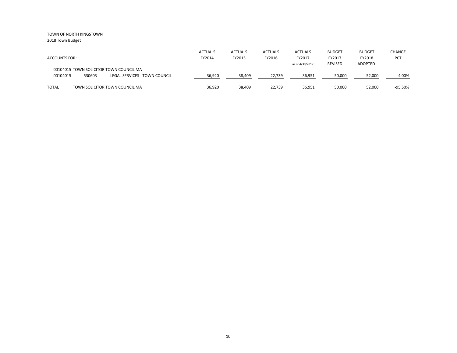| <b>ACCOUNTS FOR:</b>                                                                           | <b>ACTUALS</b><br>FY2014 | <b>ACTUALS</b><br>FY2015 | <b>ACTUALS</b><br>FY2016 | <b>ACTUALS</b><br>FY2017<br>as of 4/30/2017 | <b>BUDGET</b><br>FY2017<br><b>REVISED</b> | <b>BUDGET</b><br>FY2018<br><b>ADOPTED</b> | <b>CHANGE</b><br><b>PCT</b> |
|------------------------------------------------------------------------------------------------|--------------------------|--------------------------|--------------------------|---------------------------------------------|-------------------------------------------|-------------------------------------------|-----------------------------|
| 00104015 TOWN SOLICITOR TOWN COUNCIL MA<br>530603<br>00104015<br>LEGAL SERVICES - TOWN COUNCIL | 36,920                   | 38,409                   | 22,739                   | 36,951                                      | 50,000                                    | 52,000                                    | 4.00%                       |
| <b>TOTAL</b><br>TOWN SOLICITOR TOWN COUNCIL MA                                                 | 36,920                   | 38,409                   | 22,739                   | 36,951                                      | 50,000                                    | 52,000                                    | -95.50%                     |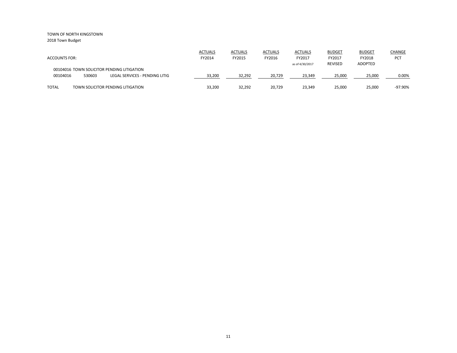| <b>ACCOUNTS FOR:</b> |        |                                                                              | <b>ACTUALS</b><br>FY2014 | <b>ACTUALS</b><br>FY2015 | <b>ACTUALS</b><br>FY2016 | <b>ACTUALS</b><br>FY2017<br>as of 4/30/2017 | <b>BUDGET</b><br>FY2017<br><b>REVISED</b> | <b>BUDGET</b><br>FY2018<br><b>ADOPTED</b> | <b>CHANGE</b><br><b>PCT</b> |
|----------------------|--------|------------------------------------------------------------------------------|--------------------------|--------------------------|--------------------------|---------------------------------------------|-------------------------------------------|-------------------------------------------|-----------------------------|
| 00104016             | 530603 | 00104016 TOWN SOLICITOR PENDING LITIGATION<br>LEGAL SERVICES - PENDING LITIG | 33,200                   | 32,292                   | 20,729                   | 23,349                                      | 25,000                                    | 25,000                                    | 0.00%                       |
| <b>TOTAL</b>         |        | TOWN SOLICITOR PENDING LITIGATION                                            | 33,200                   | 32,292                   | 20,729                   | 23,349                                      | 25,000                                    | 25,000                                    | -97.90%                     |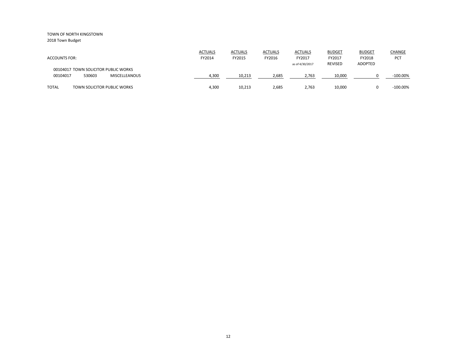|                                             | <b>ACTUALS</b> | <b>ACTUALS</b> | <b>ACTUALS</b> | <b>ACTUALS</b>  | <b>BUDGET</b>            | <b>BUDGET</b>            | CHANGE      |
|---------------------------------------------|----------------|----------------|----------------|-----------------|--------------------------|--------------------------|-------------|
| <b>ACCOUNTS FOR:</b>                        | FY2014         | FY2015         | FY2016         | FY2017          | FY2017<br><b>REVISED</b> | FY2018<br><b>ADOPTED</b> | PCT         |
| 00104017 TOWN SOLICITOR PUBLIC WORKS        |                |                |                | as of 4/30/2017 |                          |                          |             |
| 00104017<br>530603<br><b>MISCELLEANOUS</b>  | 4,300          | 10,213         | 2,685          | 2,763           | 10,000                   |                          | $-100.00\%$ |
| <b>TOTAL</b><br>TOWN SOLICITOR PUBLIC WORKS | 4,300          | 10,213         | 2,685          | 2,763           | 10,000                   |                          | $-100.00\%$ |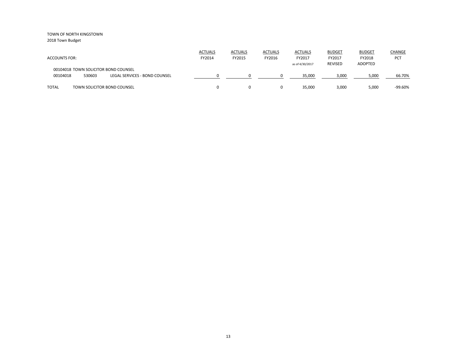| <b>ACCOUNTS FOR:</b>                                                                        | <b>ACTUALS</b><br>FY2014 | <b>ACTUALS</b><br>FY2015 | <b>ACTUALS</b><br>FY2016 | <b>ACTUALS</b><br>FY2017<br>as of 4/30/2017 | <b>BUDGET</b><br>FY2017<br><b>REVISED</b> | <b>BUDGET</b><br>FY2018<br><b>ADOPTED</b> | <b>CHANGE</b><br><b>PCT</b> |
|---------------------------------------------------------------------------------------------|--------------------------|--------------------------|--------------------------|---------------------------------------------|-------------------------------------------|-------------------------------------------|-----------------------------|
| 00104018 TOWN SOLICITOR BOND COUNSEL<br>00104018<br>530603<br>LEGAL SERVICES - BOND COUNSEL |                          |                          |                          | 35.000                                      | 3,000                                     | 5,000                                     | 66.70%                      |
| <b>TOTAL</b><br>TOWN SOLICITOR BOND COUNSEL                                                 |                          |                          | 0                        | 35,000                                      | 3,000                                     | 5,000                                     | $-99.60%$                   |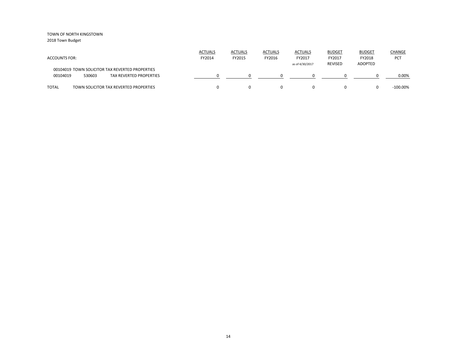| <b>ACCOUNTS FOR:</b>                                                                                    | <b>ACTUALS</b><br>FY2014 | <b>ACTUALS</b><br>FY2015 | <b>ACTUALS</b><br>FY2016 | <b>ACTUALS</b><br>FY2017<br>as of 4/30/2017 | <b>BUDGET</b><br>FY2017<br>REVISED | <b>BUDGET</b><br>FY2018<br><b>ADOPTED</b> | CHANGE<br><b>PCT</b> |
|---------------------------------------------------------------------------------------------------------|--------------------------|--------------------------|--------------------------|---------------------------------------------|------------------------------------|-------------------------------------------|----------------------|
| 00104019 TOWN SOLICITOR TAX REVERTED PROPERTIES<br>00104019<br>530603<br><b>TAX REVERTED PROPERTIES</b> |                          |                          |                          |                                             |                                    |                                           | 0.00%                |
| <b>TOTAL</b><br>TOWN SOLICITOR TAX REVERTED PROPERTIES                                                  |                          |                          |                          |                                             |                                    |                                           | $-100.00\%$          |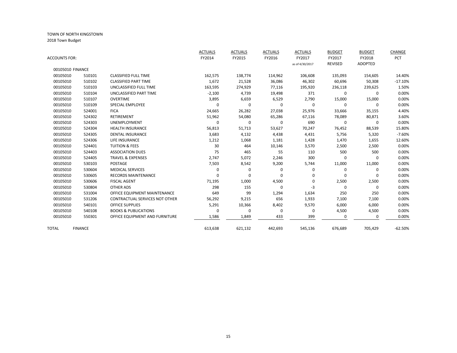| <b>ACCOUNTS FOR:</b> |                |                                       | <b>ACTUALS</b><br>FY2014 | <b>ACTUALS</b><br>FY2015 | <b>ACTUALS</b><br>FY2016 | <b>ACTUALS</b><br>FY2017 | <b>BUDGET</b><br>FY2017<br><b>REVISED</b> | <b>BUDGET</b><br>FY2018<br>ADOPTED | CHANGE<br>PCT |
|----------------------|----------------|---------------------------------------|--------------------------|--------------------------|--------------------------|--------------------------|-------------------------------------------|------------------------------------|---------------|
| 00105010 FINANCE     |                |                                       |                          |                          |                          | as of 4/30/2017          |                                           |                                    |               |
| 00105010             | 510101         | <b>CLASSIFIED FULL TIME</b>           | 162,575                  | 138,774                  | 114,962                  | 106,608                  | 135,093                                   | 154,605                            | 14.40%        |
| 00105010             | 510102         | <b>CLASSIFIED PART TIME</b>           | 1,672                    | 21,528                   | 36,086                   | 46,302                   | 60,696                                    | 50,308                             | $-17.10%$     |
| 00105010             | 510103         | UNCLASSIFIED FULL TIME                | 163,595                  | 274,929                  | 77,116                   | 195,920                  | 236,118                                   | 239,625                            | 1.50%         |
| 00105010             | 510104         | UNCLASSIFIED PART TIME                | $-2,100$                 | 4,739                    | 19,498                   | 371                      | 0                                         | 0                                  | 0.00%         |
| 00105010             | 510107         | <b>OVERTIME</b>                       | 3,895                    | 6,659                    | 6,529                    | 2,790                    | 15,000                                    | 15,000                             | 0.00%         |
| 00105010             | 510109         | <b>SPECIAL EMPLOYEE</b>               | 0                        | 0                        | 0                        | 0                        | 0                                         | $\Omega$                           | 0.00%         |
| 00105010             | 524001         | <b>FICA</b>                           | 24,665                   | 26,282                   | 27,038                   | 25,976                   | 33,666                                    | 35,155                             | 4.40%         |
| 00105010             | 524302         | <b>RETIREMENT</b>                     | 51,962                   | 54,080                   | 65,286                   | 67,116                   | 78,089                                    | 80,871                             | 3.60%         |
| 00105010             | 524303         | <b>UNEMPLOYMENT</b>                   | 0                        | 0                        | 0                        | 690                      | 0                                         | 0                                  | 0.00%         |
| 00105010             | 524304         | <b>HEALTH INSURANCE</b>               | 56,813                   | 51,713                   | 53,627                   | 70,247                   | 76,452                                    | 88,539                             | 15.80%        |
| 00105010             | 524305         | <b>DENTAL INSURANCE</b>               | 3,683                    | 4,132                    | 4,438                    | 4,431                    | 5,756                                     | 5,320                              | $-7.60%$      |
| 00105010             | 524306         | LIFE INSURANCE                        | 1,212                    | 1,068                    | 1,181                    | 1,428                    | 1,470                                     | 1,655                              | 12.60%        |
| 00105010             | 524401         | <b>TUITION &amp; FEES</b>             | 30                       | 464                      | 10,146                   | 3,570                    | 2,500                                     | 2,500                              | 0.00%         |
| 00105010             | 524403         | <b>ASSOCIATION DUES</b>               | 75                       | 465                      | 55                       | 110                      | 500                                       | 500                                | 0.00%         |
| 00105010             | 524405         | <b>TRAVEL &amp; EXPENSES</b>          | 2,747                    | 5,072                    | 2,246                    | 300                      | 0                                         | 0                                  | 0.00%         |
| 00105010             | 530103         | <b>POSTAGE</b>                        | 7,503                    | 8,542                    | 9,200                    | 5,744                    | 11,000                                    | 11,000                             | 0.00%         |
| 00105010             | 530604         | <b>MEDICAL SERVICES</b>               | $\Omega$                 | 0                        | 0                        | $\Omega$                 | 0                                         | $\Omega$                           | 0.00%         |
| 00105010             | 530605         | <b>RECORDS MAINTENANCE</b>            | $\Omega$                 | 0                        | 0                        | 0                        | $\Omega$                                  | $\Omega$                           | 0.00%         |
| 00105010             | 530606         | <b>FISCAL AGENT</b>                   | 71,195                   | 1,000                    | 4,500                    | 0                        | 2,500                                     | 2,500                              | 0.00%         |
| 00105010             | 530804         | <b>OTHER ADS</b>                      | 298                      | 155                      | $\mathbf 0$              | $-3$                     | $\Omega$                                  | $\Omega$                           | 0.00%         |
| 00105010             | 531004         | OFFICE EQUIPMENT MAINTENANCE          | 649                      | 99                       | 1,294                    | 1,634                    | 250                                       | 250                                | 0.00%         |
| 00105010             | 531206         | <b>CONTRACTUAL SERVICES NOT OTHER</b> | 56,292                   | 9,215                    | 656                      | 1,933                    | 7,100                                     | 7,100                              | 0.00%         |
| 00105010             | 540101         | <b>OFFICE SUPPLIES</b>                | 5,291                    | 10,366                   | 8,402                    | 9,570                    | 6,000                                     | 6,000                              | 0.00%         |
| 00105010             | 540108         | <b>BOOKS &amp; PUBLICATIONS</b>       | 0                        | 0                        | 0                        | 0                        | 4,500                                     | 4,500                              | 0.00%         |
| 00105010             | 550301         | OFFICE EQUIPMENT AND FURNITURE        | 1,586                    | 1,849                    | 433                      | 399                      | 0                                         | 0                                  | 0.00%         |
| TOTAL                | <b>FINANCE</b> |                                       | 613,638                  | 621,132                  | 442,693                  | 545,136                  | 676,689                                   | 705,429                            | $-62.50%$     |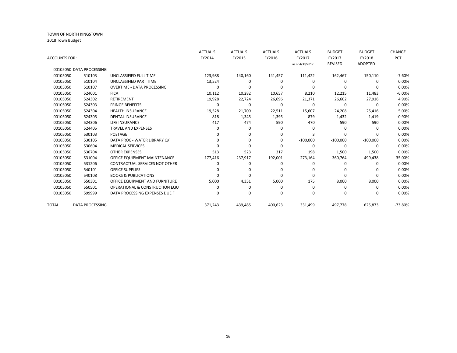|               |                          |                                       | <b>ACTUALS</b> | <b>ACTUALS</b> | <b>ACTUALS</b> | <b>ACTUALS</b>  | <b>BUDGET</b>  | <b>BUDGET</b>  | CHANGE    |
|---------------|--------------------------|---------------------------------------|----------------|----------------|----------------|-----------------|----------------|----------------|-----------|
| ACCOUNTS FOR: |                          |                                       | FY2014         | FY2015         | FY2016         | FY2017          | FY2017         | FY2018         | PCT       |
|               |                          |                                       |                |                |                | as of 4/30/2017 | <b>REVISED</b> | <b>ADOPTED</b> |           |
|               | 00105050 DATA PROCESSING |                                       |                |                |                |                 |                |                |           |
| 00105050      | 510103                   | UNCLASSIFIED FULL TIME                | 123,988        | 140,160        | 141,457        | 111,422         | 162,467        | 150,110        | $-7.60%$  |
| 00105050      | 510104                   | UNCLASSIFIED PART TIME                | 13,524         | 0              | 0              | 0               | 0              | 0              | 0.00%     |
| 00105050      | 510107                   | <b>OVERTIME - DATA PROCESSING</b>     | 0              | ŋ              | O              | $\Omega$        | $\Omega$       |                | 0.00%     |
| 00105050      | 524001                   | <b>FICA</b>                           | 10,112         | 10,282         | 10,657         | 8,210           | 12,215         | 11,483         | $-6.00%$  |
| 00105050      | 524302                   | <b>RETIREMENT</b>                     | 19,928         | 22,724         | 26,696         | 21,371          | 26,602         | 27,916         | 4.90%     |
| 00105050      | 524303                   | <b>FRINGE BENEFITS</b>                | 0              | 0              | 0              | 0               | 0              | 0              | 0.00%     |
| 00105050      | 524304                   | <b>HEALTH INSURANCE</b>               | 19,528         | 21,709         | 22,511         | 15,607          | 24,208         | 25,416         | 5.00%     |
| 00105050      | 524305                   | <b>DENTAL INSURANCE</b>               | 818            | 1,345          | 1,395          | 879             | 1,432          | 1,419          | $-0.90%$  |
| 00105050      | 524306                   | <b>LIFE INSURANCE</b>                 | 417            | 474            | 590            | 470             | 590            | 590            | 0.00%     |
| 00105050      | 524405                   | <b>TRAVEL AND EXPENSES</b>            | O              | 0              | 0              | 0               | 0              | 0              | 0.00%     |
| 00105050      | 530103                   | <b>POSTAGE</b>                        |                |                | 0              | Р               | 0              | O              | 0.00%     |
| 00105050      | 530105                   | DATA PROC - WATER LIBRARY Q/          |                |                | 0              | $-100,000$      | $-100,000$     | $-100,000$     | 0.00%     |
| 00105050      | 530604                   | <b>MEDICAL SERVICES</b>               |                | ŋ              | O              | $\Omega$        | $\Omega$       | $\Omega$       | 0.00%     |
| 00105050      | 530704                   | <b>OTHER EXPENSES</b>                 | 513            | 523            | 317            | 198             | 1,500          | 1,500          | 0.00%     |
| 00105050      | 531004                   | OFFICE EQUIPMENT MAINTENANCE          | 177,416        | 237,917        | 192,001        | 273,164         | 360,764        | 499,438        | 35.00%    |
| 00105050      | 531206                   | <b>CONTRACTUAL SERVICES NOT OTHER</b> | 0              | 0              | 0              | 0               | 0              | 0              | 0.00%     |
| 00105050      | 540101                   | <b>OFFICE SUPPLIES</b>                | ŋ              |                | O              | O               | $\Omega$       | n              | 0.00%     |
| 00105050      | 540108                   | <b>BOOKS &amp; PUBLICATIONS</b>       |                | O              | O              | $\Omega$        | O              | O              | 0.00%     |
| 00105050      | 550301                   | OFFICE EQUIPMENT AND FURNITURE        | 5,000          | 4,351          | 5,000          | 175             | 8,000          | 8,000          | 0.00%     |
| 00105050      | 550501                   | OPERATIONAL & CONSTRUCTION EQU        | O              | 0              | 0              | 0               | 0              | 0              | 0.00%     |
| 00105050      | 599999                   | DATA PROCESSING EXPENSES DUE F        |                |                | O              | $\Omega$        | ŋ              | $\Omega$       | 0.00%     |
| TOTAL         | <b>DATA PROCESSING</b>   |                                       | 371,243        | 439,485        | 400,623        | 331,499         | 497,778        | 625,873        | $-73.80%$ |
|               |                          |                                       |                |                |                |                 |                |                |           |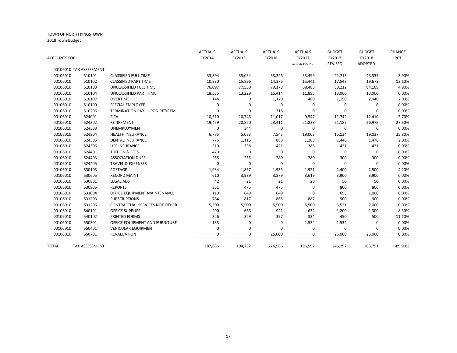|               |                         |                                       | <b>ACTUALS</b> | <b>ACTUALS</b> | <b>ACTUALS</b> | <b>ACTUALS</b>  | <b>BUDGET</b> | <b>BUDGET</b> | <b>CHANGE</b> |
|---------------|-------------------------|---------------------------------------|----------------|----------------|----------------|-----------------|---------------|---------------|---------------|
| ACCOUNTS FOR: |                         |                                       | FY2014         | FY2015         | FY2016         | FY2017          | FY2017        | FY2018        | <b>PCT</b>    |
|               |                         |                                       |                |                |                | as of 4/30/2017 | REVISED       | ADOPTED       |               |
|               | 00106010 TAX ASSESSMENT |                                       |                |                |                |                 |               |               |               |
| 00106010      | 510101                  | <b>CLASSIFIED FULL TIME</b>           | 33,394         | 35,054         | 33,326         | 33,499          | 41,713        | 43,337        | 3.90%         |
| 00106010      | 510102                  | <b>CLASSIFIED PART TIME</b>           | 10,830         | 15,896         | 14,376         | 15,441          | 17,543        | 19,673        | 12.10%        |
| 00106010      | 510103                  | UNCLASSIFIED FULL TIME                | 76,097         | 77,550         | 79,178         | 68,488          | 80,212        | 84,169        | 4.90%         |
| 00106010      | 510104                  | UNCLASSIFIED PART TIME                | 18,535         | 13,229         | 15,414         | 11,895          | 13,000        | 13,000        | 0.00%         |
| 00106010      | 510107                  | <b>OVERTIME</b>                       | 144            | 0              | 1,170          | 480             | 1,150         | 2,040         | 2.00%         |
| 00106010      | 510109                  | <b>SPECIAL EMPLOYEE</b>               | 0              | 0              | 0              | 0               | 0             | 0             | 0.00%         |
| 00106010      | 510206                  | <b>TERMINATION PAY - UPON RETIREM</b> | $\Omega$       | $\mathbf 0$    | 318            | 0               | 0             | 0             | 0.00%         |
| 00106010      | 524001                  | <b>FICA</b>                           | 10,510         | 10,746         | 11,017         | 9,547           | 11,742        | 12,410        | 5.70%         |
| 00106010      | 524302                  | <b>RETIREMENT</b>                     | 19,459         | 20,820         | 23,411         | 21,838          | 21,187        | 26,978        | 27.30%        |
| 00106010      | 524303                  | <b>UNEMPLOYMENT</b>                   | 0              | 344            | 0              | 0               | 0             | 0             | 0.00%         |
| 00106010      | 524304                  | <b>HEALTH INSURANCE</b>               | 6,775          | 5,083          | 7,545          | 19,003          | 15,134        | 19,037        | 25.80%        |
| 00106010      | 524305                  | <b>DENTAL INSURANCE</b>               | 776            | 1,115          | 888            | 1,288           | 1,446         | 1,476         | 2.00%         |
| 00106010      | 524306                  | LIFE INSURANCE                        | 310            | 338            | 421            | 386             | 421           | 421           | 0.00%         |
| 00106010      | 524401                  | <b>TUITION &amp; FEES</b>             | 470            | $\mathbf 0$    | 0              | $\Omega$        | $\mathbf 0$   | $\Omega$      | 0.00%         |
| 00106010      | 524403                  | <b>ASSOCIATION DUES</b>               | 255            | 255            | 280            | 280             | 300           | 300           | 0.00%         |
| 00106010      | 524405                  | <b>TRAVEL &amp; EXPENSES</b>          | 0              | 0              | 0              | 0               | 0             | 0             | 0.00%         |
| 00106010      | 530103                  | POSTAGE                               | 1,934          | 1,857          | 1,935          | 1,921           | 2,400         | 2,500         | 4.20%         |
| 00106010      | 530605                  | <b>RECORD MAINT</b>                   | 610            | 3,989          | 3,879          | 3,619           | 3,900         | 3,900         | 0.00%         |
| 00106010      | 530801                  | <b>LEGAL ADS</b>                      | 42             | 21             | 21             | 20              | 50            | 50            | 0.00%         |
| 00106010      | 530805                  | <b>REPORTS</b>                        | 351            | 475            | 475            | $\Omega$        | 800           | 800           | 0.00%         |
| 00106010      | 531004                  | OFFICE EQUIPMENT MAINTENANCE          | 110            | 649            | 649            | 0               | 695           | 1,000         | 0.00%         |
| 00106010      | 531203                  | <b>SUBSCRIPTIONS</b>                  | 784            | 817            | 865            | 887             | 900           | 900           | 0.00%         |
| 00106010      | 531206                  | CONTRACTUAL SERVICES NOT OTHER        | 5,500          | 5,500          | 5,500          | 5,500           | 5,521         | 7,000         | 0.00%         |
| 00106010      | 540101                  | OFFICE SUPPLIES                       | 290            | 666            | 921            | 632             | 1,200         | 1,300         | 8.30%         |
| 00106010      | 540102                  | PRINTED FORMS                         | 326            | 329            | 397            | 334             | 450           | 500           | 11.10%        |
| 00106010      | 550301                  | OFFICE EQUIPMENT AND FURNITURE        | 135            | 0              | 0              | 1,534           | 1,534         | 0             | 0.00%         |
| 00106010      | 550401                  | <b>VEHICULAR EQUIPMENT</b>            | 0              | 0              | 0              | 0               | 0             | 0             | 0.00%         |
| 00106010      | 550701                  | <b>REVALUATION</b>                    | O              | 0              | 25,000         | 0               | 25,000        | 25,000        | 0.00%         |
| TOTAL         | <b>TAX ASSESSMENT</b>   |                                       | 187,636        | 194,732        | 226,986        | 196,592         | 246,297       | 265,791       | -89.90%       |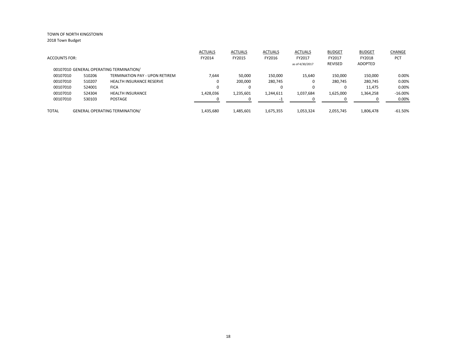|                      |        |                                         | <b>ACTUALS</b> | <b>ACTUALS</b> | <b>ACTUALS</b> | ACTUALS         | <b>BUDGET</b> | <b>BUDGET</b> | CHANGE     |
|----------------------|--------|-----------------------------------------|----------------|----------------|----------------|-----------------|---------------|---------------|------------|
| <b>ACCOUNTS FOR:</b> |        |                                         | FY2014         | FY2015         | FY2016         | FY2017          | FY2017        | FY2018        | <b>PCT</b> |
|                      |        |                                         |                |                |                | as of 4/30/2017 | REVISED       | ADOPTED       |            |
|                      |        | 00107010 GENERAL OPERATING TERMINATION/ |                |                |                |                 |               |               |            |
| 00107010             | 510206 | <b>TERMINATION PAY - UPON RETIREM</b>   | 7,644          | 50,000         | 150,000        | 15,640          | 150,000       | 150,000       | 0.00%      |
| 00107010             | 510207 | <b>HEALTH INSURANCE RESERVE</b>         | $\Omega$       | 200.000        | 280,745        | 0               | 280.745       | 280,745       | 0.00%      |
| 00107010             | 524001 | <b>FICA</b>                             | $\Omega$       |                | 0              | $\Omega$        |               | 11,475        | 0.00%      |
| 00107010             | 524304 | <b>HEALTH INSURANCE</b>                 | 1,428,036      | 1,235,601      | 1,244,611      | 1,037,684       | 1,625,000     | 1,364,258     | $-16.00\%$ |
| 00107010             | 530103 | POSTAGE                                 |                |                | $-1$           | $\Omega$        |               |               | $0.00\%$   |
| <b>TOTAL</b>         |        | <b>GENERAL OPERATING TERMINATION/</b>   | 1,435,680      | 1,485,601      | 1,675,355      | 1,053,324       | 2.055.745     | 1.806.478     | $-61.50\%$ |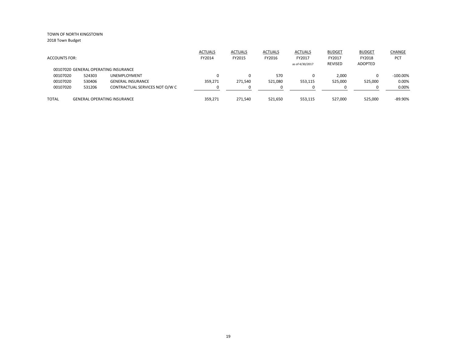|                      |        |                                      | <b>ACTUALS</b> | <b>ACTUALS</b> | <b>ACTUALS</b> | <b>ACTUALS</b>  | <b>BUDGET</b>  | <b>BUDGET</b> | CHANGE      |
|----------------------|--------|--------------------------------------|----------------|----------------|----------------|-----------------|----------------|---------------|-------------|
| <b>ACCOUNTS FOR:</b> |        |                                      | FY2014         | FY2015         | FY2016         | FY2017          | FY2017         | FY2018        | PCT         |
|                      |        |                                      |                |                |                | as of 4/30/2017 | <b>REVISED</b> | ADOPTED       |             |
|                      |        | 00107020 GENERAL OPERATING INSURANCE |                |                |                |                 |                |               |             |
| 00107020             | 524303 | <b>UNEMPLOYMENT</b>                  |                | $\Omega$       | 570            |                 | 2.000          | 0             | $-100.00\%$ |
| 00107020             | 530406 | <b>GENERAL INSURANCE</b>             | 359.271        | 271.540        | 521,080        | 553,115         | 525,000        | 525,000       | 0.00%       |
| 00107020             | 531206 | CONTRACTUAL SERVICES NOT O/W C       |                |                |                |                 |                | n             | 0.00%       |
| <b>TOTAL</b>         |        | <b>GENERAL OPERATING INSURANCE</b>   | 359.271        | 271.540        | 521.650        | 553,115         | 527,000        | 525,000       | $-89.90\%$  |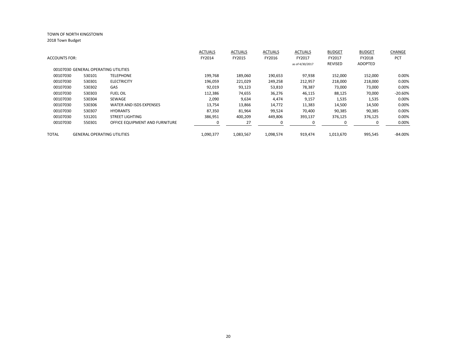| <b>ACCOUNTS FOR:</b> |                                      |                                    | <b>ACTUALS</b><br>FY2014 | <b>ACTUALS</b><br>FY2015 | <b>ACTUALS</b><br>FY2016 | <b>ACTUALS</b><br>FY2017 | <b>BUDGET</b><br>FY2017 | <b>BUDGET</b><br>FY2018 | CHANGE<br>PCT |
|----------------------|--------------------------------------|------------------------------------|--------------------------|--------------------------|--------------------------|--------------------------|-------------------------|-------------------------|---------------|
|                      | 00107030 GENERAL OPERATING UTILITIES |                                    |                          |                          |                          | as of 4/30/2017          | <b>REVISED</b>          | <b>ADOPTED</b>          |               |
| 00107030             | 530101                               | <b>TELEPHONE</b>                   | 199,768                  | 189,060                  | 190,653                  | 97,938                   | 152,000                 | 152,000                 | $0.00\%$      |
| 00107030             | 530301                               | <b>ELECTRICITY</b>                 | 196,059                  | 221,029                  | 249,258                  | 212,957                  | 218,000                 | 218,000                 | 0.00%         |
| 00107030             | 530302                               | GAS                                | 92,019                   | 93,123                   | 53,810                   | 78,387                   | 73,000                  | 73,000                  | 0.00%         |
| 00107030             | 530303                               | <b>FUEL OIL</b>                    | 112,386                  | 74,655                   | 36,276                   | 46,115                   | 88,125                  | 70,000                  | $-20.60%$     |
| 00107030             | 530304                               | SEWAGE                             | 2,090                    | 9,634                    | 4,474                    | 9,157                    | 1,535                   | 1,535                   | 0.00%         |
| 00107030             | 530306                               | WATER AND ISDS EXPENSES            | 13,754                   | 13,866                   | 14,772                   | 11,383                   | 14,500                  | 14,500                  | 0.00%         |
| 00107030             | 530307                               | <b>HYDRANTS</b>                    | 87,350                   | 81,964                   | 99,524                   | 70,400                   | 90,385                  | 90,385                  | 0.00%         |
| 00107030             | 531201                               | <b>STREET LIGHTING</b>             | 386,951                  | 400,209                  | 449,806                  | 393,137                  | 376,125                 | 376,125                 | 0.00%         |
| 00107030             | 550301                               | OFFICE EQUIPMENT AND FURNITURE     |                          | 27                       |                          |                          | $\Omega$                |                         | 0.00%         |
| <b>TOTAL</b>         |                                      | <b>GENERAL OPERATING UTILITIES</b> | 1,090,377                | 1,083,567                | 1,098,574                | 919,474                  | 1,013,670               | 995,545                 | -84.00%       |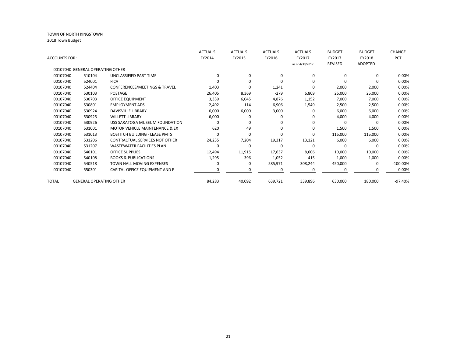| ACCOUNTS FOR: |                                  |                                           | <b>ACTUALS</b><br>FY2014 | <b>ACTUALS</b><br>FY2015 | <b>ACTUALS</b><br>FY2016 | <b>ACTUALS</b><br>FY2017 | <b>BUDGET</b><br>FY2017 | <b>BUDGET</b><br>FY2018 | CHANGE<br>PCT |
|---------------|----------------------------------|-------------------------------------------|--------------------------|--------------------------|--------------------------|--------------------------|-------------------------|-------------------------|---------------|
|               |                                  |                                           |                          |                          |                          | as of 4/30/2017          | REVISED                 | ADOPTED                 |               |
|               | 00107040 GENERAL OPERATING OTHER |                                           |                          |                          |                          |                          |                         |                         |               |
| 00107040      | 510104                           | UNCLASSIFIED PART TIME                    | $\Omega$                 | $\Omega$                 | 0                        | $\Omega$                 | $\Omega$                | 0                       | 0.00%         |
| 00107040      | 524001                           | <b>FICA</b>                               |                          | O                        | O                        | $\Omega$                 | O                       | 0                       | 0.00%         |
| 00107040      | 524404                           | CONFERENCES/MEETINGS & TRAVEL             | 1,403                    | 0                        | 1,241                    | $\Omega$                 | 2,000                   | 2,000                   | 0.00%         |
| 00107040      | 530103                           | <b>POSTAGE</b>                            | 26,405                   | 8,369                    | $-279$                   | 6,809                    | 25,000                  | 25,000                  | 0.00%         |
| 00107040      | 530703                           | OFFICE EQUIPMENT                          | 3,339                    | 6,045                    | 4,876                    | 1,152                    | 7,000                   | 7,000                   | 0.00%         |
| 00107040      | 530801                           | <b>EMPLOYMENT ADS</b>                     | 2,492                    | 114                      | 6,906                    | 1,549                    | 2,500                   | 2,500                   | 0.00%         |
| 00107040      | 530924                           | <b>DAVISVILLE LIBRARY</b>                 | 6,000                    | 6,000                    | 3,000                    | 0                        | 6,000                   | 6,000                   | 0.00%         |
| 00107040      | 530925                           | <b>WILLETT LIBRARY</b>                    | 6,000                    |                          | $\Omega$                 | 0                        | 4,000                   | 4,000                   | 0.00%         |
| 00107040      | 530926                           | USS SARATOGA MUSEUM FOUNDATION            | O                        | 0                        | 0                        | $\Omega$                 | $\Omega$                | $\Omega$                | 0.00%         |
| 00107040      | 531001                           | <b>MOTOR VEHICLE MAINTENANCE &amp; EX</b> | 620                      | 49                       | $\Omega$                 | 0                        | 1,500                   | 1,500                   | 0.00%         |
| 00107040      | 531013                           | <b>BOSTITCH BUILDING - LEASE PMTS</b>     | O                        | $\Omega$                 | $\Omega$                 | $\Omega$                 | 115,000                 | 115,000                 | 0.00%         |
| 00107040      | 531206                           | <b>CONTRACTUAL SERVICES NOT OTHER</b>     | 24,235                   | 7,204                    | 19,317                   | 13,121                   | 6,000                   | 6,000                   | 0.00%         |
| 00107040      | 531207                           | <b>WASTEWATER FACILITIES PLAN</b>         | 0                        | 0                        | O                        | 0                        | O                       | 0                       | 0.00%         |
| 00107040      | 540101                           | <b>OFFICE SUPPLIES</b>                    | 12,494                   | 11,915                   | 17,637                   | 8,606                    | 10,000                  | 10,000                  | 0.00%         |
| 00107040      | 540108                           | <b>BOOKS &amp; PUBLICATIONS</b>           | 1,295                    | 396                      | 1,052                    | 415                      | 1,000                   | 1,000                   | 0.00%         |
| 00107040      | 540518                           | <b>TOWN HALL MOVING EXPENSES</b>          | 0                        | 0                        | 585,971                  | 308,244                  | 450,000                 | $\Omega$                | $-100.00\%$   |
| 00107040      | 550301                           | CAPITAL OFFICE EQUIPMENT AND F            |                          | o                        | O                        |                          | O                       | 0                       | 0.00%         |
| TOTAL         | <b>GENERAL OPERATING OTHER</b>   |                                           | 84,283                   | 40,092                   | 639,721                  | 339,896                  | 630,000                 | 180,000                 | -97.40%       |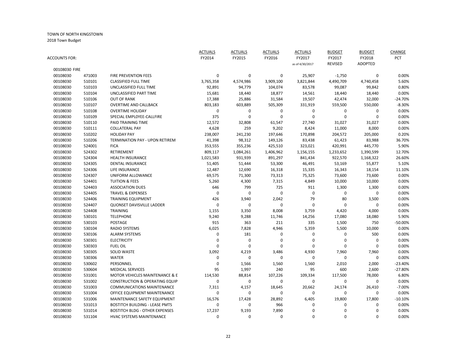|               |        |                                           | <b>ACTUALS</b> | <b>ACTUALS</b> | <b>ACTUALS</b>   | <b>ACTUALS</b>  | <b>BUDGET</b>  | <b>BUDGET</b>  | CHANGE     |
|---------------|--------|-------------------------------------------|----------------|----------------|------------------|-----------------|----------------|----------------|------------|
| ACCOUNTS FOR: |        |                                           | FY2014         | FY2015         | FY2016           | FY2017          | FY2017         | FY2018         | <b>PCT</b> |
|               |        |                                           |                |                |                  | as of 4/30/2017 | <b>REVISED</b> | <b>ADOPTED</b> |            |
| 00108030 FIRE |        |                                           |                |                |                  |                 |                |                |            |
| 00108030      | 471003 | <b>FIRE PREVENTION FEES</b>               | 0              | $\mathbf 0$    | 0                | 25,907          | $-1,750$       | 0              | 0.00%      |
| 00108030      | 510101 | CLASSIFIED FULL TIME                      | 3,765,358      | 4,574,986      | 3,909,100        | 3,821,844       | 4,490,709      | 4,740,458      | 5.60%      |
| 00108030      | 510103 | UNCLASSIFIED FULL TIME                    | 92,891         | 94,779         | 104,074          | 83,578          | 99,087         | 99,842         | 0.80%      |
| 00108030      | 510104 | UNCLASSIFIED PART TIME                    | 15,681         | 18,440         | 18,877           | 14,561          | 18,440         | 18,440         | 0.00%      |
| 00108030      | 510106 | <b>OUT OF RANK</b>                        | 17,388         | 25,886         | 31,584           | 19,507          | 42,474         | 32,000         | $-24.70%$  |
| 00108030      | 510107 | <b>OVERTIME AND CALLBACK</b>              | 803,183        | 603,889        | 505,309          | 331,919         | 559,500        | 550,000        | $-8.30%$   |
| 00108030      | 510108 | <b>OVERTIME HOLIDAY</b>                   | $\pmb{0}$      | $\pmb{0}$      | $\mathbf 0$      | $\pmb{0}$       | $\pmb{0}$      | 0              | 0.00%      |
| 00108030      | 510109 | SPECIAL EMPLOYEE-CALLFIRE                 | 375            | $\mathbf 0$    | $\mathbf 0$      | $\mathbf 0$     | 0              | 0              | 0.00%      |
| 00108030      | 510110 | PAID TRAINING TIME                        | 12,572         | 32,808         | 61,547           | 27,740          | 31,027         | 31,027         | 0.00%      |
| 00108030      | 510111 | <b>COLLATERAL PAY</b>                     | 4,628          | 259            | 9,202            | 8,424           | 11,000         | 8,000          | 0.00%      |
| 00108030      | 510202 | <b>HOLIDAY PAY</b>                        | 238,007        | 241,230        | 197,646          | 170,898         | 204,572        | 205,000        | 0.20%      |
| 00108030      | 510206 | TERMINATION PAY - UPON RETIREM            | 41,398         | 98,312         | 149,126          | 83,438          | 61,423         | 83,988         | 36.70%     |
| 00108030      | 524001 | <b>FICA</b>                               | 353,555        | 355,236        | 425,510          | 323,021         | 420,991        | 445,770        | 5.90%      |
| 00108030      | 524302 | RETIREMENT                                | 809,117        | 1,084,261      | 1,406,962        | 1,156,155       | 1,233,652      | 1,390,599      | 12.70%     |
| 00108030      | 524304 | <b>HEALTH INSURANCE</b>                   | 1,021,583      | 931,939        | 891,297          | 841,434         | 922,570        | 1,168,322      | 26.60%     |
| 00108030      | 524305 | <b>DENTAL INSURANCE</b>                   | 51,405         | 51,444         | 53,300           | 46,491          | 53,169         | 55,877         | 5.10%      |
| 00108030      | 524306 | LIFE INSURANCE                            | 12,487         | 12,690         | 16,318           | 15,335          | 16,343         | 18,154         | 11.10%     |
| 00108030      | 524307 | UNIFORM ALLOWANCE                         | 69,575         | 71,300         | 73,313           | 75,325          | 73,600         | 73,600         | 0.00%      |
| 00108030      | 524401 | <b>TUITION &amp; FEES</b>                 | 5,260          | 4,300          | 7,315            | 4,849           | 10,000         | 10,000         | 0.00%      |
| 00108030      | 524403 | <b>ASSOCIATION DUES</b>                   | 646            | 799            | 725              | 911             | 1,300          | 1,300          | 0.00%      |
| 00108030      | 524405 | <b>TRAVEL &amp; EXPENSES</b>              | $\mathbf 0$    | $\mathbf 0$    | $\mathbf 0$      | $\mathbf 0$     | 0              | 0              | 0.00%      |
| 00108030      | 524406 | <b>TRAINING EQUIPMENT</b>                 | 426            | 3,940          | 2,042            | 79              | 80             | 3,500          | 0.00%      |
| 00108030      | 524407 | <b>QUONSET DAVISVILLE LADDER</b>          | $\mathbf 0$    | $\mathbf 0$    | 0                | $\mathbf 0$     | $\mathbf 0$    | $\Omega$       | 0.00%      |
| 00108030      | 524408 | TRAINING                                  | 1,155          | 3,350          | 8,008            | 3,759           | 4,420          | 4,000          | 0.00%      |
| 00108030      | 530101 | <b>TELEPHONE</b>                          | 9,240          | 9,288          | 11,746           | 14,256          | 17,080         | 18,080         | 5.90%      |
| 00108030      | 530103 | POSTAGE                                   | 915            | 363            | 211              | 335             | 1,500          | 750            | $-50.00%$  |
| 00108030      | 530104 | <b>RADIO SYSTEMS</b>                      | 6,025          | 7,828          | 4,946            | 5,359           | 5,500          | 10,000         | 0.00%      |
| 00108030      | 530106 | <b>ALARM SYSTEMS</b>                      | 0              | 181            | 0                | $\mathbf 0$     | 0              | 500            | 0.00%      |
| 00108030      | 530301 | <b>ELECTRICITY</b>                        | 0              | $\pmb{0}$      | 0                | $\mathbf 0$     | 0              | $\Omega$       | 0.00%      |
| 00108030      | 530303 | <b>FUEL OIL</b>                           | 0              | $\mathbf 0$    | 0                | 0               | 0              | 0              | 0.00%      |
| 00108030      | 530305 | <b>SOLID WASTE</b>                        | 3,092          | 4,219          | 3,486            | 4,930           | 7,960          | 7,960          | 0.00%      |
| 00108030      | 530306 | <b>WATER</b>                              | $\pmb{0}$      | $\mathbf 0$    | $\boldsymbol{0}$ | $\mathbf 0$     | 0              | 0              | 0.00%      |
| 00108030      | 530602 | PERSONNEL                                 | $\mathbf 0$    | 1,566          | 1,560            | 1,560           | 2,010          | 2,000          | $-23.40%$  |
| 00108030      | 530604 | <b>MEDICAL SERVICES</b>                   | 95             | 1,997          | 240              | 95              | 600            | 2,600          | $-27.80%$  |
| 00108030      | 531001 | MOTOR VEHICLES MAINTENANCE & E            | 114,530        | 88,814         | 107,226          | 109,334         | 117,500        | 78,000         | 6.80%      |
| 00108030      | 531002 | <b>CONSTRUCTION &amp; OPERATING EQUIP</b> | 0              | $\mathbf 0$    | 0                | $\mathbf 0$     | 0              | 0              | 0.00%      |
|               | 531003 | <b>COMMUNICATIONS MAINTENANCE</b>         |                |                |                  |                 |                |                | $-7.00%$   |
| 00108030      |        |                                           | 7,311          | 4,157          | 18,645           | 20,662          | 24,174         | 26,410         |            |
| 00108030      | 531004 | OFFICE EQUIPMENT MAINTENANCE              | 0              | $\mathbf 0$    | 0                | $\mathbf 0$     | 0              | 0              | 0.00%      |
| 00108030      | 531006 | MAINTENANCE SAFETY EQUIPMENT              | 16,576         | 17,428         | 28,892           | 6,405           | 19,800         | 17,800         | $-10.10%$  |
| 00108030      | 531013 | <b>BOSTITCH BUILDING - LEASE PMTS</b>     | $\mathbf 0$    | $\mathbf 0$    | 966              | 0               | 0              | $\Omega$       | 0.00%      |
| 00108030      | 531014 | <b>BOSTITCH BLDG - OTHER EXPENSES</b>     | 17,237         | 9,193          | 7,890            | $\Omega$        | $\Omega$       | 0              | 0.00%      |
| 00108030      | 531104 | <b>HVAC SYSTEMS MAINTENANCE</b>           | $\Omega$       | $\Omega$       | $\Omega$         | $\Omega$        | $\Omega$       | $\Omega$       | 0.00%      |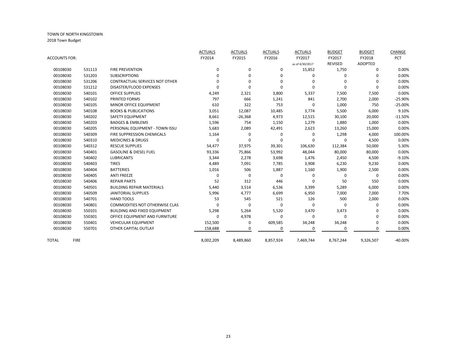|               |             |                                     | <b>ACTUALS</b> | <b>ACTUALS</b> | <b>ACTUALS</b> | <b>ACTUALS</b>  | <b>BUDGET</b> | <b>BUDGET</b> | CHANGE     |
|---------------|-------------|-------------------------------------|----------------|----------------|----------------|-----------------|---------------|---------------|------------|
| ACCOUNTS FOR: |             |                                     | FY2014         | FY2015         | FY2016         | FY2017          | FY2017        | FY2018        | <b>PCT</b> |
|               |             |                                     |                |                |                | as of 4/30/2017 | REVISED       | ADOPTED       |            |
| 00108030      | 531113      | <b>FIRE PREVENTION</b>              | 0              | $\mathbf 0$    | 0              | 15,852          | 1,750         | $\Omega$      | 0.00%      |
| 00108030      | 531203      | <b>SUBSCRIPTIONS</b>                | O              | $\Omega$       | 0              | $\Omega$        | 0             | $\Omega$      | 0.00%      |
| 00108030      | 531206      | CONTRACTUAL SERVICES NOT OTHER      | n              | ŋ              | 0              | $\Omega$        | $\Omega$      | $\Omega$      | 0.00%      |
| 00108030      | 531212      | DISASTER/FLOOD EXPENSES             |                | $\Omega$       | 0              | $\Omega$        | $\Omega$      | $\Omega$      | 0.00%      |
| 00108030      | 540101      | OFFICE SUPPLIES                     | 4,249          | 2,321          | 3,800          | 5,337           | 7,500         | 7,500         | 0.00%      |
| 00108030      | 540102      | PRINTED FORMS                       | 797            | 666            | 1,241          | 841             | 2,700         | 2,000         | $-25.90%$  |
| 00108030      | 540105      | MINOR OFFICE EQUIPMENT              | 610            | 322            | 753            | $\Omega$        | 1,000         | 750           | $-25.00%$  |
| 00108030      | 540108      | <b>BOOKS &amp; PUBLICATIONS</b>     | 3,051          | 12,087         | 10,485         | 3,774           | 5,500         | 6,000         | 9.10%      |
| 00108030      | 540202      | <b>SAFETY EQUIPMENT</b>             | 8,661          | $-26,368$      | 4,973          | 12,515          | 30,100        | 20,000        | $-11.50%$  |
| 00108030      | 540203      | <b>BADGES &amp; EMBLEMS</b>         | 1,596          | 754            | 1,150          | 1,279           | 1,880         | 1,000         | 0.00%      |
| 00108030      | 540205      | PERSONAL EQUIPMENT - TOWN ISSU      | 5,683          | 2,089          | 42,491         | 2,623           | 13,260        | 15,000        | 0.00%      |
| 00108030      | 540309      | FIRE SUPPRESSION CHEMICALS          | 1,164          | 0              | 0              | $\Omega$        | 1,298         | 4,000         | 100.00%    |
| 00108030      | 540310      | <b>MEDICINES &amp; DRUGS</b>        | 0              | 0              | 0              | $\Omega$        | 0             | 4,500         | 0.00%      |
| 00108030      | 540312      | <b>RESCUE SUPPLIES</b>              | 54,477         | 37,975         | 39,301         | 106,630         | 112,384       | 50,000        | 5.30%      |
| 00108030      | 540401      | <b>GASOLINE &amp; DIESEL FUEL</b>   | 93,336         | 75,866         | 53,992         | 48,044          | 80,000        | 80,000        | 0.00%      |
| 00108030      | 540402      | <b>LUBRICANTS</b>                   | 3,344          | 2,278          | 3,698          | 1,476           | 2,450         | 4,500         | $-9.10%$   |
| 00108030      | 540403      | <b>TIRES</b>                        | 4,489          | 7,091          | 7,785          | 3,908           | 6,230         | 9,230         | 0.00%      |
| 00108030      | 540404      | <b>BATTERIES</b>                    | 1,016          | 506            | 1,887          | 1,160           | 1,900         | 2,500         | 0.00%      |
| 00108030      | 540405      | <b>ANTI FREEZE</b>                  | $\Omega$       | 0              | 0              | $\Omega$        | 0             | $\Omega$      | 0.00%      |
| 00108030      | 540406      | <b>REPAIR PARTS</b>                 | 52             | 312            | 446            | $\Omega$        | 50            | 550           | 0.00%      |
| 00108030      | 540501      | <b>BUILDING REPAIR MATERIALS</b>    | 5,440          | 3,514          | 6,536          | 3,399           | 5,289         | 6,000         | 0.00%      |
| 00108030      | 540509      | <b>JANITORIAL SUPPLIES</b>          | 5,996          | 4,777          | 6,699          | 6,950           | 7,000         | 7,000         | 7.70%      |
| 00108030      | 540701      | <b>HAND TOOLS</b>                   | 53             | 545            | 521            | 126             | 500           | 2,000         | 0.00%      |
| 00108030      | 540801      | COMMODITIES NOT OTHERWISE CLAS      | O              | 0              | 0              | 0               | 0             | 0             | 0.00%      |
| 00108030      | 550101      | <b>BUILDING AND FIXED EQUIPMENT</b> | 5,298          | 5,264          | 5,520          | 3,470           | 3,473         | n             | 0.00%      |
| 00108030      | 550301      | OFFICE EQUIPMENT AND FURNITURE      | $\Omega$       | 4,978          | 0              | $\Omega$        | 0             | $\Omega$      | 0.00%      |
| 00108030      | 550401      | <b>VEHICULAR EQUIPMENT</b>          | 152,500        | 0              | 609,585        | 34,248          | 34,248        | 0             | 0.00%      |
| 00108030      | 550701      | OTHER CAPITAL OUTLAY                | 158,688        | 0              | 0              | $\Omega$        | 0             | 0             | 0.00%      |
| TOTAL         | <b>FIRE</b> |                                     | 8,002,209      | 8,489,860      | 8,857,924      | 7,469,744       | 8,767,244     | 9,326,507     | $-40.00%$  |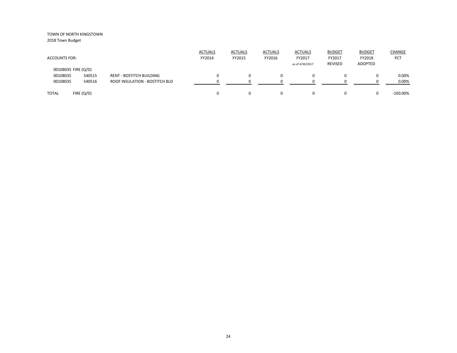| <b>ACCOUNTS FOR:</b> |           |                                 | <b>ACTUALS</b><br>FY2014 | <b>ACTUALS</b><br>FY2015 | <b>ACTUALS</b><br>FY2016 | <b>ACTUALS</b><br>FY2017<br>as of 4/30/2017 | <b>BUDGET</b><br>FY2017<br>REVISED | <b>BUDGET</b><br>FY2018<br>ADOPTED | <b>CHANGE</b><br>PCT |
|----------------------|-----------|---------------------------------|--------------------------|--------------------------|--------------------------|---------------------------------------------|------------------------------------|------------------------------------|----------------------|
| 00108035 FIRE (Q/D)  |           |                                 |                          |                          |                          |                                             |                                    |                                    |                      |
| 00108035             | 540515    | <b>RENT - BOSTITCH BUILDING</b> |                          |                          | 0                        | 0                                           |                                    | 0                                  | 0.00%                |
| 00108035             | 540516    | ROOF INSULATION - BOSTITCH BLD  |                          |                          | n                        |                                             |                                    |                                    | 0.00%                |
| <b>TOTAL</b>         | FIRE(Q/D) |                                 |                          | 0                        | 0                        | $\Omega$                                    |                                    | 0                                  | $-100.00\%$          |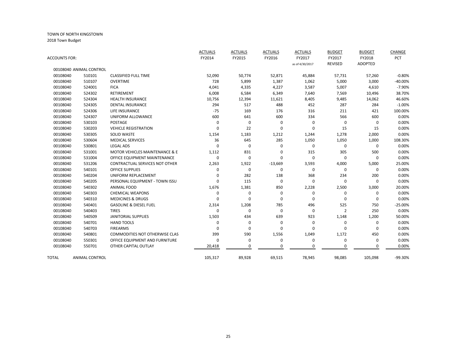| ACCOUNTS FOR: |                         |                                           | <b>ACTUALS</b><br>FY2014 | <b>ACTUALS</b><br>FY2015 | <b>ACTUALS</b><br>FY2016 | <b>ACTUALS</b><br>FY2017 | <b>BUDGET</b><br>FY2017 | <b>BUDGET</b><br>FY2018<br><b>ADOPTED</b> | CHANGE<br>PCT |
|---------------|-------------------------|-------------------------------------------|--------------------------|--------------------------|--------------------------|--------------------------|-------------------------|-------------------------------------------|---------------|
|               | 00108040 ANIMAL CONTROL |                                           |                          |                          |                          | as of 4/30/2017          | <b>REVISED</b>          |                                           |               |
| 00108040      | 510101                  | <b>CLASSIFIED FULL TIME</b>               | 52,090                   | 50,774                   | 52,871                   | 45,884                   | 57,731                  | 57,260                                    | $-0.80%$      |
| 00108040      | 510107                  | <b>OVERTIME</b>                           | 728                      | 5,899                    | 1,387                    | 1,062                    | 5,000                   | 3,000                                     | $-40.00%$     |
| 00108040      | 524001                  | <b>FICA</b>                               | 4,041                    | 4,335                    | 4,227                    | 3,587                    | 5,007                   | 4,610                                     | $-7.90%$      |
| 00108040      | 524302                  | <b>RETIREMENT</b>                         | 6,008                    | 6,584                    | 6,349                    | 7,640                    | 7,569                   | 10,496                                    | 38.70%        |
| 00108040      | 524304                  | <b>HEALTH INSURANCE</b>                   | 10,756                   | 12,394                   | 11,621                   | 8,405                    | 9,485                   | 14,062                                    | 46.60%        |
| 00108040      | 524305                  | <b>DENTAL INSURANCE</b>                   | 294                      | 517                      | 488                      | 452                      | 287                     | 284                                       | $-1.00%$      |
| 00108040      | 524306                  | <b>LIFE INSURANCE</b>                     | $-75$                    | 169                      | 176                      | 316                      | 211                     | 421                                       | 100.00%       |
| 00108040      | 524307                  | UNIFORM ALLOWANCE                         | 600                      | 641                      | 600                      | 334                      | 566                     | 600                                       | 0.00%         |
| 00108040      | 530103                  | <b>POSTAGE</b>                            | 0                        | 0                        | 0                        | 0                        | 0                       | $\Omega$                                  | 0.00%         |
| 00108040      | 530203                  | <b>VEHICLE REGISTRATION</b>               | 0                        | 22                       | 0                        | 0                        | 15                      | 15                                        | 0.00%         |
| 00108040      | 530305                  | <b>SOLID WASTE</b>                        | 1,154                    | 1,183                    | 1,212                    | 1,244                    | 1,278                   | 2,000                                     | 0.00%         |
| 00108040      | 530604                  | <b>MEDICAL SERVICES</b>                   | 36                       | 645                      | 285                      | 1,050                    | 1,050                   | 1,000                                     | 108.30%       |
| 00108040      | 530801                  | <b>LEGAL ADS</b>                          | $\Omega$                 | 0                        | 0                        | 0                        | 0                       | 0                                         | 0.00%         |
| 00108040      | 531001                  | <b>MOTOR VEHICLES MAINTENANCE &amp; E</b> | 1,112                    | 831                      | 0                        | 315                      | 305                     | 500                                       | 0.00%         |
| 00108040      | 531004                  | OFFICE EQUIPMENT MAINTENANCE              | $\Omega$                 | 0                        | 0                        | $\Omega$                 | 0                       | $\Omega$                                  | 0.00%         |
| 00108040      | 531206                  | <b>CONTRACTUAL SERVICES NOT OTHER</b>     | 2,263                    | 1,922                    | $-13,669$                | 3,593                    | 4,000                   | 5,000                                     | 25.00%        |
| 00108040      | 540101                  | <b>OFFICE SUPPLIES</b>                    | 0                        | $\mathbf 0$              | $\Omega$                 | 0                        | 0                       | $\Omega$                                  | 0.00%         |
| 00108040      | 540204                  | UNIFORM REPLACEMENT                       | ŋ                        | 282                      | 138                      | 368                      | 234                     | 200                                       | 0.00%         |
| 00108040      | 540205                  | PERSONAL EQUIPMENT - TOWN ISSU            | 0                        | 115                      | $\mathbf 0$              | $\Omega$                 | 0                       | 0                                         | 0.00%         |
| 00108040      | 540302                  | <b>ANIMAL FOOD</b>                        | 1,676                    | 1,381                    | 850                      | 2,228                    | 2,500                   | 3,000                                     | 20.00%        |
| 00108040      | 540303                  | <b>CHEMICAL WEAPONS</b>                   | 0                        | 0                        | 0                        | 0                        | 0                       | 0                                         | 0.00%         |
| 00108040      | 540310                  | <b>MEDICINES &amp; DRUGS</b>              | 0                        | 0                        | 0                        | 0                        | 0                       | $\Omega$                                  | 0.00%         |
| 00108040      | 540401                  | <b>GASOLINE &amp; DIESEL FUEL</b>         | 2,314                    | 1,208                    | 785                      | 496                      | 525                     | 750                                       | $-25.00%$     |
| 00108040      | 540403                  | <b>TIRES</b>                              | $\mathbf 0$              | 0                        | 0                        | $\mathbf 0$              | $\overline{2}$          | 250                                       | 0.00%         |
| 00108040      | 540509                  | <b>JANITORIAL SUPPLIES</b>                | 1,503                    | 434                      | 639                      | 923                      | 1,148                   | 1,200                                     | 50.00%        |
| 00108040      | 540701                  | <b>HAND TOOLS</b>                         | 0                        | 0                        | 0                        | $\mathbf 0$              | 0                       | 0                                         | 0.00%         |
| 00108040      | 540703                  | <b>FIREARMS</b>                           | $\Omega$                 | 0                        | 0                        | $\Omega$                 | 0                       | n                                         | 0.00%         |
| 00108040      | 540801                  | <b>COMMODITIES NOT OTHERWISE CLAS</b>     | 399                      | 590                      | 1,556                    | 1,049                    | 1,172                   | 450                                       | 0.00%         |
| 00108040      | 550301                  | OFFICE EQUIPMENT AND FURNITURE            | 0                        | 0                        | 0                        | 0                        | 0                       | 0                                         | 0.00%         |
| 00108040      | 550701                  | OTHER CAPITAL OUTLAY                      | 20,418                   | $\Omega$                 | $\mathbf 0$              | 0                        | $\mathbf 0$             | 0                                         | 0.00%         |
| <b>TOTAL</b>  | <b>ANIMAL CONTROL</b>   |                                           | 105,317                  | 89,928                   | 69,515                   | 78,945                   | 98,085                  | 105,098                                   | -99.30%       |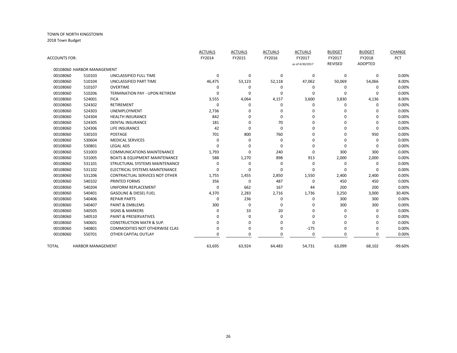|               |                            |                                          | <b>ACTUALS</b> | <b>ACTUALS</b> | <b>ACTUALS</b> | <b>ACTUALS</b>  | <b>BUDGET</b> | <b>BUDGET</b>  | CHANGE    |
|---------------|----------------------------|------------------------------------------|----------------|----------------|----------------|-----------------|---------------|----------------|-----------|
| ACCOUNTS FOR: |                            |                                          | FY2014         | FY2015         | FY2016         | FY2017          | FY2017        | FY2018         | PCT       |
|               |                            |                                          |                |                |                | as of 4/30/2017 | REVISED       | <b>ADOPTED</b> |           |
|               | 00108060 HARBOR MANAGEMENT |                                          |                |                |                |                 |               |                |           |
| 00108060      | 510103                     | UNCLASSIFIED FULL TIME                   | $\Omega$       | $\mathbf 0$    | 0              | 0               | 0             | 0              | 0.00%     |
| 00108060      | 510104                     | UNCLASSIFIED PART TIME                   | 46,475         | 53,123         | 52,118         | 47,062          | 50,069        | 54,066         | 8.00%     |
| 00108060      | 510107                     | <b>OVERTIME</b>                          | $\Omega$       | 0              | 0              | 0               | $\Omega$      | $\Omega$       | 0.00%     |
| 00108060      | 510206                     | <b>TERMINATION PAY - UPON RETIREM</b>    | n              | 0              | $\Omega$       | 0               | $\Omega$      | $\Omega$       | 0.00%     |
| 00108060      | 524001                     | <b>FICA</b>                              | 3,555          | 4,064          | 4,157          | 3,600           | 3,830         | 4,136          | 8.00%     |
| 00108060      | 524302                     | <b>RETIREMENT</b>                        | $\Omega$       | 0              | 0              | 0               | 0             | $\Omega$       | 0.00%     |
| 00108060      | 524303                     | UNEMPLOYMENT                             | 2,736          | O              | 0              | ŋ               | $\Omega$      |                | 0.00%     |
| 00108060      | 524304                     | <b>HEALTH INSURANCE</b>                  | 842            | $\Omega$       | 0              | ŋ               | O             | $\Omega$       | 0.00%     |
| 00108060      | 524305                     | <b>DENTAL INSURANCE</b>                  | 181            | $\Omega$       | 70             | 0               | ŋ             | $\Omega$       | 0.00%     |
| 00108060      | 524306                     | LIFE INSURANCE                           | 42             | 0              | 0              | 0               | $\Omega$      | $\Omega$       | 0.00%     |
| 00108060      | 530103                     | POSTAGE                                  | 701            | 800            | 760            | 0               | $\Omega$      | 950            | 0.00%     |
| 00108060      | 530604                     | <b>MEDICAL SERVICES</b>                  | $\Omega$       | $\mathbf 0$    | 0              | 0               | O             | 0              | 0.00%     |
| 00108060      | 530801                     | <b>LEGAL ADS</b>                         |                | $\Omega$       | $\mathbf 0$    | ŋ               | $\Omega$      | $\Omega$       | 0.00%     |
| 00108060      | 531003                     | <b>COMMUNICATIONS MAINTENANCE</b>        | 1,793          | 0              | 240            | 0               | 300           | 300            | 0.00%     |
| 00108060      | 531005                     | <b>BOATS &amp; EQUIPMENT MAINTENANCE</b> | 588            | 1,270          | 898            | 913             | 2,000         | 2,000          | 0.00%     |
| 00108060      | 531101                     | STRUCTURAL SYSTEMS MAINTENANCE           |                | $\mathbf 0$    | 0              | 0               | 0             | 0              | 0.00%     |
| 00108060      | 531102                     | ELECTRICAL SYSTEMS MAINTENANCE           |                | $\Omega$       | 0              | ŋ               | $\Omega$      | $\Omega$       | 0.00%     |
| 00108060      | 531206                     | <b>CONTRACTUAL SERVICES NOT OTHER</b>    | 1,755          | 1,455          | 2,850          | 1,550           | 2,400         | 2,400          | 0.00%     |
| 00108060      | 540102                     | PRINTED FORMS                            | 356            | $\mathbf 0$    | 487            | 0               | 450           | 450            | 0.00%     |
| 00108060      | 540204                     | UNIFORM REPLACEMENT                      | $\Omega$       | 662            | 167            | 44              | 200           | 200            | 0.00%     |
| 00108060      | 540401                     | <b>GASOLINE &amp; DIESEL FUEL</b>        | 4,370          | 2,283          | 2,716          | 1,736           | 3,250         | 3,000          | 30.40%    |
| 00108060      | 540406                     | <b>REPAIR PARTS</b>                      | $\Omega$       | 236            | 0              | 0               | 300           | 300            | 0.00%     |
| 00108060      | 540407                     | <b>PAINT &amp; EMBLEMS</b>               | 300            | $\mathbf 0$    | 0              | 0               | 300           | 300            | 0.00%     |
| 00108060      | 540505                     | <b>SIGNS &amp; MARKERS</b>               |                | 33             | 20             | 0               | O             | $\Omega$       | 0.00%     |
| 00108060      | 540510                     | <b>PAINT &amp; PRESERVATIVES</b>         |                | $\Omega$       | 0              | $\Omega$        | ŋ             | ∩              | 0.00%     |
| 00108060      | 540601                     | <b>CONSTRUCTION MATR &amp; SUP.</b>      |                | $\Omega$       | O              | 0               | $\Omega$      | $\Omega$       | 0.00%     |
| 00108060      | 540801                     | <b>COMMODITIES NOT OTHERWISE CLAS</b>    |                | 0              | 0              | $-175$          | 0             | $\Omega$       | 0.00%     |
| 00108060      | 550701                     | OTHER CAPITAL OUTLAY                     |                | $\Omega$       | 0              | 0               | $\Omega$      | $\Omega$       | 0.00%     |
| <b>TOTAL</b>  | <b>HARBOR MANAGEMENT</b>   |                                          | 63,695         | 63,924         | 64,483         | 54,731          | 63,099        | 68,102         | $-99.60%$ |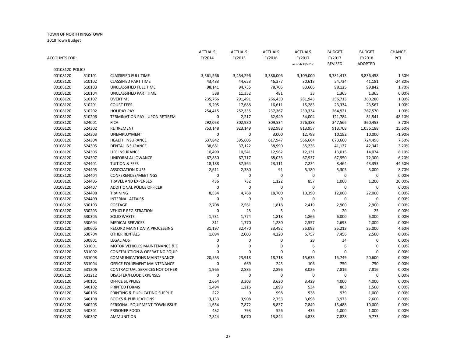|                 |        |                                           | <b>ACTUALS</b>    | <b>ACTUALS</b> | <b>ACTUALS</b> | <b>ACTUALS</b>  | <b>BUDGET</b>  | <b>BUDGET</b>   | CHANGE         |
|-----------------|--------|-------------------------------------------|-------------------|----------------|----------------|-----------------|----------------|-----------------|----------------|
| ACCOUNTS FOR:   |        |                                           | FY2014            | FY2015         | FY2016         | FY2017          | FY2017         | FY2018          | PCT            |
|                 |        |                                           |                   |                |                | as of 4/30/2017 | <b>REVISED</b> | <b>ADOPTED</b>  |                |
| 00108120 POLICE |        |                                           |                   |                |                |                 |                |                 |                |
| 00108120        | 510101 | <b>CLASSIFIED FULL TIME</b>               | 3,361,266         | 3,454,296      | 3,386,006      | 3,109,000       | 3,781,413      | 3,836,458       | 1.50%          |
| 00108120        | 510102 | <b>CLASSIFIED PART TIME</b>               | 43,483            | 44,653         | 46,377         | 30,613          | 54,734         | 41,181          | $-24.80%$      |
| 00108120        | 510103 | UNCLASSIFIED FULL TIME                    | 98,141            | 94,755         | 78,705         | 83,606          | 98,125         | 99,842          | 1.70%          |
| 00108120        | 510104 | UNCLASSIFIED PART TIME                    | 588               | 11,352         | 481            | 33              | 1,365          | 1,365           | 0.00%          |
| 00108120        | 510107 | <b>OVERTIME</b>                           | 235,766           | 291,491        | 266,430        | 281,943         | 356,713        | 360,280         | 1.00%          |
| 00108120        | 510201 | <b>COURT FEES</b>                         | 9,295             | 17,688         | 16,611         | 15,283          | 23,334         | 23,567          | 1.00%          |
| 00108120        | 510202 | <b>HOLIDAY PAY</b>                        | 254,415           | 252,335        | 237,367        | 239,334         | 264,921        | 267,570         | 1.00%          |
| 00108120        | 510206 | <b>TERMINATION PAY - UPON RETIREM</b>     | 0                 | 2,217          | 62,949         | 34,004          | 121,784        | 81,541          | $-48.10%$      |
| 00108120        | 524001 | <b>FICA</b>                               | 292,053           | 302,980        | 309,534        | 276,388         | 347,566        | 360,453         | 3.70%          |
| 00108120        | 524302 | RETIREMENT                                | 753,148           | 923,149        | 882,988        | 813,957         | 913,708        | 1,056,188       | 15.60%         |
| 00108120        | 524303 | <b>UNEMPLOYMENT</b>                       | 0                 | $\mathbf 0$    | 3,000          | 12,798          | 10,192         | 10,000          | $-1.90%$       |
| 00108120        | 524304 | <b>HEALTH INSURANCE</b>                   | 637,842           | 595,605        | 617,947        | 566,664         | 673,660        | 724,496         | 7.50%          |
| 00108120        | 524305 | <b>DENTAL INSURANCE</b>                   | 38,681            | 37,122         | 38,990         | 35,236          | 41,137         | 42,342          | 3.20%          |
| 00108120        | 524306 | LIFE INSURANCE                            | 10,499            | 10,541         | 12,962         | 12,131          | 13,015         | 14,074          | 8.10%          |
| 00108120        | 524307 | UNIFORM ALLOWANCE                         | 67,850            | 67,717         | 68,033         | 67,937          | 67,950         | 72,300          | 6.20%          |
| 00108120        | 524401 | <b>TUITION &amp; FEES</b>                 | 18,188            | 37,564         | 23,111         | 7,224           | 8,464          | 43,353          | 44.50%         |
| 00108120        | 524403 | <b>ASSOCIATION DUES</b>                   | 2,611             | 2,380          | 91             | 3,180           | 3,305          | 3,000           | 8.70%          |
| 00108120        | 524404 | CONFERENCES/MEETINGS                      | 0                 | $\mathbf 0$    | $\mathbf 0$    | $\mathbf 0$     | $\mathbf 0$    | $\mathbf 0$     | 0.00%          |
| 00108120        | 524405 | <b>TRAVEL AND EXPENSES</b>                | 436               | 732            | 1,122          | 857             | 1,000          | 1,200           | 20.00%         |
| 00108120        | 524407 | <b>ADDITIONAL POLICE OFFICER</b>          | 0                 | $\mathbf 0$    | $\mathbf 0$    | $\mathbf{0}$    | 0              | 0               | 0.00%          |
| 00108120        | 524408 | <b>TRAINING</b>                           | 8,554             | 4,768          | 18,700         | 10,390          | 12,000         | 22,000          | 0.00%          |
| 00108120        | 524409 | <b>INTERNAL AFFAIRS</b>                   | 0                 | $\Omega$       | 0              | 0               | 0              | 0               | 0.00%          |
| 00108120        | 530103 | <b>POSTAGE</b>                            | 2,708             | 2,561          | 1,818          | 2,419           | 2,900          | 2,900           | 0.00%          |
| 00108120        | 530203 | <b>VEHICLE REGISTRATION</b>               | 0                 | 25             | 5              | $\mathbf 0$     | 20             | 25              | 0.00%          |
| 00108120        | 530305 | <b>SOLID WASTE</b>                        | 1,731             | 1,774          | 1,818          | 1,866           | 6,000          | 6,000           | 0.00%          |
| 00108120        | 530604 | <b>MEDICAL SERVICES</b>                   | 811               | 1,770          | 1,280          | 2,557           | 2,693          | 2,000           | 0.00%          |
| 00108120        | 530605 | <b>RECORD MAINT DATA PROCESSING</b>       | 31,197            | 32,470         | 33,492         | 35,093          | 35,213         | 35,000          | 4.60%          |
| 00108120        | 530704 | <b>OTHER RENTALS</b>                      | 1,094             | 2,003          | 4,220          | 6,757           | 7,456          | 2,500           | 0.00%          |
| 00108120        | 530801 | <b>LEGAL ADS</b>                          | 0                 | $\mathbf 0$    | $\mathbf 0$    | 29              | 34             | 0               | 0.00%          |
| 00108120        | 531001 | MOTOR VEHICLES MAINTENANCE & E            | 0                 | $\Omega$       | $\mathbf 0$    | 6               | 6              | 0               | 0.00%          |
| 00108120        | 531002 | <b>CONSTRUCTION &amp; OPERATING EQUIP</b> | 0                 | $\Omega$       | $\mathbf 0$    | $\Omega$        | $\mathbf 0$    | 0               | 0.00%          |
| 00108120        | 531003 | <b>COMMUNICATIONS MAINTENANCE</b>         | 20,553            | 23,918         | 18,718         | 15,635          | 15,749         | 20,600          | 0.00%          |
| 00108120        | 531004 | OFFICE EQUIPMENT MAINTENANCE              | 0                 | 669            | 243            | 106             | 750            | 750             | 0.00%          |
| 00108120        | 531206 | CONTRACTUAL SERVICES NOT OTHER            | 1,965             | 2,885          | 2,896          | 3,026           | 7,816          | 7,816           | 0.00%          |
| 00108120        | 531212 | DISASTER/FLOOD EXPENSES                   | 0                 | $\mathbf 0$    | $\mathbf 0$    | $\mathbf 0$     | $\mathbf 0$    | $\mathbf 0$     | 0.00%          |
| 00108120        | 540101 | <b>OFFICE SUPPLIES</b>                    | 2,664             | 3,303          | 3,620          | 3,429           | 4,000          | 4,000           | 0.00%          |
| 00108120        | 540102 | PRINTED FORMS                             | 1,494             | 1,216          | 1,898          | 534             | 803            | 1,500           | 0.00%          |
| 00108120        | 540106 | PRINTING & DUPLICATING SUPPLIE            | 222               | $\mathbf 0$    | 998            | 938             | 939            | 1,000           | 0.00%          |
| 00108120        | 540108 | <b>BOOKS &amp; PUBLICATIONS</b>           |                   |                |                |                 |                |                 |                |
| 00108120        | 540205 | PERSONAL EQUIPMENT-TOWN ISSUE             | 3,133<br>$-1,654$ | 3,908<br>7,872 | 2,753<br>8,837 | 3,698<br>7,849  | 3,973          | 2,600<br>10,000 | 0.00%<br>0.00% |
| 00108120        | 540301 |                                           | 432               | 793            |                | 435             | 15,488         |                 | 0.00%          |
|                 |        | PRISONER FOOD                             |                   |                | 526            |                 | 1,000          | 1,000           |                |
| 00108120        | 540307 | <b>AMMUNITION</b>                         | 7,824             | 8,070          | 13,844         | 4,838           | 7,828          | 9,773           | 0.00%          |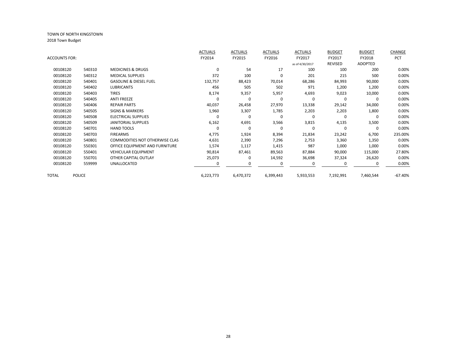|               |               |                                       | <b>ACTUALS</b> | <b>ACTUALS</b> | <b>ACTUALS</b> | <b>ACTUALS</b>  | <b>BUDGET</b> | <b>BUDGET</b> | CHANGE     |
|---------------|---------------|---------------------------------------|----------------|----------------|----------------|-----------------|---------------|---------------|------------|
| ACCOUNTS FOR: |               |                                       | FY2014         | FY2015         | FY2016         | FY2017          | FY2017        | FY2018        | <b>PCT</b> |
|               |               |                                       |                |                |                | as of 4/30/2017 | REVISED       | ADOPTED       |            |
| 00108120      | 540310        | <b>MEDICINES &amp; DRUGS</b>          | $\mathbf 0$    | 54             | 17             | 100             | 100           | 200           | 0.00%      |
| 00108120      | 540312        | <b>MEDICAL SUPPLIES</b>               | 372            | 100            | 0              | 201             | 215           | 500           | 0.00%      |
| 00108120      | 540401        | <b>GASOLINE &amp; DIESEL FUEL</b>     | 132,757        | 88,423         | 70,014         | 68,286          | 84,993        | 90,000        | 0.00%      |
| 00108120      | 540402        | <b>LUBRICANTS</b>                     | 456            | 505            | 502            | 971             | 1,200         | 1,200         | 0.00%      |
| 00108120      | 540403        | <b>TIRES</b>                          | 8,174          | 9,357          | 5,957          | 4,693           | 9,023         | 10,000        | 0.00%      |
| 00108120      | 540405        | <b>ANTI FREEZE</b>                    | 0              | 0              | 0              | 0               | 0             | $\Omega$      | 0.00%      |
| 00108120      | 540406        | <b>REPAIR PARTS</b>                   | 40,037         | 26,458         | 27,970         | 13,338          | 29,142        | 34,000        | 0.00%      |
| 00108120      | 540505        | <b>SIGNS &amp; MARKERS</b>            | 1,960          | 3,307          | 1,785          | 2,203           | 2,203         | 1,800         | 0.00%      |
| 00108120      | 540508        | ELECTRICAL SUPPLIES                   | $\Omega$       | $\Omega$       | 0              | 0               | 0             | $\Omega$      | 0.00%      |
| 00108120      | 540509        | JANITORIAL SUPPLIES                   | 6,162          | 4,691          | 3,566          | 3,815           | 4,135         | 3,500         | 0.00%      |
| 00108120      | 540701        | <b>HAND TOOLS</b>                     | 0              | 0              | 0              | 0               | 0             | 0             | 0.00%      |
| 00108120      | 540703        | <b>FIREARMS</b>                       | 4,775          | 1,924          | 8,394          | 21,834          | 23,242        | 6,700         | 235.00%    |
| 00108120      | 540801        | <b>COMMODITIES NOT OTHERWISE CLAS</b> | 4,631          | 2,390          | 7,296          | 2,753           | 3,360         | 1,350         | 0.00%      |
| 00108120      | 550301        | OFFICE EQUIPMENT AND FURNITURE        | 1,574          | 1,117          | 1,415          | 987             | 1,000         | 1,000         | 0.00%      |
| 00108120      | 550401        | <b>VEHICULAR EQUIPMENT</b>            | 90,814         | 87,461         | 89,563         | 87,884          | 90,000        | 115,000       | 27.80%     |
| 00108120      | 550701        | OTHER CAPITAL OUTLAY                  | 25,073         | 0              | 14,592         | 36,698          | 37,324        | 26,620        | 0.00%      |
| 00108120      | 559999        | UNALLOCATED                           |                | O              | 0              |                 | 0             |               | 0.00%      |
| TOTAL         | <b>POLICE</b> |                                       | 6,223,773      | 6,470,372      | 6,399,443      | 5,933,553       | 7,192,991     | 7,460,544     | $-67.40%$  |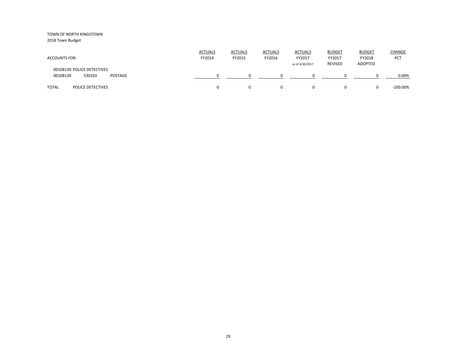| <b>ACCOUNTS FOR:</b>                                        | <b>ACTUALS</b><br>FY2014 | <b>ACTUALS</b><br>FY2015 | <b>ACTUALS</b><br>FY2016 | <b>ACTUALS</b><br>FY2017<br>as of 4/30/2017 | <b>BUDGET</b><br>FY2017<br><b>REVISED</b> | <b>BUDGET</b><br>FY2018<br>ADOPTED | CHANGE<br>PCT |
|-------------------------------------------------------------|--------------------------|--------------------------|--------------------------|---------------------------------------------|-------------------------------------------|------------------------------------|---------------|
| 00108130 POLICE DETECTIVES<br>00108130<br>530103<br>POSTAGE |                          |                          | <sup>0</sup>             | <sup>0</sup>                                |                                           |                                    | 0.00%         |
| <b>TOTAL</b><br><b>POLICE DETECTIVES</b>                    |                          | $\Omega$                 | $\Omega$                 | 0                                           |                                           |                                    | $-100.00\%$   |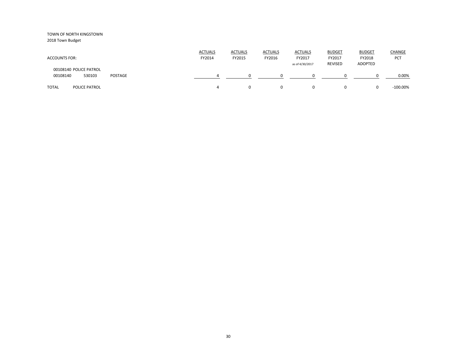| <b>ACCOUNTS FOR:</b>                                    | <u>ACTUALS</u><br>FY2014 | <b>ACTUALS</b><br>FY2015 | <b>ACTUALS</b><br>FY2016 | <b>ACTUALS</b><br>FY2017<br>as of 4/30/2017 | <b>BUDGET</b><br>FY2017<br><b>REVISED</b> | <b>BUDGET</b><br>FY2018<br>ADOPTED | <b>CHANGE</b><br>PCT |
|---------------------------------------------------------|--------------------------|--------------------------|--------------------------|---------------------------------------------|-------------------------------------------|------------------------------------|----------------------|
| 00108140 POLICE PATROL<br>00108140<br>530103<br>POSTAGE |                          |                          |                          |                                             |                                           |                                    | 0.00%                |
| <b>TOTAL</b><br>POLICE PATROL                           |                          |                          | 0                        |                                             | 0                                         |                                    | $-100.00\%$          |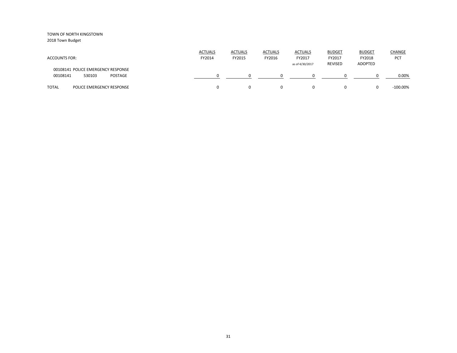2018 Town Budget

| <b>ACCOUNTS FOR:</b>                                                | <b>ACTUALS</b><br>FY2014 | <b>ACTUALS</b><br>FY2015 | <b>ACTUALS</b><br>FY2016 | <b>ACTUALS</b><br>FY2017<br>as of 4/30/2017 | <b>BUDGET</b><br>FY2017<br>REVISED | <b>BUDGET</b><br>FY2018<br>ADOPTED | <b>CHANGE</b><br><b>PCT</b> |
|---------------------------------------------------------------------|--------------------------|--------------------------|--------------------------|---------------------------------------------|------------------------------------|------------------------------------|-----------------------------|
| 00108141 POLICE EMERGENCY RESPONSE<br>00108141<br>530103<br>POSTAGE |                          |                          |                          |                                             |                                    |                                    | 0.00%                       |
| <b>TOTAL</b><br>POLICE EMERGENCY RESPONSE                           |                          |                          | $\mathbf{0}$             | 0                                           | 0                                  | $\Omega$                           | $-100.00\%$                 |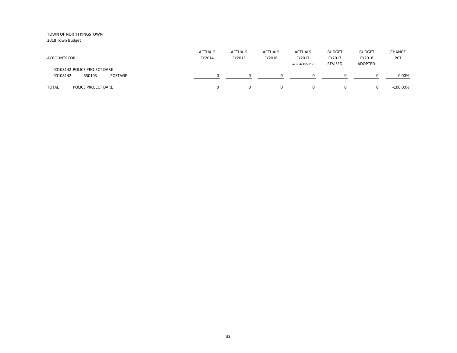| <b>ACCOUNTS FOR:</b>                                          | <b>ACTUALS</b><br>FY2014 | <b>ACTUALS</b><br>FY2015 | <b>ACTUALS</b><br>FY2016 | <b>ACTUALS</b><br>FY2017<br>as of 4/30/2017 | <b>BUDGET</b><br>FY2017<br>REVISED | <b>BUDGET</b><br>FY2018<br><b>ADOPTED</b> | <b>CHANGE</b><br><b>PCT</b> |
|---------------------------------------------------------------|--------------------------|--------------------------|--------------------------|---------------------------------------------|------------------------------------|-------------------------------------------|-----------------------------|
| 00108142 POLICE PROJECT DARE<br>00108142<br>530103<br>POSTAGE |                          |                          |                          |                                             |                                    |                                           | 0.00%                       |
| <b>TOTAL</b><br>POLICE PROJECT DARE                           | 0                        |                          | 0                        | $\Omega$                                    | $\Omega$                           | $\Omega$                                  | $-100.00\%$                 |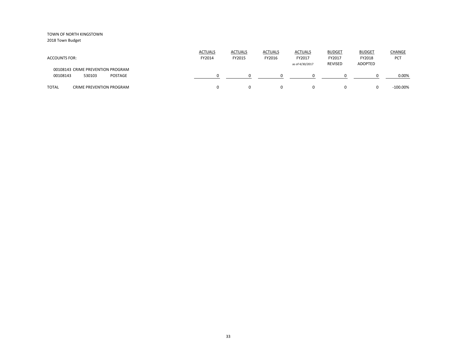2018 Town Budget

| <b>ACCOUNTS FOR:</b>                                               | <b>ACTUALS</b><br>FY2014 | <b>ACTUALS</b><br>FY2015 | <b>ACTUALS</b><br>FY2016 | <b>ACTUALS</b><br>FY2017<br>as of 4/30/2017 | <b>BUDGET</b><br>FY2017<br><b>REVISED</b> | <b>BUDGET</b><br>FY2018<br>ADOPTED | CHANGE<br><b>PCT</b> |
|--------------------------------------------------------------------|--------------------------|--------------------------|--------------------------|---------------------------------------------|-------------------------------------------|------------------------------------|----------------------|
| 00108143 CRIME PREVENTION PROGRAM<br>00108143<br>530103<br>POSTAGE |                          |                          |                          |                                             |                                           |                                    | 0.00%                |
| <b>TOTAL</b><br><b>CRIME PREVENTION PROGRAM</b>                    |                          |                          | 0                        | $\Omega$                                    | 0                                         |                                    | $-100.00\%$          |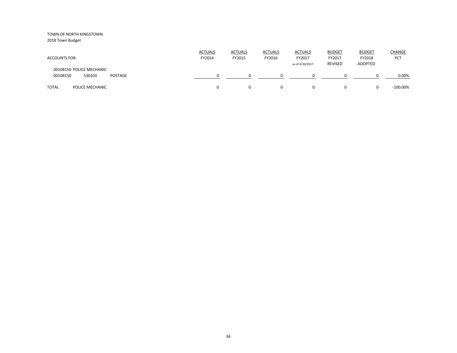| <b>ACCOUNTS FOR:</b>                                      | <b>ACTUALS</b><br>FY2014 | <b>ACTUALS</b><br>FY2015 | <b>ACTUALS</b><br>FY2016 | <b>ACTUALS</b><br>FY2017<br>as of 4/30/2017 | <b>BUDGET</b><br>FY2017<br><b>REVISED</b> | <b>BUDGET</b><br>FY2018<br>ADOPTED | <b>CHANGE</b><br><b>PCT</b> |
|-----------------------------------------------------------|--------------------------|--------------------------|--------------------------|---------------------------------------------|-------------------------------------------|------------------------------------|-----------------------------|
| 00108150 POLICE MECHANIC<br>00108150<br>530103<br>POSTAGE |                          |                          | <sup>0</sup>             | <sup>0</sup>                                |                                           |                                    | 0.00%                       |
| <b>TOTAL</b><br>POLICE MECHANIC                           |                          | $\Omega$                 | $\Omega$                 | 0                                           |                                           |                                    | $-100.00\%$                 |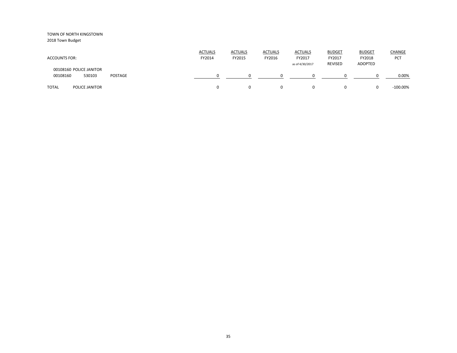| <b>ACCOUNTS FOR:</b>                                     | <b>ACTUALS</b><br>FY2014 | <b>ACTUALS</b><br>FY2015 | <b>ACTUALS</b><br>FY2016 | <b>ACTUALS</b><br>FY2017<br>as of 4/30/2017 | <b>BUDGET</b><br>FY2017<br>REVISED | <b>BUDGET</b><br>FY2018<br>ADOPTED | <b>CHANGE</b><br>PCT |
|----------------------------------------------------------|--------------------------|--------------------------|--------------------------|---------------------------------------------|------------------------------------|------------------------------------|----------------------|
| 00108160 POLICE JANITOR<br>00108160<br>530103<br>POSTAGE |                          |                          |                          |                                             | $\Omega$                           |                                    | 0.00%                |
| <b>TOTAL</b><br><b>POLICE JANITOR</b>                    |                          |                          | 0                        |                                             | $\Omega$                           |                                    | $-100.00\%$          |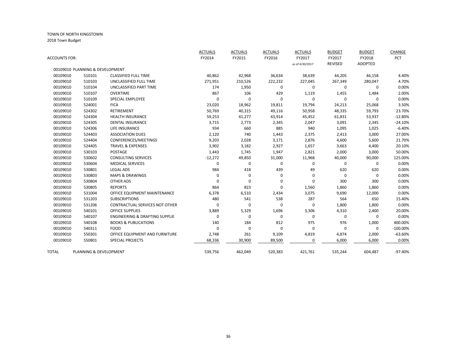|               |                                 |                                           | <b>ACTUALS</b> | <b>ACTUALS</b> | <b>ACTUALS</b> | <b>ACTUALS</b>  | <b>BUDGET</b>  | <b>BUDGET</b>  | CHANGE      |
|---------------|---------------------------------|-------------------------------------------|----------------|----------------|----------------|-----------------|----------------|----------------|-------------|
| ACCOUNTS FOR: |                                 |                                           | FY2014         | FY2015         | FY2016         | FY2017          | FY2017         | FY2018         | PCT         |
|               |                                 |                                           |                |                |                | as of 4/30/2017 | <b>REVISED</b> | <b>ADOPTED</b> |             |
|               | 00109010 PLANNING & DEVELOPMENT |                                           |                |                |                |                 |                |                |             |
| 00109010      | 510101                          | <b>CLASSIFIED FULL TIME</b>               | 40,862         | 42,968         | 36,634         | 38,639          | 44,205         | 46,158         | 4.40%       |
| 00109010      | 510103                          | UNCLASSIFIED FULL TIME                    | 271,951        | 210,526        | 222,232        | 227,045         | 267,349        | 280,047        | 4.70%       |
| 00109010      | 510104                          | UNCLASSIFIED PART TIME                    | 174            | 1,950          | 0              | $\mathbf 0$     | 0              | 0              | 0.00%       |
| 00109010      | 510107                          | <b>OVERTIME</b>                           | 867            | 106            | 429            | 1,119           | 1,455          | 1,484          | 2.00%       |
| 00109010      | 510109                          | <b>SPECIAL EMPLOYEE</b>                   | 0              | 0              | 0              | $\mathbf 0$     | $\mathbf 0$    | 0              | 0.00%       |
| 00109010      | 524001                          | <b>FICA</b>                               | 23,020         | 18,962         | 19,811         | 19,794          | 24,213         | 25,068         | 3.50%       |
| 00109010      | 524302                          | <b>RETIREMENT</b>                         | 50,769         | 40,315         | 49,116         | 50,958          | 48,335         | 59,793         | 23.70%      |
| 00109010      | 524304                          | <b>HEALTH INSURANCE</b>                   | 59,253         | 41,277         | 43,914         | 45,452          | 61,831         | 53,937         | $-12.80%$   |
| 00109010      | 524305                          | <b>DENTAL INSURANCE</b>                   | 3,715          | 2,773          | 2,345          | 2,047           | 3,091          | 2,345          | $-24.10%$   |
| 00109010      | 524306                          | LIFE INSURANCE                            | 934            | 660            | 885            | 940             | 1,095          | 1,025          | $-6.40%$    |
| 00109010      | 524403                          | <b>ASSOCIATION DUES</b>                   | 2,120          | 740            | 1,443          | 2,375           | 2,413          | 3,000          | 27.00%      |
| 00109010      | 524404                          | CONFERENCES/MEETINGS                      | 9,203          | 2,028          | 3,171          | 2,876           | 4,600          | 5,600          | 21.70%      |
| 00109010      | 524405                          | <b>TRAVEL &amp; EXPENSES</b>              | 3,902          | 3,182          | 2,927          | 1,657           | 3,663          | 4,400          | 20.10%      |
| 00109010      | 530103                          | <b>POSTAGE</b>                            | 1,443          | 1,745          | 1,947          | 2,821           | 2,000          | 3,000          | 50.00%      |
| 00109010      | 530602                          | <b>CONSULTING SERVICES</b>                | $-12,272$      | 49,850         | 31,000         | 11,968          | 40,000         | 90,000         | 125.00%     |
| 00109010      | 530604                          | <b>MEDICAL SERVICES</b>                   | 0              | 0              | 0              | 0               | 0              | 0              | 0.00%       |
| 00109010      | 530801                          | <b>LEGAL ADS</b>                          | 984            | 418            | 439            | 49              | 620            | 620            | 0.00%       |
| 00109010      | 530803                          | <b>MAPS &amp; DRAWINGS</b>                | 0              | 0              | 0              | $\mathbf 0$     | 0              | 0              | 0.00%       |
| 00109010      | 530804                          | <b>OTHER ADS</b>                          | 0              | 0              | 0              | $\mathbf 0$     | 300            | 300            | 0.00%       |
| 00109010      | 530805                          | <b>REPORTS</b>                            | 864            | 823            | 0              | 1,560           | 1,860          | 1,860          | 0.00%       |
| 00109010      | 531004                          | OFFICE EQUIPMENT MAINTENANCE              | 6,378          | 6,510          | 2,434          | 3,075           | 9,690          | 12,000         | 0.00%       |
| 00109010      | 531203                          | <b>SUBSCRIPTIONS</b>                      | 480            | 541            | 538            | 287             | 564            | 650            | 15.40%      |
| 00109010      | 531206                          | CONTRACTUAL SERVICES NOT OTHER            | O              | 0              | 0              | 0               | 1,800          | 1,800          | 0.00%       |
| 00109010      | 540101                          | <b>OFFICE SUPPLIES</b>                    | 3,889          | 5,329          | 1,696          | 3,306           | 4,310          | 2,400          | 20.00%      |
| 00109010      | 540107                          | <b>ENGINEERING &amp; DRAFTING SUPPLIE</b> | 0              | 0              | $\mathbf 0$    | 0               | 0              | $\mathbf 0$    | 0.00%       |
| 00109010      | 540108                          | <b>BOOKS &amp; PUBLICATIONS</b>           | 140            | 184            | 812            | 975             | 976            | 1,000          | 400.00%     |
| 00109010      | 540311                          | <b>FOOD</b>                               | 0              | 0              | 0              | $\mathbf 0$     | 0              | 0              | $-100.00\%$ |
| 00109010      | 550301                          | OFFICE EQUIPMENT AND FURNITURE            | 2,748          | 261            | 9,109          | 4,819           | 4,874          | 2,000          | $-63.60%$   |
| 00109010      | 550801                          | <b>SPECIAL PROJECTS</b>                   | 68,336         | 30,900         | 89,500         | 0               | 6,000          | 6,000          | 0.00%       |
| TOTAL         | PLANNING & DEVELOPMENT          |                                           | 539,756        | 462,049        | 520,383        | 421,761         | 535,244        | 604,487        | $-97.40%$   |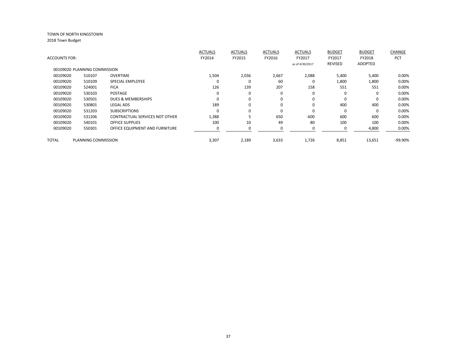| <b>ACCOUNTS FOR:</b> |                              |                                       | <b>ACTUALS</b><br>FY2014 | <b>ACTUALS</b><br>FY2015 | <b>ACTUALS</b><br>FY2016 | <b>ACTUALS</b><br>FY2017<br>as of 4/30/2017 | <b>BUDGET</b><br>FY2017<br><b>REVISED</b> | <b>BUDGET</b><br>FY2018<br><b>ADOPTED</b> | CHANGE<br><b>PCT</b> |
|----------------------|------------------------------|---------------------------------------|--------------------------|--------------------------|--------------------------|---------------------------------------------|-------------------------------------------|-------------------------------------------|----------------------|
|                      | 00109020 PLANNING COMMISSION |                                       |                          |                          |                          |                                             |                                           |                                           |                      |
| 00109020             | 510107                       | <b>OVERTIME</b>                       | 1,504                    | 2,036                    | 2,667                    | 2,088                                       | 5,400                                     | 5,400                                     | 0.00%                |
| 00109020             | 510109                       | <b>SPECIAL EMPLOYEE</b>               | $\Omega$                 | $\Omega$                 | 60                       | 0                                           | 1,800                                     | 1,800                                     | 0.00%                |
| 00109020             | 524001                       | <b>FICA</b>                           | 126                      | 139                      | 207                      | 158                                         | 551                                       | 551                                       | 0.00%                |
| 00109020             | 530103                       | <b>POSTAGE</b>                        | $\Omega$                 | $\Omega$                 | 0                        | 0                                           | $\Omega$                                  | 0                                         | 0.00%                |
| 00109020             | 530501                       | <b>DUES &amp; MEMBERSHIPS</b>         | $\Omega$                 | $\Omega$                 | $\mathbf 0$              | $\Omega$                                    | $\Omega$                                  | 0                                         | 0.00%                |
| 00109020             | 530801                       | <b>LEGAL ADS</b>                      | 189                      | $\Omega$                 | 0                        | $\Omega$                                    | 400                                       | 400                                       | 0.00%                |
| 00109020             | 531203                       | <b>SUBSCRIPTIONS</b>                  | $\Omega$                 | $\Omega$                 | $\mathbf 0$              | $\Omega$                                    | $\Omega$                                  | $\Omega$                                  | 0.00%                |
| 00109020             | 531206                       | <b>CONTRACTUAL SERVICES NOT OTHER</b> | 1,388                    |                          | 650                      | $-600$                                      | 600                                       | 600                                       | 0.00%                |
| 00109020             | 540101                       | <b>OFFICE SUPPLIES</b>                | 100                      | 10                       | 49                       | 80                                          | 100                                       | 100                                       | 0.00%                |
| 00109020             | 550301                       | OFFICE EQUIPMENT AND FURNITURE        |                          |                          |                          |                                             |                                           | 4,800                                     | 0.00%                |
| <b>TOTAL</b>         | PLANNING COMMISSION          |                                       | 3,307                    | 2,189                    | 3,633                    | 1,726                                       | 8,851                                     | 13,651                                    | -99.90%              |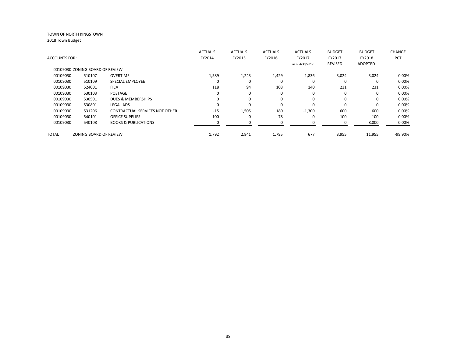| FY2018<br>ADOPTED | PCT     |
|-------------------|---------|
|                   |         |
|                   |         |
| 3,024             | 0.00%   |
| $\Omega$          | 0.00%   |
| 231               | 0.00%   |
| $\Omega$          | 0.00%   |
| $\Omega$          | 0.00%   |
| $\Omega$          | 0.00%   |
| 600               | 0.00%   |
| 100               | 0.00%   |
| 8,000             | 0.00%   |
| 11,955            | -99.90% |
|                   |         |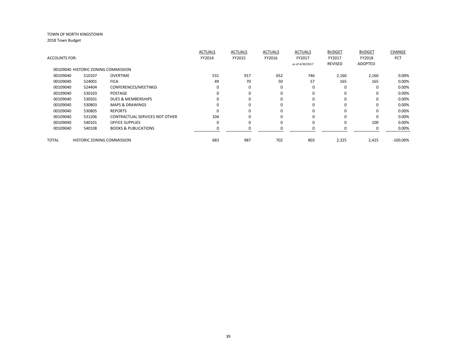|                      |                                     |                                       | <b>ACTUALS</b> | <b>ACTUALS</b> | <b>ACTUALS</b> | <b>ACTUALS</b>  | <b>BUDGET</b>  | <b>BUDGET</b>  | CHANGE      |
|----------------------|-------------------------------------|---------------------------------------|----------------|----------------|----------------|-----------------|----------------|----------------|-------------|
| <b>ACCOUNTS FOR:</b> |                                     |                                       | FY2014         | FY2015         | FY2016         | FY2017          | FY2017         | FY2018         | <b>PCT</b>  |
|                      |                                     |                                       |                |                |                | as of 4/30/2017 | <b>REVISED</b> | <b>ADOPTED</b> |             |
|                      | 00109040 HISTORIC ZONING COMMISSION |                                       |                |                |                |                 |                |                |             |
| 00109040             | 510107                              | <b>OVERTIME</b>                       | 531            | 917            | 652            | 746             | 2,160          | 2,160          | 0.00%       |
| 00109040             | 524001                              | <b>FICA</b>                           | 49             | 70             | 50             | 57              | 165            | 165            | 0.00%       |
| 00109040             | 524404                              | CONFERENCES/MEETINGS                  | 0              | 0              | $\Omega$       | 0               | $\Omega$       | $\Omega$       | 0.00%       |
| 00109040             | 530103                              | <b>POSTAGE</b>                        | $\Omega$       | $\Omega$       | 0              | $\Omega$        | $\Omega$       | 0              | 0.00%       |
| 00109040             | 530501                              | <b>DUES &amp; MEMBERSHIPS</b>         | O              | 0              | $\Omega$       | $\Omega$        | $\Omega$       | 0              | 0.00%       |
| 00109040             | 530803                              | <b>MAPS &amp; DRAWINGS</b>            | O              | $\Omega$       | $\Omega$       | $\Omega$        | $\Omega$       | 0              | 0.00%       |
| 00109040             | 530805                              | <b>REPORTS</b>                        | ŋ              | $\Omega$       | 0              | $\Omega$        | $\Omega$       | 0              | 0.00%       |
| 00109040             | 531206                              | <b>CONTRACTUAL SERVICES NOT OTHER</b> | 104            | $\Omega$       | $\Omega$       | $\Omega$        | U              | 0              | 0.00%       |
| 00109040             | 540101                              | <b>OFFICE SUPPLIES</b>                | $\Omega$       | $\Omega$       | $\Omega$       | $\Omega$        | $\Omega$       | 100            | 0.00%       |
| 00109040             | 540108                              | <b>BOOKS &amp; PUBLICATIONS</b>       |                |                |                |                 |                | 0              | 0.00%       |
|                      |                                     |                                       |                |                |                |                 |                |                |             |
| TOTAL                | <b>HISTORIC ZONING COMMISSION</b>   |                                       | 683            | 987            | 702            | 803             | 2,325          | 2,425          | $-100.00\%$ |
|                      |                                     |                                       |                |                |                |                 |                |                |             |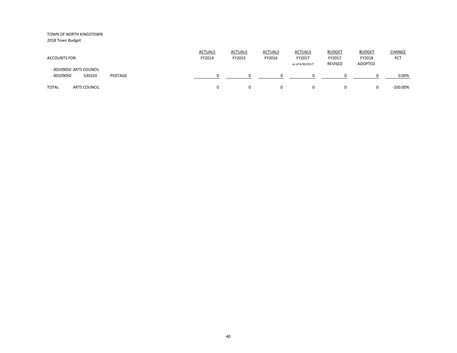| <b>ACCOUNTS FOR:</b>                                   | <b>ACTUALS</b><br>FY2014 | <b>ACTUALS</b><br>FY2015 | <b>ACTUALS</b><br>FY2016 | <b>ACTUALS</b><br>FY2017<br>as of 4/30/2017 | <b>BUDGET</b><br>FY2017<br><b>REVISED</b> | <b>BUDGET</b><br>FY2018<br>ADOPTED | <b>CHANGE</b><br>PCT |
|--------------------------------------------------------|--------------------------|--------------------------|--------------------------|---------------------------------------------|-------------------------------------------|------------------------------------|----------------------|
| 00109050 ARTS COUNCIL<br>00109050<br>530103<br>POSTAGE |                          |                          | <sup>0</sup>             | <sup>0</sup>                                |                                           |                                    | 0.00%                |
| <b>TOTAL</b><br><b>ARTS COUNCIL</b>                    |                          | $\Omega$                 | $\Omega$                 | 0                                           |                                           |                                    | $-100.00\%$          |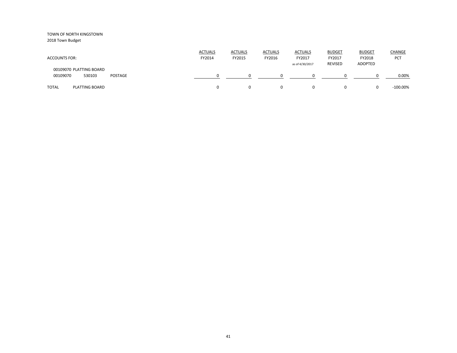| <b>ACCOUNTS FOR:</b>                                     | <b>ACTUALS</b><br>FY2014 | <b>ACTUALS</b><br>FY2015 | <b>ACTUALS</b><br>FY2016 | <b>ACTUALS</b><br>FY2017<br>as of 4/30/2017 | <b>BUDGET</b><br>FY2017<br><b>REVISED</b> | <b>BUDGET</b><br>FY2018<br>ADOPTED | <b>CHANGE</b><br>PCT |
|----------------------------------------------------------|--------------------------|--------------------------|--------------------------|---------------------------------------------|-------------------------------------------|------------------------------------|----------------------|
| 00109070 PLATTING BOARD<br>00109070<br>530103<br>POSTAGE |                          |                          | <sup>0</sup>             | <sup>0</sup>                                |                                           |                                    | 0.00%                |
| <b>TOTAL</b><br><b>PLATTING BOARD</b>                    |                          | $\Omega$                 | 0                        | 0                                           |                                           |                                    | $-100.00\%$          |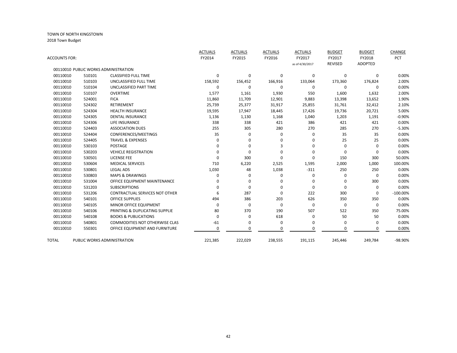|                      |        |                                       | <b>ACTUALS</b> | <b>ACTUALS</b> | <b>ACTUALS</b> | <b>ACTUALS</b>  | <b>BUDGET</b>  | <b>BUDGET</b>  | CHANGE      |
|----------------------|--------|---------------------------------------|----------------|----------------|----------------|-----------------|----------------|----------------|-------------|
| <b>ACCOUNTS FOR:</b> |        |                                       | FY2014         | FY2015         | FY2016         | FY2017          | FY2017         | FY2018         | PCT         |
|                      |        |                                       |                |                |                | as of 4/30/2017 | <b>REVISED</b> | <b>ADOPTED</b> |             |
|                      |        | 00110010 PUBLIC WORKS ADMINISTRATION  |                |                |                |                 |                |                |             |
| 00110010             | 510101 | <b>CLASSIFIED FULL TIME</b>           | $\Omega$       | 0              | 0              | 0               | 0              | 0              | 0.00%       |
| 00110010             | 510103 | UNCLASSIFIED FULL TIME                | 158,592        | 156,452        | 166,916        | 133,064         | 173,360        | 176,824        | 2.00%       |
| 00110010             | 510104 | UNCLASSIFIED PART TIME                | $\Omega$       | $\mathbf 0$    | 0              | 0               | $\Omega$       | $\Omega$       | 0.00%       |
| 00110010             | 510107 | <b>OVERTIME</b>                       | 1,577          | 1,161          | 1,930          | 550             | 1,600          | 1,632          | 2.00%       |
| 00110010             | 524001 | <b>FICA</b>                           | 11,860         | 11,709         | 12,901         | 9,883           | 13,398         | 13,652         | 1.90%       |
| 00110010             | 524302 | <b>RETIREMENT</b>                     | 25,739         | 25,377         | 31,917         | 25,855          | 31,761         | 32,412         | 2.10%       |
| 00110010             | 524304 | <b>HEALTH INSURANCE</b>               | 19,595         | 17,947         | 18,445         | 17,426          | 19,736         | 20,721         | 5.00%       |
| 00110010             | 524305 | <b>DENTAL INSURANCE</b>               | 1,136          | 1,130          | 1,168          | 1,040           | 1,203          | 1,191          | $-0.90%$    |
| 00110010             | 524306 | LIFE INSURANCE                        | 338            | 338            | 421            | 386             | 421            | 421            | 0.00%       |
| 00110010             | 524403 | <b>ASSOCIATION DUES</b>               | 255            | 305            | 280            | 270             | 285            | 270            | $-5.30%$    |
| 00110010             | 524404 | CONFERENCES/MEETINGS                  | 35             | $\mathbf 0$    | 0              | 0               | 35             | 35             | 0.00%       |
| 00110010             | 524405 | <b>TRAVEL &amp; EXPENSES</b>          |                | 0              | 0              | 0               | 25             | 25             | 0.00%       |
| 00110010             | 530103 | POSTAGE                               | ∩              | $\Omega$       | 3              | 0               | $\Omega$       | $\Omega$       | 0.00%       |
| 00110010             | 530203 | <b>VEHICLE REGISTRATION</b>           |                | $\Omega$       | 0              | $\Omega$        | $\Omega$       | $\Omega$       | 0.00%       |
| 00110010             | 530501 | <b>LICENSE FEE</b>                    |                | 300            | 0              | 0               | 150            | 300            | 50.00%      |
| 00110010             | 530604 | <b>MEDICAL SERVICES</b>               | 710            | 6,220          | 2,525          | 1,595           | 2,000          | 1,000          | 100.00%     |
| 00110010             | 530801 | <b>LEGAL ADS</b>                      | 1,030          | 48             | 1,038          | $-311$          | 250            | 250            | 0.00%       |
| 00110010             | 530803 | <b>MAPS &amp; DRAWINGS</b>            | $\Omega$       | 0              | 0              | 0               | $\Omega$       | $\mathbf 0$    | 0.00%       |
| 00110010             | 531004 | OFFICE EQUIPMENT MAINTENANCE          |                | 0              | 0              | 0               | $\Omega$       | 300            | 0.00%       |
| 00110010             | 531203 | <b>SUBSCRIPTIONS</b>                  |                | $\Omega$       | 0              | 0               | $\Omega$       | $\Omega$       | 0.00%       |
| 00110010             | 531206 | CONTRACTUAL SERVICES NOT OTHER        |                | 287            | 0              | 222             | 300            | $\Omega$       | $-100.00\%$ |
| 00110010             | 540101 | <b>OFFICE SUPPLIES</b>                | 494            | 386            | 203            | 626             | 350            | 350            | 0.00%       |
| 00110010             | 540105 | MINOR OFFICE EQUIPMENT                | $\Omega$       | 0              | 0              | 0               | 0              | $\mathbf 0$    | 0.00%       |
| 00110010             | 540106 | PRINTING & DUPLICATING SUPPLIE        | 80             | 370            | 190            | 507             | 522            | 350            | 75.00%      |
| 00110010             | 540108 | <b>BOOKS &amp; PUBLICATIONS</b>       | n              | $\mathbf 0$    | 618            | 0               | 50             | 50             | 0.00%       |
| 00110010             | 540801 | <b>COMMODITIES NOT OTHERWISE CLAS</b> | $-61$          | 0              | 0              | 0               | $\Omega$       | $\Omega$       | 0.00%       |
| 00110010             | 550301 | OFFICE EQUIPMENT AND FURNITURE        | 0              | $\Omega$       | 0              | $\Omega$        | $\Omega$       | $\Omega$       | 0.00%       |
| TOTAL                |        | PUBLIC WORKS ADMINISTRATION           | 221,385        | 222,029        | 238,555        | 191,115         | 245,446        | 249,784        | -98.90%     |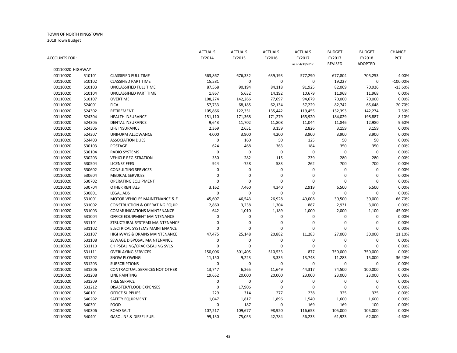| ACCOUNTS FOR: |                  |                                           | <b>ACTUALS</b><br>FY2014 | <b>ACTUALS</b><br>FY2015 | <b>ACTUALS</b><br>FY2016 | <b>ACTUALS</b><br>FY2017 | <b>BUDGET</b><br>FY2017 | <b>BUDGET</b><br>FY2018 | CHANGE<br>PCT |
|---------------|------------------|-------------------------------------------|--------------------------|--------------------------|--------------------------|--------------------------|-------------------------|-------------------------|---------------|
|               |                  |                                           |                          |                          |                          | as of 4/30/2017          | <b>REVISED</b>          | <b>ADOPTED</b>          |               |
|               | 00110020 HIGHWAY |                                           |                          |                          |                          |                          |                         |                         |               |
| 00110020      | 510101<br>510102 | <b>CLASSIFIED FULL TIME</b>               | 563,867                  | 676,332                  | 639,193                  | 577,290<br>0             | 677,804                 | 705,253<br>$\pmb{0}$    | 4.00%         |
| 00110020      |                  | <b>CLASSIFIED PART TIME</b>               | 15,581                   | $\pmb{0}$                | $\pmb{0}$                |                          | 19,227                  |                         | $-100.00\%$   |
| 00110020      | 510103           | UNCLASSIFIED FULL TIME                    | 87,568                   | 90,194                   | 84,118                   | 91,925                   | 82,069                  | 70,926                  | $-13.60%$     |
| 00110020      | 510104           | UNCLASSIFIED PART TIME                    | 1,867                    | 5,632                    | 14,192                   | 10,679                   | 11,968                  | 11,968                  | 0.00%         |
| 00110020      | 510107           | <b>OVERTIME</b>                           | 108,274                  | 142,266                  | 77,697                   | 94,679                   | 70,000                  | 70,000                  | 0.00%         |
| 00110020      | 524001           | <b>FICA</b>                               | 57,733                   | 68,185                   | 62,134                   | 57,229                   | 82,742                  | 65,648                  | $-20.70%$     |
| 00110020      | 524302           | RETIREMENT                                | 105,866                  | 122,351                  | 135,442                  | 119,455                  | 132,393                 | 142,274                 | 7.50%         |
| 00110020      | 524304           | HEALTH INSURANCE                          | 151,110                  | 171,368                  | 171,279                  | 165,920                  | 184,029                 | 198,887                 | 8.10%         |
| 00110020      | 524305           | <b>DENTAL INSURANCE</b>                   | 9,643                    | 11,702                   | 11,808                   | 11,044                   | 11,846                  | 12,980                  | 9.60%         |
| 00110020      | 524306           | LIFE INSURANCE                            | 2,369                    | 2,651                    | 3,159                    | 2,826                    | 3,159                   | 3,159                   | 0.00%         |
| 00110020      | 524307           | UNIFORM ALLOWANCE                         | 4,000                    | 3,900                    | 4,200                    | 3,900                    | 3,900                   | 3,900                   | 0.00%         |
| 00110020      | 524403           | <b>ASSOCIATION DUES</b>                   | 0                        | 160                      | 50                       | 125                      | 50                      | 50                      | 0.00%         |
| 00110020      | 530103           | <b>POSTAGE</b>                            | 624                      | 468                      | 363                      | 184                      | 350                     | 350                     | 0.00%         |
| 00110020      | 530104           | <b>RADIO SYSTEMS</b>                      | 0                        | $\mathbf 0$              | $\mathbf 0$              | $\mathbf 0$              | $\mathbf 0$             | $\mathbf 0$             | 0.00%         |
| 00110020      | 530203           | <b>VEHICLE REGISTRATION</b>               | 350                      | 282                      | 115                      | 239                      | 280                     | 280                     | 0.00%         |
| 00110020      | 530504           | <b>LICENSE FEES</b>                       | 924                      | $-758$                   | 583                      | 262                      | 700                     | 700                     | 0.00%         |
| 00110020      | 530602           | <b>CONSULTING SERVICES</b>                | 0                        | $\pmb{0}$                | $\pmb{0}$                | $\pmb{0}$                | $\pmb{0}$               | $\pmb{0}$               | 0.00%         |
| 00110020      | 530604           | <b>MEDICAL SERVICES</b>                   | 0                        | $\mathbf 0$              | $\mathbf 0$              | $\mathbf 0$              | $\mathbf 0$             | $\mathbf 0$             | 0.00%         |
| 00110020      | 530702           | <b>OPERATING EQUIPMENT</b>                | 0                        | $\Omega$                 | $\mathbf 0$              | $\mathbf 0$              | $\mathbf 0$             | 0                       | 0.00%         |
| 00110020      | 530704           | <b>OTHER RENTALS</b>                      | 3,162                    | 7,460                    | 4,340                    | 2,919                    | 6,500                   | 6,500                   | 0.00%         |
| 00110020      | 530801           | <b>LEGAL ADS</b>                          | 0                        | $\mathbf 0$              | $\mathbf 0$              | $\mathbf 0$              | $\mathbf 0$             | 0                       | 0.00%         |
| 00110020      | 531001           | MOTOR VEHICLES MAINTENANCE & E            | 45,607                   | 46,543                   | 26,928                   | 49,008                   | 39,500                  | 30,000                  | 66.70%        |
| 00110020      | 531002           | <b>CONSTRUCTION &amp; OPERATING EQUIP</b> | 2,860                    | 3,238                    | 1,304                    | 887                      | 2,931                   | 3,000                   | 0.00%         |
| 00110020      | 531003           | <b>COMMUNICATIONS MAINTENANCE</b>         | 642                      | 1,010                    | 1,189                    | 1,000                    | 2,000                   | 1,100                   | $-45.00%$     |
| 00110020      | 531004           | OFFICE EQUIPMENT MAINTENANCE              | 0                        | 0                        | $\boldsymbol{0}$         | 0                        | 0                       | 0                       | 0.00%         |
| 00110020      | 531101           | STRUCTURAL SYSTEMS MAINTENANCE            | 0                        | $\mathbf 0$              | $\mathbf 0$              | 0                        | $\mathbf 0$             | 0                       | 0.00%         |
| 00110020      | 531102           | ELECTRICAL SYSTEMS MAINTENANCE            | $\Omega$                 | $\Omega$                 | $\mathbf 0$              | $\Omega$                 | $\Omega$                | O                       | 0.00%         |
| 00110020      | 531107           | <b>HIGHWAYS &amp; DRAINS MAINTENANCE</b>  | 47,475                   | 25,148                   | 20,882                   | 11,283                   | 27,000                  | 30,000                  | 11.10%        |
| 00110020      | 531108           | SEWAGE DISPOSAL MAINTENANCE               | 0                        | 0                        | $\mathbf 0$              | $\mathbf 0$              | $\mathbf 0$             | 0                       | 0.00%         |
| 00110020      | 531110           | CHIPSEALING/CRACKSEALING SVCS             | 0                        | $\Omega$                 | $\mathbf 0$              | $\mathbf 0$              | 0                       | 0                       | 0.00%         |
| 00110020      | 531111           | <b>OVERLAYING SERVICES</b>                | 150,006                  | 501,405                  | 510,533                  | 877                      | 750,000                 | 750,000                 | 0.00%         |
| 00110020      | 531202           | <b>SNOW PLOWING</b>                       | 11,150                   | 9,223                    | 3,335                    | 13,748                   | 11,283                  | 15,000                  | 36.40%        |
| 00110020      | 531203           | <b>SUBSCRIPTIONS</b>                      | 0                        | $\mathbf 0$              | $\mathbf 0$              | $\mathbf 0$              | $\mathbf 0$             | 0                       | 0.00%         |
| 00110020      | 531206           | CONTRACTUAL SERVICES NOT OTHER            | 13,747                   | 6,265                    | 11,649                   | 44,317                   | 74,500                  | 100,000                 | 0.00%         |
| 00110020      | 531208           | <b>LINE PAINTING</b>                      | 19,652                   | 20,000                   | 20,000                   | 23,000                   | 23,000                  | 23,000                  | 0.00%         |
| 00110020      | 531209           | <b>TREE SERVICE</b>                       | 0                        | $\mathbf 0$              | $\mathbf 0$              | $\mathbf 0$              | 0                       | 0                       | 0.00%         |
| 00110020      | 531212           | DISASTER/FLOOD EXPENSES                   | 0                        | 17,906                   | $\mathbf 0$              | $\mathbf 0$              | $\mathbf 0$             | $\mathbf{0}$            | 0.00%         |
| 00110020      | 540101           | <b>OFFICE SUPPLIES</b>                    | 229                      | 314                      | 277                      | 238                      | 325                     | 325                     | 0.00%         |
| 00110020      | 540202           | SAFETY EQUIPMENT                          | 1,047                    | 1,817                    | 1,896                    | 1,540                    | 1,600                   | 1,600                   | 0.00%         |
| 00110020      | 540301           | <b>FOOD</b>                               | 0                        | 187                      | $\mathbf 0$              | 169                      | 169                     | 100                     | 0.00%         |
| 00110020      | 540306           | <b>ROAD SALT</b>                          | 107,217                  | 109,677                  | 98,920                   | 116,653                  | 105,000                 | 105,000                 | 0.00%         |
| 00110020      | 540401           | <b>GASOLINE &amp; DIESEL FUEL</b>         | 99,130                   | 75,053                   | 42,784                   | 56,233                   | 61,923                  | 62,000                  | $-4.60%$      |
|               |                  |                                           |                          |                          |                          |                          |                         |                         |               |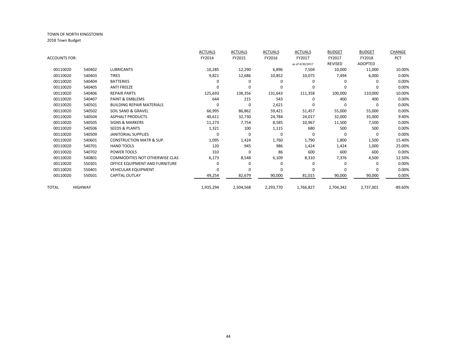|               |                |                                       | <b>ACTUALS</b> | <b>ACTUALS</b> | <b>ACTUALS</b> | <b>ACTUALS</b>  | <b>BUDGET</b>  | <b>BUDGET</b>  | CHANGE     |
|---------------|----------------|---------------------------------------|----------------|----------------|----------------|-----------------|----------------|----------------|------------|
| ACCOUNTS FOR: |                |                                       | FY2014         | FY2015         | FY2016         | FY2017          | FY2017         | FY2018         | <b>PCT</b> |
|               |                |                                       |                |                |                | as of 4/30/2017 | <b>REVISED</b> | <b>ADOPTED</b> |            |
| 00110020      | 540402         | <b>LUBRICANTS</b>                     | 10,285         | 12,290         | 6,896          | 7,504           | 10,000         | 11,000         | 10.00%     |
| 00110020      | 540403         | <b>TIRES</b>                          | 9,821          | 12,686         | 10,852         | 10,075          | 7,494          | 6,000          | 0.00%      |
| 00110020      | 540404         | <b>BATTERIES</b>                      |                | O              | $\Omega$       |                 | $\Omega$       |                | 0.00%      |
| 00110020      | 540405         | <b>ANTI FREEZE</b>                    |                | $\Omega$       | O              |                 | $\Omega$       |                | 0.00%      |
| 00110020      | 540406         | <b>REPAIR PARTS</b>                   | 125,693        | 138,356        | 131,643        | 111,358         | 100,000        | 110,000        | 10.00%     |
| 00110020      | 540407         | <b>PAINT &amp; EMBLEMS</b>            | 644            | 215            | 543            | <sup>0</sup>    | 400            | 400            | 0.00%      |
| 00110020      | 540501         | <b>BUILDING REPAIR MATERIALS</b>      | $\Omega$       | $\Omega$       | 2,621          |                 | $\Omega$       |                | 0.00%      |
| 00110020      | 540502         | SOIL SAND & GRAVEL                    | 66,995         | 86,862         | 59,421         | 51,457          | 55,000         | 55,000         | 0.00%      |
| 00110020      | 540504         | <b>ASPHALT PRODUCTS</b>               | 40,611         | 32,730         | 24,784         | 24,017          | 32,000         | 35,000         | 9.40%      |
| 00110020      | 540505         | <b>SIGNS &amp; MARKERS</b>            | 11,273         | 7,754          | 8,585          | 10,967          | 11,500         | 7,500          | 0.00%      |
| 00110020      | 540506         | <b>SEEDS &amp; PLANTS</b>             | 1,321          | 100            | 1,115          | 680             | 500            | 500            | 0.00%      |
| 00110020      | 540509         | <b>JANITORIAL SUPPLIES</b>            | $\Omega$       | $\Omega$       | $\Omega$       | 0               | $\Omega$       | $\Omega$       | 0.00%      |
| 00110020      | 540601         | <b>CONSTRUCTION MATR &amp; SUP.</b>   | 1,095          | 1,424          | 1,760          | 1,790           | 1,800          | 1,500          | 15.40%     |
| 00110020      | 540701         | <b>HAND TOOLS</b>                     | 120            | 945            | 986            | 1,424           | 1,424          | 1,000          | 25.00%     |
| 00110020      | 540702         | POWER TOOLS                           | 310            | O              | 86             | 600             | 600            | 600            | 0.00%      |
| 00110020      | 540801         | <b>COMMODITIES NOT OTHERWISE CLAS</b> | 6,173          | 8,548          | 6,109          | 8,310           | 7,376          | 4,500          | 12.50%     |
| 00110020      | 550301         | OFFICE EQUIPMENT AND FURNITURE        | 0              | 0              | $\Omega$       | 0               | 0              | $\Omega$       | 0.00%      |
| 00110020      | 550401         | <b>VEHICULAR EQUIPMENT</b>            | $\Omega$       | $\Omega$       | $\Omega$       |                 | $\Omega$       | $\Omega$       | 0.00%      |
| 00110020      | 550501         | <b>CAPITAL OUTLAY</b>                 | 49,254         | 82,679         | 90,000         | 81,015          | 90,000         | 90,000         | 0.00%      |
| TOTAL         | <b>HIGHWAY</b> |                                       | 1,935,294      | 2,504,568      | 2,293,770      | 1,766,827       | 2,704,342      | 2,737,001      | -89.60%    |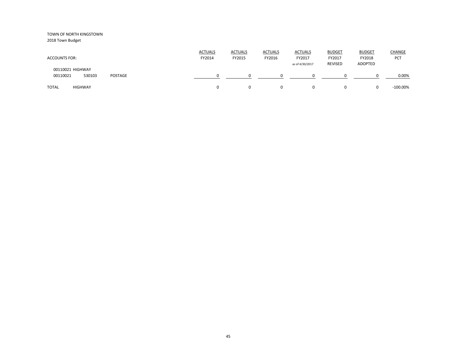2018 Town Budget

| <b>ACCOUNTS FOR:</b>                              | <b>ACTUALS</b><br>FY2014 | <b>ACTUALS</b><br>FY2015 | <b>ACTUALS</b><br>FY2016 | <b>ACTUALS</b><br>FY2017<br>as of 4/30/2017 | <b>BUDGET</b><br>FY2017<br><b>REVISED</b> | <b>BUDGET</b><br>FY2018<br>ADOPTED | <b>CHANGE</b><br>PCT |
|---------------------------------------------------|--------------------------|--------------------------|--------------------------|---------------------------------------------|-------------------------------------------|------------------------------------|----------------------|
| 00110021 HIGHWAY<br>POSTAGE<br>00110021<br>530103 |                          |                          |                          |                                             |                                           |                                    | 0.00%                |
| <b>TOTAL</b><br><b>HIGHWAY</b>                    | 0                        |                          | 0                        | $\Omega$                                    | $\Omega$                                  | 0                                  | $-100.00\%$          |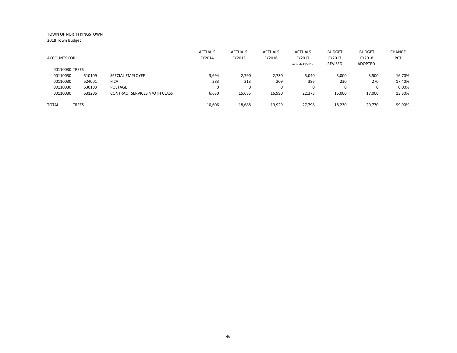|                |              |                               | <b>ACTUALS</b> | <b>ACTUALS</b> | <b>ACTUALS</b> | <b>ACTUALS</b>  | <b>BUDGET</b>  | <b>BUDGET</b> | CHANGE    |
|----------------|--------------|-------------------------------|----------------|----------------|----------------|-----------------|----------------|---------------|-----------|
| ACCOUNTS FOR:  |              |                               | FY2014         | FY2015         | FY2016         | FY2017          | FY2017         | FY2018        | PCT       |
| 00110030 TREES |              |                               |                |                |                | as of 4/30/2017 | <b>REVISED</b> | ADOPTED       |           |
| 00110030       | 510109       | SPECIAL EMPLOYEE              | 3,694          | 2,790          | 2,730          | 5,040           | 3,000          | 3,500         | 16.70%    |
| 00110030       | 524001       | <b>FICA</b>                   | 283            | 213            | 209            | 386             | 230            | 270           | 17.40%    |
| 00110030       | 530103       | POSTAGE                       | 0              | 0              | $\Omega$       | $\mathbf 0$     |                | $\Omega$      | 0.00%     |
| 00110030       | 531206       | CONTRACT SERVICES N/OTH CLASS | 6,630          | 15,685         | 16,990         | 22,373          | 15,000         | 17,000        | 13.30%    |
| TOTAL          | <b>TREES</b> |                               | 10,606         | 18,688         | 19,929         | 27,798          | 18,230         | 20.770        | $-99.90%$ |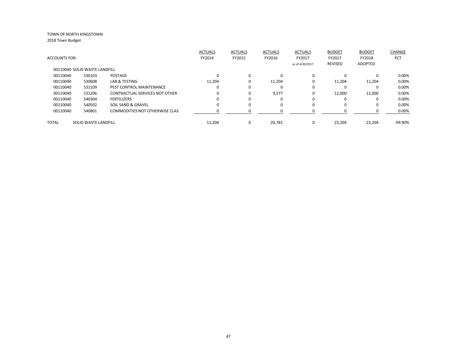| <b>ACCOUNTS FOR:</b> |                               |                                       | <b>ACTUALS</b><br>FY2014 | <b>ACTUALS</b><br>FY2015 | <b>ACTUALS</b><br>FY2016 | <b>ACTUALS</b><br>FY2017<br>as of 4/30/2017 | <b>BUDGET</b><br>FY2017<br><b>REVISED</b> | <b>BUDGET</b><br>FY2018<br>ADOPTED | <b>CHANGE</b><br>PCT |
|----------------------|-------------------------------|---------------------------------------|--------------------------|--------------------------|--------------------------|---------------------------------------------|-------------------------------------------|------------------------------------|----------------------|
|                      | 00110040 SOLID WASTE LANDFILL |                                       |                          |                          |                          |                                             |                                           |                                    |                      |
| 00110040             | 530103                        | POSTAGE                               |                          | $\Omega$                 |                          | $\Omega$                                    | 0                                         | $\Omega$                           | 0.00%                |
| 00110040             | 530608                        | LAB & TESTING                         | 11.204                   | 0                        | 11,204                   | 0                                           | 11.204                                    | 11,204                             | 0.00%                |
| 00110040             | 531109                        | PEST CONTROL MAINTENANCE              |                          | 0                        |                          | 0                                           |                                           | $\Omega$                           | 0.00%                |
| 00110040             | 531206                        | <b>CONTRACTUAL SERVICES NOT OTHER</b> |                          | 0                        | 9,577                    | 0                                           | 12,000                                    | 12,000                             | 0.00%                |
| 00110040             | 540304                        | <b>FERTILIZERS</b>                    |                          | 0                        | $\Omega$                 | 0                                           | $\Omega$                                  | 0                                  | 0.00%                |
| 00110040             | 540502                        | SOIL SAND & GRAVEL                    |                          | 0                        |                          | $\Omega$                                    | $\Omega$                                  | $\Omega$                           | 0.00%                |
| 00110040             | 540801                        | <b>COMMODITIES NOT OTHERWISE CLAS</b> |                          |                          |                          |                                             |                                           |                                    | 0.00%                |
| <b>TOTAL</b>         | SOLID WASTE LANDFILL          |                                       | 11,204                   | 0                        | 20,781                   | 0                                           | 23.204                                    | 23,204                             | $-99.90\%$           |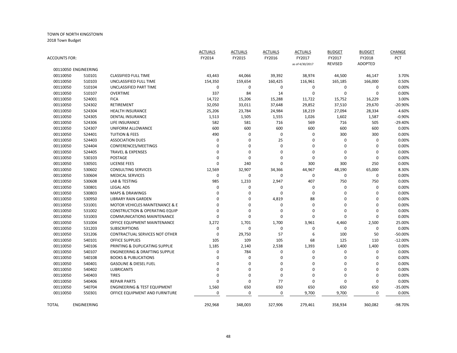|                      |                      |                                           | <b>ACTUALS</b> | <b>ACTUALS</b> | <b>ACTUALS</b> | <b>ACTUALS</b>  | <b>BUDGET</b>  | <b>BUDGET</b>  | CHANGE    |
|----------------------|----------------------|-------------------------------------------|----------------|----------------|----------------|-----------------|----------------|----------------|-----------|
| <b>ACCOUNTS FOR:</b> |                      |                                           | FY2014         | FY2015         | FY2016         | FY2017          | FY2017         | FY2018         | PCT       |
|                      |                      |                                           |                |                |                | as of 4/30/2017 | <b>REVISED</b> | <b>ADOPTED</b> |           |
|                      | 00110050 ENGINEERING |                                           |                |                |                |                 |                |                |           |
| 00110050             | 510101               | <b>CLASSIFIED FULL TIME</b>               | 43,443         | 44,066         | 39,392         | 38,974          | 44,500         | 46,147         | 3.70%     |
| 00110050             | 510103               | UNCLASSIFIED FULL TIME                    | 154,350        | 159,654        | 160,425        | 116,961         | 165,185        | 166,000        | 0.50%     |
| 00110050             | 510104               | UNCLASSIFIED PART TIME                    | $\mathbf 0$    | $\pmb{0}$      | 0              | 0               | $\mathbf 0$    | 0              | 0.00%     |
| 00110050             | 510107               | <b>OVERTIME</b>                           | 337            | 84             | 14             | 0               | 0              | $\Omega$       | 0.00%     |
| 00110050             | 524001               | <b>FICA</b>                               | 14,722         | 15,206         | 15,288         | 11,722          | 15,752         | 16,229         | 3.00%     |
| 00110050             | 524302               | RETIREMENT                                | 32,050         | 33,011         | 37,648         | 29,852          | 37,510         | 29,670         | $-20.90%$ |
| 00110050             | 524304               | <b>HEALTH INSURANCE</b>                   | 25,206         | 23,784         | 24,984         | 18,219          | 27,094         | 28,334         | 4.60%     |
| 00110050             | 524305               | <b>DENTAL INSURANCE</b>                   | 1,513          | 1,505          | 1,555          | 1,026           | 1,602          | 1,587          | $-0.90%$  |
| 00110050             | 524306               | LIFE INSURANCE                            | 582            | 581            | 716            | 569             | 716            | 505            | $-29.40%$ |
| 00110050             | 524307               | UNIFORM ALLOWANCE                         | 600            | 600            | 600            | 600             | 600            | 600            | 0.00%     |
| 00110050             | 524401               | <b>TUITION &amp; FEES</b>                 | 490            | $\mathbf 0$    | $\mathbf 0$    | 0               | 300            | 300            | 0.00%     |
| 00110050             | 524403               | <b>ASSOCIATION DUES</b>                   | $\Omega$       | 0              | 25             | 0               | $\mathbf 0$    | $\mathbf 0$    | 0.00%     |
| 00110050             | 524404               | CONFERENCES/MEETINGS                      | $\Omega$       | 0              | $\mathbf 0$    | $\Omega$        | $\mathbf 0$    | $\Omega$       | 0.00%     |
| 00110050             | 524405               | <b>TRAVEL &amp; EXPENSES</b>              | $\Omega$       | $\mathbf 0$    | $\Omega$       | $\Omega$        | $\mathbf 0$    | $\Omega$       | 0.00%     |
| 00110050             | 530103               | <b>POSTAGE</b>                            | $\mathbf 0$    | $\mathbf 0$    | $\mathbf 0$    | 0               | $\mathbf 0$    | $\Omega$       | 0.00%     |
| 00110050             | 530501               | <b>LICENSE FEES</b>                       | $\mathbf 0$    | 240            | $\mathbf 0$    | 300             | 300            | 250            | 0.00%     |
| 00110050             | 530602               | <b>CONSULTING SERVICES</b>                | 12,569         | 32,907         | 34,366         | 44,967          | 48,190         | 65,000         | 8.30%     |
| 00110050             | 530604               | <b>MEDICAL SERVICES</b>                   | $\mathbf 0$    | $\pmb{0}$      | $\mathbf 0$    | 0               | $\mathbf 0$    | 0              | 0.00%     |
| 00110050             | 530608               | LAB & TESTING                             | 985            | 1,233          | 2,947          | 407             | 750            | 750            | 0.00%     |
| 00110050             | 530801               | <b>LEGAL ADS</b>                          | $\mathbf 0$    | 0              | 0              | 0               | $\mathbf 0$    | $\mathbf 0$    | 0.00%     |
| 00110050             | 530803               | <b>MAPS &amp; DRAWINGS</b>                | $\Omega$       | 0              | $\mathbf 0$    | 0               | $\mathbf 0$    | $\Omega$       | 0.00%     |
| 00110050             | 530950               | <b>LIBRARY RAIN GARDEN</b>                | $\mathbf 0$    | 0              | 4,819          | 88              | 0              | $\mathbf 0$    | 0.00%     |
| 00110050             | 531001               | <b>MOTOR VEHICLES MAINTENANCE &amp; E</b> | $\Omega$       | 0              | $\mathbf 0$    | 0               | $\mathbf 0$    | $\mathbf 0$    | 0.00%     |
| 00110050             | 531002               | <b>CONSTRUCTION &amp; OPERATING EQUIP</b> | $\Omega$       | 0              | 0              | 0               | $\mathbf 0$    | $\mathbf 0$    | 0.00%     |
| 00110050             | 531003               | <b>COMMUNICATIONS MAINTENANCE</b>         | $\mathbf 0$    | $\pmb{0}$      | 0              | 0               | $\mathbf 0$    | $\Omega$       | 0.00%     |
| 00110050             | 531004               | OFFICE EQUIPMENT MAINTENANCE              | 3,272          | 1,701          | 1,700          | 3,961           | 4,460          | 2,500          | 25.00%    |
| 00110050             | 531203               | <b>SUBSCRIPTIONS</b>                      | $\mathbf 0$    | $\pmb{0}$      | $\mathbf 0$    | $\mathbf 0$     | $\mathbf 0$    | $\mathbf 0$    | 0.00%     |
| 00110050             | 531206               | CONTRACTUAL SERVICES NOT OTHER            | $\Omega$       | 29,750         | 57             | 6               | 100            | 50             | $-50.00%$ |
| 00110050             | 540101               | <b>OFFICE SUPPLIES</b>                    | 105            | 109            | 105            | 68              | 125            | 110            | $-12.00%$ |
| 00110050             | 540106               | PRINTING & DUPLICATING SUPPLIE            | 1,185          | 2,140          | 2,538          | 1,393           | 1,400          | 1,400          | 0.00%     |
| 00110050             | 540107               | <b>ENGINEERING &amp; DRAFTING SUPPLIE</b> | 0              | 784            | $\mathbf 0$    | $\mathbf 0$     | $\mathbf 0$    | $\mathbf 0$    | 0.00%     |
| 00110050             | 540108               | <b>BOOKS &amp; PUBLICATIONS</b>           | $\mathbf 0$    | 0              | $\mathbf 0$    | 0               | $\mathbf 0$    | $\Omega$       | 0.00%     |
| 00110050             | 540401               | <b>GASOLINE &amp; DIESEL FUEL</b>         | $\mathbf 0$    | 0              | 0              | 0               | $\mathbf 0$    | $\mathbf 0$    | 0.00%     |
| 00110050             | 540402               | <b>LUBRICANTS</b>                         | $\mathbf 0$    | 0              | $\mathbf 0$    | $\Omega$        | $\mathbf 0$    | $\Omega$       | 0.00%     |
| 00110050             | 540403               | <b>TIRES</b>                              | $\mathbf 0$    | $\mathbf 0$    | $\mathbf 0$    | 0               | $\mathbf 0$    | $\Omega$       | 0.00%     |
| 00110050             | 540406               | <b>REPAIR PARTS</b>                       | $\mathbf 0$    | 0              | 77             | 0               | $\mathbf 0$    | $\mathbf 0$    | 0.00%     |
| 00110050             | 540704               | <b>ENGINEERING &amp; TEST EQUIPMENT</b>   | 1,560          | 650            | 650            | 650             | 650            | 650            | -35.00%   |
| 00110050             | 550301               | OFFICE EQUIPMENT AND FURNITURE            | $\mathbf 0$    | 0              | 0              | 9,700           | 9,700          | 0              | 0.00%     |
| <b>TOTAL</b>         | ENGINEERING          |                                           | 292,968        | 348,003        | 327,906        | 279,461         | 358,934        | 360,082        | -98.70%   |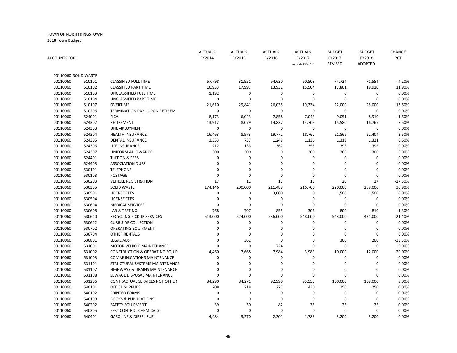| <b>ACCOUNTS FOR:</b> |        |                                           | <b>ACTUALS</b><br>FY2014 | <b>ACTUALS</b><br>FY2015 | <b>ACTUALS</b><br>FY2016 | <b>ACTUALS</b><br>FY2017<br>as of 4/30/2017 | <b>BUDGET</b><br>FY2017<br><b>REVISED</b> | <b>BUDGET</b><br>FY2018<br><b>ADOPTED</b> | CHANGE<br>PCT |
|----------------------|--------|-------------------------------------------|--------------------------|--------------------------|--------------------------|---------------------------------------------|-------------------------------------------|-------------------------------------------|---------------|
| 00110060 SOLID WASTE |        |                                           |                          |                          |                          |                                             |                                           |                                           |               |
| 00110060             | 510101 | <b>CLASSIFIED FULL TIME</b>               | 67,798                   | 31,951                   | 64,630                   | 60,508                                      | 74,724                                    | 71,554                                    | $-4.20%$      |
| 00110060             | 510102 | <b>CLASSIFIED PART TIME</b>               | 16,933                   | 17,997                   | 13,932                   | 15,504                                      | 17,801                                    | 19,910                                    | 11.90%        |
| 00110060             | 510103 | UNCLASSIFIED FULL TIME                    | 1,192                    | 0                        | 0                        | 0                                           | 0                                         | 0                                         | 0.00%         |
| 00110060             | 510104 | UNCLASSIFIED PART TIME                    | 0                        | $\mathbf 0$              | $\pmb{0}$                | 0                                           | $\mathbf 0$                               | 0                                         | 0.00%         |
| 00110060             | 510107 | <b>OVERTIME</b>                           | 21,610                   | 29,841                   | 26,035                   | 19,334                                      | 22,000                                    | 25,000                                    | 13.60%        |
| 00110060             | 510206 | <b>TERMINATION PAY - UPON RETIREM</b>     | 0                        | $\mathbf 0$              | $\pmb{0}$                | $\mathbf 0$                                 | $\mathbf 0$                               | 0                                         | 0.00%         |
| 00110060             | 524001 | <b>FICA</b>                               | 8,173                    | 6,043                    | 7,858                    | 7,043                                       | 9,051                                     | 8,910                                     | $-1.60%$      |
| 00110060             | 524302 | <b>RETIREMENT</b>                         | 13,912                   | 8,079                    | 14,837                   | 14,709                                      | 15,580                                    | 16,765                                    | 7.60%         |
| 00110060             | 524303 | UNEMPLOYMENT                              | 0                        | $\mathbf 0$              | $\boldsymbol{0}$         | $\mathbf 0$                                 | 0                                         | $\mathbf 0$                               | 0.00%         |
| 00110060             | 524304 | <b>HEALTH INSURANCE</b>                   | 16,463                   | 8,973                    | 19,772                   | 18,762                                      | 21,866                                    | 22,404                                    | 2.50%         |
| 00110060             | 524305 | <b>DENTAL INSURANCE</b>                   | 1,353                    | 737                      | 1,248                    | 1,136                                       | 1,313                                     | 1,321                                     | 0.60%         |
| 00110060             | 524306 | <b>LIFE INSURANCE</b>                     | 212                      | 133                      | 367                      | 355                                         | 395                                       | 395                                       | 0.00%         |
| 00110060             | 524307 | UNIFORM ALLOWANCE                         | 300                      | 300                      | 0                        | 300                                         | 300                                       | 300                                       | 0.00%         |
| 00110060             | 524401 | <b>TUITION &amp; FEES</b>                 | $\Omega$                 | $\mathbf 0$              | $\Omega$                 | 0                                           | $\mathbf 0$                               | 0                                         | 0.00%         |
| 00110060             | 524403 | <b>ASSOCIATION DUES</b>                   | 0                        | 0                        | $\mathbf 0$              | $\mathbf 0$                                 | $\mathbf 0$                               | 0                                         | 0.00%         |
| 00110060             | 530101 | <b>TELEPHONE</b>                          | 0                        | $\mathbf 0$              | $\pmb{0}$                | 0                                           | $\mathbf 0$                               | 0                                         | 0.00%         |
| 00110060             | 530103 | POSTAGE                                   | 0                        | 0                        | $\mathbf 0$              | $\mathbf 0$                                 | $\mathbf 0$                               | 0                                         | 0.00%         |
| 00110060             | 530203 | <b>VEHICLE REGISTRATION</b>               | 17                       | 11                       | 17                       | 11                                          | 20                                        | 17                                        | $-17.50%$     |
| 00110060             | 530305 | <b>SOLID WASTE</b>                        | 174,146                  | 200,000                  | 211,488                  | 216,700                                     | 220,000                                   | 288,000                                   | 30.90%        |
| 00110060             | 530501 | <b>LICENSE FEES</b>                       | 0                        | 0                        | 3,000                    | 0                                           | 1,500                                     | 1,500                                     | 0.00%         |
| 00110060             | 530504 | <b>LICENSE FEES</b>                       | 0                        | 0                        | $\mathbf 0$              | 0                                           | 0                                         | 0                                         | 0.00%         |
| 00110060             | 530604 | <b>MEDICAL SERVICES</b>                   | $\Omega$                 | $\mathbf 0$              | $\mathbf 0$              | 0                                           | 0                                         | 0                                         | 0.00%         |
| 00110060             | 530608 | <b>LAB &amp; TESTING</b>                  | 768                      | 797                      | 855                      | 306                                         | 800                                       | 810                                       | 1.30%         |
| 00110060             | 530610 | RECYCLING PICKUP SERVICES                 | 513,000                  | 524,000                  | 536,000                  | 548,000                                     | 548,000                                   | 431,000                                   | $-21.40%$     |
| 00110060             | 530612 | <b>CURB SIDE COLLECTION</b>               | 0                        | 0                        | $\mathbf 0$              | $\mathbf 0$                                 | 0                                         | $\mathbf 0$                               | 0.00%         |
| 00110060             | 530702 | <b>OPERATING EQUIPMENT</b>                | 0                        | 0                        | $\boldsymbol{0}$         | 0                                           | 0                                         | 0                                         | 0.00%         |
| 00110060             | 530704 | <b>OTHER RENTALS</b>                      | 0                        | 0                        | $\mathbf 0$              | 0                                           | $\mathbf 0$                               | $\mathbf 0$                               | 0.00%         |
| 00110060             | 530801 | <b>LEGAL ADS</b>                          | $\Omega$                 | 362                      | $\mathbf 0$              | 0                                           | 300                                       | 200                                       | -33.30%       |
| 00110060             | 531001 | <b>MOTOR VEHICLE MAINTENANCE</b>          | 0                        | $\mathbf 0$              | 724                      | $\mathbf 0$                                 | $\mathbf 0$                               | 0                                         | 0.00%         |
| 00110060             | 531002 | <b>CONSTRUCTION &amp; OPERATING EQUIP</b> | 4,460                    | 7,668                    | 7,984                    | 3,983                                       | 10,000                                    | 12,000                                    | 20.00%        |
| 00110060             | 531003 | <b>COMMUNICATIONS MAINTENANCE</b>         | 0                        | 0                        | $\mathbf 0$              | 0                                           | 0                                         | $\mathbf 0$                               | 0.00%         |
| 00110060             | 531101 | STRUCTURAL SYSTEMS MAINTENANCE            | 0                        | $\mathbf 0$              | $\mathbf 0$              | 0                                           | 0                                         | 0                                         | 0.00%         |
| 00110060             | 531107 | HIGHWAYS & DRAINS MAINTENANCE             | $\Omega$                 | $\mathbf 0$              | $\mathbf 0$              | 0                                           | 0                                         | 0                                         | 0.00%         |
| 00110060             | 531108 | SEWAGE DISPOSAL MAINTENANCE               | $\Omega$                 | $\Omega$                 | $\mathbf 0$              | $\mathbf 0$                                 | $\mathbf 0$                               | 0                                         | 0.00%         |
| 00110060             | 531206 | CONTRACTUAL SERVICES NOT OTHER            | 84,290                   | 84,271                   | 92,990                   | 95,555                                      | 100,000                                   | 108,000                                   | 8.00%         |
| 00110060             | 540101 | <b>OFFICE SUPPLIES</b>                    | 208                      | 218                      | 227                      | 430                                         | 250                                       | 250                                       | 0.00%         |
| 00110060             | 540102 | PRINTED FORMS                             | $\Omega$                 | $\mathbf 0$              | $\mathbf 0$              | $\mathbf 0$                                 | $\mathbf 0$                               | 0                                         | 0.00%         |
| 00110060             | 540108 | <b>BOOKS &amp; PUBLICATIONS</b>           | 0                        | 0                        | $\mathbf 0$              | 0                                           | 0                                         | 0                                         | 0.00%         |
| 00110060             | 540202 | <b>SAFETY EQUIPMENT</b>                   | 39                       | 50                       | 82                       | 35                                          | 25                                        | 25                                        | 0.00%         |
| 00110060             | 540305 | PEST CONTROL CHEMICALS                    | 0                        | $\mathbf 0$              | $\mathbf 0$              | $\mathbf 0$                                 | $\mathbf 0$                               | $\mathbf 0$                               | 0.00%         |
| 00110060             | 540401 | <b>GASOLINE &amp; DIESEL FUEL</b>         | 4,484                    | 3,270                    | 2,201                    | 1,783                                       | 3,200                                     | 3,200                                     | 0.00%         |
|                      |        |                                           |                          |                          |                          |                                             |                                           |                                           |               |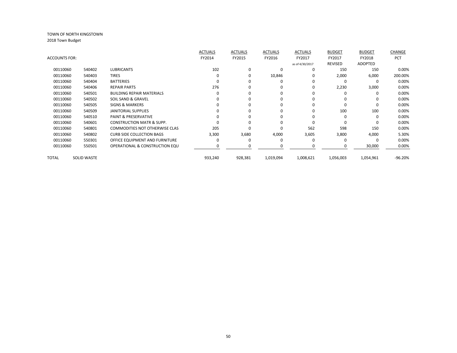|                      |                    |                                       | <b>ACTUALS</b> | <b>ACTUALS</b> | <b>ACTUALS</b> | <b>ACTUALS</b>  | <b>BUDGET</b> | <b>BUDGET</b>  | CHANGE     |
|----------------------|--------------------|---------------------------------------|----------------|----------------|----------------|-----------------|---------------|----------------|------------|
| <b>ACCOUNTS FOR:</b> |                    |                                       | FY2014         | FY2015         | FY2016         | FY2017          | FY2017        | FY2018         | <b>PCT</b> |
|                      |                    |                                       |                |                |                | as of 4/30/2017 | REVISED       | <b>ADOPTED</b> |            |
| 00110060             | 540402             | <b>LUBRICANTS</b>                     | 102            | 0              | 0              | $\Omega$        | 150           | 150            | 0.00%      |
| 00110060             | 540403             | <b>TIRES</b>                          |                | 0              | 10,846         | 0               | 2,000         | 6,000          | 200.00%    |
| 00110060             | 540404             | <b>BATTERIES</b>                      |                |                | O              | $\Omega$        | O             | $\Omega$       | 0.00%      |
| 00110060             | 540406             | <b>REPAIR PARTS</b>                   | 276            |                | 0              | $\Omega$        | 2,230         | 3,000          | 0.00%      |
| 00110060             | 540501             | <b>BUILDING REPAIR MATERIALS</b>      |                |                | 0              |                 | O             | 0              | 0.00%      |
| 00110060             | 540502             | SOIL SAND & GRAVEL                    |                | O              | 0              | $\Omega$        | 0             | 0              | 0.00%      |
| 00110060             | 540505             | <b>SIGNS &amp; MARKERS</b>            |                | O              | 0              | $\Omega$        | 0             | $\Omega$       | 0.00%      |
| 00110060             | 540509             | <b>JANITORIAL SUPPLIES</b>            |                |                | 0              | $\Omega$        | 100           | 100            | 0.00%      |
| 00110060             | 540510             | <b>PAINT &amp; PRESERVATIVE</b>       |                |                | O              |                 | O             | $\Omega$       | 0.00%      |
| 00110060             | 540601             | <b>CONSTRUCTION MATR &amp; SUPP.</b>  |                |                | O              | $\Omega$        | O             | $\Omega$       | 0.00%      |
| 00110060             | 540801             | <b>COMMODITIES NOT OTHERWISE CLAS</b> | 205            |                | n              | 562             | 598           | 150            | 0.00%      |
| 00110060             | 540802             | <b>CURB SIDE COLLECTION BAGS</b>      | 3,300          | 3,680          | 4,000          | 3,605           | 3,800         | 4,000          | 5.30%      |
| 00110060             | 550301             | OFFICE EQUIPMENT AND FURNITURE        |                |                | 0              | O               | O             | $\Omega$       | 0.00%      |
| 00110060             | 550501             | OPERATIONAL & CONSTRUCTION EQU        |                |                | 0              |                 | 0             | 30,000         | 0.00%      |
|                      |                    |                                       |                |                |                |                 |               |                |            |
| TOTAL                | <b>SOLID WASTE</b> |                                       | 933,240        | 928,381        | 1,019,094      | 1,008,621       | 1,056,003     | 1,054,961      | $-96.20%$  |
|                      |                    |                                       |                |                |                |                 |               |                |            |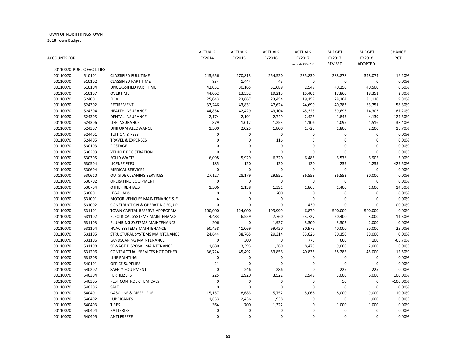| ACCOUNTS FOR: |                                      |                                           | <b>ACTUALS</b><br>FY2014 | <b>ACTUALS</b><br>FY2015 | <b>ACTUALS</b><br>FY2016 | <b>ACTUALS</b><br>FY2017 | <b>BUDGET</b><br>FY2017 | <b>BUDGET</b><br>FY2018 | CHANGE<br>PCT    |
|---------------|--------------------------------------|-------------------------------------------|--------------------------|--------------------------|--------------------------|--------------------------|-------------------------|-------------------------|------------------|
|               |                                      |                                           |                          |                          |                          | as of 4/30/2017          | <b>REVISED</b>          | <b>ADOPTED</b>          |                  |
| 00110070      | 00110070 PUBLIC FACILITIES<br>510101 | <b>CLASSIFIED FULL TIME</b>               |                          |                          |                          |                          |                         |                         |                  |
| 00110070      | 510102                               | <b>CLASSIFIED PART TIME</b>               | 243,956                  | 270,813                  | 254,520<br>45            | 235,830<br>$\mathbf 0$   | 288,878                 | 348,074<br>$\mathbf 0$  | 16.20%<br>0.00%  |
| 00110070      | 510104                               | UNCLASSIFIED PART TIME                    | 834<br>42,031            | 1,444<br>30,165          | 31,689                   | 2,547                    | 0<br>40,250             | 40,500                  | 0.60%            |
| 00110070      | 510107                               | <b>OVERTIME</b>                           | 44,062                   | 13,552                   | 19,215                   | 15,401                   | 17,860                  | 18,351                  | 2.80%            |
| 00110070      | 524001                               | <b>FICA</b>                               | 25,043                   | 23,667                   | 23,454                   | 19,157                   | 28,364                  | 31,130                  | 9.80%            |
|               |                                      | <b>RETIREMENT</b>                         |                          |                          |                          |                          |                         |                         |                  |
| 00110070      | 524302                               | <b>HEALTH INSURANCE</b>                   | 37,246                   | 43,831                   | 47,624                   | 44,699                   | 40,283                  | 63,751                  | 58.30%<br>87.20% |
| 00110070      | 524304                               |                                           | 44,854                   | 42,429                   | 43,104                   | 45,325                   | 39,693                  | 74,303                  |                  |
| 00110070      | 524305                               | <b>DENTAL INSURANCE</b>                   | 2,174                    | 2,191                    | 2,749                    | 2,425                    | 1,843                   | 4,139                   | 124.50%          |
| 00110070      | 524306                               | LIFE INSURANCE                            | 879                      | 1,012                    | 1,253                    | 1,106                    | 1,095                   | 1,516                   | 38.40%           |
| 00110070      | 524307                               | UNIFORM ALLOWANCE                         | 1,500                    | 2,025                    | 1,800                    | 1,725                    | 1,800                   | 2,100                   | 16.70%           |
| 00110070      | 524401                               | <b>TUITION &amp; FEES</b>                 | 0                        | 0                        | 0                        | 0                        | 0                       | 0                       | 0.00%            |
| 00110070      | 524405                               | <b>TRAVEL &amp; EXPENSES</b>              | 0                        | 0                        | 116                      | 5                        | 0                       | $\mathbf 0$             | 0.00%            |
| 00110070      | 530103                               | <b>POSTAGE</b>                            | 0                        | $\mathbf 0$              | $\mathbf 0$              | $\mathbf 0$              | $\Omega$                | 0                       | 0.00%            |
| 00110070      | 530203                               | <b>VEHICLE REGISTRATION</b>               | 0                        | $\Omega$                 | $\mathbf 0$              | $\mathbf 0$              | $\mathbf 0$             | 0                       | 0.00%            |
| 00110070      | 530305                               | <b>SOLID WASTE</b>                        | 6,098                    | 5,929                    | 6,320                    | 6,485                    | 6,576                   | 6,905                   | 5.00%            |
| 00110070      | 530504                               | <b>LICENSE FEES</b>                       | 185                      | 120                      | 120                      | 120                      | 235                     | 1,235                   | 425.50%          |
| 00110070      | 530604                               | <b>MEDICAL SERVICES</b>                   | 0                        | $\mathbf 0$              | 0                        | $\pmb{0}$                | $\boldsymbol{0}$        | 0                       | 0.00%            |
| 00110070      | 530610                               | <b>OUTSIDE CLEANING SERVICES</b>          | 27,127                   | 28,179                   | 29,952                   | 36,553                   | 36,553                  | 30,000                  | 0.00%            |
| 00110070      | 530702                               | <b>OPERATING EQUIPMENT</b>                | 0                        | $\mathbf 0$              | $\mathbf 0$              | 0                        | 0                       | 0                       | 0.00%            |
| 00110070      | 530704                               | <b>OTHER RENTALS</b>                      | 1,506                    | 1,138                    | 1,391                    | 1,865                    | 1,400                   | 1,600                   | 14.30%           |
| 00110070      | 530801                               | <b>LEGAL ADS</b>                          | 0                        | 0                        | 200                      | 0                        | $\mathbf 0$             | $\mathbf 0$             | 0.00%            |
| 00110070      | 531001                               | MOTOR VEHICLES MAINTENANCE & E            | 4                        | 0                        | $\mathbf 0$              | $\pmb{0}$                | $\Omega$                | 0                       | 0.00%            |
| 00110070      | 531002                               | <b>CONSTRUCTION &amp; OPERATING EQUIP</b> | 0                        | 0                        | $\mathbf 0$              | 430                      | $\mathbf 0$             | 0                       | $-100.00%$       |
| 00110070      | 531101                               | TOWN CAPITAL RESERVE APPROPRIA            | 100,000                  | 124,000                  | 199,999                  | 6,879                    | 500,000                 | 500,000                 | 0.00%            |
| 00110070      | 531102                               | <b>ELECTRICAL SYSTEMS MAINTENANCE</b>     | 4,483                    | 6,559                    | 7,760                    | 23,727                   | 20,400                  | 8,000                   | 14.30%           |
| 00110070      | 531103                               | PLUMBING SYSTEMS MAINTENANCE              | 206                      | $\mathbf 0$              | 1,927                    | 3,300                    | 3,302                   | 2,000                   | 0.00%            |
| 00110070      | 531104                               | <b>HVAC SYSTEMS MAINTENANCE</b>           | 60,458                   | 41,069                   | 69,420                   | 30,975                   | 40,000                  | 50,000                  | 25.00%           |
| 00110070      | 531105                               | STRUCTURAL SYSTEMS MAINTENANCE            | 24,644                   | 38,765                   | 29,314                   | 33,026                   | 30,350                  | 30,000                  | 0.00%            |
| 00110070      | 531106                               | LANDSCAPING MAINTENANCE                   | 0                        | 300                      | $\mathbf 0$              | 775                      | 660                     | 100                     | $-66.70%$        |
| 00110070      | 531108                               | SEWAGE DISPOSAL MAINTENANCE               | 1,680                    | 3,393                    | 1,360                    | 8,475                    | 9,000                   | 2,000                   | 0.00%            |
| 00110070      | 531206                               | CONTRACTUAL SERVICES NOT OTHER            | 36,724                   | 45,492                   | 53,856                   | 40,835                   | 38,285                  | 45,000                  | 12.50%           |
| 00110070      | 531208                               | <b>LINE PAINTING</b>                      | 0                        | $\mathbf 0$              | $\mathbf 0$              | 0                        | $\mathbf 0$             | $\mathbf 0$             | 0.00%            |
| 00110070      | 540101                               | <b>OFFICE SUPPLIES</b>                    | 21                       | $\mathbf 0$              | $\Omega$                 | 0                        | $\mathbf 0$             | $\mathbf 0$             | 0.00%            |
| 00110070      | 540202                               | <b>SAFETY EQUIPMENT</b>                   | $\mathbf 0$              | 246                      | 286                      | 0                        | 225                     | 225                     | 0.00%            |
| 00110070      | 540304                               | <b>FERTILIZERS</b>                        | 225                      | 1,920                    | 3,522                    | 2,948                    | 3,000                   | 6,000                   | 100.00%          |
| 00110070      | 540305                               | PEST CONTROL CHEMICALS                    | 0                        | 0                        | $\mathbf 0$              | 0                        | 50                      | 0                       | $-100.00\%$      |
| 00110070      | 540306                               | <b>SALT</b>                               | 0                        | $\Omega$                 | $\mathbf 0$              | $\mathbf 0$              | $\mathbf 0$             | $\mathbf{0}$            | 0.00%            |
| 00110070      | 540401                               | <b>GASOLINE &amp; DIESEL FUEL</b>         | 15,157                   | 8,683                    | 5,752                    | 5,068                    | 8,000                   | 9,000                   | $-10.00%$        |
| 00110070      | 540402                               | <b>LUBRICANTS</b>                         | 1,653                    | 2,436                    | 1,938                    | 0                        | 0                       | 1,000                   | 0.00%            |
| 00110070      | 540403                               | <b>TIRES</b>                              | 364                      | 700                      | 1,322                    | 0                        | 1,000                   | 1,000                   | 0.00%            |
| 00110070      | 540404                               | <b>BATTERIES</b>                          | 0                        | 0                        | 0                        | $\Omega$                 | 0                       | 0                       | 0.00%            |
| 00110070      | 540405                               | <b>ANTI FREEZE</b>                        | $\Omega$                 | $\Omega$                 | $\Omega$                 | $\Omega$                 | $\Omega$                | $\Omega$                | 0.00%            |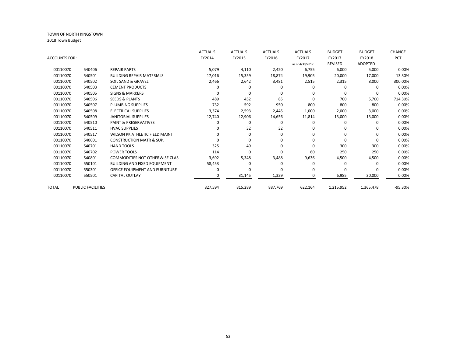|               |                          |                                       | <b>ACTUALS</b> | <b>ACTUALS</b> | <b>ACTUALS</b> | <b>ACTUALS</b>  | <b>BUDGET</b> | <b>BUDGET</b> | CHANGE    |
|---------------|--------------------------|---------------------------------------|----------------|----------------|----------------|-----------------|---------------|---------------|-----------|
| ACCOUNTS FOR: |                          |                                       | FY2014         | FY2015         | FY2016         | FY2017          | FY2017        | FY2018        | PCT       |
|               |                          |                                       |                |                |                | as of 4/30/2017 | REVISED       | ADOPTED       |           |
| 00110070      | 540406                   | <b>REPAIR PARTS</b>                   | 5,079          | 4,110          | 2,420          | 6,755           | 6,000         | 5,000         | 0.00%     |
| 00110070      | 540501                   | <b>BUILDING REPAIR MATERIALS</b>      | 17,016         | 15,359         | 18,874         | 19,905          | 20,000        | 17,000        | 13.30%    |
| 00110070      | 540502                   | SOIL SAND & GRAVEL                    | 2,466          | 2,642          | 3,481          | 2,515           | 2,315         | 8,000         | 300.00%   |
| 00110070      | 540503                   | <b>CEMENT PRODUCTS</b>                |                | O              |                |                 | O             | $\Omega$      | 0.00%     |
| 00110070      | 540505                   | <b>SIGNS &amp; MARKERS</b>            |                | ŋ              | O              | O               | O             | $\Omega$      | 0.00%     |
| 00110070      | 540506                   | <b>SEEDS &amp; PLANTS</b>             | 489            | 452            | 85             | $\Omega$        | 700           | 5,700         | 714.30%   |
| 00110070      | 540507                   | PLUMBING SUPPLIES                     | 732            | 592            | 950            | 800             | 800           | 800           | 0.00%     |
| 00110070      | 540508                   | <b>ELECTRICAL SUPPLIES</b>            | 3,374          | 2,593          | 2,445          | 1,000           | 2,000         | 3,000         | 0.00%     |
| 00110070      | 540509                   | <b>JANITORIAL SUPPLIES</b>            | 12,740         | 12,906         | 14,656         | 11,814          | 13,000        | 13,000        | 0.00%     |
| 00110070      | 540510                   | <b>PAINT &amp; PRESERVATIVES</b>      |                | 0              | 0              | $\Omega$        | O             | O             | 0.00%     |
| 00110070      | 540511                   | <b>HVAC SUPPLIES</b>                  |                | 32             | 32             |                 |               | <sup>0</sup>  | 0.00%     |
| 00110070      | 540517                   | <b>WILSON PK ATHLETIC FIELD MAINT</b> |                | $\Omega$       | 0              | n               | n             | <sup>0</sup>  | 0.00%     |
| 00110070      | 540601                   | <b>CONSTRUCTION MATR &amp; SUP.</b>   |                | 0              | 0              |                 | n             | $\Omega$      | 0.00%     |
| 00110070      | 540701                   | <b>HAND TOOLS</b>                     | 325            | 49             | 0              | $\Omega$        | 300           | 300           | 0.00%     |
| 00110070      | 540702                   | POWER TOOLS                           | 114            | $\Omega$       | U              | 60              | 250           | 250           | 0.00%     |
| 00110070      | 540801                   | <b>COMMODITIES NOT OTHERWISE CLAS</b> | 3,692          | 5,348          | 3,488          | 9,636           | 4,500         | 4,500         | 0.00%     |
| 00110070      | 550101                   | <b>BUILDING AND FIXED EQUIPMENT</b>   | 58,453         | 0              | 0              | $\Omega$        | O             | 0             | 0.00%     |
| 00110070      | 550301                   | OFFICE EQUIPMENT AND FURNITURE        |                | ŋ              | O              | O               |               |               | 0.00%     |
| 00110070      | 550501                   | <b>CAPITAL OUTLAY</b>                 |                | 31,145         | 1,329          | $\Omega$        | 6,985         | 30,000        | 0.00%     |
| <b>TOTAL</b>  | <b>PUBLIC FACILITIES</b> |                                       | 827,594        | 815,289        | 887,769        | 622,164         | 1,215,952     | 1,365,478     | $-95.30%$ |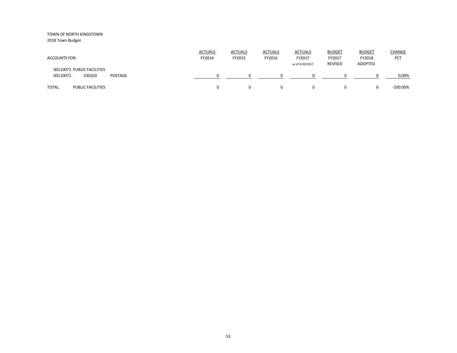| <b>ACCOUNTS FOR:</b>                                        | <b>ACTUALS</b><br>FY2014 | <b>ACTUALS</b><br>FY2015 | <b>ACTUALS</b><br>FY2016 | <b>ACTUALS</b><br>FY2017<br>as of 4/30/2017 | <b>BUDGET</b><br>FY2017<br><b>REVISED</b> | <b>BUDGET</b><br>FY2018<br>ADOPTED | <b>CHANGE</b><br>PCT |
|-------------------------------------------------------------|--------------------------|--------------------------|--------------------------|---------------------------------------------|-------------------------------------------|------------------------------------|----------------------|
| 00110071 PUBLIC FACILITIES<br>00110071<br>530103<br>POSTAGE |                          |                          | <sup>0</sup>             | 0                                           |                                           |                                    | 0.00%                |
| <b>TOTAL</b><br><b>PUBLIC FACILITIES</b>                    |                          | 0                        | $\Omega$                 | $\Omega$                                    |                                           |                                    | $-100.00\%$          |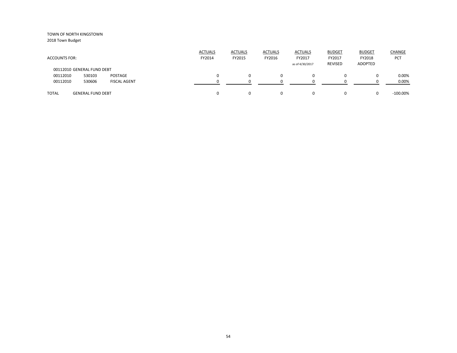2018 Town Budget

| <b>ACCOUNTS FOR:</b>       |                          |                     | <b>ACTUALS</b><br>FY2014 | <b>ACTUALS</b><br>FY2015 | <b>ACTUALS</b><br>FY2016 | <b>ACTUALS</b><br>FY2017<br>as of 4/30/2017 | <b>BUDGET</b><br>FY2017<br>REVISED | <b>BUDGET</b><br>FY2018<br>ADOPTED | <b>CHANGE</b><br>PCT |
|----------------------------|--------------------------|---------------------|--------------------------|--------------------------|--------------------------|---------------------------------------------|------------------------------------|------------------------------------|----------------------|
| 00112010 GENERAL FUND DEBT |                          |                     |                          |                          |                          |                                             |                                    |                                    |                      |
| 00112010                   | 530103                   | POSTAGE             |                          |                          | 0                        |                                             | $\Omega$                           |                                    | 0.00%                |
| 00112010                   | 530606                   | <b>FISCAL AGENT</b> |                          |                          |                          |                                             |                                    |                                    | 0.00%                |
| <b>TOTAL</b>               | <b>GENERAL FUND DEBT</b> |                     |                          |                          | 0                        |                                             | 0                                  |                                    | $-100.00\%$          |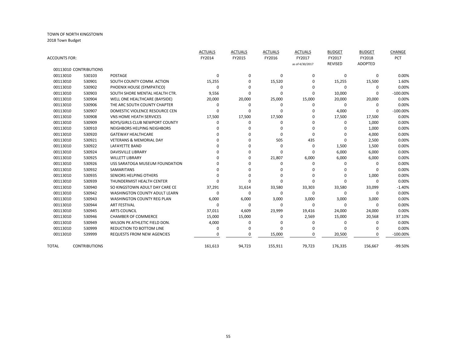| ACCOUNTS FOR: |                        |                                      | <b>ACTUALS</b><br>FY2014 | <b>ACTUALS</b><br>FY2015 | <b>ACTUALS</b><br>FY2016 | <b>ACTUALS</b><br>FY2017<br>as of 4/30/2017 | <b>BUDGET</b><br>FY2017<br><b>REVISED</b> | <b>BUDGET</b><br>FY2018<br><b>ADOPTED</b> | CHANGE<br>PCT |
|---------------|------------------------|--------------------------------------|--------------------------|--------------------------|--------------------------|---------------------------------------------|-------------------------------------------|-------------------------------------------|---------------|
|               | 00113010 CONTRIBUTIONS |                                      |                          |                          |                          |                                             |                                           |                                           |               |
| 00113010      | 530103                 | <b>POSTAGE</b>                       | $\Omega$                 | 0                        | 0                        | $\mathbf 0$                                 | 0                                         | $\Omega$                                  | 0.00%         |
| 00113010      | 530901                 | SOUTH COUNTY COMM. ACTION            | 15,255                   | 0                        | 15,520                   | $\mathbf 0$                                 | 15,255                                    | 15,500                                    | 1.60%         |
| 00113010      | 530902                 | PHOENIX HOUSE (SYMPATICO)            | 0                        | O                        | 0                        | $\Omega$                                    | $\mathbf 0$                               | 0                                         | 0.00%         |
| 00113010      | 530903                 | SOUTH SHORE MENTAL HEALTH CTR.       | 9,556                    | 0                        | 0                        | $\Omega$                                    | 10,000                                    | $\Omega$                                  | $-100.00\%$   |
| 00113010      | 530904                 | WELL ONE HEALTHCARE (BAYSIDE)        | 20,000                   | 20,000                   | 25,000                   | 15,000                                      | 20,000                                    | 20,000                                    | 0.00%         |
| 00113010      | 530906                 | THE ARC SOUTH COUNTY CHAPTER         | 0                        | 0                        | 0                        | $\Omega$                                    | 0                                         | $\Omega$                                  | 0.00%         |
| 00113010      | 530907                 | DOMESTIC VIOLENCE RESOURCE CEN       | $\Omega$                 | $\Omega$                 | $\Omega$                 | $\Omega$                                    | 4,000                                     | $\Omega$                                  | $-100.00\%$   |
| 00113010      | 530908                 | <b>VNS HOME HEATH SERVICES</b>       | 17,500                   | 17,500                   | 17,500                   | $\Omega$                                    | 17,500                                    | 17,500                                    | 0.00%         |
| 00113010      | 530909                 | BOYS/GIRLS CLUB NEWPORT COUNTY       | 0                        | 0                        | 0                        | $\Omega$                                    | 0                                         | 1,000                                     | 0.00%         |
| 00113010      | 530910                 | NEIGHBORS HELPING NEIGHBORS          | O                        | <sup>0</sup>             | $\Omega$                 | $\Omega$                                    | <sup>0</sup>                              | 1,000                                     | 0.00%         |
| 00113010      | 530920                 | <b>GATEWAY HEALTHCARE</b>            | ŋ                        | U                        | $\Omega$                 | $\Omega$                                    | $\Omega$                                  | 4,000                                     | 0.00%         |
| 00113010      | 530921                 | <b>VETERANS &amp; MEMORIAL DAY</b>   | U                        | U                        | 505                      | 435                                         | $\Omega$                                  | 2,500                                     | 0.00%         |
| 00113010      | 530922                 | LAFAYETTE BAND                       | U                        | U                        | $\Omega$                 | 0                                           | 1,500                                     | 1,500                                     | 0.00%         |
| 00113010      | 530924                 | <b>DAVISVILLE LIBRARY</b>            | U                        | <sup>0</sup>             | $\Omega$                 | $\Omega$                                    | 6,000                                     | 6,000                                     | 0.00%         |
| 00113010      | 530925                 | <b>WILLETT LIBRARY</b>               | n                        | <sup>0</sup>             | 21,807                   | 6,000                                       | 6,000                                     | 6,000                                     | 0.00%         |
| 00113010      | 530926                 | USS SARATOGA MUSEUM FOUNDATION       | n                        | U                        | 0                        | $\Omega$                                    | 0                                         | $\Omega$                                  | 0.00%         |
| 00113010      | 530932                 | <b>SAMARITANS</b>                    |                          | U                        | 0                        | $\Omega$                                    | 0                                         |                                           | 0.00%         |
| 00113010      | 530935                 | SENIORS HELPING OTHERS               | O                        | O                        | 0                        | $\Omega$                                    | 0                                         | 1,000                                     | 0.00%         |
| 00113010      | 530939                 | THUNDERMIST HEALTH CENTER            | 0                        | 0                        | $\Omega$                 | $\Omega$                                    | $\Omega$                                  | $\Omega$                                  | 0.00%         |
| 00113010      | 530940                 | SO KINGSTOWN ADULT DAY CARE CE       | 37,291                   | 31,614                   | 33,580                   | 33,303                                      | 33,580                                    | 33,099                                    | $-1.40%$      |
| 00113010      | 530942                 | <b>WASHINGTON COUNTY ADULT LEARN</b> | 0                        | 0                        | 0                        | 0                                           | 0                                         | 0                                         | 0.00%         |
| 00113010      | 530943                 | <b>WASHINGTON COUNTY REG PLAN</b>    | 6,000                    | 6,000                    | 3,000                    | 3,000                                       | 3,000                                     | 3,000                                     | 0.00%         |
| 00113010      | 530944                 | <b>ART FESTIVAL</b>                  | $\Omega$                 | 0                        | 0                        | 0                                           | 0                                         | 0                                         | 0.00%         |
| 00113010      | 530945                 | <b>ARTS COUNCIL</b>                  | 37,011                   | 4,609                    | 23,999                   | 19,416                                      | 24,000                                    | 24,000                                    | 0.00%         |
| 00113010      | 530946                 | <b>CHAMBER OF COMMERCE</b>           | 15,000                   | 15,000                   | $\Omega$                 | 2,569                                       | 15,000                                    | 20,568                                    | 37.10%        |
| 00113010      | 530949                 | WILSON PK ATHLETIC FIELD DON.        | 4,000                    | $\Omega$                 | O                        | $\Omega$                                    | 0                                         | 0                                         | 0.00%         |
| 00113010      | 530999                 | <b>REDUCTION TO BOTTOM LINE</b>      | $\Omega$                 | 0                        | $\Omega$                 | O                                           | 0                                         | $\Omega$                                  | 0.00%         |
| 00113010      | 539999                 | <b>REQUESTS FROM NEW AGENCIES</b>    | $\Omega$                 | $\Omega$                 | 15,000                   | $\Omega$                                    | 20,500                                    | $\Omega$                                  | $-100.00\%$   |
| <b>TOTAL</b>  | <b>CONTRIBUTIONS</b>   |                                      | 161,613                  | 94,723                   | 155,911                  | 79,723                                      | 176,335                                   | 156,667                                   | -99.50%       |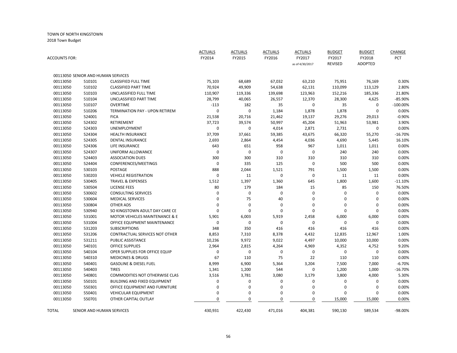| <b>ACCOUNTS FOR:</b> |                                    |                                           | <b>ACTUALS</b><br>FY2014 | <b>ACTUALS</b><br>FY2015 | <b>ACTUALS</b><br>FY2016 | <b>ACTUALS</b><br>FY2017<br>as of 4/30/2017 | <b>BUDGET</b><br>FY2017<br><b>REVISED</b> | <b>BUDGET</b><br>FY2018<br><b>ADOPTED</b> | <b>CHANGE</b><br>PCT |
|----------------------|------------------------------------|-------------------------------------------|--------------------------|--------------------------|--------------------------|---------------------------------------------|-------------------------------------------|-------------------------------------------|----------------------|
|                      |                                    |                                           |                          |                          |                          |                                             |                                           |                                           |                      |
|                      | 00113050 SENIOR AND HUMAN SERVICES |                                           |                          |                          |                          |                                             |                                           |                                           |                      |
| 00113050             | 510101                             | <b>CLASSIFIED FULL TIME</b>               | 75,103                   | 68,689                   | 67,032                   | 63,210                                      | 75,951                                    | 76,169                                    | 0.30%                |
| 00113050             | 510102                             | <b>CLASSIFIED PART TIME</b>               | 70,924                   | 49,909                   | 54,638                   | 62,131                                      | 110,099                                   | 113,129                                   | 2.80%                |
| 00113050             | 510103                             | UNCLASSIFIED FULL TIME                    | 110,907                  | 119,336                  | 139,698                  | 123,963                                     | 152,216                                   | 185,336                                   | 21.80%               |
| 00113050             | 510104                             | UNCLASSIFIED PART TIME                    | 28,799                   | 40,065                   | 26,557                   | 12,370                                      | 28,300                                    | 4,625                                     | $-85.90%$            |
| 00113050             | 510107                             | <b>OVERTIME</b>                           | $-113$                   | 182                      | 35                       | $\mathbf 0$                                 | 35                                        | $\mathbf 0$                               | $-100.00\%$          |
| 00113050             | 510206                             | <b>TERMINATION PAY - UPON RETIREM</b>     | 0                        | $\mathbf 0$              | 1,184                    | 1,878                                       | 1,878                                     | $\Omega$                                  | 0.00%                |
| 00113050             | 524001                             | <b>FICA</b>                               | 21,538                   | 20,716                   | 21,462                   | 19,137                                      | 29,276                                    | 29,013                                    | $-0.90%$             |
| 00113050             | 524302                             | RETIREMENT                                | 37,723                   | 39,574                   | 50,997                   | 45,204                                      | 51,963                                    | 53,981                                    | 3.90%                |
| 00113050             | 524303                             | <b>UNEMPLOYMENT</b>                       | 0                        | $\mathbf 0$              | 4,014                    | 2,871                                       | 2,731                                     | 0                                         | 0.00%                |
| 00113050             | 524304                             | <b>HEALTH INSURANCE</b>                   | 37,709                   | 37,661                   | 59,385                   | 43,675                                      | 66,320                                    | 55,270                                    | $-16.70%$            |
| 00113050             | 524305                             | <b>DENTAL INSURANCE</b>                   | 2,693                    | 2,864                    | 4,454                    | 4,036                                       | 4,690                                     | 5,445                                     | 16.10%               |
| 00113050             | 524306                             | LIFE INSURANCE                            | 643                      | 651                      | 958                      | 967                                         | 1,011                                     | 1,011                                     | 0.00%                |
| 00113050             | 524307                             | UNIFORM ALLOWANCE                         | 0                        | $\pmb{0}$                | $\pmb{0}$                | $\mathbf 0$                                 | 240                                       | 240                                       | 0.00%                |
| 00113050             | 524403                             | <b>ASSOCIATION DUES</b>                   | 300                      | 300                      | 310                      | 310                                         | 310                                       | 310                                       | 0.00%                |
| 00113050             | 524404                             | CONFERENCES/MEETINGS                      | 0                        | 335                      | 125                      | $\mathbf 0$                                 | 500                                       | 500                                       | 0.00%                |
| 00113050             | 530103                             | <b>POSTAGE</b>                            | 888                      | 2,044                    | 1,521                    | 791                                         | 1,500                                     | 1,500                                     | 0.00%                |
| 00113050             | 530203                             | <b>VEHICLE REGISTRATION</b>               | 0                        | 11                       | $\pmb{0}$                | $\mathbf 0$                                 | 11                                        | 11                                        | 0.00%                |
| 00113050             | 530405                             | <b>TRAVEL &amp; EXPENSES</b>              | 1,512                    | 1,397                    | 1,360                    | 645                                         | 1,800                                     | 1,600                                     | $-11.10%$            |
| 00113050             | 530504                             | <b>LICENSE FEES</b>                       | 80                       | 179                      | 184                      | 15                                          | 85                                        | 150                                       | 76.50%               |
| 00113050             | 530602                             | <b>CONSULTING SERVICES</b>                | 0                        | $\pmb{0}$                | $\mathbf 0$              | $\mathbf 0$                                 | 0                                         | 0                                         | 0.00%                |
| 00113050             | 530604                             | <b>MEDICAL SERVICES</b>                   | $\Omega$                 | 75                       | 40                       | $\mathbf 0$                                 | $\Omega$                                  | $\Omega$                                  | 0.00%                |
| 00113050             | 530804                             | <b>OTHER ADS</b>                          | 0                        | $\overline{0}$           | $\mathbf 0$              | 0                                           | $\Omega$                                  | $\Omega$                                  | 0.00%                |
| 00113050             | 530940                             | SO KINGSTOWN ADULT DAY CARE CE            | 0                        | $\overline{0}$           | $\mathbf 0$              | $\mathbf 0$                                 | $\mathbf 0$                               | 0                                         | 0.00%                |
| 00113050             | 531001                             | <b>MOTOR VEHICLES MAINTENANCE &amp; E</b> | 5,901                    | 6,003                    | 5,919                    | 2,458                                       | 6,000                                     | 6,000                                     | 0.00%                |
| 00113050             | 531004                             | OFFICE EQUIPMENT MAINTENANCE              | 0                        | $\mathbf 0$              | $\pmb{0}$                | 0                                           | 0                                         | 0                                         | 0.00%                |
| 00113050             | 531203                             | <b>SUBSCRIPTIONS</b>                      | 348                      | 350                      | 416                      | 416                                         | 416                                       | 416                                       | 0.00%                |
| 00113050             | 531206                             | CONTRACTUAL SERVICES NOT OTHER            | 8,853                    | 7,310                    | 8,378                    | 4,432                                       | 12,835                                    | 12,967                                    | 1.00%                |
| 00113050             | 531211                             | PUBLIC ASSISTANCE                         | 10,236                   | 9,972                    | 9,022                    | 4,497                                       | 10,000                                    | 10,000                                    | 0.00%                |
| 00113050             | 540101                             | <b>OFFICE SUPPLIES</b>                    | 2,964                    | 2,815                    | 4,264                    | 4,969                                       | 4,352                                     | 4,752                                     | 9.20%                |
| 00113050             | 540104                             | OPER SUPPLIES FOR OFFICE EQUIP            | 0                        | $\mathbf 0$              | 0                        | 0                                           | 0                                         | 0                                         | 0.00%                |
| 00113050             | 540310                             | <b>MEDICINES &amp; DRUGS</b>              | 67                       | 110                      | 75                       | 22                                          | 110                                       | 110                                       | 0.00%                |
| 00113050             | 540401                             | <b>GASOLINE &amp; DIESEL FUEL</b>         | 8,999                    | 6,900                    | 5,364                    | 3,204                                       | 7,500                                     | 7,000                                     | $-6.70%$             |
| 00113050             | 540403                             | <b>TIRES</b>                              | 1,341                    | 1,200                    | 544                      | 0                                           | 1,200                                     | 1,000                                     | $-16.70%$            |
| 00113050             | 540801                             | COMMODITIES NOT OTHERWISE CLAS            | 3,516                    | 3,781                    | 3,080                    | 3,179                                       | 3,800                                     | 4,000                                     | 5.30%                |
| 00113050             | 550101                             | <b>BUILDING AND FIXED EQUIPMENT</b>       | 0                        | 0                        | 0                        | 0                                           | 0                                         | 0                                         | 0.00%                |
| 00113050             | 550301                             | OFFICE EQUIPMENT AND FURNITURE            | 0                        | $\mathbf 0$              | $\boldsymbol{0}$         | $\mathbf 0$                                 | $\mathbf 0$                               | 0                                         | 0.00%                |
| 00113050             | 550401                             | <b>VEHICULAR EQUIPMENT</b>                | 0                        | $\mathbf 0$              | $\mathbf 0$              | 0                                           | $\Omega$                                  | $\Omega$                                  | 0.00%                |
| 00113050             | 550701                             | OTHER CAPITAL OUTLAY                      | 0                        | $\mathbf 0$              | $\mathbf 0$              | 0                                           | 15,000                                    | 15,000                                    | 0.00%                |
| TOTAL                | SENIOR AND HUMAN SERVICES          |                                           | 430,931                  | 422,430                  | 471,016                  | 404,381                                     | 590,130                                   | 589,534                                   | -98.00%              |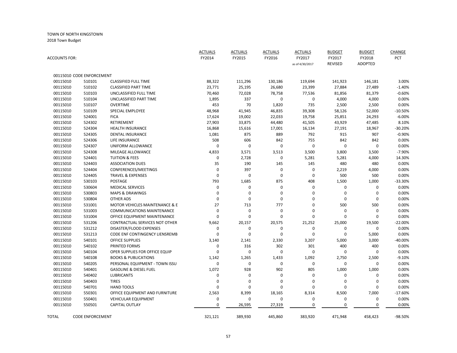| <b>ACCOUNTS FOR:</b> |                           |                                   | <b>ACTUALS</b><br>FY2014 | <b>ACTUALS</b><br>FY2015 | <b>ACTUALS</b><br>FY2016 | <b>ACTUALS</b><br>FY2017<br>as of 4/30/2017 | <b>BUDGET</b><br>FY2017<br><b>REVISED</b> | <b>BUDGET</b><br>FY2018<br><b>ADOPTED</b> | CHANGE<br>PCT |
|----------------------|---------------------------|-----------------------------------|--------------------------|--------------------------|--------------------------|---------------------------------------------|-------------------------------------------|-------------------------------------------|---------------|
|                      | 00115010 CODE ENFORCEMENT |                                   |                          |                          |                          |                                             |                                           |                                           |               |
| 00115010             | 510101                    | <b>CLASSIFIED FULL TIME</b>       | 88,322                   | 111,296                  | 130,186                  | 119,694                                     | 141,923                                   | 146,181                                   | 3.00%         |
| 00115010             | 510102                    | <b>CLASSIFIED PART TIME</b>       | 23,771                   | 25,195                   | 26,680                   | 23,399                                      | 27,884                                    | 27,489                                    | $-1.40%$      |
| 00115010             | 510103                    | UNCLASSIFIED FULL TIME            | 70,460                   | 72,028                   | 78,758                   | 77,536                                      | 81,856                                    | 81,379                                    | $-0.60%$      |
| 00115010             | 510104                    | UNCLASSIFIED PART TIME            | 1,895                    | 337                      | 0                        | $\mathbf 0$                                 | 4,000                                     | 4,000                                     | 0.00%         |
| 00115010             | 510107                    | <b>OVERTIME</b>                   | 453                      | 70                       | 1,820                    | 735                                         | 2,500                                     | 2,500                                     | 0.00%         |
| 00115010             | 510109                    | SPECIAL EMPLOYEE                  | 48,968                   | 41,945                   | 46,835                   | 39,308                                      | 58,126                                    | 52,000                                    | $-10.50%$     |
| 00115010             | 524001                    | <b>FICA</b>                       | 17,624                   | 19,002                   | 22,033                   | 19,758                                      | 25,851                                    | 24,293                                    | $-6.00%$      |
| 00115010             | 524302                    | RETIREMENT                        | 27,903                   | 33,875                   | 44,480                   | 41,505                                      | 43,929                                    | 47,485                                    | 8.10%         |
| 00115010             | 524304                    | <b>HEALTH INSURANCE</b>           | 16,868                   | 15,616                   | 17,001                   | 16,134                                      | 27,191                                    | 18,967                                    | $-30.20%$     |
| 00115010             | 524305                    | <b>DENTAL INSURANCE</b>           | 1,081                    | 875                      | 889                      | 792                                         | 915                                       | 907                                       | $-0.90%$      |
| 00115010             | 524306                    | LIFE INSURANCE                    | 508                      | 606                      | 842                      | 755                                         | 842                                       | 842                                       | 0.00%         |
| 00115010             | 524307                    | UNIFORM ALLOWANCE                 | 0                        | $\mathbf 0$              | $\mathbf 0$              | 0                                           | $\mathbf 0$                               | 0                                         | 0.00%         |
| 00115010             | 524308                    | MILEAGE ALLOWANCE                 | 4,833                    | 3,571                    | 3,513                    | 3,500                                       | 3,800                                     | 3,500                                     | $-7.90%$      |
| 00115010             | 524401                    | <b>TUITION &amp; FEES</b>         | 0                        | 2,728                    | $\bf{0}$                 | 5,281                                       | 5,281                                     | 4,000                                     | 14.30%        |
| 00115010             | 524403                    | <b>ASSOCIATION DUES</b>           | 35                       | 190                      | 145                      | 145                                         | 480                                       | 480                                       | 0.00%         |
| 00115010             | 524404                    | CONFERENCES/MEETINGS              | 0                        | 397                      | $\mathbf 0$              | 0                                           | 2,219                                     | 4,000                                     | 0.00%         |
| 00115010             | 524405                    | <b>TRAVEL &amp; EXPENSES</b>      | 0                        | $\mathbf 0$              | $\mathbf 0$              | $\mathbf 0$                                 | 500                                       | 500                                       | 0.00%         |
| 00115010             | 530103                    | <b>POSTAGE</b>                    | 793                      | 1,685                    | 875                      | 408                                         | 1,500                                     | 1,000                                     | -33.30%       |
| 00115010             | 530604                    | <b>MEDICAL SERVICES</b>           | 0                        | 0                        | $\mathbf 0$              | 0                                           | 0                                         | 0                                         | 0.00%         |
| 00115010             | 530803                    | <b>MAPS &amp; DRAWINGS</b>        | 0                        | $\Omega$                 | $\mathbf 0$              | $\mathbf 0$                                 | $\mathbf 0$                               | $\mathbf 0$                               | 0.00%         |
| 00115010             | 530804                    | <b>OTHER ADS</b>                  | 0                        | 0                        | 0                        | $\mathbf 0$                                 | 0                                         | 0                                         | 0.00%         |
| 00115010             | 531001                    | MOTOR VEHICLES MAINTENANCE & E    | 27                       | 713                      | 777                      | 0                                           | 500                                       | 500                                       | 0.00%         |
| 00115010             | 531003                    | <b>COMMUNICATIONS MAINTENANCE</b> | 0                        | 0                        | 0                        | 0                                           | $\pmb{0}$                                 | 0                                         | 0.00%         |
| 00115010             | 531004                    | OFFICE EQUIPMENT MAINTENANCE      | 0                        | $\Omega$                 | $\mathbf 0$              | $\mathbf 0$                                 | $\Omega$                                  | $\Omega$                                  | 0.00%         |
| 00115010             | 531206                    | CONTRACTUAL SERVICES NOT OTHER    | 9,662                    | 20,157                   | 20,575                   | 21,252                                      | 25,000                                    | 19,500                                    | $-22.00%$     |
| 00115010             | 531212                    | DISASTER/FLOOD EXPENSES           | 0                        | $\mathbf 0$              | $\mathbf 0$              | 0                                           | 0                                         | $\mathbf 0$                               | 0.00%         |
| 00115010             | 531213                    | CODE ENF CONTINGENCY LIENSREMB    | 0                        | $\mathbf 0$              | $\mathbf 0$              | $\mathbf 0$                                 | $\mathbf 0$                               | 5,000                                     | 0.00%         |
| 00115010             | 540101                    | <b>OFFICE SUPPLIES</b>            | 3,140                    | 2,141                    | 2,330                    | 3,207                                       | 5,000                                     | 3,000                                     | $-40.00%$     |
| 00115010             | 540102                    | PRINTED FORMS                     | 0                        | 316                      | 302                      | 301                                         | 400                                       | 400                                       | 0.00%         |
| 00115010             | 540104                    | OPER SUPPLIES FOR OFFICE EQUIP    | 0                        | $\mathbf 0$              | $\mathbf 0$              | $\mathbf 0$                                 | 0                                         | 0                                         | 0.00%         |
| 00115010             | 540108                    | <b>BOOKS &amp; PUBLICATIONS</b>   | 1,142                    | 1,265                    | 1,433                    | 1,092                                       | 2,750                                     | 2,500                                     | $-9.10%$      |
| 00115010             | 540205                    | PERSONAL EQUIPMENT - TOWN ISSU    | 0                        | $\mathbf 0$              | 0                        | $\mathbf 0$                                 | 0                                         | 0                                         | 0.00%         |
| 00115010             | 540401                    | <b>GASOLINE &amp; DIESEL FUEL</b> | 1,072                    | 928                      | 902                      | 805                                         | 1,000                                     | 1,000                                     | 0.00%         |
| 00115010             | 540402                    | <b>LUBRICANTS</b>                 | 0                        | 0                        | 0                        | 0                                           | 0                                         | $\mathbf 0$                               | 0.00%         |
| 00115010             | 540403                    | <b>TIRES</b>                      | 0                        | $\Omega$                 | $\mathbf 0$              | 0                                           | 0                                         | 0                                         | 0.00%         |
| 00115010             | 540701                    | <b>HAND TOOLS</b>                 | $\Omega$                 | 0                        | $\mathbf 0$              | $\mathbf 0$                                 | $\mathbf 0$                               | $\pmb{0}$                                 | 0.00%         |
| 00115010             | 550301                    | OFFICE EQUIPMENT AND FURNITURE    | 2,563                    | 8,399                    | 18,165                   | 8,314                                       | 8,500                                     | 7,000                                     | $-17.60%$     |
| 00115010             | 550401                    | <b>VEHICULAR EQUIPMENT</b>        | 0                        | $\Omega$                 | $\mathbf 0$              | $\mathbf 0$                                 | 0                                         | 0                                         | 0.00%         |
| 00115010             | 550501                    | <b>CAPITAL OUTLAY</b>             | 0                        | 26,595                   | 27,319                   | $\mathbf 0$                                 | $\mathbf 0$                               | 0                                         | 0.00%         |
|                      |                           |                                   |                          |                          |                          |                                             |                                           |                                           |               |
| TOTAL                | <b>CODE ENFORCEMENT</b>   |                                   | 321,121                  | 389,930                  | 445,860                  | 383.920                                     | 471.948                                   | 458,423                                   | -98.50%       |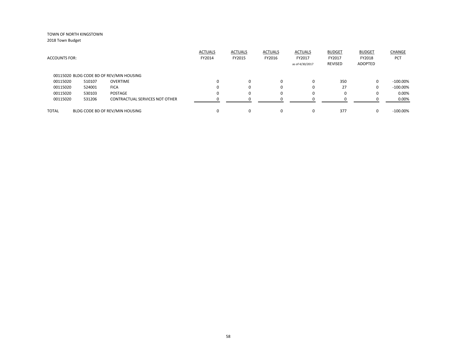| <b>ACCOUNTS FOR:</b> |        |                                          | <b>ACTUALS</b><br>FY2014 | <b>ACTUALS</b><br>FY2015 | <b>ACTUALS</b><br>FY2016 | <b>ACTUALS</b><br>FY2017<br>as of 4/30/2017 | <b>BUDGET</b><br>FY2017<br>REVISED | <b>BUDGET</b><br>FY2018<br>ADOPTED | CHANGE<br>PCT |
|----------------------|--------|------------------------------------------|--------------------------|--------------------------|--------------------------|---------------------------------------------|------------------------------------|------------------------------------|---------------|
|                      |        | 00115020 BLDG CODE BD OF REV/MIN HOUSING |                          |                          |                          |                                             |                                    |                                    |               |
| 00115020             | 510107 | <b>OVERTIME</b>                          | $\Omega$                 | 0                        | 0                        | $\Omega$                                    | 350                                | 0                                  | $-100.00\%$   |
| 00115020             | 524001 | <b>FICA</b>                              |                          | 0                        | 0                        | $\Omega$                                    | 27                                 | 0                                  | $-100.00\%$   |
| 00115020             | 530103 | POSTAGE                                  | $\Omega$                 | $\Omega$                 | 0                        | 0                                           | 0                                  |                                    | 0.00%         |
| 00115020             | 531206 | CONTRACTUAL SERVICES NOT OTHER           | ŋ                        |                          | $\Omega$                 |                                             |                                    |                                    | 0.00%         |
| <b>TOTAL</b>         |        | BLDG CODE BD OF REV/MIN HOUSING          |                          | $\Omega$                 | 0                        | $\Omega$                                    | 377                                |                                    | $-100.00\%$   |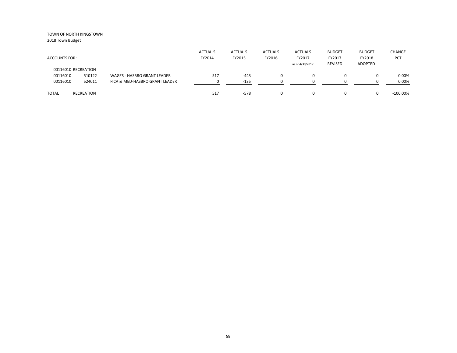| <b>ACCOUNTS FOR:</b> |            |                                | <b>ACTUALS</b><br>FY2014 | <b>ACTUALS</b><br>FY2015 | <b>ACTUALS</b><br>FY2016 | <b>ACTUALS</b><br>FY2017<br>as of 4/30/2017 | <b>BUDGET</b><br>FY2017<br><b>REVISED</b> | <b>BUDGET</b><br>FY2018<br>ADOPTED | CHANGE<br>PCT |
|----------------------|------------|--------------------------------|--------------------------|--------------------------|--------------------------|---------------------------------------------|-------------------------------------------|------------------------------------|---------------|
| 00116010 RECREATION  |            |                                |                          |                          |                          |                                             |                                           |                                    |               |
| 00116010             | 510122     | WAGES - HASBRO GRANT LEADER    | 517                      | $-443$                   | 0                        |                                             | 0                                         |                                    | 0.00%         |
| 00116010             | 524011     | FICA & MED-HASBRO GRANT LEADER |                          | $-135$                   |                          |                                             |                                           |                                    | 0.00%         |
| <b>TOTAL</b>         | RECREATION |                                | 517                      | $-578$                   | 0                        |                                             | 0                                         |                                    | $-100.00\%$   |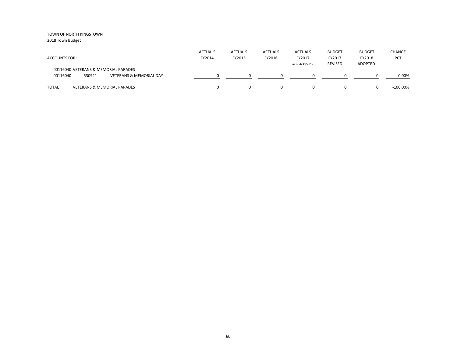| <b>ACCOUNTS FOR:</b>                                                                             | <b>ACTUALS</b><br>FY2014 | <b>ACTUALS</b><br>FY2015 | <b>ACTUALS</b><br>FY2016 | <b>ACTUALS</b><br>FY2017<br>as of 4/30/2017 | <b>BUDGET</b><br>FY2017<br><b>REVISED</b> | <b>BUDGET</b><br>FY2018<br>ADOPTED | <b>CHANGE</b><br><b>PCT</b> |
|--------------------------------------------------------------------------------------------------|--------------------------|--------------------------|--------------------------|---------------------------------------------|-------------------------------------------|------------------------------------|-----------------------------|
| 00116040 VETERANS & MEMORIAL PARADES<br><b>VETERANS &amp; MEMORIAL DAY</b><br>00116040<br>530921 |                          |                          |                          |                                             |                                           |                                    | 0.00%                       |
| <b>TOTAL</b><br><b>VETERANS &amp; MEMORIAL PARADES</b>                                           |                          |                          | 0                        |                                             | $\Omega$                                  |                                    | $-100.00\%$                 |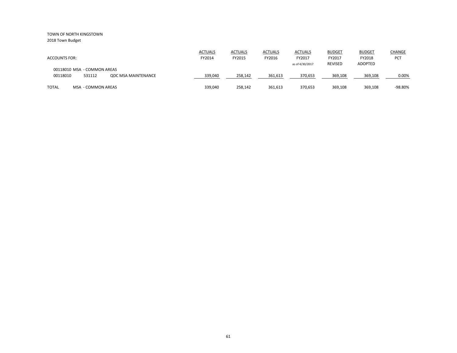| <b>ACCOUNTS FOR:</b>                                                            | <b>ACTUALS</b><br>FY2014 | <b>ACTUALS</b><br>FY2015 | <b>ACTUALS</b><br>FY2016 | <b>ACTUALS</b><br>FY2017<br>as of 4/30/2017 | <b>BUDGET</b><br>FY2017<br><b>REVISED</b> | <b>BUDGET</b><br>FY2018<br><b>ADOPTED</b> | <b>CHANGE</b><br>PCT |
|---------------------------------------------------------------------------------|--------------------------|--------------------------|--------------------------|---------------------------------------------|-------------------------------------------|-------------------------------------------|----------------------|
| 00118010 MSA - COMMON AREAS<br>00118010<br>531112<br><b>QDC MSA MAINTENANCE</b> | 339,040                  | 258,142                  | 361,613                  | 370,653                                     | 369,108                                   | 369,108                                   | 0.00%                |
| TOTAL<br>MSA - COMMON AREAS                                                     | 339,040                  | 258,142                  | 361,613                  | 370,653                                     | 369,108                                   | 369,108                                   | -98.80%              |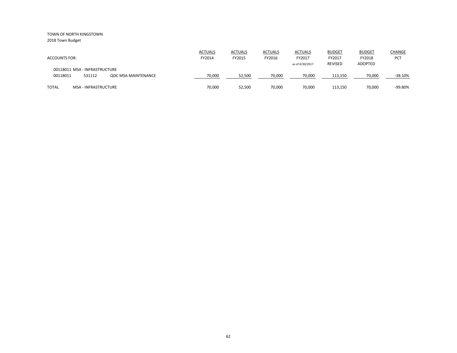| <b>ACCOUNTS FOR:</b>                                                              | <b>ACTUALS</b><br>FY2014 | <b>ACTUALS</b><br>FY2015 | <b>ACTUALS</b><br>FY2016 | <b>ACTUALS</b><br>FY2017<br>as of 4/30/2017 | <b>BUDGET</b><br>FY2017<br><b>REVISED</b> | <b>BUDGET</b><br>FY2018<br>ADOPTED | <b>CHANGE</b><br><b>PCT</b> |
|-----------------------------------------------------------------------------------|--------------------------|--------------------------|--------------------------|---------------------------------------------|-------------------------------------------|------------------------------------|-----------------------------|
| 00118011 MSA - INFRASTRUCTURE<br>00118011<br>531112<br><b>QDC MSA MAINTENANCE</b> | 70,000                   | 52,500                   | 70,000                   | 70,000                                      | 113,150                                   | 70,000                             | $-38.10%$                   |
| <b>TOTAL</b><br><b>MSA - INFRASTRUCTURE</b>                                       | 70,000                   | 52,500                   | 70,000                   | 70,000                                      | 113,150                                   | 70,000                             | -99.80%                     |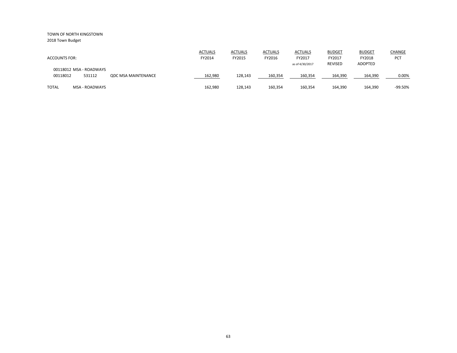| <b>ACCOUNTS FOR:</b>                          | <b>ACTUALS</b><br>FY2014              | <b>ACTUALS</b><br>FY2015 | <b>ACTUALS</b><br>FY2016 | <b>ACTUALS</b><br>FY2017<br>as of 4/30/2017 | <b>BUDGET</b><br>FY2017<br><b>REVISED</b> | <b>BUDGET</b><br>FY2018<br><b>ADOPTED</b> | CHANGE<br><b>PCT</b> |
|-----------------------------------------------|---------------------------------------|--------------------------|--------------------------|---------------------------------------------|-------------------------------------------|-------------------------------------------|----------------------|
| 00118012 MSA - ROADWAYS<br>00118012<br>531112 | 162,980<br><b>QDC MSA MAINTENANCE</b> | 128,143                  | 160,354                  | 160,354                                     | 164,390                                   | 164,390                                   | 0.00%                |
| <b>TOTAL</b><br><b>MSA - ROADWAYS</b>         | 162.980                               | 128,143                  | 160,354                  | 160,354                                     | 164,390                                   | 164,390                                   | -99.50%              |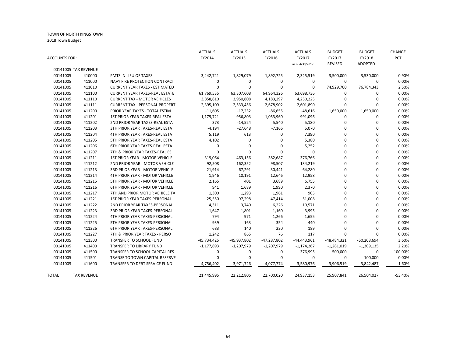| <b>ACCOUNTS FOR:</b> |                      |                                       | <b>ACTUALS</b><br>FY2014 | <b>ACTUALS</b><br>FY2015 | <b>ACTUALS</b><br>FY2016 | <b>ACTUALS</b><br>FY2017 | <b>BUDGET</b><br>FY2017 | <b>BUDGET</b><br>FY2018 | <b>CHANGE</b><br>PCT |
|----------------------|----------------------|---------------------------------------|--------------------------|--------------------------|--------------------------|--------------------------|-------------------------|-------------------------|----------------------|
|                      |                      |                                       |                          |                          |                          | as of 4/30/2017          | <b>REVISED</b>          | ADOPTED                 |                      |
|                      | 00141005 TAX REVENUE |                                       |                          |                          |                          |                          |                         |                         |                      |
| 00141005             | 410000               | PMTS IN LIEU OF TAXES                 | 3,442,741                | 1,829,079                | 1,892,725                | 2,325,519                | 3,500,000               | 3,530,000               | 0.90%                |
| 00141005             | 411000               | NAVY FIRE PROTECTION CONTRACT         | 0                        | 0                        | $\mathbf 0$              | $\mathbf 0$              | 0                       | 0                       | 0.00%                |
| 00141005             | 411010               | <b>CURRENT YEAR TAXES - ESTIMATED</b> | 0                        | $\mathbf 0$              | 0                        | $\mathbf 0$              | 74,929,700              | 76,784,343              | 2.50%                |
| 00141005             | 411100               | <b>CURRENT YEAR TAXES-REAL ESTATE</b> | 61,769,535               | 63,307,608               | 64,964,326               | 63,698,736               | 0                       | 0                       | 0.00%                |
| 00141005             | 411110               | <b>CURRENT TAX - MOTOR VEHICLES</b>   | 3,858,810                | 3,950,808                | 4,183,297                | 4,250,225                | 0                       | 0                       | 0.00%                |
| 00141005             | 411111               | <b>CURRENT TAX - PERSONAL PROPERT</b> | 2,395,109                | 2,533,456                | 2,678,902                | 2,601,890                | 0                       | 0                       | 0.00%                |
| 00141005             | 411200               | PRIOR YEAR TAXES - TOTAL ESTIM        | $-11,605$                | $-17,232$                | $-86,655$                | $-48,616$                | 1,650,000               | 1,650,000               | 0.00%                |
| 00141005             | 411201               | 1ST PRIOR YEAR TAXES-REAL ESTA        | 1,179,721                | 956,803                  | 1,053,960                | 991,096                  | 0                       | $\mathbf 0$             | 0.00%                |
| 00141005             | 411202               | 2ND PRIOR YEAR TAXES-REAL ESTA        | 373                      | $-14,524$                | 5,540                    | 5,180                    | 0                       | 0                       | 0.00%                |
| 00141005             | 411203               | 3TH PRIOR YEAR TAXES-REAL ESTA        | $-4,194$                 | $-27,648$                | $-7,166$                 | 5,070                    | 0                       | 0                       | 0.00%                |
| 00141005             | 411204               | 4TH PRIOR YEAR TAXES-REAL ESTA        | 5,119                    | 613                      | 0                        | 7,390                    | 0                       | 0                       | 0.00%                |
| 00141005             | 411205               | 5TH PRIOR YEAR TAXES-REAL ESTA        | 4,102                    | 0                        | $\mathbf 0$              | 5,380                    | 0                       | 0                       | 0.00%                |
| 00141005             | 411206               | 6TH PRIOR YEAR TAXES-REAL ESTA        | 0                        | 0                        | 0                        | 5,252                    | 0                       | 0                       | 0.00%                |
| 00141005             | 411207               | 7TH & PRIOR YEAR TAXES-REAL ES        | $\Omega$                 | $\Omega$                 | $\mathbf 0$              | $\Omega$                 | $\Omega$                | 0                       | 0.00%                |
| 00141005             | 411211               | 1ST PRIOR YEAR - MOTOR VEHICLE        | 319,064                  | 463,156                  | 382,687                  | 376,766                  | 0                       | 0                       | 0.00%                |
| 00141005             | 411212               | 2ND PRIOR YEAR - MOTOR VEHICLE        | 92,508                   | 162,352                  | 98,507                   | 134,219                  | $\Omega$                | 0                       | 0.00%                |
| 00141005             | 411213               | 3RD PRIOR YEAR - MOTOR VEHICLE        | 21,914                   | 67,291                   | 30,441                   | 64,280                   | 0                       | 0                       | 0.00%                |
| 00141005             | 411214               | 4TH PRIOR YEAR - MOTOR VEHICLE        | 1,946                    | 10,191                   | 12,646                   | 12,958                   | 0                       | 0                       | 0.00%                |
| 00141005             | 411215               | 5TH PRIOR YEAR - MOTOR VEHICLE        | 2,165                    | 401                      | 3,689                    | 6,755                    | 0                       | 0                       | 0.00%                |
| 00141005             | 411216               | <b>6TH PRIOR YEAR - MOTOR VEHICLE</b> | 941                      | 1,689                    | 1,990                    | 2,370                    | 0                       | 0                       | 0.00%                |
| 00141005             | 411217               | 7TH AND PRIOR MOTOR VEHICLE TA        | 1,300                    | 1,293                    | 1,961                    | 905                      | 0                       | 0                       | 0.00%                |
| 00141005             | 411221               | 1ST PRIOR YEAR TAXES-PERSONAL         | 25,550                   | 97,298                   | 47,414                   | 51,008                   | 0                       | 0                       | 0.00%                |
| 00141005             | 411222               | 2ND PRIOR YEAR TAXES-PERSONAL         | 4,311                    | 3,740                    | 6,226                    | 10,571                   | 0                       | 0                       | 0.00%                |
| 00141005             | 411223               | 3RD PRIOR YEAR TAXES-PERSONAL         | 1,647                    | 1,801                    | 1,160                    | 3,995                    | 0                       | 0                       | 0.00%                |
| 00141005             | 411224               | 4TH PRIOR YEAR TAXES-PERSONAL         | 794                      | 971                      | 1,266                    | 1,655                    | 0                       | 0                       | 0.00%                |
| 00141005             | 411225               | 5TH PRIOR YEAR TAXES-PERSONAL         | 939                      | 163                      | 354                      | 440                      | $\Omega$                | $\mathbf 0$             | 0.00%                |
| 00141005             | 411226               | 6TH PRIOR YEAR TAXES-PERSONAL         | 683                      | 140                      | 230                      | 189                      | 0                       | 0                       | 0.00%                |
| 00141005             | 411227               | 7TH & PRIOR YEAR TAXES - PERSO        | 1,242                    | 865                      | 76                       | 117                      | $\mathbf 0$             | $\Omega$                | 0.00%                |
| 00141005             | 411300               | TRANSFER TO SCHOOL FUND               | $-45,734,425$            | $-45,937,802$            | $-47,287,802$            | $-44,443,961$            | $-48,484,321$           | $-50,208,694$           | 3.60%                |
| 00141005             | 411400               | TRANSFER TO LIBRARY FUND              | $-1,177,893$             | $-1,207,979$             | $-1,207,979$             | $-1,174,267$             | $-1,281,019$            | -1,309,135              | 2.20%                |
| 00141005             | 411500               | TRANSFER TO SCHOOL CAPITAL RES        | 0                        | 0                        | 0                        | $-376,995$               | $-500,000$              | 0                       | $-100.00\%$          |
| 00141005             | 411501               | TRANSF TO TOWN CAPITAL RESERVE        | 0                        | 0                        | 0                        | $\mathbf 0$              | 0                       | $-100,000$              | 0.00%                |
| 00141005             | 411600               | TRANSFER TO DEBT SERVICE FUND         | $-4,756,402$             | $-3,971,726$             | $-4,077,774$             | $-3,580,976$             | $-3,906,519$            | $-3,842,487$            | $-1.60%$             |
|                      |                      |                                       |                          |                          |                          |                          |                         |                         |                      |
| <b>TOTAL</b>         | <b>TAX REVENUE</b>   |                                       | 21,445,995               | 22,212,806               | 22,700,020               | 24,937,153               | 25,907,841              | 26,504,027              | $-53.40%$            |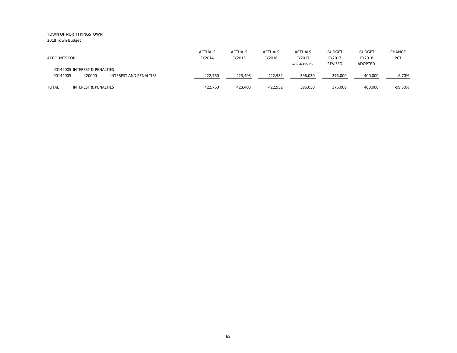| <b>ACCOUNTS FOR:</b>                                                          | <b>ACTUALS</b><br>FY2014 | <b>ACTUALS</b><br>FY2015 | <b>ACTUALS</b><br>FY2016 | <b>ACTUALS</b><br>FY2017<br>as of 4/30/2017 | <b>BUDGET</b><br>FY2017<br>REVISED | <b>BUDGET</b><br>FY2018<br><b>ADOPTED</b> | <b>CHANGE</b><br>PCT |
|-------------------------------------------------------------------------------|--------------------------|--------------------------|--------------------------|---------------------------------------------|------------------------------------|-------------------------------------------|----------------------|
| 00142005 INTEREST & PENALTIES<br>420000<br>00142005<br>INTEREST AND PENALTIES | 422,760                  | 423,403                  | 422,932                  | 396,030                                     | 375,000                            | 400,000                                   | 6.70%                |
| <b>TOTAL</b><br>INTEREST & PENALTIES                                          | 422.760                  | 423.403                  | 422,932                  | 396,030                                     | 375,000                            | 400,000                                   | $-99.30%$            |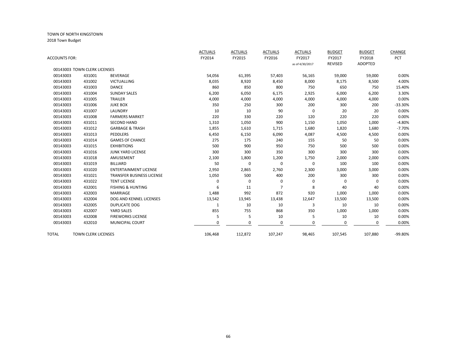| ACCOUNTS FOR: |                              |                                  | <b>ACTUALS</b><br>FY2014 | <b>ACTUALS</b><br>FY2015 | <b>ACTUALS</b><br>FY2016 | <b>ACTUALS</b><br>FY2017<br>as of 4/30/2017 | <b>BUDGET</b><br>FY2017<br><b>REVISED</b> | <b>BUDGET</b><br>FY2018<br><b>ADOPTED</b> | CHANGE<br>PCT |
|---------------|------------------------------|----------------------------------|--------------------------|--------------------------|--------------------------|---------------------------------------------|-------------------------------------------|-------------------------------------------|---------------|
|               | 00143003 TOWN CLERK LICENSES |                                  |                          |                          |                          |                                             |                                           |                                           |               |
| 00143003      | 431001                       | <b>BEVERAGE</b>                  | 54,056                   | 61,395                   | 57,403                   | 56,165                                      | 59,000                                    | 59,000                                    | 0.00%         |
| 00143003      | 431002                       | <b>VICTUALLING</b>               | 8,035                    | 8,920                    | 8,450                    | 8,000                                       | 8,175                                     | 8,500                                     | 4.00%         |
| 00143003      | 431003                       | DANCE                            | 860                      | 850                      | 800                      | 750                                         | 650                                       | 750                                       | 15.40%        |
| 00143003      | 431004                       | <b>SUNDAY SALES</b>              | 6,200                    | 6,050                    | 6,175                    | 2,925                                       | 6,000                                     | 6,200                                     | 3.30%         |
| 00143003      | 431005                       | TRAILER                          | 4,000                    | 4,000                    | 4,000                    | 4,000                                       | 4,000                                     | 4,000                                     | 0.00%         |
| 00143003      | 431006                       | <b>JUKE BOX</b>                  | 350                      | 250                      | 300                      | 200                                         | 300                                       | 200                                       | $-33.30%$     |
| 00143003      | 431007                       | LAUNDRY                          | 10                       | 10                       | 90                       | $\mathbf 0$                                 | 20                                        | 20                                        | 0.00%         |
| 00143003      | 431008                       | <b>FARMERS MARKET</b>            | 220                      | 330                      | 220                      | 120                                         | 220                                       | 220                                       | 0.00%         |
| 00143003      | 431011                       | <b>SECOND HAND</b>               | 1,310                    | 1,050                    | 900                      | 1,150                                       | 1,050                                     | 1,000                                     | $-4.80%$      |
| 00143003      | 431012                       | <b>GARBAGE &amp; TRASH</b>       | 1,855                    | 1,610                    | 1,715                    | 1,680                                       | 1,820                                     | 1,680                                     | $-7.70%$      |
| 00143003      | 431013                       | <b>PEDDLERS</b>                  | 6,450                    | 6,150                    | 6,090                    | 4,087                                       | 4,500                                     | 4,500                                     | 0.00%         |
| 00143003      | 431014                       | <b>GAMES OF CHANCE</b>           | 275                      | 175                      | 240                      | 155                                         | 50                                        | 50                                        | 0.00%         |
| 00143003      | 431015                       | <b>EXHIBITIONS</b>               | 500                      | 900                      | 950                      | 750                                         | 500                                       | 500                                       | 0.00%         |
| 00143003      | 431016                       | JUNK YARD LICENSE                | 300                      | 300                      | 350                      | 300                                         | 300                                       | 300                                       | 0.00%         |
| 00143003      | 431018                       | AMUSEMENT                        | 2,100                    | 1,800                    | 1,200                    | 1,750                                       | 2,000                                     | 2,000                                     | 0.00%         |
| 00143003      | 431019                       | BILLIARD                         | 50                       | 0                        | 0                        | $\mathbf 0$                                 | 100                                       | 100                                       | 0.00%         |
| 00143003      | 431020                       | <b>ENTERTAINMENT LICENSE</b>     | 2,950                    | 2,865                    | 2,760                    | 2,300                                       | 3,000                                     | 3,000                                     | 0.00%         |
| 00143003      | 431021                       | <b>TRANSFER BUSINESS LICENSE</b> | 1,050                    | 500                      | 400                      | 200                                         | 300                                       | 300                                       | 0.00%         |
| 00143003      | 431022                       | <b>TENT LICENSE</b>              | $\Omega$                 | $\Omega$                 | 0                        | $\mathbf 0$                                 | $\Omega$                                  | $\Omega$                                  | 0.00%         |
| 00143003      | 432001                       | <b>FISHING &amp; HUNTING</b>     | 6                        | 11                       | 7                        | 8                                           | 40                                        | 40                                        | 0.00%         |
| 00143003      | 432003                       | <b>MARRIAGE</b>                  | 1,488                    | 992                      | 872                      | 920                                         | 1,000                                     | 1,000                                     | 0.00%         |
| 00143003      | 432004                       | DOG AND KENNEL LICENSES          | 13,542                   | 13,945                   | 13,438                   | 12,647                                      | 13,500                                    | 13,500                                    | 0.00%         |
| 00143003      | 432005                       | <b>DUPLICATE DOG</b>             | 1                        | 10                       | 10                       | 3                                           | 10                                        | 10                                        | 0.00%         |
| 00143003      | 432007                       | YARD SALES                       | 855                      | 755                      | 868                      | 350                                         | 1,000                                     | 1,000                                     | 0.00%         |
| 00143003      | 432008                       | <b>FIREWORKS LICENSE</b>         | 5                        | 5                        | 10                       | 5                                           | 10                                        | 10                                        | 0.00%         |
| 00143003      | 432010                       | MUNICIPAL COURT                  | 0                        | $\Omega$                 | 0                        | $\Omega$                                    | $\Omega$                                  | 0                                         | 0.00%         |
| <b>TOTAL</b>  | <b>TOWN CLERK LICENSES</b>   |                                  | 106,468                  | 112,872                  | 107,247                  | 98,465                                      | 107,545                                   | 107,880                                   | -99.80%       |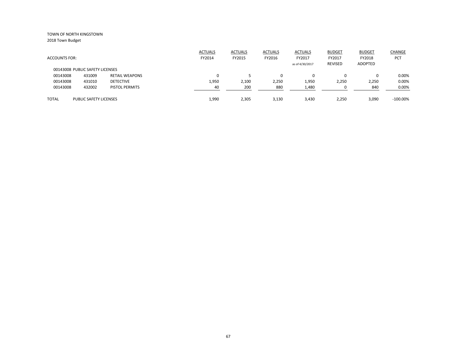|                      |                                 |                       | <b>ACTUALS</b> | <b>ACTUALS</b> | <b>ACTUALS</b> | <b>ACTUALS</b>  | <b>BUDGET</b>  | <b>BUDGET</b>  | <b>CHANGE</b> |
|----------------------|---------------------------------|-----------------------|----------------|----------------|----------------|-----------------|----------------|----------------|---------------|
| <b>ACCOUNTS FOR:</b> |                                 |                       | FY2014         | FY2015         | FY2016         | FY2017          | FY2017         | FY2018         | <b>PCT</b>    |
|                      |                                 |                       |                |                |                | as of 4/30/2017 | <b>REVISED</b> | <b>ADOPTED</b> |               |
|                      | 00143008 PUBLIC SAFETY LICENSES |                       |                |                |                |                 |                |                |               |
| 00143008             | 431009                          | <b>RETAIL WEAPONS</b> | 0              |                | 0              |                 |                | $\Omega$       | 0.00%         |
| 00143008             | 431010                          | <b>DETECTIVE</b>      | 1,950          | 2,100          | 2,250          | 1,950           | 2,250          | 2,250          | 0.00%         |
| 00143008             | 432002                          | PISTOL PERMITS        | 40             | 200            | 880            | 1,480           |                | 840            | 0.00%         |
|                      |                                 |                       |                |                |                |                 |                |                |               |
| <b>TOTAL</b>         | <b>PUBLIC SAFETY LICENSES</b>   |                       | 1,990          | 2,305          | 3,130          | 3,430           | 2,250          | 3,090          | $-100.00\%$   |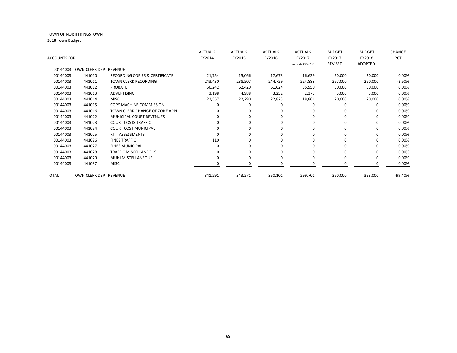|               |                                  |                                 | <b>ACTUALS</b> | <b>ACTUALS</b> | <b>ACTUALS</b> | <b>ACTUALS</b>  | <b>BUDGET</b> | <b>BUDGET</b> | <b>CHANGE</b> |
|---------------|----------------------------------|---------------------------------|----------------|----------------|----------------|-----------------|---------------|---------------|---------------|
| ACCOUNTS FOR: |                                  |                                 | FY2014         | FY2015         | FY2016         | FY2017          | FY2017        | FY2018        | <b>PCT</b>    |
|               |                                  |                                 |                |                |                | as of 4/30/2017 | REVISED       | ADOPTED       |               |
|               | 00144003 TOWN CLERK DEPT REVENUE |                                 |                |                |                |                 |               |               |               |
| 00144003      | 441010                           | RECORDING COPIES & CERTIFICATE  | 21,754         | 15,066         | 17,673         | 16,629          | 20,000        | 20,000        | 0.00%         |
| 00144003      | 441011                           | <b>TOWN CLERK RECORDING</b>     | 243,430        | 238,507        | 244,729        | 224,888         | 267,000       | 260,000       | $-2.60%$      |
| 00144003      | 441012                           | <b>PROBATE</b>                  | 50,242         | 62,420         | 61,624         | 36,950          | 50,000        | 50,000        | 0.00%         |
| 00144003      | 441013                           | ADVERTISING                     | 3,198          | 4,988          | 3,252          | 2,373           | 3,000         | 3,000         | 0.00%         |
| 00144003      | 441014                           | MISC.                           | 22,557         | 22,290         | 22,823         | 18,861          | 20,000        | 20,000        | 0.00%         |
| 00144003      | 441015                           | <b>COPY MACHINE COMMISSION</b>  |                | ŋ              |                |                 | 0             | O             | 0.00%         |
| 00144003      | 441016                           | TOWN CLERK-CHANGE OF ZONE APPL  |                | 0              |                |                 |               |               | 0.00%         |
| 00144003      | 441022                           | <b>MUNICIPAL COURT REVENUES</b> |                | U              | O              |                 | 0             | $\Omega$      | 0.00%         |
| 00144003      | 441023                           | <b>COURT COSTS TRAFFIC</b>      |                | U              | 0              |                 | 0             | 0             | 0.00%         |
| 00144003      | 441024                           | <b>COURT COST MUNICIPAL</b>     |                | U              | O              |                 | O             | 0             | 0.00%         |
| 00144003      | 441025                           | <b>RITT ASSESSMENTS</b>         |                | n              | O              |                 | 0             | $\Omega$      | 0.00%         |
| 00144003      | 441026                           | <b>FINES TRAFFIC</b>            | 110            | 0              |                |                 |               | 0             | 0.00%         |
| 00144003      | 441027                           | <b>FINES MUNICIPAL</b>          |                | U              | 0              |                 |               | 0             | 0.00%         |
| 00144003      | 441028                           | <b>TRAFFIC MISCELLANEOUS</b>    |                | o              |                |                 |               | ŋ             | 0.00%         |
| 00144003      | 441029                           | <b>MUNI MISCELLANEOUS</b>       |                | 0              | 0              |                 |               | 0             | 0.00%         |
| 00144003      | 441037                           | MISC.                           |                | 0              |                |                 |               | 0             | 0.00%         |
| TOTAL         | TOWN CLERK DEPT REVENUE          |                                 | 341,291        | 343,271        | 350,101        | 299,701         | 360,000       | 353,000       | -99.40%       |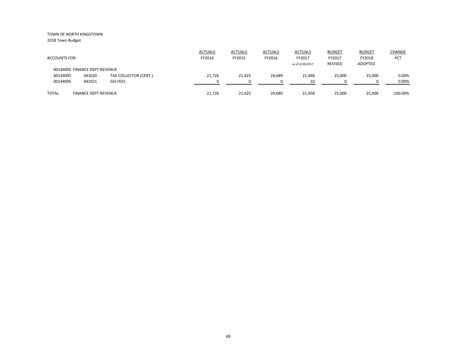| <b>ACCOUNTS FOR:</b>          |                             |                       | <b>ACTUALS</b><br>FY2014 | <b>ACTUALS</b><br>FY2015 | <b>ACTUALS</b><br>FY2016 | <b>ACTUALS</b><br>FY2017<br>as of 4/30/2017 | <b>BUDGET</b><br>FY2017<br>REVISED | <b>BUDGET</b><br>FY2018<br>ADOPTED | <b>CHANGE</b><br>PCT |
|-------------------------------|-----------------------------|-----------------------|--------------------------|--------------------------|--------------------------|---------------------------------------------|------------------------------------|------------------------------------|----------------------|
| 00144005 FINANCE DEPT REVENUE |                             |                       |                          |                          |                          |                                             |                                    |                                    |                      |
| 00144005                      | 441020                      | TAX COLLECTOR (CERT.) | 21,726                   | 21,425                   | 24,689                   | 21,448                                      | 25,000                             | 25,000                             | 0.00%                |
| 00144005                      | 441021                      | <b>GIS FEES</b>       |                          |                          |                          | 10                                          |                                    |                                    | 0.00%                |
| <b>TOTAL</b>                  | <b>FINANCE DEPT REVENUE</b> |                       | 21.726                   | 21,425                   | 24,689                   | 21,458                                      | 25,000                             | 25,000                             | $-100.00\%$          |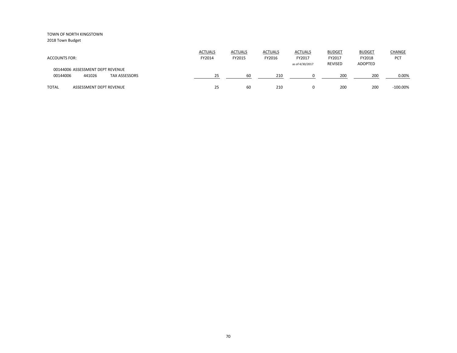| <b>ACCOUNTS FOR:</b>                                                           | <b>ACTUALS</b><br>FY2014 | <b>ACTUALS</b><br>FY2015 | <b>ACTUALS</b><br>FY2016 | <b>ACTUALS</b><br>FY2017<br>as of 4/30/2017 | <b>BUDGET</b><br>FY2017<br><b>REVISED</b> | <b>BUDGET</b><br>FY2018<br><b>ADOPTED</b> | CHANGE<br><b>PCT</b> |
|--------------------------------------------------------------------------------|--------------------------|--------------------------|--------------------------|---------------------------------------------|-------------------------------------------|-------------------------------------------|----------------------|
| 00144006 ASSESSMENT DEPT REVENUE<br>00144006<br>441026<br><b>TAX ASSESSORS</b> | 25                       | -60                      | 210                      |                                             | 200                                       | 200                                       | 0.00%                |
| <b>TOTAL</b><br>ASSESSMENT DEPT REVENUE                                        | 25                       | 60                       | 210                      | 0                                           | 200                                       | 200                                       | $-100.00\%$          |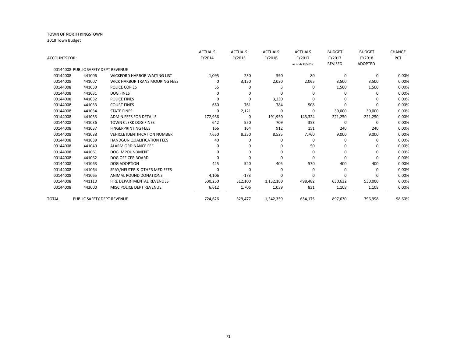|               |                                     |                                       | <b>ACTUALS</b> | <b>ACTUALS</b> | <b>ACTUALS</b> | <b>ACTUALS</b>  | <b>BUDGET</b>  | <b>BUDGET</b>  | CHANGE  |
|---------------|-------------------------------------|---------------------------------------|----------------|----------------|----------------|-----------------|----------------|----------------|---------|
| ACCOUNTS FOR: |                                     |                                       | FY2014         | FY2015         | FY2016         | FY2017          | FY2017         | FY2018         | PCT     |
|               |                                     |                                       |                |                |                | as of 4/30/2017 | <b>REVISED</b> | <b>ADOPTED</b> |         |
|               | 00144008 PUBLIC SAFETY DEPT REVENUE |                                       |                |                |                |                 |                |                |         |
| 00144008      | 441006                              | <b>WICKFORD HARBOR WAITING LIST</b>   | 1,095          | 230            | 590            | 80              | 0              | $\Omega$       | 0.00%   |
| 00144008      | 441007                              | <b>WICK HARBOR TRANS MOORING FEES</b> | $\Omega$       | 3,150          | 2,030          | 2,065           | 3,500          | 3,500          | 0.00%   |
| 00144008      | 441030                              | POLICE COPIES                         | 55             | O              | 5              | <sup>0</sup>    | 1,500          | 1,500          | 0.00%   |
| 00144008      | 441031                              | <b>DOG FINES</b>                      | $\Omega$       | 0              | $\Omega$       |                 | $\Omega$       | <sup>n</sup>   | 0.00%   |
| 00144008      | 441032                              | <b>POLICE FINES</b>                   | ŋ              | 0              | 3,230          | ∩               | $\Omega$       | 0              | 0.00%   |
| 00144008      | 441033                              | <b>COURT FINES</b>                    | 650            | 761            | 784            | 508             | $\Omega$       |                | 0.00%   |
| 00144008      | 441034                              | <b>STATE FINES</b>                    | 0              | 2,121          | $\Omega$       | 0               | 30,000         | 30,000         | 0.00%   |
| 00144008      | 441035                              | <b>ADMIN FEES FOR DETAILS</b>         | 172,936        | $\mathbf 0$    | 191,950        | 143,324         | 221,250        | 221,250        | 0.00%   |
| 00144008      | 441036                              | <b>TOWN CLERK DOG FINES</b>           | 642            | 550            | 709            | 353             | 0              | 0              | 0.00%   |
| 00144008      | 441037                              | <b>FINGERPRINTING FEES</b>            | 166            | 164            | 912            | 151             | 240            | 240            | 0.00%   |
| 00144008      | 441038                              | <b>VEHICLE IDENTIFICATION NUMBER</b>  | 7,650          | 8,350          | 8,525          | 7,760           | 9,000          | 9,000          | 0.00%   |
| 00144008      | 441039                              | <b>HANDGUN QUALIFICATION FEES</b>     | 40             | $\Omega$       | 0              | $\Omega$        | $\Omega$       | $\Omega$       | 0.00%   |
| 00144008      | 441040                              | <b>ALARM ORDINANCE FEE</b>            | o              | 0              | $\Omega$       | 50              | $\Omega$       | <sup>0</sup>   | 0.00%   |
| 00144008      | 441061                              | <b>DOG IMPOUNDMENT</b>                |                | 0              | $\Omega$       | n               | $\Omega$       | 0              | 0.00%   |
| 00144008      | 441062                              | <b>DOG OFFICER BOARD</b>              |                | $\Omega$       | 0              | n               | $\Omega$       | $\Omega$       | 0.00%   |
| 00144008      | 441063                              | <b>DOG ADOPTION</b>                   | 425            | 520            | 405            | 570             | 400            | 400            | 0.00%   |
| 00144008      | 441064                              | SPAY/NEUTER & OTHER MED FEES          | ŋ              | $\Omega$       | $\Omega$       | n               | 0              | <sup>0</sup>   | 0.00%   |
| 00144008      | 441065                              | ANIMAL POUND DONATIONS                | 4,106          | $-173$         | $\Omega$       | n               | $\Omega$       |                | 0.00%   |
| 00144008      | 441110                              | FIRE DEPARTMENTAL REVENUES            | 530,250        | 312,100        | 1,132,180      | 498,482         | 630,632        | 530,000        | 0.00%   |
| 00144008      | 443000                              | MISC POLICE DEPT REVENUE              | 6,612          | 1,706          | 1,039          | 831             | 1,108          | 1,108          | 0.00%   |
|               |                                     |                                       |                |                |                |                 |                |                |         |
| TOTAL         | PUBLIC SAFETY DEPT REVENUE          |                                       | 724,626        | 329,477        | 1,342,359      | 654,175         | 897,630        | 796,998        | -98.60% |
|               |                                     |                                       |                |                |                |                 |                |                |         |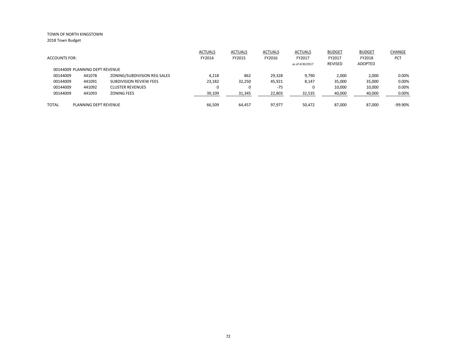|                                |                       |                              | <b>ACTUALS</b> | <b>ACTUALS</b> | <b>ACTUALS</b> | <b>ACTUALS</b>  | <b>BUDGET</b>  | <b>BUDGET</b> | CHANGE     |
|--------------------------------|-----------------------|------------------------------|----------------|----------------|----------------|-----------------|----------------|---------------|------------|
| <b>ACCOUNTS FOR:</b>           |                       |                              | FY2014         | FY2015         | FY2016         | FY2017          | FY2017         | FY2018        | <b>PCT</b> |
|                                |                       |                              |                |                |                | as of 4/30/2017 | <b>REVISED</b> | ADOPTED       |            |
| 00144009 PLANNING DEPT REVENUE |                       |                              |                |                |                |                 |                |               |            |
| 00144009                       | 441078                | ZONING/SUBDIVISION REG SALES | 4,218          | 862            | 29,328         | 9,790           | 2,000          | 2,000         | 0.00%      |
| 00144009                       | 441091                | SUBDIVISION REVIEW FEES      | 23,182         | 32,250         | 45,921         | 8,147           | 35,000         | 35,000        | 0.00%      |
| 00144009                       | 441092                | <b>CLUSTER REVENUES</b>      |                | 0              | $-75$          | 0               | 10,000         | 10,000        | 0.00%      |
| 00144009                       | 441093                | <b>ZONING FEES</b>           | 39,109         | 31,345         | 22,803         | 32,535          | 40,000         | 40,000        | 0.00%      |
|                                |                       |                              |                |                |                |                 |                |               |            |
| <b>TOTAL</b>                   | PLANNING DEPT REVENUE |                              | 66.509         | 64.457         | 97.977         | 50.472          | 87.000         | 87.000        | $-99.90%$  |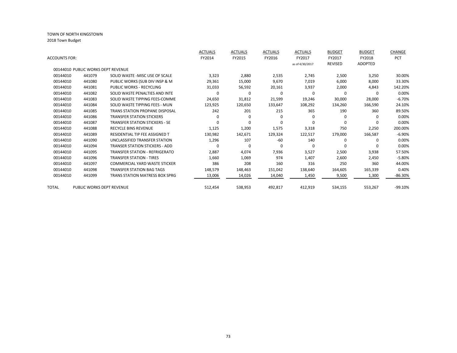|               |                                    |                                       | <b>ACTUALS</b> | <b>ACTUALS</b> | <b>ACTUALS</b> | <b>ACTUALS</b>  | <b>BUDGET</b>  | <b>BUDGET</b>  | CHANGE     |
|---------------|------------------------------------|---------------------------------------|----------------|----------------|----------------|-----------------|----------------|----------------|------------|
| ACCOUNTS FOR: |                                    |                                       | FY2014         | FY2015         | FY2016         | FY2017          | FY2017         | FY2018         | <b>PCT</b> |
|               |                                    |                                       |                |                |                | as of 4/30/2017 | <b>REVISED</b> | <b>ADOPTED</b> |            |
|               | 00144010 PUBLIC WORKS DEPT REVENUE |                                       |                |                |                |                 |                |                |            |
| 00144010      | 441079                             | SOLID WASTE - MISC USE OF SCALE       | 3,323          | 2,880          | 2,535          | 2,745           | 2,500          | 3,250          | 30.00%     |
| 00144010      | 441080                             | PUBLIC WORKS (SUB DIV INSP & M        | 29,361         | 15,000         | 9,670          | 7,019           | 6,000          | 8,000          | 33.30%     |
| 00144010      | 441081                             | PUBLIC WORKS - RECYCLING              | 31,033         | 56,592         | 20,161         | 3,937           | 2,000          | 4,843          | 142.20%    |
| 00144010      | 441082                             | SOLID WASTE PENALTIES AND INTE        | <sup>0</sup>   | $\Omega$       | 0              | $\Omega$        | $\Omega$       | <sup>0</sup>   | 0.00%      |
| 00144010      | 441083                             | SOLID WASTE TIPPING FEES-COMME        | 24,650         | 31,812         | 21,599         | 19,246          | 30,000         | 28,000         | $-6.70%$   |
| 00144010      | 441084                             | SOLID WASTE TIPPING FEES - MUN        | 123,925        | 120,650        | 133,647        | 108,292         | 134,260        | 166,590        | 24.10%     |
| 00144010      | 441085                             | TRANS STATION PROPANE DISPOSAL        | 242            | 201            | 215            | 365             | 190            | 360            | 89.50%     |
| 00144010      | 441086                             | <b>TRANSFER STATION STICKERS</b>      | 0              | $\Omega$       | 0              | $\Omega$        | 0              | <sup>0</sup>   | 0.00%      |
| 00144010      | 441087                             | <b>TRANSFER STATION STICKERS - SE</b> | <sup>0</sup>   | $\Omega$       | $\Omega$       | $\Omega$        | $\Omega$       | $\Omega$       | 0.00%      |
| 00144010      | 441088                             | <b>RECYCLE BINS REVENUE</b>           | 1,125          | 1,200          | 1,575          | 3,318           | 750            | 2,250          | 200.00%    |
| 00144010      | 441089                             | RESIDENTIAL TIP FEE ASSIGNED T        | 130,982        | 142,671        | 129,324        | 122,517         | 179,000        | 166,587        | $-6.90%$   |
| 00144010      | 441090                             | UNCLASSIFIED TRANSFER STATION         | 1,296          | 107            | $-60$          | 140             | 0              | $\Omega$       | 0.00%      |
| 00144010      | 441094                             | <b>TRANSER STATION STICKERS - ADD</b> | 0              | $\Omega$       | 0              | 0               | O              | $\Omega$       | 0.00%      |
| 00144010      | 441095                             | <b>TRANSFER STATION - REFRIGERATO</b> | 2,887          | 4,074          | 7,936          | 3,527           | 2,500          | 3,938          | 57.50%     |
| 00144010      | 441096                             | <b>TRANSFER STATION - TIRES</b>       | 1,660          | 1,069          | 974            | 1,407           | 2,600          | 2,450          | $-5.80%$   |
| 00144010      | 441097                             | COMMERCIAL YARD WASTE STICKER         | 386            | 208            | 160            | 316             | 250            | 360            | 44.00%     |
| 00144010      | 441098                             | <b>TRANSFER STATION BAG TAGS</b>      | 148,579        | 148,463        | 151,042        | 138,640         | 164,605        | 165,339        | 0.40%      |
| 00144010      | 441099                             | <b>TRANS STATION MATRESS BOX SPRG</b> | 13,006         | 14,026         | 14,040         | 1,450           | 9,500          | 1,300          | $-86.30\%$ |
| <b>TOTAL</b>  | PUBLIC WORKS DEPT REVENUE          |                                       | 512,454        | 538,953        | 492,817        | 412,919         | 534,155        | 553,267        | $-99.10%$  |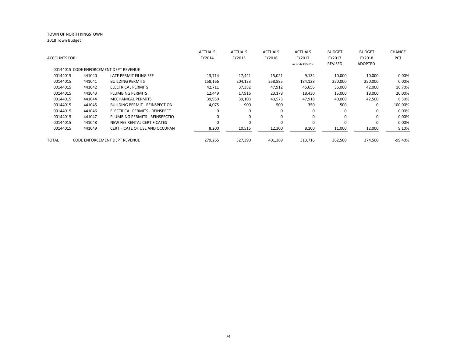| <b>ACCOUNTS FOR:</b> |        |                                        | <b>ACTUALS</b><br>FY2014 | <b>ACTUALS</b><br>FY2015 | <b>ACTUALS</b><br>FY2016 | <b>ACTUALS</b><br>FY2017 | <b>BUDGET</b><br>FY2017<br><b>REVISED</b> | <b>BUDGET</b><br>FY2018<br><b>ADOPTED</b> | CHANGE<br>PCT |
|----------------------|--------|----------------------------------------|--------------------------|--------------------------|--------------------------|--------------------------|-------------------------------------------|-------------------------------------------|---------------|
|                      |        | 00144015 CODE ENFORCEMENT DEPT REVENUE |                          |                          |                          | as of 4/30/2017          |                                           |                                           |               |
| 00144015             | 441040 | LATE PERMIT FILING FEE                 | 13,714                   | 17,441                   | 15,021                   | 9,134                    | 10,000                                    | 10,000                                    | 0.00%         |
| 00144015             | 441041 | <b>BUILDING PERMITS</b>                | 158,166                  | 204,133                  | 258,885                  | 184,128                  | 250,000                                   | 250,000                                   | 0.00%         |
| 00144015             | 441042 | <b>ELECTRICAL PERMITS</b>              | 42,711                   | 37,382                   | 47,912                   | 45,656                   | 36,000                                    | 42,000                                    | 16.70%        |
| 00144015             | 441043 | PLUMBING PERMITS                       | 12,449                   | 17,916                   | 23,178                   | 18,430                   | 15,000                                    | 18,000                                    | 20.00%        |
| 00144015             | 441044 | <b>MECHANICAL PERMITS</b>              | 39,950                   | 39,103                   | 43,573                   | 47,918                   | 40,000                                    | 42,500                                    | 6.30%         |
| 00144015             | 441045 | <b>BUILDING PERMIT - REINSPECTION</b>  | 4,075                    | 900                      | 500                      | 350                      | 500                                       | $\Omega$                                  | $-100.00\%$   |
| 00144015             | 441046 | ELECTRICAL PERMITS - REINSPECT         |                          | $\Omega$                 | 0                        | 0                        | 0                                         | $\Omega$                                  | 0.00%         |
| 00144015             | 441047 | PLUMBING PERMITS - REINSPECTIO         |                          | $\Omega$                 | 0                        | $\Omega$                 | 0                                         |                                           | 0.00%         |
| 00144015             | 441048 | NEW FEE RENTAL CERTIFICATES            |                          | $\Omega$                 | 0                        | $\Omega$                 | $\Omega$                                  |                                           | 0.00%         |
| 00144015             | 441049 | CERTIFICATE OF USE AND OCCUPAN         | 8,200                    | 10,515                   | 12,300                   | 8,100                    | 11,000                                    | 12,000                                    | 9.10%         |
| TOTAL                |        | CODE ENFORCEMENT DEPT REVENUE          | 279,265                  | 327,390                  | 401,369                  | 313,716                  | 362,500                                   | 374,500                                   | $-99.40%$     |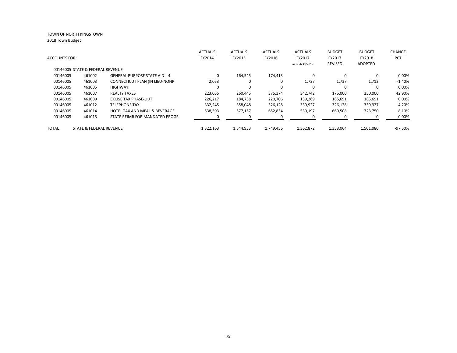|                      |                                  |                                          | <b>ACTUALS</b> | <b>ACTUALS</b> | <b>ACTUALS</b> | <b>ACTUALS</b>  | <b>BUDGET</b>  | <b>BUDGET</b>  | <b>CHANGE</b> |
|----------------------|----------------------------------|------------------------------------------|----------------|----------------|----------------|-----------------|----------------|----------------|---------------|
| <b>ACCOUNTS FOR:</b> |                                  |                                          | FY2014         | FY2015         | FY2016         | FY2017          | FY2017         | FY2018         | <b>PCT</b>    |
|                      |                                  |                                          |                |                |                | as of 4/30/2017 | <b>REVISED</b> | <b>ADOPTED</b> |               |
|                      | 00146005 STATE & FEDERAL REVENUE |                                          |                |                |                |                 |                |                |               |
| 00146005             | 461002                           | <b>GENERAL PURPOSE STATE AID 4</b>       | $\Omega$       | 164.545        | 174,413        | $\Omega$        | $\Omega$       | 0              | 0.00%         |
| 00146005             | 461003                           | CONNECTICUT PLAN (IN LIEU-NONP           | 2,053          | $\Omega$       | 0              | 1,737           | 1,737          | 1,712          | $-1.40%$      |
| 00146005             | 461005                           | <b>HIGHWAY</b>                           | $\Omega$       | $\Omega$       | 0              | $\Omega$        |                |                | 0.00%         |
| 00146005             | 461007                           | <b>REALTY TAXES</b>                      | 223.055        | 260,445        | 375,374        | 342,742         | 175,000        | 250,000        | 42.90%        |
| 00146005             | 461009                           | <b>EXCISE TAX PHASE-OUT</b>              | 226.217        | 184,758        | 220,706        | 139,269         | 185,691        | 185,691        | 0.00%         |
| 00146005             | 461012                           | <b>TELEPHONE TAX</b>                     | 332,245        | 358,048        | 326,128        | 339,927         | 326,128        | 339,927        | 4.20%         |
| 00146005             | 461014                           | <b>HOTEL TAX AND MEAL &amp; BEVERAGE</b> | 538,593        | 577,157        | 652,834        | 539,197         | 669,508        | 723,750        | 8.10%         |
| 00146005             | 461015                           | STATE REIMB FOR MANDATED PROGR           |                |                | 0              |                 |                |                | 0.00%         |
| <b>TOTAL</b>         | STATE & FEDERAL REVENUE          |                                          | 1,322,163      | 1,544,953      | 1,749,456      | 1,362,872       | 1,358,064      | 1,501,080      | -97.50%       |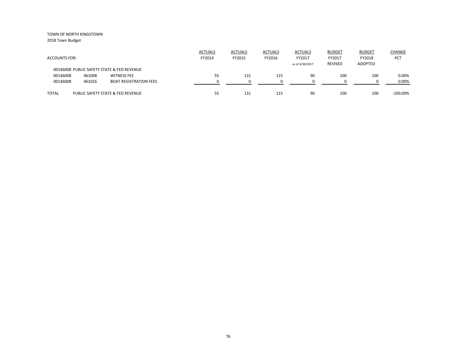| <b>ACCOUNTS FOR:</b> |        |                                            | <b>ACTUALS</b><br>FY2014 | <b>ACTUALS</b><br>FY2015 | <b>ACTUALS</b><br>FY2016 | <b>ACTUALS</b><br>FY2017<br>as of 4/30/2017 | <b>BUDGET</b><br>FY2017<br>REVISED | <b>BUDGET</b><br>FY2018<br>ADOPTED | CHANGE<br>PCT |
|----------------------|--------|--------------------------------------------|--------------------------|--------------------------|--------------------------|---------------------------------------------|------------------------------------|------------------------------------|---------------|
|                      |        | 00146008 PUBLIC SAFETY STATE & FED REVENUE |                          |                          |                          |                                             |                                    |                                    |               |
| 00146008             | 461008 | <b>WITNESS FEE</b>                         | 55                       | 131                      | 115                      | 90                                          | 100                                | 100                                | 0.00%         |
| 00146008             | 461016 | <b>BOAT REGISTRATION FEES</b>              |                          |                          |                          |                                             |                                    |                                    | 0.00%         |
| <b>TOTAL</b>         |        | PUBLIC SAFETY STATE & FED REVENUE          | 55                       | 131                      | 115                      | 90                                          | 100                                | 100                                | $-100.00\%$   |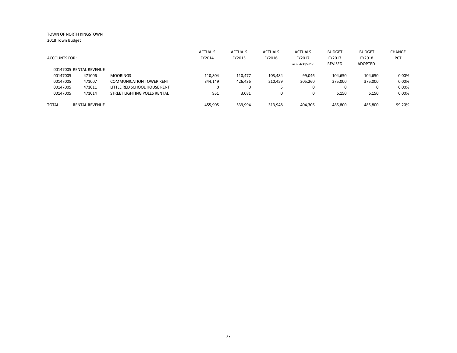|                         |                       |                                 | <b>ACTUALS</b> | <b>ACTUALS</b> | <b>ACTUALS</b> | <b>ACTUALS</b>  | <b>BUDGET</b>  | <b>BUDGET</b> | CHANGE     |
|-------------------------|-----------------------|---------------------------------|----------------|----------------|----------------|-----------------|----------------|---------------|------------|
| <b>ACCOUNTS FOR:</b>    |                       |                                 | FY2014         | FY2015         | FY2016         | FY2017          | FY2017         | FY2018        | <b>PCT</b> |
|                         |                       |                                 |                |                |                | as of 4/30/2017 | <b>REVISED</b> | ADOPTED       |            |
| 00147005 RENTAL REVENUE |                       |                                 |                |                |                |                 |                |               |            |
| 00147005                | 471006                | <b>MOORINGS</b>                 | 110.804        | 110.477        | 103,484        | 99,046          | 104,650        | 104,650       | 0.00%      |
| 00147005                | 471007                | <b>COMMUNICATION TOWER RENT</b> | 344,149        | 426,436        | 210,459        | 305,260         | 375,000        | 375,000       | 0.00%      |
| 00147005                | 471011                | LITTLE RED SCHOOL HOUSE RENT    | 0              |                | э              | 0               |                | 0             | 0.00%      |
| 00147005                | 471014                | STREET LIGHTING POLES RENTAL    | 951            | 3,081          | O              | 0               | 6,150          | 6,150         | 0.00%      |
| <b>TOTAL</b>            | <b>RENTAL REVENUE</b> |                                 | 455.905        | 539.994        | 313.948        | 404.306         | 485.800        | 485.800       | $-99.20%$  |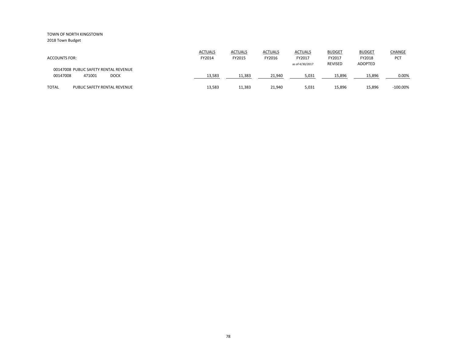2018 Town Budget

| <b>ACCOUNTS FOR:</b>                                                       | <b>ACTUALS</b><br>FY2014 | <b>ACTUALS</b><br>FY2015 | <b>ACTUALS</b><br>FY2016 | <b>ACTUALS</b><br>FY2017<br>as of 4/30/2017 | <b>BUDGET</b><br>FY2017<br><b>REVISED</b> | <b>BUDGET</b><br>FY2018<br><b>ADOPTED</b> | CHANGE<br>PCT |
|----------------------------------------------------------------------------|--------------------------|--------------------------|--------------------------|---------------------------------------------|-------------------------------------------|-------------------------------------------|---------------|
| 00147008 PUBLIC SAFETY RENTAL REVENUE<br>00147008<br>471001<br><b>DOCK</b> | 13,583                   | 11.383                   | 21,940                   | 5,031                                       | 15,896                                    | 15,896                                    | 0.00%         |
| <b>TOTAL</b><br>PUBLIC SAFETY RENTAL REVENUE                               | 13,583                   | 11,383                   | 21,940                   | 5,031                                       | 15,896                                    | 15,896                                    | $-100.00\%$   |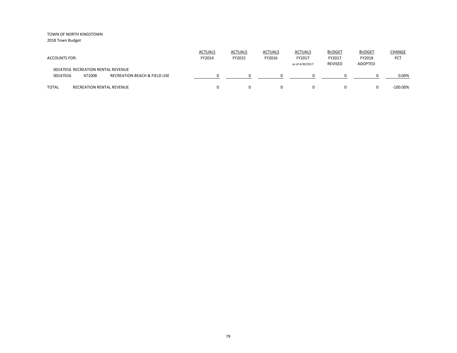| <b>ACCOUNTS FOR:</b>                                                                                | <b>ACTUALS</b><br>FY2014 | <b>ACTUALS</b><br>FY2015 | <b>ACTUALS</b><br>FY2016 | <b>ACTUALS</b><br>FY2017<br>as of 4/30/2017 | <b>BUDGET</b><br>FY2017<br><b>REVISED</b> | <b>BUDGET</b><br>FY2018<br>ADOPTED | <b>CHANGE</b><br>PCT |
|-----------------------------------------------------------------------------------------------------|--------------------------|--------------------------|--------------------------|---------------------------------------------|-------------------------------------------|------------------------------------|----------------------|
| 00147016 RECREATION RENTAL REVENUE<br><b>RECREATION BEACH &amp; FIELD USE</b><br>00147016<br>471008 |                          |                          |                          |                                             |                                           |                                    | 0.00%                |
| <b>TOTAL</b><br><b>RECREATION RENTAL REVENUE</b>                                                    |                          |                          | $\Omega$                 |                                             | 0                                         |                                    | $-100.00\%$          |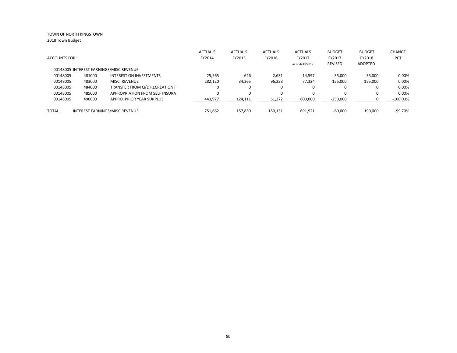|                      |        |                                         | <b>ACTUALS</b> | <b>ACTUALS</b> | <b>ACTUALS</b> | <b>ACTUALS</b>  | <b>BUDGET</b> | <b>BUDGET</b>  | CHANGE      |
|----------------------|--------|-----------------------------------------|----------------|----------------|----------------|-----------------|---------------|----------------|-------------|
| <b>ACCOUNTS FOR:</b> |        |                                         | FY2014         | FY2015         | FY2016         | FY2017          | FY2017        | FY2018         | <b>PCT</b>  |
|                      |        |                                         |                |                |                | as of 4/30/2017 | REVISED       | <b>ADOPTED</b> |             |
|                      |        | 00148005 INTEREST EARNINGS/MISC REVENUE |                |                |                |                 |               |                |             |
| 00148005             | 481000 | <b>INTEREST ON INVESTMENTS</b>          | 25.565         | $-626$         | 2,631          | 14.597          | 35,000        | 35.000         | 0.00%       |
| 00148005             | 483000 | <b>MISC. REVENUE</b>                    | 282,120        | 34,365         | 96,228         | 77.324          | 155,000       | 155,000        | 0.00%       |
| 00148005             | 484000 | TRANSFER FROM Q/D RECREATION F          | 0              |                | 0              | 0               | 0             |                | 0.00%       |
| 00148005             | 485000 | APPROPRIATION FROM SELF INSURA          | 0              | $\Omega$       | 0              | 0               | 0             |                | 0.00%       |
| 00148005             | 490000 | APPRO. PRIOR YEAR SURPLUS               | 443,977        | 124,111        | 51,272         | 600,000         | $-250,000$    |                | $-100.00\%$ |
| <b>TOTAL</b>         |        | INTEREST EARNINGS/MISC REVENUE          | 751.662        | 157.850        | 150,131        | 691.921         | $-60.000$     | 190.000        | $-99.70%$   |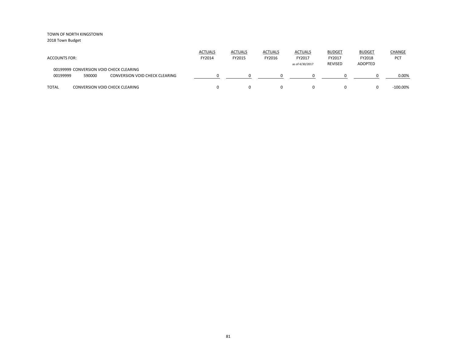| <b>ACCOUNTS FOR:</b> |        |                                                                                  | <b>ACTUALS</b><br>FY2014 | <b>ACTUALS</b><br>FY2015 | <b>ACTUALS</b><br>FY2016 | <b>ACTUALS</b><br>FY2017<br>as of 4/30/2017 | <b>BUDGET</b><br>FY2017<br><b>REVISED</b> | <b>BUDGET</b><br>FY2018<br>ADOPTED | <b>CHANGE</b><br>PCT |
|----------------------|--------|----------------------------------------------------------------------------------|--------------------------|--------------------------|--------------------------|---------------------------------------------|-------------------------------------------|------------------------------------|----------------------|
| 00199999             | 590000 | 00199999 CONVERSION VOID CHECK CLEARING<br><b>CONVERSION VOID CHECK CLEARING</b> |                          |                          |                          |                                             |                                           |                                    | 0.00%                |
| <b>TOTAL</b>         |        | <b>CONVERSION VOID CHECK CLEARING</b>                                            |                          |                          | $\Omega$                 |                                             | 0                                         |                                    | $-100.00\%$          |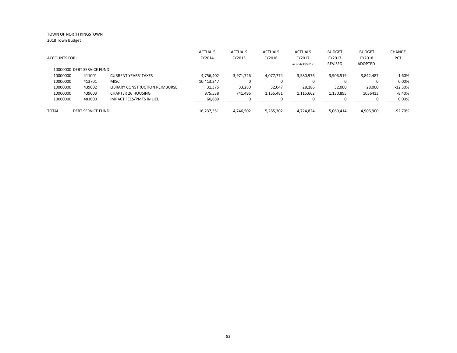|                            |                          |                                 | <b>ACTUALS</b> | <b>ACTUALS</b> | <b>ACTUALS</b> | <b>ACTUALS</b>  | <b>BUDGET</b> | <b>BUDGET</b> | CHANGE     |
|----------------------------|--------------------------|---------------------------------|----------------|----------------|----------------|-----------------|---------------|---------------|------------|
| <b>ACCOUNTS FOR:</b>       |                          |                                 | FY2014         | FY2015         | FY2016         | FY2017          | FY2017        | FY2018        | PCT        |
|                            |                          |                                 |                |                |                | as of 4/30/2017 | REVISED       | ADOPTED       |            |
| 10000000 DEBT SERVICE FUND |                          |                                 |                |                |                |                 |               |               |            |
| 10000000                   | 411001                   | <b>CURRENT YEARS' TAXES</b>     | 4,756,402      | 3,971,726      | 4,077,774      | 3,580,976       | 3,906,519     | 3,842,487     | $-1.60%$   |
| 10000000                   | 413701                   | <b>MISC</b>                     | 10,413,347     |                | 0              | 0               |               | 0             | 0.00%      |
| 10000000                   | 439002                   | LIBRARY CONSTRUCTION REIMBURSE  | 31,375         | 33,280         | 32,047         | 28,186          | 32,000        | 28,000        | $-12.50\%$ |
| 10000000                   | 439003                   | <b>CHAPTER 26 HOUSING</b>       | 975,538        | 741.496        | 1,155,481      | 1,115,662       | 1,130,895     | 1036413       | $-8.40%$   |
| 10000000                   | 483000                   | <b>IMPACT FEES/PMTS IN LIEU</b> | 60,889         |                | <sup>0</sup>   | $\Omega$        |               | <sup>0</sup>  | 0.00%      |
| TOTAL                      | <b>DEBT SERVICE FUND</b> |                                 | 16.237.551     | 4.746.502      | 5,265,302      | 4.724.824       | 5,069,414     | 4.906.900     | -92.70%    |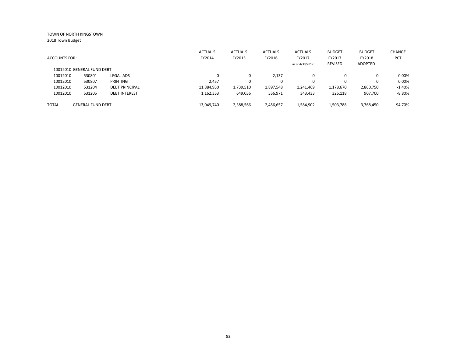|                            |                          |                       | <b>ACTUALS</b> | <b>ACTUALS</b> | <b>ACTUALS</b> | <b>ACTUALS</b>  | <b>BUDGET</b> | <b>BUDGET</b> | CHANGE     |
|----------------------------|--------------------------|-----------------------|----------------|----------------|----------------|-----------------|---------------|---------------|------------|
| <b>ACCOUNTS FOR:</b>       |                          |                       | FY2014         | FY2015         | FY2016         | FY2017          | FY2017        | FY2018        | <b>PCT</b> |
|                            |                          |                       |                |                |                | as of 4/30/2017 | REVISED       | ADOPTED       |            |
| 10012010 GENERAL FUND DEBT |                          |                       |                |                |                |                 |               |               |            |
| 10012010                   | 530801                   | <b>LEGAL ADS</b>      | 0              |                | 2,137          |                 | 0             |               | 0.00%      |
| 10012010                   | 530807                   | PRINTING              | 2,457          |                | 0              |                 | $\Omega$      |               | 0.00%      |
| 10012010                   | 531204                   | <b>DEBT PRINCIPAL</b> | 11,884,930     | 1,739,510      | 1,897,548      | 1,241,469       | 1,178,670     | 2,860,750     | $-1.40%$   |
| 10012010                   | 531205                   | <b>DEBT INTEREST</b>  | 1,162,353      | 649,056        | 556,971        | 343,433         | 325,118       | 907,700       | $-8.80\%$  |
| <b>TOTAL</b>               | <b>GENERAL FUND DEBT</b> |                       | 13,049,740     | 2,388,566      | 2,456,657      | 1,584,902       | 1,503,788     | 3,768,450     | $-94.70%$  |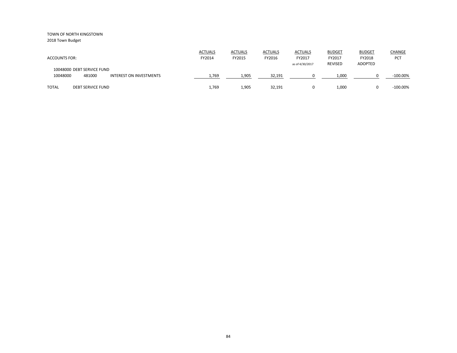2018 Town Budget

| <b>ACCOUNTS FOR:</b>                                                               | <b>ACTUALS</b><br>FY2014 | <b>ACTUALS</b><br>FY2015 | <b>ACTUALS</b><br>FY2016 | <b>ACTUALS</b><br>FY2017<br>as of 4/30/2017 | <b>BUDGET</b><br>FY2017<br><b>REVISED</b> | <b>BUDGET</b><br>FY2018<br><b>ADOPTED</b> | CHANGE<br><b>PCT</b> |
|------------------------------------------------------------------------------------|--------------------------|--------------------------|--------------------------|---------------------------------------------|-------------------------------------------|-------------------------------------------|----------------------|
| 10048000 DEBT SERVICE FUND<br>10048000<br>481000<br><b>INTEREST ON INVESTMENTS</b> | 1,769                    | 1,905                    | 32,191                   |                                             | 1,000                                     |                                           | $-100.00\%$          |
| <b>TOTAL</b><br><b>DEBT SERVICE FUND</b>                                           | 1,769                    | 1,905                    | 32,191                   | 0                                           | 1,000                                     |                                           | $-100.00\%$          |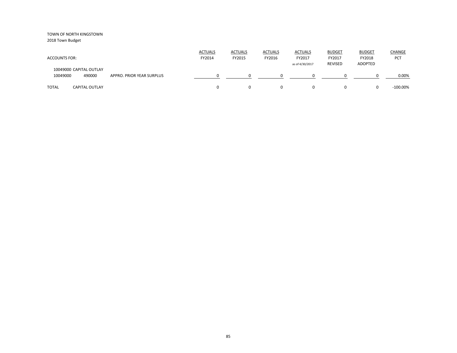| <b>ACCOUNTS FOR:</b>                          |                           | <b>ACTUALS</b><br>FY2014 | <b>ACTUALS</b><br>FY2015 | <b>ACTUALS</b><br>FY2016 | <b>ACTUALS</b><br>FY2017<br>as of 4/30/2017 | <b>BUDGET</b><br>FY2017<br><b>REVISED</b> | <b>BUDGET</b><br>FY2018<br>ADOPTED | CHANGE<br>PCT |
|-----------------------------------------------|---------------------------|--------------------------|--------------------------|--------------------------|---------------------------------------------|-------------------------------------------|------------------------------------|---------------|
| 10049000 CAPITAL OUTLAY<br>490000<br>10049000 | APPRO. PRIOR YEAR SURPLUS |                          |                          | <sup>0</sup>             | 0                                           |                                           |                                    | 0.00%         |
| <b>TOTAL</b><br><b>CAPITAL OUTLAY</b>         |                           |                          |                          | 0                        | 0                                           |                                           |                                    | $-100.00\%$   |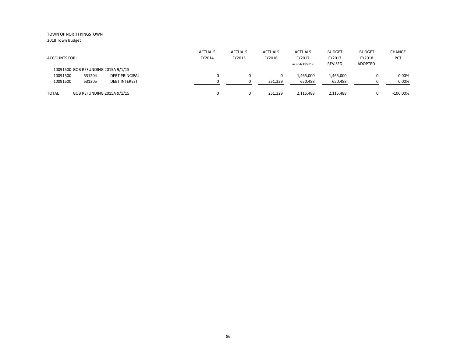|                      |        |                                     | <b>ACTUALS</b> | <b>ACTUALS</b> | <b>ACTUALS</b> | <b>ACTUALS</b>  | <b>BUDGET</b>  | <b>BUDGET</b>  | <b>CHANGE</b> |
|----------------------|--------|-------------------------------------|----------------|----------------|----------------|-----------------|----------------|----------------|---------------|
| <b>ACCOUNTS FOR:</b> |        |                                     | FY2014         | FY2015         | FY2016         | FY2017          | FY2017         | FY2018         | <b>PCT</b>    |
|                      |        |                                     |                |                |                | as of 4/30/2017 | <b>REVISED</b> | <b>ADOPTED</b> |               |
|                      |        | 10091500 GOB REFUNDING 2015A 9/1/15 |                |                |                |                 |                |                |               |
| 10091500             | 531204 | <b>DEBT PRINCIPAL</b>               |                |                | 0              | 1,465,000       | 1,465,000      |                | 0.00%         |
| 10091500             | 531205 | <b>DEBT INTEREST</b>                |                | -9             | 251,329        | 650,488         | 650,488        |                | 0.00%         |
| <b>TOTAL</b>         |        | GOB REFUNDING 2015A 9/1/15          |                | $\Omega$       | 251.329        | 2,115,488       | 2,115,488      |                | $-100.00\%$   |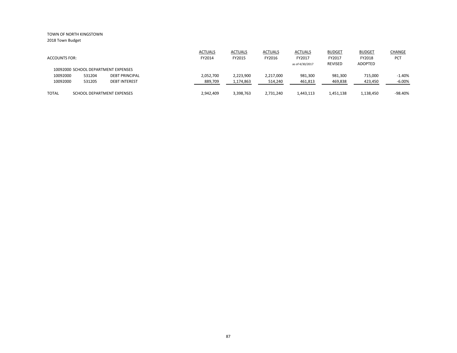2018 Town Budget

|                      |        |                                     | <b>ACTUALS</b> | <b>ACTUALS</b> | <b>ACTUALS</b> | <b>ACTUALS</b>  | <b>BUDGET</b>  | <b>BUDGET</b> | <b>CHANGE</b> |
|----------------------|--------|-------------------------------------|----------------|----------------|----------------|-----------------|----------------|---------------|---------------|
| <b>ACCOUNTS FOR:</b> |        |                                     | FY2014         | FY2015         | FY2016         | FY2017          | FY2017         | FY2018        | PCT           |
|                      |        |                                     |                |                |                | as of 4/30/2017 | <b>REVISED</b> | ADOPTED       |               |
|                      |        | 10092000 SCHOOL DEPARTMENT EXPENSES |                |                |                |                 |                |               |               |
| 10092000             | 531204 | <b>DEBT PRINCIPAL</b>               | 2,052,700      | 2,223,900      | 2,217,000      | 981,300         | 981,300        | 715,000       | $-1.40%$      |
| 10092000             | 531205 | <b>DEBT INTEREST</b>                | 889,709        | 1,174,863      | 514,240        | 461,813         | 469,838        | 423,450       | $-6.00%$      |
|                      |        |                                     |                |                |                |                 |                |               |               |
| <b>TOTAL</b>         |        | SCHOOL DEPARTMENT EXPENSES          | 2,942,409      | 3,398,763      | 2,731,240      | 1,443,113       | 1,451,138      | 1,138,450     | $-98.40%$     |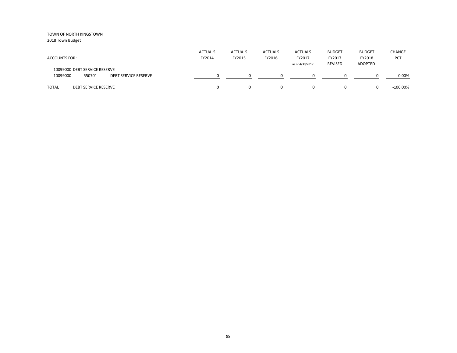| <b>ACCOUNTS FOR:</b>                                                               | <b>ACTUALS</b><br>FY2014 | <b>ACTUALS</b><br>FY2015 | <b>ACTUALS</b><br>FY2016 | <b>ACTUALS</b><br>FY2017<br>as of 4/30/2017 | <b>BUDGET</b><br>FY2017<br><b>REVISED</b> | <b>BUDGET</b><br>FY2018<br>ADOPTED | CHANGE<br><b>PCT</b> |
|------------------------------------------------------------------------------------|--------------------------|--------------------------|--------------------------|---------------------------------------------|-------------------------------------------|------------------------------------|----------------------|
| 10099000 DEBT SERVICE RESERVE<br>10099000<br>550701<br><b>DEBT SERVICE RESERVE</b> |                          |                          |                          |                                             |                                           |                                    | 0.00%                |
| <b>TOTAL</b><br><b>DEBT SERVICE RESERVE</b>                                        |                          |                          | 0                        | 0                                           |                                           |                                    | $-100.00\%$          |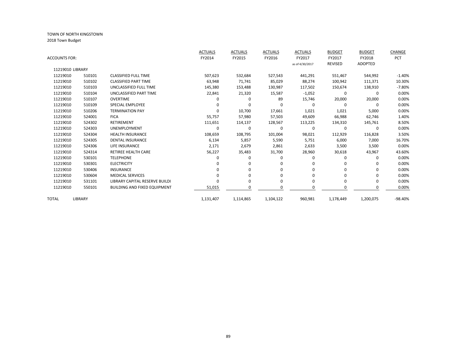|                      |         |                                     | <b>ACTUALS</b> | <b>ACTUALS</b> | <b>ACTUALS</b> | <b>ACTUALS</b>  | <b>BUDGET</b>  | <b>BUDGET</b>  | <b>CHANGE</b> |
|----------------------|---------|-------------------------------------|----------------|----------------|----------------|-----------------|----------------|----------------|---------------|
| <b>ACCOUNTS FOR:</b> |         |                                     | FY2014         | FY2015         | FY2016         | FY2017          | FY2017         | FY2018         | <b>PCT</b>    |
|                      |         |                                     |                |                |                | as of 4/30/2017 | <b>REVISED</b> | <b>ADOPTED</b> |               |
| 11219010 LIBRARY     |         |                                     |                |                |                |                 |                |                |               |
| 11219010             | 510101  | <b>CLASSIFIED FULL TIME</b>         | 507,623        | 532,684        | 527,543        | 441,291         | 551,467        | 544,992        | $-1.40%$      |
| 11219010             | 510102  | <b>CLASSIFIED PART TIME</b>         | 63,948         | 71,741         | 85,029         | 88,274          | 100,942        | 111,371        | 10.30%        |
| 11219010             | 510103  | UNCLASSIFIED FULL TIME              | 145,380        | 153,488        | 130,987        | 117,502         | 150,674        | 138,910        | $-7.80%$      |
| 11219010             | 510104  | UNCLASSIFIED PART TIME              | 22,841         | 21,320         | 15,587         | $-1,052$        | 0              | $\Omega$       | 0.00%         |
| 11219010             | 510107  | <b>OVERTIME</b>                     | 0              | $\Omega$       | 89             | 15,746          | 20,000         | 20,000         | 0.00%         |
| 11219010             | 510109  | <b>SPECIAL EMPLOYEE</b>             | O              | O              | $\Omega$       | $\Omega$        | 0              | $\Omega$       | 0.00%         |
| 11219010             | 510206  | <b>TERMINATION PAY</b>              | 0              | 10,700         | 17,661         | 1,021           | 1,021          | 5,000          | 0.00%         |
| 11219010             | 524001  | <b>FICA</b>                         | 55,757         | 57,980         | 57,503         | 49,609          | 66,988         | 62,746         | 1.40%         |
| 11219010             | 524302  | RETIREMENT                          | 111,651        | 114,137        | 128,567        | 113,225         | 134,310        | 145,761        | 8.50%         |
| 11219010             | 524303  | <b>UNEMPLOYMENT</b>                 | 0              | 0              | $\Omega$       | $\mathbf 0$     | 0              | 0              | 0.00%         |
| 11219010             | 524304  | <b>HEALTH INSURANCE</b>             | 108,659        | 108,795        | 101,004        | 98,021          | 112,929        | 116,828        | 3.50%         |
| 11219010             | 524305  | <b>DENTAL INSURANCE</b>             | 6,134          | 5,857          | 5,590          | 5,751           | 6,000          | 7,000          | 16.70%        |
| 11219010             | 524306  | LIFE INSURANCE                      | 2,171          | 2,679          | 2,861          | 2,633           | 3,500          | 3,500          | 0.00%         |
| 11219010             | 524314  | <b>RETIREE HEALTH CARE</b>          | 56,227         | 35,483         | 31,700         | 28,960          | 30,618         | 43,967         | 43.60%        |
| 11219010             | 530101  | <b>TELEPHONE</b>                    | 0              | 0              | 0              | $\Omega$        | $\Omega$       | 0              | 0.00%         |
| 11219010             | 530301  | <b>ELECTRICITY</b>                  | 0              | O              | 0              | $\Omega$        | $\Omega$       | <sup>0</sup>   | 0.00%         |
| 11219010             | 530406  | <b>INSURANCE</b>                    | o              | $\Omega$       | $\Omega$       | $\Omega$        | 0              | 0              | 0.00%         |
| 11219010             | 530604  | <b>MEDICAL SERVICES</b>             | 0              | $\Omega$       | $\Omega$       | $\Omega$        | 0              | 0              | 0.00%         |
| 11219010             | 531101  | LIBRARY CAPITAL RESERVE BUILDI      | O              | 0              | 0              | $\Omega$        | $\Omega$       | 0              | 0.00%         |
| 11219010             | 550101  | <b>BUILDING AND FIXED EQUIPMENT</b> | 51,015         | $\Omega$       | $\Omega$       | $\Omega$        | 0              | 0              | 0.00%         |
| TOTAL                | LIBRARY |                                     | 1,131,407      | 1,114,865      | 1,104,122      | 960,981         | 1,178,449      | 1,200,075      | $-98.40%$     |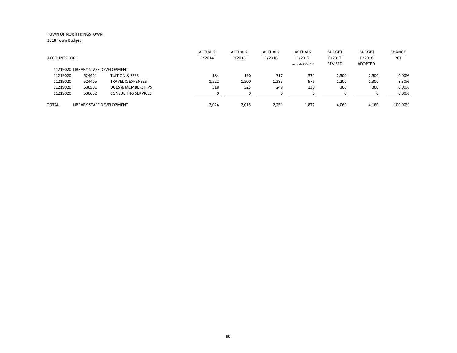|                      |                                    |                              | <b>ACTUALS</b> | <b>ACTUALS</b> | <b>ACTUALS</b> | ACTUALS         | <b>BUDGET</b>  | <b>BUDGET</b> | CHANGE      |
|----------------------|------------------------------------|------------------------------|----------------|----------------|----------------|-----------------|----------------|---------------|-------------|
| <b>ACCOUNTS FOR:</b> |                                    |                              | FY2014         | FY2015         | FY2016         | FY2017          | FY2017         | FY2018        | <b>PCT</b>  |
|                      |                                    |                              |                |                |                | as of 4/30/2017 | <b>REVISED</b> | ADOPTED       |             |
|                      | 11219020 LIBRARY STAFF DEVELOPMENT |                              |                |                |                |                 |                |               |             |
| 11219020             | 524401                             | <b>TUITION &amp; FEES</b>    | 184            | 190            | 717            | 571             | 2,500          | 2,500         | 0.00%       |
| 11219020             | 524405                             | <b>TRAVEL &amp; EXPENSES</b> | 1,522          | 1,500          | 1,285          | 976             | 1,200          | 1,300         | 8.30%       |
| 11219020             | 530501                             | DUES & MEMBERSHIPS           | 318            | 325            | 249            | 330             | 360            | 360           | 0.00%       |
| 11219020             | 530602                             | <b>CONSULTING SERVICES</b>   |                |                | 0              |                 |                |               | 0.00%       |
|                      |                                    |                              |                |                |                |                 |                |               |             |
| <b>TOTAL</b>         | LIBRARY STAFF DEVELOPMENT          |                              | 2,024          | 2,015          | 2,251          | 1,877           | 4,060          | 4,160         | $-100.00\%$ |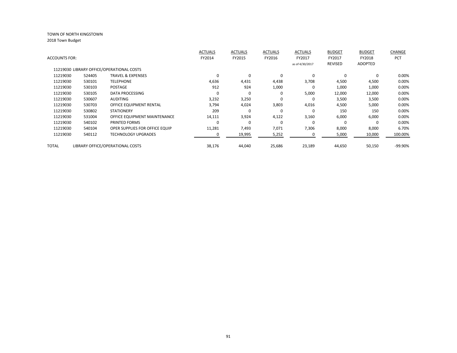|               |        |                                           | <b>ACTUALS</b> | <b>ACTUALS</b> | <b>ACTUALS</b> | <b>ACTUALS</b>  | <b>BUDGET</b>  | <b>BUDGET</b> | CHANGE     |
|---------------|--------|-------------------------------------------|----------------|----------------|----------------|-----------------|----------------|---------------|------------|
| ACCOUNTS FOR: |        |                                           | FY2014         | FY2015         | FY2016         | FY2017          | FY2017         | FY2018        | <b>PCT</b> |
|               |        |                                           |                |                |                | as of 4/30/2017 | <b>REVISED</b> | ADOPTED       |            |
|               |        | 11219030 LIBRARY OFFICE/OPERATIONAL COSTS |                |                |                |                 |                |               |            |
| 11219030      | 524405 | <b>TRAVEL &amp; EXPENSES</b>              | 0              | 0              | 0              | 0               | $\Omega$       | $\Omega$      | 0.00%      |
| 11219030      | 530101 | <b>TELEPHONE</b>                          | 4,636          | 4,431          | 4,438          | 3,708           | 4,500          | 4,500         | 0.00%      |
| 11219030      | 530103 | <b>POSTAGE</b>                            | 912            | 924            | 1,000          | $\Omega$        | 1,000          | 1,000         | 0.00%      |
| 11219030      | 530105 | DATA PROCESSING                           | $\Omega$       | $\Omega$       | 0              | 5,000           | 12,000         | 12,000        | 0.00%      |
| 11219030      | 530607 | <b>AUDITING</b>                           | 3,232          | 3,250          | $\Omega$       | 0               | 3,500          | 3,500         | 0.00%      |
| 11219030      | 530703 | OFFICE EQUIPMENT RENTAL                   | 3,794          | 4,024          | 3,803          | 4,016           | 4,500          | 5,000         | 0.00%      |
| 11219030      | 530802 | <b>STATIONERY</b>                         | 209            | 0              | $\Omega$       | 0               | 150            | 150           | 0.00%      |
| 11219030      | 531004 | OFFICE EQUIPMENT MAINTENANCE              | 14,111         | 3,924          | 4,122          | 3,160           | 6,000          | 6,000         | 0.00%      |
| 11219030      | 540102 | PRINTED FORMS                             | $\Omega$       | $\Omega$       | $\Omega$       | 0               | $\Omega$       | $\Omega$      | 0.00%      |
| 11219030      | 540104 | OPER SUPPLIES FOR OFFICE EQUIP            | 11,281         | 7,493          | 7,071          | 7,306           | 8,000          | 8,000         | 6.70%      |
| 11219030      | 540112 | <b>TECHNOLOGY UPGRADES</b>                |                | 19,995         | 5,252          |                 | 5,000          | 10,000        | 100.00%    |
|               |        |                                           |                |                |                |                 |                |               |            |
| TOTAL         |        | LIBRARY OFFICE/OPERATIONAL COSTS          | 38,176         | 44,040         | 25,686         | 23,189          | 44,650         | 50,150        | -99.90%    |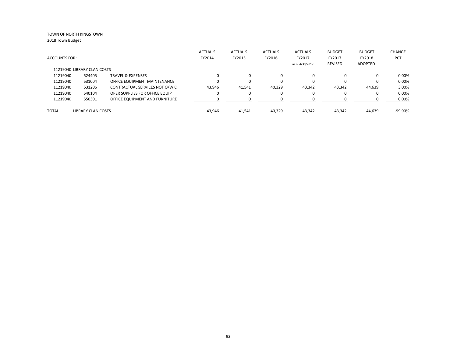|                             |                           |                                | <b>ACTUALS</b> | <b>ACTUALS</b> | <b>ACTUALS</b> | <b>ACTUALS</b>  | <b>BUDGET</b> | <b>BUDGET</b> | CHANGE     |
|-----------------------------|---------------------------|--------------------------------|----------------|----------------|----------------|-----------------|---------------|---------------|------------|
| <b>ACCOUNTS FOR:</b>        |                           |                                | FY2014         | FY2015         | FY2016         | FY2017          | FY2017        | FY2018        | <b>PCT</b> |
|                             |                           |                                |                |                |                | as of 4/30/2017 | REVISED       | ADOPTED       |            |
| 11219040 LIBRARY CLAN COSTS |                           |                                |                |                |                |                 |               |               |            |
| 11219040                    | 524405                    | <b>TRAVEL &amp; EXPENSES</b>   |                | $\Omega$       | 0              | $\Omega$        | 0             |               | 0.00%      |
| 11219040                    | 531004                    | OFFICE EQUIPMENT MAINTENANCE   |                | $\Omega$       | $\Omega$       | $\Omega$        | 0             | 0             | 0.00%      |
| 11219040                    | 531206                    | CONTRACTUAL SERVICES NOT O/W C | 43.946         | 41,541         | 40,329         | 43,342          | 43,342        | 44,639        | 3.00%      |
| 11219040                    | 540104                    | OPER SUPPLIES FOR OFFICE EQUIP | 0              | $\Omega$       | $\Omega$       | 0               | 0             |               | 0.00%      |
| 11219040                    | 550301                    | OFFICE EQUIPMENT AND FURNITURE |                | ∩              |                | ∩               |               |               | 0.00%      |
| <b>TOTAL</b>                | <b>LIBRARY CLAN COSTS</b> |                                | 43.946         | 41.541         | 40.329         | 43.342          | 43.342        | 44.639        | $-99.90%$  |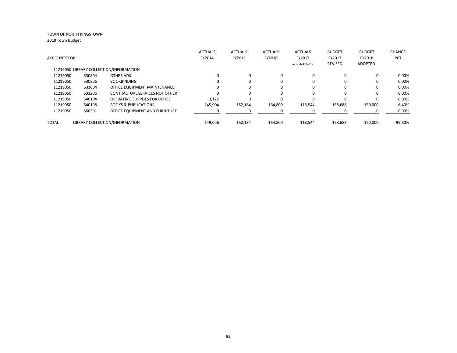| <b>ACCOUNTS FOR:</b> |        |                                         | <b>ACTUALS</b><br>FY2014 | <b>ACTUALS</b><br>FY2015 | <b>ACTUALS</b><br>FY2016 | <b>ACTUALS</b><br>FY2017 | <b>BUDGET</b><br>FY2017 | <b>BUDGET</b><br>FY2018 | <b>CHANGE</b><br>PCT |
|----------------------|--------|-----------------------------------------|--------------------------|--------------------------|--------------------------|--------------------------|-------------------------|-------------------------|----------------------|
|                      |        |                                         |                          |                          |                          | as of 4/30/2017          | <b>REVISED</b>          | ADOPTED                 |                      |
|                      |        | 11219050 LIBRARY COLLECTION/INFORMATION |                          |                          |                          |                          |                         |                         |                      |
| 11219050             | 530804 | OTHER ADS                               | 0                        | $\Omega$                 | 0                        | $\Omega$                 | $\Omega$                | 0                       | 0.00%                |
| 11219050             | 530806 | <b>BOOKBINDING</b>                      | ŋ                        | $\Omega$                 | 0                        | $\Omega$                 |                         | 0                       | 0.00%                |
| 11219050             | 531004 | OFFICE EQUIPMENT MAINTENANCE            | 0                        | $\Omega$                 | $\Omega$                 | $\Omega$                 | 0                       | 0                       | 0.00%                |
| 11219050             | 531206 | CONTRACTUAL SERVICES NOT OTHER          | 0                        |                          | 0                        | 0                        |                         | 0                       | 0.00%                |
| 11219050             | 540104 | <b>OPERATING SUPPLIES FOR OFFICE</b>    | 3,122                    |                          | $\Omega$                 | $\Omega$                 | 0                       | 0                       | 0.00%                |
| 11219050             | 540108 | <b>BOOKS &amp; PUBLICATIONS</b>         | 145,904                  | 152,184                  | 164,800                  | 113,544                  | 158.688                 | 150,000                 | 6.40%                |
| 11219050             | 550301 | OFFICE EQUIPMENT AND FURNITURE          |                          |                          |                          |                          |                         | <sup>0</sup>            | 0.00%                |
| <b>TOTAL</b>         |        | LIBRARY COLLECTION/INFORMATION          | 149.026                  | 152,184                  | 164.800                  | 113.544                  | 158.688                 | 150.000                 | $-99.80%$            |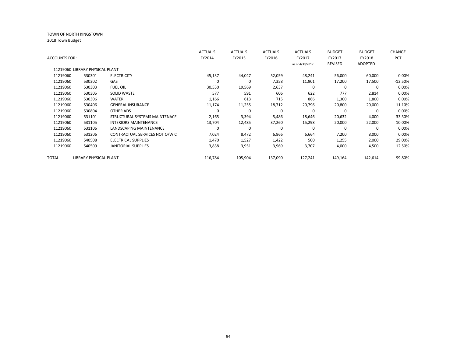|                      |                                 |                                | <b>ACTUALS</b> | <b>ACTUALS</b> | <b>ACTUALS</b> | <b>ACTUALS</b>  | <b>BUDGET</b> | <b>BUDGET</b>  | <b>CHANGE</b> |
|----------------------|---------------------------------|--------------------------------|----------------|----------------|----------------|-----------------|---------------|----------------|---------------|
| <b>ACCOUNTS FOR:</b> |                                 |                                | FY2014         | FY2015         | FY2016         | FY2017          | FY2017        | FY2018         | <b>PCT</b>    |
|                      |                                 |                                |                |                |                | as of 4/30/2017 | REVISED       | <b>ADOPTED</b> |               |
|                      | 11219060 LIBRARY PHYSICAL PLANT |                                |                |                |                |                 |               |                |               |
| 11219060             | 530301                          | <b>ELECTRICITY</b>             | 45,137         | 44,047         | 52,059         | 48,241          | 56,000        | 60,000         | 0.00%         |
| 11219060             | 530302                          | GAS                            |                | 0              | 7,358          | 11,901          | 17,200        | 17,500         | $-12.50%$     |
| 11219060             | 530303                          | <b>FUEL OIL</b>                | 30,530         | 19,569         | 2,637          | 0               | 0             | 0              | 0.00%         |
| 11219060             | 530305                          | <b>SOLID WASTE</b>             | 577            | 591            | 606            | 622             | 777           | 2,814          | 0.00%         |
| 11219060             | 530306                          | WATER                          | 1,166          | 613            | 715            | 866             | 1,300         | 1,800          | 0.00%         |
| 11219060             | 530406                          | <b>GENERAL INSURANCE</b>       | 11,174         | 11,255         | 18,712         | 20,796          | 20,800        | 20,000         | 11.10%        |
| 11219060             | 530804                          | <b>OTHER ADS</b>               |                | 0              | $\Omega$       | $\Omega$        | $\Omega$      | 0              | 0.00%         |
| 11219060             | 531101                          | STRUCTURAL SYSTEMS MAINTENACE  | 2,165          | 3,394          | 5,486          | 18,646          | 20,632        | 4,000          | 33.30%        |
| 11219060             | 531105                          | <b>INTERIORS MAINTENANCE</b>   | 13,704         | 12,485         | 37,260         | 15,298          | 20,000        | 22,000         | 10.00%        |
| 11219060             | 531106                          | LANDSCAPING MAINTENANCE        | $\Omega$       | $\Omega$       | $\Omega$       | $\Omega$        | $\Omega$      | $\Omega$       | 0.00%         |
| 11219060             | 531206                          | CONTRACTUAL SERVICES NOT O/W C | 7,024          | 8,472          | 6,866          | 6,664           | 7,200         | 8,000          | 0.00%         |
| 11219060             | 540508                          | <b>ELECTRICAL SUPPLIES</b>     | 1,470          | 1,527          | 1,422          | 500             | 1,255         | 2,000          | 29.00%        |
| 11219060             | 540509                          | <b>JANITORIAL SUPPLIES</b>     | 3,838          | 3,951          | 3,969          | 3,707           | 4,000         | 4,500          | 12.50%        |
| TOTAL                | <b>LIBRARY PHYSICAL PLANT</b>   |                                | 116,784        | 105,904        | 137,090        | 127,241         | 149,164       | 142,614        | -99.80%       |
|                      |                                 |                                |                |                |                |                 |               |                |               |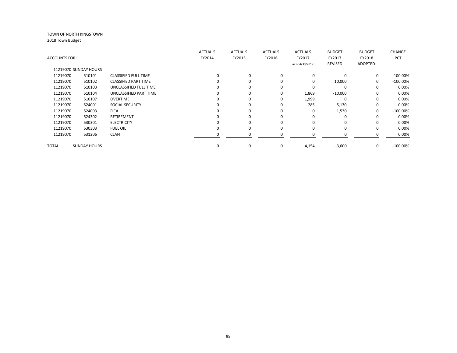|               |                       |                             | <b>ACTUALS</b> | <b>ACTUALS</b> | <b>ACTUALS</b> | <b>ACTUALS</b>  | <b>BUDGET</b>  | <b>BUDGET</b> | <b>CHANGE</b> |
|---------------|-----------------------|-----------------------------|----------------|----------------|----------------|-----------------|----------------|---------------|---------------|
| ACCOUNTS FOR: |                       |                             | FY2014         | FY2015         | FY2016         | FY2017          | FY2017         | FY2018        | <b>PCT</b>    |
|               |                       |                             |                |                |                | as of 4/30/2017 | <b>REVISED</b> | ADOPTED       |               |
|               | 11219070 SUNDAY HOURS |                             |                |                |                |                 |                |               |               |
| 11219070      | 510101                | <b>CLASSIFIED FULL TIME</b> | 0              | 0              | 0              | $\mathbf 0$     | $\Omega$       | 0             | $-100.00\%$   |
| 11219070      | 510102                | <b>CLASSIFIED PART TIME</b> |                | $\Omega$       |                | $\mathbf 0$     | 10,000         | $\Omega$      | $-100.00\%$   |
| 11219070      | 510103                | UNCLASSIFIED FULL TIME      |                | 0              |                | $\Omega$        | $\Omega$       | $\Omega$      | 0.00%         |
| 11219070      | 510104                | UNCLASSIFIED PART TIME      |                | 0              | $\Omega$       | 1,869           | $-10,000$      | $\Omega$      | 0.00%         |
| 11219070      | 510107                | <b>OVERTIME</b>             |                | 0              | 0              | 1,999           | $\Omega$       | 0             | 0.00%         |
| 11219070      | 524001                | <b>SOCIAL SECURITY</b>      | O              | 0              | 0              | 285             | $-5,130$       | $\Omega$      | 0.00%         |
| 11219070      | 524003                | <b>FICA</b>                 | n              | O              |                | $\Omega$        | 1,530          | $\Omega$      | $-100.00\%$   |
| 11219070      | 524302                | <b>RETIREMENT</b>           |                | 0              |                | $\Omega$        | 0              | 0             | 0.00%         |
| 11219070      | 530301                | <b>ELECTRICITY</b>          |                | O              |                | $\Omega$        | 0              | $\Omega$      | 0.00%         |
| 11219070      | 530303                | <b>FUEL OIL</b>             | 0              | O              |                | $\Omega$        | 0              | 0             | 0.00%         |
| 11219070      | 531206                | <b>CLAN</b>                 |                |                |                |                 |                |               | 0.00%         |
|               |                       |                             |                |                |                |                 |                |               |               |
| TOTAL         | <b>SUNDAY HOURS</b>   |                             | 0              | 0              | 0              | 4,154           | $-3,600$       | $\mathbf 0$   | $-100.00\%$   |
|               |                       |                             |                |                |                |                 |                |               |               |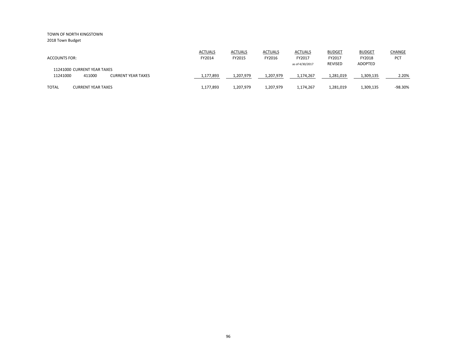2018 Town Budget

| <b>ACCOUNTS FOR:</b>                                                           | <b>ACTUALS</b><br>FY2014 | <b>ACTUALS</b><br>FY2015 | <b>ACTUALS</b><br>FY2016 | <b>ACTUALS</b><br>FY2017<br>as of 4/30/2017 | <b>BUDGET</b><br>FY2017<br><b>REVISED</b> | <b>BUDGET</b><br>FY2018<br><b>ADOPTED</b> | <b>CHANGE</b><br><b>PCT</b> |
|--------------------------------------------------------------------------------|--------------------------|--------------------------|--------------------------|---------------------------------------------|-------------------------------------------|-------------------------------------------|-----------------------------|
| 11241000 CURRENT YEAR TAXES<br>411000<br>11241000<br><b>CURRENT YEAR TAXES</b> | 1,177,893                | 1,207,979                | 1,207,979                | 1,174,267                                   | 1,281,019                                 | 1,309,135                                 | 2.20%                       |
| <b>TOTAL</b><br><b>CURRENT YEAR TAXES</b>                                      | 1,177,893                | 1,207,979                | 1.207.979                | 1,174,267                                   | 1,281,019                                 | 1,309,135                                 | $-98.30%$                   |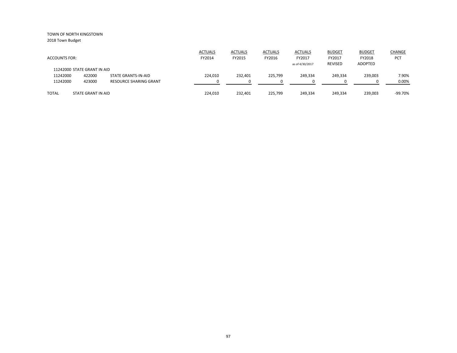|                             |                    |                        | <b>ACTUALS</b> | <b>ACTUALS</b> | <b>ACTUALS</b> | <b>ACTUALS</b>  | <b>BUDGET</b>  | <b>BUDGET</b> | <b>CHANGE</b> |
|-----------------------------|--------------------|------------------------|----------------|----------------|----------------|-----------------|----------------|---------------|---------------|
| <b>ACCOUNTS FOR:</b>        |                    |                        | FY2014         | FY2015         | FY2016         | FY2017          | FY2017         | FY2018        | <b>PCT</b>    |
|                             |                    |                        |                |                |                | as of 4/30/2017 | <b>REVISED</b> | ADOPTED       |               |
| 11242000 STATE GRANT IN AID |                    |                        |                |                |                |                 |                |               |               |
| 11242000                    | 422000             | STATE GRANTS-IN-AID    | 224.010        | 232,401        | 225,799        | 249,334         | 249,334        | 239,003       | 7.90%         |
| 11242000                    | 423000             | RESOURCE SHARING GRANT |                |                | $\Omega$       |                 |                |               | 0.00%         |
|                             |                    |                        |                |                |                |                 |                |               |               |
| <b>TOTAL</b>                | STATE GRANT IN AID |                        | 224,010        | 232.401        | 225,799        | 249,334         | 249,334        | 239,003       | $-99.70%$     |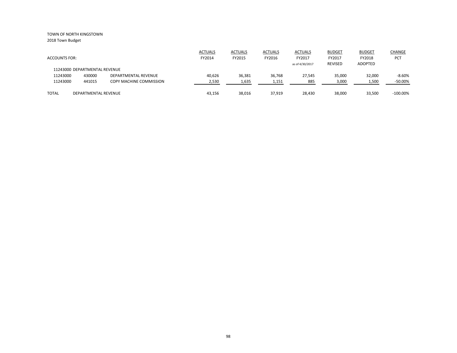|                               |                      |                         | <b>ACTUALS</b> | <b>ACTUALS</b> | <b>ACTUALS</b> | <b>ACTUALS</b>  | <b>BUDGET</b> | <b>BUDGET</b> | <b>CHANGE</b> |
|-------------------------------|----------------------|-------------------------|----------------|----------------|----------------|-----------------|---------------|---------------|---------------|
| <b>ACCOUNTS FOR:</b>          |                      |                         | FY2014         | FY2015         | FY2016         | FY2017          | FY2017        | FY2018        | <b>PCT</b>    |
|                               |                      |                         |                |                |                | as of 4/30/2017 | REVISED       | ADOPTED       |               |
| 11243000 DEPARTMENTAL REVENUE |                      |                         |                |                |                |                 |               |               |               |
| 11243000                      | 430000               | DEPARTMENTAL REVENUE    | 40.626         | 36,381         | 36,768         | 27.545          | 35,000        | 32,000        | $-8.60%$      |
| 11243000                      | 441015               | COPY MACHINE COMMISSION | 2,530          | 1,635          | 1,151          | 885             | 3,000         | 1,500         | $-50.00\%$    |
|                               |                      |                         |                |                |                |                 |               |               |               |
| <b>TOTAL</b>                  | DEPARTMENTAL REVENUE |                         | 43,156         | 38,016         | 37,919         | 28,430          | 38,000        | 33,500        | $-100.00\%$   |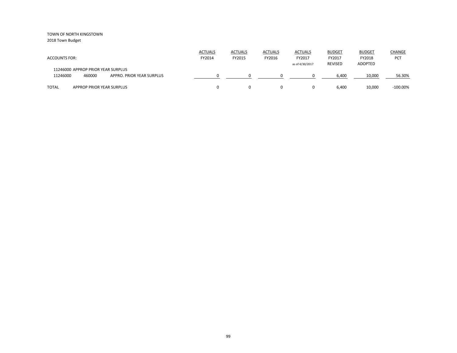| <b>ACCOUNTS FOR:</b>                                                                  | <b>ACTUALS</b><br>FY2014 | <b>ACTUALS</b><br>FY2015 | <b>ACTUALS</b><br>FY2016 | ACTUALS<br>FY2017<br>as of 4/30/2017 | <b>BUDGET</b><br>FY2017<br><b>REVISED</b> | <b>BUDGET</b><br>FY2018<br><b>ADOPTED</b> | CHANGE<br><b>PCT</b> |
|---------------------------------------------------------------------------------------|--------------------------|--------------------------|--------------------------|--------------------------------------|-------------------------------------------|-------------------------------------------|----------------------|
| 11246000 APPROP PRIOR YEAR SURPLUS<br>11246000<br>460000<br>APPRO. PRIOR YEAR SURPLUS |                          |                          |                          |                                      | 6.400                                     | 10,000                                    | 56.30%               |
| <b>TOTAL</b><br>APPROP PRIOR YEAR SURPLUS                                             |                          |                          | 0                        | 0                                    | 6,400                                     | 10,000                                    | $-100.00\%$          |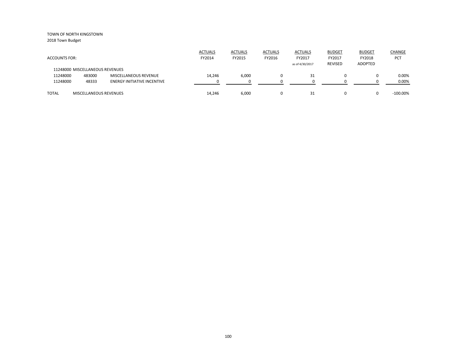| <b>ACCOUNTS FOR:</b>            |                        |                                    | <b>ACTUALS</b><br>FY2014 | <b>ACTUALS</b><br>FY2015 | <b>ACTUALS</b><br>FY2016 | <b>ACTUALS</b><br>FY2017<br>as of 4/30/2017 | <b>BUDGET</b><br>FY2017<br>REVISED | <b>BUDGET</b><br>FY2018<br>ADOPTED | CHANGE<br>PCT |
|---------------------------------|------------------------|------------------------------------|--------------------------|--------------------------|--------------------------|---------------------------------------------|------------------------------------|------------------------------------|---------------|
| 11248000 MISCELLANEOUS REVENUES |                        |                                    |                          |                          |                          |                                             |                                    |                                    |               |
| 11248000                        | 483000                 | <b>MISCELLANEOUS REVENUE</b>       | 14,246                   | 6,000                    |                          | 31                                          |                                    | 0                                  | 0.00%         |
| 11248000                        | 48333                  | <b>ENERGY INITIATIVE INCENTIVE</b> |                          |                          |                          |                                             |                                    |                                    | 0.00%         |
|                                 |                        |                                    |                          |                          |                          |                                             |                                    |                                    |               |
| <b>TOTAL</b>                    | MISCELLANEOUS REVENUES |                                    | 14,246                   | 6,000                    |                          | 31                                          |                                    | 0                                  | $-100.00\%$   |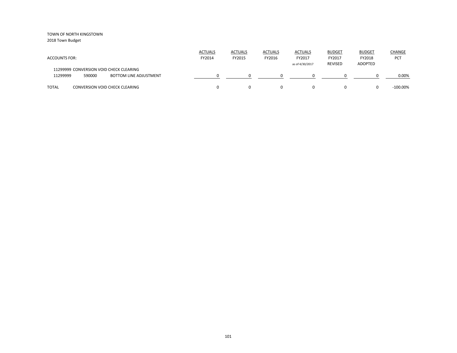| <b>ACCOUNTS FOR:</b>                                                                           | <b>ACTUALS</b><br>FY2014 | <b>ACTUALS</b><br>FY2015 | <b>ACTUALS</b><br>FY2016 | <b>ACTUALS</b><br>FY2017<br>as of 4/30/2017 | <b>BUDGET</b><br>FY2017<br><b>REVISED</b> | <b>BUDGET</b><br>FY2018<br><b>ADOPTED</b> | CHANGE<br><b>PCT</b> |
|------------------------------------------------------------------------------------------------|--------------------------|--------------------------|--------------------------|---------------------------------------------|-------------------------------------------|-------------------------------------------|----------------------|
| 11299999 CONVERSION VOID CHECK CLEARING<br>11299999<br>590000<br><b>BOTTOM LINE ADJUSTMENT</b> |                          |                          |                          |                                             |                                           |                                           | 0.00%                |
| <b>TOTAL</b><br><b>CONVERSION VOID CHECK CLEARING</b>                                          |                          |                          | 0                        | 0                                           | 0                                         | $\Omega$                                  | $-100.00\%$          |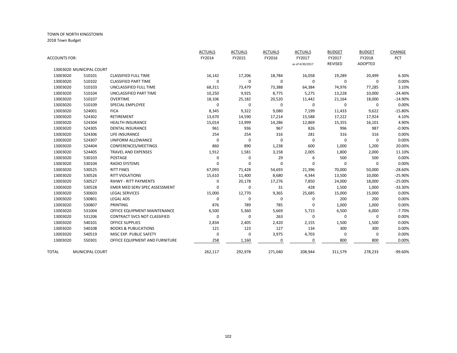| ACCOUNTS FOR: |                          |                                     | <b>ACTUALS</b><br>FY2014 | <b>ACTUALS</b><br>FY2015 | <b>ACTUALS</b><br>FY2016 | <b>ACTUALS</b><br>FY2017<br>as of 4/30/2017 | <b>BUDGET</b><br>FY2017<br><b>REVISED</b> | <b>BUDGET</b><br>FY2018<br><b>ADOPTED</b> | CHANGE<br>PCT |
|---------------|--------------------------|-------------------------------------|--------------------------|--------------------------|--------------------------|---------------------------------------------|-------------------------------------------|-------------------------------------------|---------------|
|               | 13003020 MUNICIPAL COURT |                                     |                          |                          |                          |                                             |                                           |                                           |               |
| 13003020      | 510101                   | <b>CLASSIFIED FULL TIME</b>         | 16,142                   | 17,206                   | 18,784                   | 16,058                                      | 19,289                                    | 20,499                                    | 6.30%         |
| 13003020      | 510102                   | <b>CLASSIFIED PART TIME</b>         | $\mathbf 0$              | $\mathbf 0$              | 0                        | $\mathbf 0$                                 | $\mathbf 0$                               | $\Omega$                                  | 0.00%         |
| 13003020      | 510103                   | UNCLASSIFIED FULL TIME              | 68,311                   | 73,479                   | 73,388                   | 64,384                                      | 74,976                                    | 77,285                                    | 3.10%         |
| 13003020      | 510104                   | UNCLASSIFIED PART TIME              | 10,250                   | 9,925                    | 8,775                    | 5,275                                       | 13,228                                    | 10,000                                    | $-24.40%$     |
| 13003020      | 510107                   | <b>OVERTIME</b>                     | 18,106                   | 25,182                   | 20,520                   | 11,442                                      | 21,164                                    | 18,000                                    | $-14.90%$     |
| 13003020      | 510109                   | <b>SPECIAL EMPLOYEE</b>             | $\mathbf 0$              | 0                        | 0                        | $\mathbf 0$                                 | 0                                         | 0                                         | 0.00%         |
| 13003020      | 524001                   | <b>FICA</b>                         | 8,345                    | 9,322                    | 9,080                    | 7,199                                       | 11,433                                    | 9,622                                     | $-15.80%$     |
| 13003020      | 524302                   | <b>RETIREMENT</b>                   | 13,670                   | 14,590                   | 17,214                   | 15,588                                      | 17,222                                    | 17,924                                    | 4.10%         |
| 13003020      | 524304                   | <b>HEALTH INSURANCE</b>             | 15,014                   | 13,999                   | 14,286                   | 12,869                                      | 15,355                                    | 16,101                                    | 4.90%         |
| 13003020      | 524305                   | <b>DENTAL INSURANCE</b>             | 961                      | 936                      | 967                      | 826                                         | 996                                       | 987                                       | $-0.90%$      |
| 13003020      | 524306                   | LIFE INSURANCE                      | 254                      | 254                      | 316                      | 281                                         | 316                                       | 316                                       | 0.00%         |
| 13003020      | 524307                   | UNIFORM ALLOWANCE                   | 0                        | $\mathbf 0$              | $\mathbf 0$              | $\mathbf 0$                                 | $\mathbf 0$                               | $\Omega$                                  | 0.00%         |
| 13003020      | 524404                   | CONFERENCES/MEETINGS                | 860                      | 890                      | 1,238                    | 600                                         | 1,000                                     | 1,200                                     | 20.00%        |
| 13003020      | 524405                   | <b>TRAVEL AND EXPENSES</b>          | 1,912                    | 1,581                    | 3,158                    | 2,005                                       | 1,800                                     | 2,000                                     | 11.10%        |
| 13003020      | 530103                   | POSTAGE                             | 0                        | 0                        | 29                       | 6                                           | 500                                       | 500                                       | 0.00%         |
| 13003020      | 530104                   | <b>RADIO SYSTEMS</b>                | 0                        | 0                        | 0                        | $\Omega$                                    | 0                                         | $\Omega$                                  | 0.00%         |
| 13003020      | 530525                   | <b>RITT FINES</b>                   | 67,093                   | 71,428                   | 54,693                   | 21,396                                      | 70,000                                    | 50,000                                    | $-28.60%$     |
| 13003020      | 530526                   | <b>RITT VIOLATIONS</b>              | 15,610                   | 11,400                   | 8,680                    | 4,344                                       | 13,500                                    | 10,000                                    | $-25.90%$     |
| 13003020      | 530527                   | <b>RIHWY - RITT PAYMENTS</b>        | $\mathbf 0$              | 20,178                   | 17,276                   | 7,850                                       | 24,000                                    | 18,000                                    | $-25.00%$     |
| 13003020      | 530528                   | EMER MED SERV SPEC ASSESSMENT       | $\Omega$                 | $\mathbf 0$              | 31                       | 428                                         | 1,500                                     | 1,000                                     | $-33.30%$     |
| 13003020      | 530603                   | <b>LEGAL SERVICES</b>               | 15,000                   | 12,770                   | 9,365                    | 25,685                                      | 15,000                                    | 15,000                                    | 0.00%         |
| 13003020      | 530801                   | <b>LEGAL ADS</b>                    | $\Omega$                 | 0                        | 0                        | 0                                           | 200                                       | 200                                       | 0.00%         |
| 13003020      | 530807                   | <b>PRINTING</b>                     | 876                      | 789                      | 785                      | $\Omega$                                    | 1,000                                     | 1,000                                     | 0.00%         |
| 13003020      | 531004                   | OFFICE EQUIPMENT MAINTENANCE        | 6,500                    | 5,360                    | 5,669                    | 5,715                                       | 6,500                                     | 6,000                                     | $-7.70%$      |
| 13003020      | 531206                   | <b>CONTRACT SVCS NOT CLASSIFIED</b> | $\mathbf 0$              | $\mathbf 0$              | 263                      | 0                                           | $\mathbf 0$                               | $\mathbf 0$                               | 0.00%         |
| 13003020      | 540101                   | <b>OFFICE SUPPLIES</b>              | 2,834                    | 2,405                    | 2,420                    | 2,155                                       | 1,500                                     | 1,500                                     | 0.00%         |
| 13003020      | 540108                   | <b>BOOKS &amp; PUBLICATIONS</b>     | 121                      | 123                      | 127                      | 134                                         | 300                                       | 300                                       | 0.00%         |
| 13003020      | 540519                   | MISC EXP. PUBLIC SAFETY             | 0                        | $\mathbf 0$              | 3,975                    | 4,703                                       | $\mathbf 0$                               | 0                                         | 0.00%         |
| 13003020      | 550301                   | OFFICE EQUIPMENT AND FURNITURE      | 258                      | 1,160                    | 0                        | 0                                           | 800                                       | 800                                       | 0.00%         |
| TOTAL         | MUNICIPAL COURT          |                                     | 262,117                  | 292,978                  | 271,040                  | 208,944                                     | 311,579                                   | 278,233                                   | -99.60%       |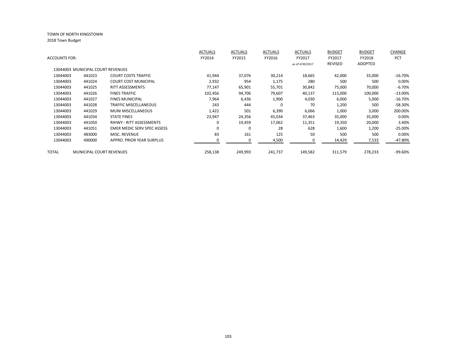|                      |                                   |                                    | <b>ACTUALS</b> | <b>ACTUALS</b> | <b>ACTUALS</b> | <b>ACTUALS</b>  | <b>BUDGET</b> | <b>BUDGET</b>  | <b>CHANGE</b> |
|----------------------|-----------------------------------|------------------------------------|----------------|----------------|----------------|-----------------|---------------|----------------|---------------|
| <b>ACCOUNTS FOR:</b> |                                   |                                    | FY2014         | FY2015         | FY2016         | FY2017          | FY2017        | FY2018         | PCT           |
|                      |                                   |                                    |                |                |                | as of 4/30/2017 | REVISED       | <b>ADOPTED</b> |               |
|                      | 13044003 MUNICIPAL COURT REVENUES |                                    |                |                |                |                 |               |                |               |
| 13044003             | 441023                            | <b>COURT COSTS TRAFFIC</b>         | 41,944         | 37,076         | 30,214         | 18,665          | 42,000        | 35,000         | $-16.70%$     |
| 13044003             | 441024                            | <b>COURT COST MUNICIPAL</b>        | 2,932          | 954            | 1,175          | 280             | 500           | 500            | 0.00%         |
| 13044003             | 441025                            | RITT ASSESSMENTS                   | 77,147         | 65,901         | 55,701         | 30,842          | 75,000        | 70,000         | $-6.70%$      |
| 13044003             | 441026                            | <b>FINES TRAFFIC</b>               | 102,456        | 94,706         | 79,607         | 40,137          | 115,000       | 100,000        | $-13.00%$     |
| 13044003             | 441027                            | <b>FINES MUNICIPAL</b>             | 7,964          | 6,436          | 1,900          | 4,030           | 6,000         | 5,000          | $-16.70%$     |
| 13044003             | 441028                            | <b>TRAFFIC MISCELLANEOUS</b>       | 243            | 444            | $\Omega$       | 70              | 1,200         | 500            | -58.30%       |
| 13044003             | 441029                            | <b>MUNI MISCELLANEOUS</b>          | 1,422          | 501            | 6,390          | 6,066           | 1,000         | 3,000          | 200.00%       |
| 13044003             | 441034                            | <b>STATE FINES</b>                 | 23,947         | 24,356         | 45,034         | 37,463          | 35,000        | 35,000         | 0.00%         |
| 13044003             | 441050                            | RIHWY - RITT ASSESSMENTS           | 0              | 19,459         | 17,062         | 11,351          | 19,350        | 20,000         | 3.40%         |
| 13044003             | 441051                            | <b>EMER MEDIC SERV SPEC ASSESS</b> | $\Omega$       | 0              | 28             | 628             | 1,600         | 1,200          | $-25.00%$     |
| 13044003             | 483000                            | MISC. REVENUE                      | 83             | 161            | 125            | 50              | 500           | 500            | 0.00%         |
| 13044003             | 490000                            | APPRO. PRIOR YEAR SURPLUS          |                | 0              | 4,500          | 0               | 14,429        | 7,533          | -47.80%       |
|                      |                                   |                                    |                |                |                |                 |               |                |               |
| TOTAL                | <b>MUNICIPAL COURT REVENUES</b>   |                                    | 258,138        | 249,993        | 241,737        | 149,582         | 311,579       | 278,233        | -99.60%       |
|                      |                                   |                                    |                |                |                |                 |               |                |               |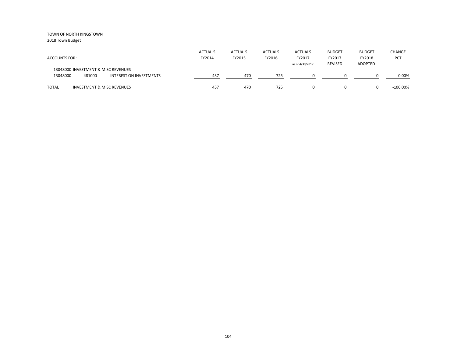| <b>ACCOUNTS FOR:</b>                                                                 | <b>ACTUALS</b><br>FY2014 | <b>ACTUALS</b><br>FY2015 | <b>ACTUALS</b><br>FY2016 | <b>ACTUALS</b><br>FY2017<br>as of 4/30/2017 | <b>BUDGET</b><br>FY2017<br><b>REVISED</b> | <b>BUDGET</b><br>FY2018<br>ADOPTED | CHANGE<br>PCT |
|--------------------------------------------------------------------------------------|--------------------------|--------------------------|--------------------------|---------------------------------------------|-------------------------------------------|------------------------------------|---------------|
| 13048000 INVESTMENT & MISC REVENUES<br>481000<br>13048000<br>INTEREST ON INVESTMENTS | 437                      | 470                      | 725                      |                                             |                                           |                                    | 0.00%         |
| <b>TOTAL</b><br><b>INVESTMENT &amp; MISC REVENUES</b>                                | 437                      | 470                      | 725                      | $\Omega$                                    |                                           |                                    | $-100.00\%$   |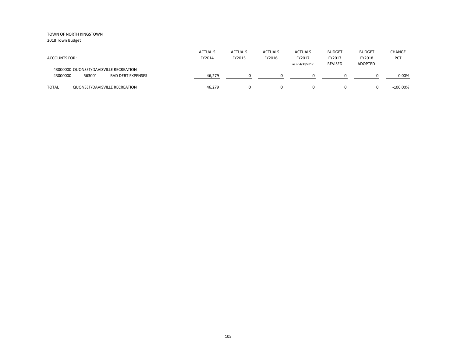| <b>ACCOUNTS FOR:</b>                                                              | <b>ACTUALS</b><br>FY2014 | <b>ACTUALS</b><br>FY2015 | <b>ACTUALS</b><br>FY2016 | <b>ACTUALS</b><br>FY2017<br>as of 4/30/2017 | <b>BUDGET</b><br>FY2017<br><b>REVISED</b> | <b>BUDGET</b><br>FY2018<br><b>ADOPTED</b> | CHANGE<br>PCT |
|-----------------------------------------------------------------------------------|--------------------------|--------------------------|--------------------------|---------------------------------------------|-------------------------------------------|-------------------------------------------|---------------|
| 43000000 QUONSET/DAVISVILLE RECREATION<br>43000000<br>563001<br>BAD DEBT EXPENSES | 46.279                   |                          |                          |                                             |                                           |                                           | 0.00%         |
| <b>TOTAL</b><br>QUONSET/DAVISVILLE RECREATION                                     | 46,279                   |                          | 0                        | 0                                           | 0                                         |                                           | $-100.00\%$   |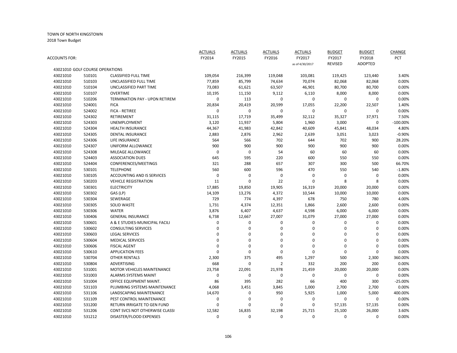|               |                                 |                                    | <b>ACTUALS</b>     | <b>ACTUALS</b>     | <b>ACTUALS</b> | <b>ACTUALS</b>     | <b>BUDGET</b>      | <b>BUDGET</b>     | CHANGE     |
|---------------|---------------------------------|------------------------------------|--------------------|--------------------|----------------|--------------------|--------------------|-------------------|------------|
| ACCOUNTS FOR: |                                 |                                    | FY2014             | FY2015             | FY2016         | FY2017             | FY2017             | FY2018            | <b>PCT</b> |
|               |                                 |                                    |                    |                    |                | as of 4/30/2017    | <b>REVISED</b>     | <b>ADOPTED</b>    |            |
|               | 43021010 GOLF COURSE OPERATIONS |                                    |                    |                    |                |                    |                    |                   |            |
| 43021010      | 510101                          | <b>CLASSIFIED FULL TIME</b>        | 109,054            | 216,399            | 119,048        | 103,081            | 119,425            | 123,440           | 3.40%      |
| 43021010      | 510103                          | UNCLASSIFIED FULL TIME             | 77,859             | 85,799             | 74,634         | 70,074             | 82,068             | 82,068            | 0.00%      |
| 43021010      | 510104                          | UNCLASSIFIED PART TIME             | 73,083             | 61,621             | 63,507         | 46,901             | 80,700             | 80,700            | 0.00%      |
| 43021010      | 510107                          | <b>OVERTIME</b>                    | 10,195             | 11,150             | 9,112          | 6,110              | 8,000              | 8,000             | 0.00%      |
| 43021010      | 510206                          | TERMINATION PAY - UPON RETIREM     | $\pmb{0}$          | 113                | $\pmb{0}$      | $\pmb{0}$          | 0                  | 0                 | 0.00%      |
| 43021010      | 524001                          | <b>FICA</b>                        | 20,834             | 20,419             | 20,599         | 17,055             | 22,200             | 22,507            | 1.40%      |
| 43021010      | 524002                          | <b>FICA - RETIREE</b>              | 0                  | $\mathbf 0$        | 0              | $\pmb{0}$          | $\pmb{0}$          | $\mathbf 0$       | 0.00%      |
| 43021010      | 524302                          | RETIREMENT                         | 31,115             | 17,719             | 35,499         | 32,112             | 35,327             | 37,971            | 7.50%      |
| 43021010      | 524303                          | UNEMPLOYMENT                       | 3,120              | 11,937             | 5,804          | 1,960              | 3,000              | 0                 | $-100.00%$ |
| 43021010      | 524304                          | <b>HEALTH INSURANCE</b>            | 44,367             | 41,983             | 42,842         | 40,609             | 45,841             | 48,034            | 4.80%      |
| 43021010      | 524305                          | <b>DENTAL INSURANCE</b>            | 2,883              | 2,876              | 2,962          | 2,639              | 3,051              | 3,023             | $-0.90%$   |
| 43021010      | 524306                          | LIFE INSURANCE                     | 564                | 566                | 702            | 644                | 702                | 900               | 28.20%     |
| 43021010      | 524307                          | UNIFORM ALLOWANCE                  | 900                | 900                | 900            | 900                | 900                | 900               | 0.00%      |
| 43021010      | 524308                          | MILEAGE ALLOWANCE                  | 0                  | $\pmb{0}$          | 54             | 60                 | 60                 | 60                | 0.00%      |
| 43021010      | 524403                          | <b>ASSOCIATION DUES</b>            | 645                | 595                | 220            | 600                | 550                | 550               | 0.00%      |
| 43021010      | 524404                          | CONFERENCES/MEETINGS               | 321                | 288                | 657            | 307                | 300                | 500               | 66.70%     |
| 43021010      | 530101                          | <b>TELEPHONE</b>                   | 560                | 600                | 596            | 470                | 550                | 540               | $-1.80%$   |
| 43021010      | 530105                          | <b>ACCOUNTING AND IS SERVICES</b>  | 0                  | $\mathbf 0$        | 0              | $\mathbf 0$        | 0                  | 0                 | 0.00%      |
| 43021010      | 530203                          | <b>VEHICLE REGISTRATION</b>        | 11                 | $\mathbf 0$        | 22             | $\mathbf 0$        | 8                  | 8                 | 0.00%      |
| 43021010      | 530301                          | <b>ELECTRICITY</b>                 | 17,885             | 19,850             | 19,905         | 16,319             | 20,000             | 20,000            | 0.00%      |
| 43021010      | 530302                          | GAS (LP)                           | 14,109             | 13,276             | 4,372          | 10,544             | 10,000             | 10,000            | 0.00%      |
| 43021010      | 530304                          | <b>SEWERAGE</b>                    | 729                | 774                | 4,397          | 678                | 750                | 780               | 4.00%      |
| 43021010      | 530305                          | <b>SOLID WASTE</b>                 | 1,731              | 4,374              | 12,351         | 1,866              | 2,600              | 2,600             | 0.00%      |
| 43021010      | 530306                          | <b>WATER</b>                       | 3,876              | 6,407              | 4,637          | 4,598              | 6,000              | 6,000             | 0.00%      |
| 43021010      | 530406                          | <b>GENERAL INSURANCE</b>           | 6,738              | 12,667             | 27,007         | 31,079             | 27,000             | 27,000            | 0.00%      |
| 43021010      | 530601                          | A & E STUDIES-MUNICIPAL FACILI     | 0                  | $\pmb{0}$          | 0              | $\pmb{0}$          | 0                  | 0                 | 0.00%      |
| 43021010      | 530602                          | <b>CONSULTING SERVICES</b>         | 0                  | $\mathbf 0$        | $\mathbf 0$    | $\mathbf 0$        | 0                  | 0                 | 0.00%      |
| 43021010      | 530603                          | <b>LEGAL SERVICES</b>              | 0                  | 0                  | 0              | $\mathbf 0$        | 0                  | 0                 | 0.00%      |
| 43021010      | 530604                          | <b>MEDICAL SERVICES</b>            | $\Omega$           | $\overline{0}$     | $\mathbf 0$    | $\mathbf 0$        | $\mathbf 0$        | 0                 | 0.00%      |
| 43021010      | 530606                          | <b>FISCAL AGENT</b>                | 0                  | $\mathbf 0$        | $\mathbf 0$    | $\mathbf 0$        | $\mathbf 0$        | 0                 | 0.00%      |
| 43021010      | 530610                          | <b>APPLICATION FEES</b>            | 0                  | $\mathbf 0$        | $\mathbf 0$    | $\mathbf 0$        | $\mathbf 0$        | $\Omega$          | 0.00%      |
| 43021010      | 530704                          | <b>OTHER RENTALS</b>               | 2,300              | 375                | 495            | 1,297              | 500                | 2,300             | 360.00%    |
| 43021010      | 530804                          | ADVERTISING                        | 668                | $\mathbf 0$        | $\overline{2}$ | 332                | 200                | 200               | 0.00%      |
| 43021010      | 531001                          | MOTOR VEHICLES MAINTENANCE         | 23,758             | 22,091             | 21,978         | 21,459             | 20,000             | 20,000            | 0.00%      |
| 43021010      | 531003                          | <b>ALARMS SYSTEMS MAINT</b>        | 0                  | $\mathbf 0$        | $\mathbf 0$    | $\mathbf 0$        | 0                  | $\mathbf 0$       | 0.00%      |
| 43021010      | 531004                          | OFFICE EQUIPMENT MAINT.            | 86                 | 395                | 282            | 66                 | 400                | 300               | $-25.00%$  |
| 43021010      | 531103                          | PLUMBING SYSTEMS MAINTENANCE       | 4,068              | 3,451              | 3,845          | 1,000              | 2,700              | 2,700             | 0.00%      |
| 43021010      | 531106                          | <b>LANDSCAPING MAINTENANCE</b>     |                    | $\mathbf 0$        | 950            |                    |                    |                   | 400.00%    |
| 43021010      | 531109                          | PEST CONTROL MAINTENANCE           | 14,670<br>0        | $\mathbf 0$        | 0              | 5,925<br>0         | 1,000<br>0         | 5,000<br>$\Omega$ | 0.00%      |
| 43021010      | 531200                          | <b>RETURN IRRIGATE TO GEN FUND</b> | 0                  | $\Omega$           | $\mathbf 0$    | $\mathbf 0$        | 57,135             |                   | 0.00%      |
|               | 531206                          | CONT SVCS NOT OTHERWISE CLASSI     |                    |                    |                |                    |                    | 57,135            | 3.60%      |
| 43021010      |                                 |                                    | 12,582<br>$\Omega$ | 16,835<br>$\Omega$ | 32,198         | 25,715<br>$\Omega$ | 25,100<br>$\Omega$ | 26,000            |            |
| 43021010      | 531212                          | DISASTER/FLOOD EXPENSES            |                    |                    | $\Omega$       |                    |                    | $\Omega$          | 0.00%      |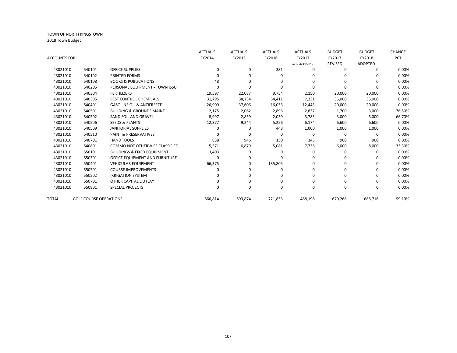|               |                               |                                        | <b>ACTUALS</b> | <b>ACTUALS</b> | <b>ACTUALS</b> | <b>ACTUALS</b>  | <b>BUDGET</b>  | <b>BUDGET</b>  | CHANGE    |
|---------------|-------------------------------|----------------------------------------|----------------|----------------|----------------|-----------------|----------------|----------------|-----------|
| ACCOUNTS FOR: |                               |                                        | FY2014         | FY2015         | FY2016         | FY2017          | FY2017         | FY2018         | PCT       |
|               |                               |                                        |                |                |                | as of 4/30/2017 | <b>REVISED</b> | <b>ADOPTED</b> |           |
| 43021010      | 540101                        | <b>OFFICE SUPPLIES</b>                 | $\Omega$       | 0              | 381            | $\Omega$        | 0              | 0              | 0.00%     |
| 43021010      | 540102                        | PRINTED FORMS                          |                | 0              | 0              | $\Omega$        | 0              | 0              | 0.00%     |
| 43021010      | 540108                        | <b>BOOKS &amp; PUBLICATIONS</b>        | 48             |                | 0              | $\Omega$        | O              | 0              | 0.00%     |
| 43021010      | 540205                        | PERSONAL EQUIPMENT - TOWN ISSU         |                |                | O              |                 | n              | 0              | 0.00%     |
| 43021010      | 540304                        | <b>FERTILIZERS</b>                     | 19,597         | 22,087         | 9,754          | 2,150           | 20,000         | 20,000         | 0.00%     |
| 43021010      | 540305                        | PEST CONTROL CHEMICALS                 | 31,795         | 38,734         | 34,411         | 7,331           | 35,000         | 35,000         | 0.00%     |
| 43021010      | 540401                        | <b>GASOLINE OIL &amp; ANTIFREEZE</b>   | 26,909         | 37,606         | 16,053         | 12,443          | 20,000         | 20,000         | 0.00%     |
| 43021010      | 540501                        | <b>BUILDING &amp; GROUNDS MAINT.</b>   | 2,175          | 2,062          | 2,896          | 2,837           | 1,700          | 3,000          | 76.50%    |
| 43021010      | 540502                        | SAND SOIL AND GRAVEL                   | 8,997          | 2,859          | 2,039          | 3,785           | 3,000          | 5,000          | 66.70%    |
| 43021010      | 540506                        | <b>SEEDS &amp; PLANTS</b>              | 12,377         | 9,244          | 5,256          | 6,174           | 6,600          | 6,600          | 0.00%     |
| 43021010      | 540509                        | <b>JANITORIAL SUPPLIES</b>             | O              | 0              | 448            | 1,000           | 1,000          | 1,000          | 0.00%     |
| 43021010      | 540510                        | <b>PAINT &amp; PRESERVATIVES</b>       |                |                | 0              | 0               | 0              | $\Omega$       | 0.00%     |
| 43021010      | 540701                        | <b>HAND TOOLS</b>                      | 858            | 946            | 150            | 345             | 900            | 900            | 0.00%     |
| 43021010      | 540801                        | <b>COMMO NOT OTHERWISE CLASSIFIED</b>  | 5,571          | 6,879          | 5,081          | 7,738           | 6,000          | 8,000          | 33.30%    |
| 43021010      | 550101                        | <b>BUILDINGS &amp; FIXED EQUIPMENT</b> | 13,403         | o              | 0              | 0               | $\Omega$       | 0              | 0.00%     |
| 43021010      | 550301                        | OFFICE EQUIPMENT AND FURNITURE         | $\Omega$       | 0              | O              | $\Omega$        | 0              | 0              | 0.00%     |
| 43021010      | 550401                        | <b>VEHICULAR EQUIPMENT</b>             | 66,375         | $\Omega$       | 135,805        |                 | 0              | 0              | 0.00%     |
| 43021010      | 550501                        | <b>COURSE IMPROVEMENTS</b>             |                | 0              | 0              |                 | 0              | 0              | 0.00%     |
| 43021010      | 550502                        | <b>IRRIGATION SYSTEM</b>               |                |                | O              |                 | 0              | 0              | 0.00%     |
| 43021010      | 550701                        | OTHER CAPITAL OUTLAY                   |                | <sup>0</sup>   | 0              |                 | <sup>0</sup>   | 0              | 0.00%     |
| 43021010      | 550801                        | <b>SPECIAL PROJECTS</b>                | O              | O              | $\Omega$       | n               | 0              | 0              | 0.00%     |
| TOTAL         | <b>GOLF COURSE OPERATIONS</b> |                                        | 666,814        | 693,874        | 721,853        | 488,198         | 670,268        | 688,716        | $-99.10%$ |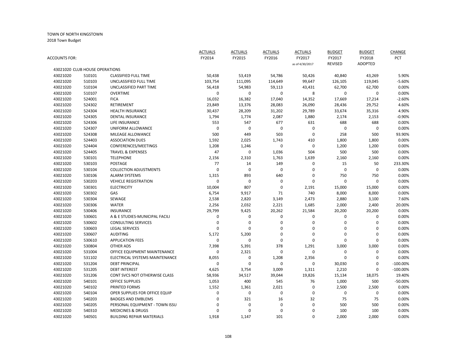|               |                                |                                  | <b>ACTUALS</b> | <b>ACTUALS</b> | <b>ACTUALS</b>   | <b>ACTUALS</b>  | <b>BUDGET</b>  | <b>BUDGET</b>  | CHANGE     |
|---------------|--------------------------------|----------------------------------|----------------|----------------|------------------|-----------------|----------------|----------------|------------|
| ACCOUNTS FOR: |                                |                                  | FY2014         | FY2015         | FY2016           | FY2017          | FY2017         | FY2018         | PCT        |
|               |                                |                                  |                |                |                  | as of 4/30/2017 | <b>REVISED</b> | <b>ADOPTED</b> |            |
|               | 43021020 CLUB HOUSE OPERATIONS |                                  |                |                |                  |                 |                |                |            |
| 43021020      | 510101                         | <b>CLASSIFIED FULL TIME</b>      | 50,438         | 53,419         | 54,786           | 50,426          | 40,840         | 43,269         | 5.90%      |
| 43021020      | 510103                         | UNCLASSIFIED FULL TIME           | 103,754        | 111,095        | 114,649          | 99,647          | 126,105        | 119,045        | $-5.60%$   |
| 43021020      | 510104                         | UNCLASSIFIED PART TIME           | 56,418         | 54,983         | 59,113           | 43,431          | 62,700         | 62,700         | 0.00%      |
| 43021020      | 510107                         | <b>OVERTIME</b>                  | 0              | 0              | $\mathbf 0$      | 8               | 0              | 0              | 0.00%      |
| 43021020      | 524001                         | <b>FICA</b>                      | 16,032         | 16,382         | 17,040           | 14,352          | 17,669         | 17,214         | $-2.60%$   |
| 43021020      | 524302                         | RETIREMENT                       | 23,849         | 13,376         | 28,083           | 26,090          | 28,436         | 29,752         | 4.60%      |
| 43021020      | 524304                         | <b>HEALTH INSURANCE</b>          | 30,437         | 28,209         | 31,202           | 29,789          | 33,674         | 35,316         | 4.90%      |
| 43021020      | 524305                         | <b>DENTAL INSURANCE</b>          | 1,794          | 1,774          | 2,087            | 1,880           | 2,174          | 2,153          | $-0.90%$   |
| 43021020      | 524306                         | LIFE INSURANCE                   | 553            | 547            | 677              | 631             | 688            | 688            | 0.00%      |
| 43021020      | 524307                         | UNIFORM ALLOWANCE                | 0              | $\mathbf 0$    | $\mathbf 0$      | 0               | $\pmb{0}$      | 0              | 0.00%      |
| 43021020      | 524308                         | MILEAGE ALLOWANCE                | 500            | 449            | 503              | $\mathbf 0$     | 258            | 500            | 93.90%     |
| 43021020      | 524403                         | <b>ASSOCIATION DUES</b>          | 1,592          | 2,025          | 1,743            | 410             | 1,800          | 1,800          | 0.00%      |
| 43021020      | 524404                         | CONFERENCES/MEETINGS             | 1,208          | 1,246          | $\mathbf 0$      | $\mathbf 0$     | 1,200          | 1,200          | 0.00%      |
| 43021020      | 524405                         | <b>TRAVEL &amp; EXPENSES</b>     | 47             | $\mathbf 0$    | 1,036            | 504             | 500            | 500            | 0.00%      |
| 43021020      | 530101                         | <b>TELEPHONE</b>                 | 2,156          | 2,310          | 1,763            | 1,639           | 2,160          | 2,160          | 0.00%      |
| 43021020      | 530103                         | <b>POSTAGE</b>                   | 77             | 14             | 149              | 0               | 15             | 50             | 233.30%    |
| 43021020      | 530104                         | <b>COLLECTION ADJUSTMENTS</b>    | 0              | $\mathbf 0$    | $\mathbf 0$      | 0               | $\mathbf 0$    | 0              | 0.00%      |
| 43021020      | 530106                         | <b>ALARM SYSTEMS</b>             | 1,315          | 893            | 640              | 0               | 750            | 750            | 0.00%      |
| 43021020      | 530203                         | <b>VEHICLE REGISTRATION</b>      | 0              | $\mathbf 0$    | 0                | $\mathbf 0$     | $\mathbf 0$    | 0              | 0.00%      |
| 43021020      | 530301                         | <b>ELECTRICITY</b>               | 10,004         | 807            | $\mathbf 0$      | 2,191           | 15,000         | 15,000         | 0.00%      |
| 43021020      | 530302                         | GAS                              | 6,754          | 9,917          | 71               | 740             | 8,000          | 8,000          | 0.00%      |
| 43021020      | 530304                         | SEWAGE                           | 2,538          | 2,820          | 3,149            | 2,473           | 2,880          | 3,100          | 7.60%      |
| 43021020      | 530306                         | <b>WATER</b>                     | 2,256          | 2,032          | 2,221            | 1,685           | 2,000          | 2,400          | 20.00%     |
| 43021020      | 530406                         | <b>INSURANCE</b>                 | 29,799         | 9,425          | 20,262           | 21,584          | 20,200         | 20,200         | 0.00%      |
| 43021020      | 530601                         | A & E STUDIES-MUNICIPAL FACILI   | 0              | 0              | 0                | 0               | 0              | 0              | 0.00%      |
| 43021020      | 530602                         | <b>CONSULTING SERVICES</b>       | 0              | 0              | 0                | 0               | 0              | 0              | 0.00%      |
| 43021020      | 530603                         | <b>LEGAL SERVICES</b>            | 0              | $\mathbf 0$    | $\mathbf 0$      | 0               | $\mathbf 0$    | 0              | 0.00%      |
| 43021020      | 530607                         | <b>AUDITING</b>                  | 5,172          | 5,200          | $\mathbf 0$      | 0               | $\mathbf 0$    | 0              | 0.00%      |
| 43021020      | 530610                         | <b>APPLICATION FEES</b>          | 0              | $\overline{0}$ | $\boldsymbol{0}$ | $\mathbf 0$     | $\Omega$       | 0              | 0.00%      |
| 43021020      | 530804                         | OTHER ADS                        | 7,398          | 5,391          | 378              | 1,291           | 3,000          | 3,000          | 0.00%      |
| 43021020      | 531004                         | OFFICE EQUIPMENT MAINTENANCE     | 0              | 2,321          | $\pmb{0}$        | $\mathbf{0}$    | 0              | 0              | 0.00%      |
| 43021020      | 531102                         | ELECTRICAL SYSTEMS MAINTENANCE   | 8,055          | 0              | 1,208            | 2,356           | $\mathbf 0$    | 0              | 0.00%      |
| 43021020      | 531204                         | <b>DEBT PRINCIPAL</b>            | 0              | $\overline{0}$ | $\mathbf 0$      | $\mathbf 0$     | 30,030         | 0              | $-100.00%$ |
| 43021020      | 531205                         | <b>DEBT INTEREST</b>             | 4,625          | 3,754          | 3,009            | 1,311           | 2,210          | 0              | $-100.00%$ |
| 43021020      | 531206                         | CONT SVCS NOT OTHERWISE CLASS    | 58,936         | 34,517         | 39,044           | 19,826          | 15,134         | 18,075         | 19.40%     |
| 43021020      | 540101                         | <b>OFFICE SUPPLIES</b>           | 1,053          | 400            | 545              | 76              | 1,000          | 500            | $-50.00%$  |
| 43021020      | 540102                         | PRINTED FORMS                    | 1,552          | 1,361          | 2,021            | 0               | 2,500          | 2,500          | 0.00%      |
| 43021020      | 540104                         | OPER SUPPLIES FOR OFFICE EQUIP   | 0              | $\mathbf 0$    | $\mathbf 0$      | 0               | 0              | $\mathbf 0$    | 0.00%      |
| 43021020      | 540203                         | <b>BADGES AND EMBLEMS</b>        | 0              | 321            | 16               | 32              | 75             | 75             | 0.00%      |
| 43021020      | 540205                         | PERSONAL EQUIPMENT - TOWN ISSU   | $\Omega$       | $\mathbf 0$    | 0                | 0               | 500            | 500            | 0.00%      |
| 43021020      | 540310                         | <b>MEDICINES &amp; DRUGS</b>     | 0              | $\Omega$       | $\Omega$         | $\Omega$        | 100            | 100            | 0.00%      |
| 43021020      | 540501                         | <b>BUILDING REPAIR MATERIALS</b> | 1,918          | 1,147          | 101              | $\Omega$        | 2,000          | 2,000          | 0.00%      |
|               |                                |                                  |                |                |                  |                 |                |                |            |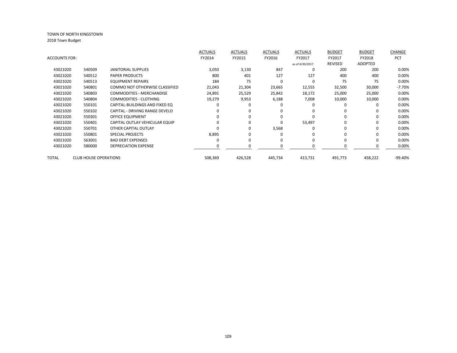| <b>ACCOUNTS FOR:</b>                                        | FY2014  |         |          |                 |              |                |            |
|-------------------------------------------------------------|---------|---------|----------|-----------------|--------------|----------------|------------|
|                                                             |         | FY2015  | FY2016   | FY2017          | FY2017       | FY2018         | <b>PCT</b> |
|                                                             |         |         |          | as of 4/30/2017 | REVISED      | <b>ADOPTED</b> |            |
| 43021020<br>540509<br><b>JANITORIAL SUPPLIES</b>            | 3,050   | 3,130   | 847      | 0               | 200          | 200            | 0.00%      |
| 43021020<br><b>PAPER PRODUCTS</b><br>540512                 | 800     | 401     | 127      | 127             | 400          | 400            | 0.00%      |
| 43021020<br>540513<br><b>EQUIPMENT REPAIRS</b>              | 184     | 75      | $\Omega$ | $\Omega$        | 75           | 75             | 0.00%      |
| 43021020<br>540801<br><b>COMMO NOT OTHERWISE CLASSIFIED</b> | 21,043  | 21,304  | 23,665   | 12,555          | 32,500       | 30,000         | $-7.70%$   |
| 43021020<br>540803<br><b>COMMODITIES - MERCHANDISE</b>      | 24,891  | 25,529  | 25,842   | 18,172          | 25,000       | 25,000         | 0.00%      |
| 43021020<br>540804<br>COMMODITIES - CLOTHING                | 19,279  | 9,953   | 6,188    | 7,008           | 10,000       | 10,000         | 0.00%      |
| 43021020<br>CAPITAL-BUILDINGS AND FIXED EQ<br>550101        |         |         | O        | $\Omega$        | <sup>0</sup> | 0              | 0.00%      |
| 43021020<br>CAPITAL - DRIVING RANGE DEVELO<br>550102        |         | 0       | 0        | 0               | <sup>0</sup> | 0              | 0.00%      |
| OFFICE EQUIPMENT<br>43021020<br>550301                      |         | O       | $\Omega$ | $\Omega$        | <sup>0</sup> | 0              | 0.00%      |
| 43021020<br>550401<br>CAPITAL OUTLAY VEHICULAR EQUIP        |         |         | 0        | 53,497          | 0            | 0              | 0.00%      |
| 43021020<br>550701<br>OTHER CAPITAL OUTLAY                  |         | 0       | 3,568    | $\Omega$        | 0            | 0              | 0.00%      |
| 43021020<br>550801<br><b>SPECIAL PROJECTS</b>               | 8,895   |         | 0        |                 |              | 0              | 0.00%      |
| <b>BAD DEBT EXPENSES</b><br>43021020<br>563001              |         | 0       | $\Omega$ | $\Omega$        | $\Omega$     | 0              | 0.00%      |
| 43021020<br><b>DEPRECIATION EXPENSE</b><br>580000           |         |         |          |                 |              |                | 0.00%      |
| <b>CLUB HOUSE OPERATIONS</b><br>TOTAL                       | 508,369 | 426,528 | 445,734  | 413,731         | 491,773      | 458,222        | $-99.40%$  |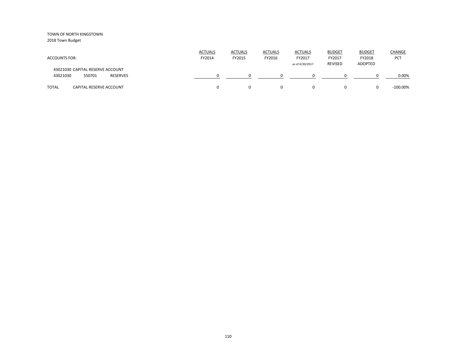2018 Town Budget

| <b>ACCOUNTS FOR:</b>                                               | <b>ACTUALS</b><br>FY2014 | <b>ACTUALS</b><br>FY2015 | <b>ACTUALS</b><br>FY2016 | <b>ACTUALS</b><br>FY2017<br>as of 4/30/2017 | <b>BUDGET</b><br>FY2017<br>REVISED | <b>BUDGET</b><br>FY2018<br>ADOPTED | <b>CHANGE</b><br><b>PCT</b> |
|--------------------------------------------------------------------|--------------------------|--------------------------|--------------------------|---------------------------------------------|------------------------------------|------------------------------------|-----------------------------|
| 43021030 CAPITAL RESERVE ACCOUNT<br>550701<br>43021030<br>RESERVES |                          |                          |                          |                                             |                                    |                                    | 0.00%                       |
| <b>TOTAL</b><br>CAPITAL RESERVE ACCOUNT                            |                          |                          | 0                        | 0                                           | $\Omega$                           |                                    | $-100.00\%$                 |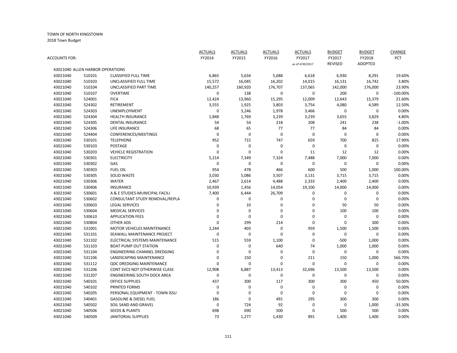|               |                                  |                                       | <b>ACTUALS</b> | <b>ACTUALS</b> | <b>ACTUALS</b> | <b>ACTUALS</b>  | <b>BUDGET</b>    | <b>BUDGET</b>  | CHANGE     |
|---------------|----------------------------------|---------------------------------------|----------------|----------------|----------------|-----------------|------------------|----------------|------------|
| ACCOUNTS FOR: |                                  |                                       | FY2014         | FY2015         | FY2016         | FY2017          | FY2017           | FY2018         | <b>PCT</b> |
|               |                                  |                                       |                |                |                | as of 4/30/2017 | <b>REVISED</b>   | <b>ADOPTED</b> |            |
|               | 43021040 ALLEN HARBOR OPERATIONS |                                       |                |                |                |                 |                  |                |            |
| 43021040      | 510101                           | <b>CLASSIFIED FULL TIME</b>           | 6,865          | 5,634          | 5,688          | 6,618           | 6,930            | 8,291          | 19.60%     |
| 43021040      | 510103                           | UNCLASSIFIED FULL TIME                | 15,572         | 16,045         | 16,202         | 14,015          | 16,131           | 16,742         | 3.80%      |
| 43021040      | 510104                           | UNCLASSIFIED PART TIME                | 140,257        | 160,920        | 176,707        | 137,065         | 142,000          | 176,000        | 23.90%     |
| 43021040      | 510107                           | <b>OVERTIME</b>                       | $\mathbf 0$    | 138            | 0              | $\mathbf 0$     | 200              | 0              | $-100.00%$ |
| 43021040      | 524001                           | <b>FICA</b>                           | 12,424         | 13,960         | 15,295         | 12,009          | 12,643           | 15,379         | 21.60%     |
| 43021040      | 524302                           | RETIREMENT                            | 3,555          | 1,925          | 3,803          | 3,754           | 4,080            | 4,589          | 12.50%     |
| 43021040      | 524303                           | <b>UNEMPLOYMENT</b>                   | 0              | 3,246          | 1,978          | 3,466           | 0                | 0              | 0.00%      |
| 43021040      | 524304                           | <b>HEALTH INSURANCE</b>               | 1,848          | 1,769          | 3,239          | 3,239           | 3,655            | 3,829          | 4.80%      |
| 43021040      | 524305                           | <b>DENTAL INSURANCE</b>               | 54             | 54             | 218            | 208             | 241              | 238            | $-1.00%$   |
| 43021040      | 524306                           | LIFE INSURANCE                        | 68             | 65             | 77             | 77              | 84               | 84             | 0.00%      |
| 43021040      | 524404                           | CONFERENCES/MEETINGS                  | $\mathbf 0$    | $\mathbf 0$    | $\mathbf 0$    | $\mathbf 0$     | $\mathbf 0$      | $\mathbf 0$    | 0.00%      |
| 43021040      | 530101                           | <b>TELEPHONE</b>                      | 952            | 715            | 747            | 659             | 700              | 825            | 17.90%     |
| 43021040      | 530103                           | <b>POSTAGE</b>                        | $\mathbf 0$    | $\mathbf 0$    | 0              | $\mathbf 0$     | 0                | 0              | 0.00%      |
| 43021040      | 530203                           | <b>VEHICLE REGISTRATION</b>           | $\mathbf 0$    | $\mathbf 0$    | $\mathbf 0$    | 11              | 12               | 12             | 0.00%      |
| 43021040      | 530301                           | <b>ELECTRICITY</b>                    | 5,214          | 7,349          | 7,324          | 7,488           | 7,000            | 7,000          | 0.00%      |
| 43021040      | 530302                           | GAS                                   | $\mathbf 0$    | $\mathbf 0$    | 0              | $\mathbf 0$     | 0                | $\mathbf 0$    | 0.00%      |
| 43021040      | 530303                           | <b>FUEL OIL</b>                       | 954            | 478            | 466            | 600             | 500              | 1,000          | 100.00%    |
| 43021040      | 530305                           | <b>SOLID WASTE</b>                    | 3,030          | 5,086          | 3,507          | 3,131           | 3,715            | 3,715          | 0.00%      |
| 43021040      | 530306                           | <b>WATER</b>                          | 2,467          | 2,614          | 4,488          | 2,333           | 2,400            | 2,400          | 0.00%      |
| 43021040      | 530406                           | <b>INSURANCE</b>                      | 10,939         | 1,456          | 14,054         | 19,100          | 14,000           | 14,000         | 0.00%      |
| 43021040      | 530601                           | A & E STUDIES-MUNICIPAL FACILI        | 7,400          | 6,444          | 26,709         | $\mathbf 0$     | 0                | 0              | 0.00%      |
| 43021040      | 530602                           | CONSULTANT STUDY REMOVAL/REPLA        | 0              | $\mathbf 0$    | 0              | $\mathbf 0$     | $\boldsymbol{0}$ | 0              | 0.00%      |
| 43021040      | 530603                           | <b>LEGAL SERVICES</b>                 | 0              | 10             | 0              | 0               | 50               | 50             | 0.00%      |
| 43021040      | 530604                           | <b>MEDICAL SERVICES</b>               | 0              | $\mathbf 0$    | $\mathbf 0$    | $\mathbf 0$     | 100              | 100            | 0.00%      |
| 43021040      | 530610                           | <b>APPLICATION FEES</b>               | 0              | $\mathbf 0$    | $\mathbf 0$    | $\mathbf 0$     | $\mathbf 0$      | 0              | 0.00%      |
| 43021040      | 530804                           | <b>OTHER ADS</b>                      | 0              | 299            | 214            | $\mathbf 0$     | $\mathbf 0$      | 300            | 0.00%      |
| 43021040      | 531001                           | <b>MOTOR VEHICLES MAINTENANCE</b>     | 2,244          | 403            | 0              | 959             | 1,500            | 1,500          | 0.00%      |
| 43021040      | 531101                           | SEAWALL MAINTENANCE PROJECT           | 0              | $\mathbf 0$    | $\mathbf 0$    | $\mathbf 0$     | $\mathbf 0$      | 0              | 0.00%      |
| 43021040      | 531102                           | <b>ELECTRICAL SYSTEMS MAINTENANCE</b> | 515            | 559            | 1,100          | $\mathbf 0$     | $-500$           | 1,000          | 0.00%      |
| 43021040      | 531103                           | <b>BOAT PUMP OUT STATION</b>          | 0              | $\mathbf 0$    | 640            | 74              | 1,000            | 1,000          | 0.00%      |
| 43021040      | 531104                           | <b>ENGINEERING CHANNEL DREDGING</b>   | $\mathbf 0$    | $\mathbf 0$    | 0              | $\mathbf 0$     | 0                | $\mathbf 0$    | 0.00%      |
| 43021040      | 531106                           | LANDSCAPING MAINTENANCE               | 0              | 150            | $\mathbf 0$    | 211             | 150              | 1,000          | 566.70%    |
| 43021040      | 531112                           | <b>QDC DREDGING MAINTENANCE</b>       | $\Omega$       | $\mathbf 0$    | $\mathbf 0$    | $\mathbf 0$     | $\mathbf 0$      | $\Omega$       | 0.00%      |
| 43021040      | 531206                           | CONT SVCS NOT OTHERWISE CLASS         | 12,908         | 6,887          | 13,413         | 32,696          | 13,500           | 13,500         | 0.00%      |
| 43021040      | 531207                           | ENGINEERING SOUTH DOCK AREA           | 0              | $\mathbf 0$    | $\mathbf 0$    | $\mathbf 0$     | 0                | 0              | 0.00%      |
| 43021040      | 540101                           | <b>OFFICE SUPPLIES</b>                | 437            | 300            | 117            | 300             | 300              | 450            | 50.00%     |
| 43021040      | 540102                           | PRINTED FORMS                         | $\mathbf 0$    | $\mathbf 0$    | 0              | $\mathbf 0$     | 0                | 0              | 0.00%      |
| 43021040      | 540205                           | PERSONAL EQUIPMENT - TOWN ISSU        | $\mathbf 0$    | $\mathbf 0$    | 0              | $\mathbf 0$     | $\mathbf 0$      | $\Omega$       | 0.00%      |
| 43021040      | 540401                           | <b>GASOLINE &amp; DIESEL FUEL</b>     | 186            | $\mathbf 0$    | 491            | 295             | 300              | 300            | 0.00%      |
| 43021040      | 540502                           | SOIL SAND AND GRAVEL                  | 0              | 724            | 92             | $\mathbf 0$     | 0                | 1,000          | -33.30%    |
| 43021040      | 540506                           | <b>SEEDS &amp; PLANTS</b>             | 698            | 690            | 500            | $\mathbf 0$     | 500              | 500            | 0.00%      |
|               |                                  |                                       | 73             |                |                | 891             |                  |                | 0.00%      |
| 43021040      | 540509                           | JANITORIAL SUPPLIES                   |                | 1,277          | 1,430          |                 | 1,400            | 1,400          |            |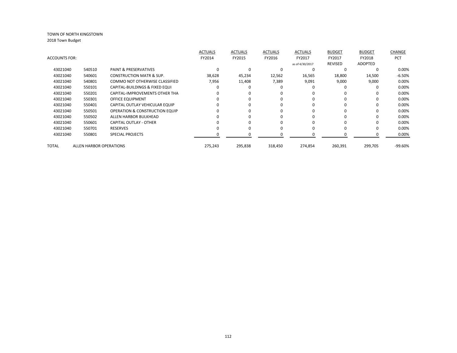|                      |                                |                                           | <b>ACTUALS</b> | <b>ACTUALS</b> | <b>ACTUALS</b> | <b>ACTUALS</b>  | <b>BUDGET</b>  | <b>BUDGET</b>  | <b>CHANGE</b> |
|----------------------|--------------------------------|-------------------------------------------|----------------|----------------|----------------|-----------------|----------------|----------------|---------------|
| <b>ACCOUNTS FOR:</b> |                                |                                           | FY2014         | FY2015         | FY2016         | FY2017          | FY2017         | FY2018         | <b>PCT</b>    |
|                      |                                |                                           |                |                |                | as of 4/30/2017 | <b>REVISED</b> | <b>ADOPTED</b> |               |
| 43021040             | 540510                         | <b>PAINT &amp; PRESERVATIVES</b>          | O              | O              |                | $\Omega$        | $\Omega$       | $\Omega$       | 0.00%         |
| 43021040             | 540601                         | <b>CONSTRUCTION MATR &amp; SUP.</b>       | 38,628         | 45,234         | 12,562         | 16,565          | 18,800         | 14,500         | $-6.50%$      |
| 43021040             | 540801                         | <b>COMMO NOT OTHERWISE CLASSIFIED</b>     | 7,956          | 11,408         | 7,389          | 9,091           | 9,000          | 9,000          | 0.00%         |
| 43021040             | 550101                         | CAPITAL-BUILDINGS & FIXED EQUI            | ŋ              | O              |                |                 |                | 0              | 0.00%         |
| 43021040             | 550201                         | CAPITAL-IMPROVEMENTS OTHER THA            |                | 0              |                |                 |                | 0              | 0.00%         |
| 43021040             | 550301                         | OFFICE EQUIPMENT                          |                | 0              | ŋ              | $\Omega$        | $\Omega$       | 0              | 0.00%         |
| 43021040             | 550401                         | CAPITAL OUTLAY VEHICULAR EQUIP            |                | 0              |                |                 | ŋ              | 0              | 0.00%         |
| 43021040             | 550501                         | <b>OPERATION &amp; CONSTRUCTION EQUIP</b> |                | 0              |                | $\Omega$        |                | 0              | 0.00%         |
| 43021040             | 550502                         | ALLEN HARBOR BULKHEAD                     | n              | O              |                | $\Omega$        | $\Omega$       | 0              | 0.00%         |
| 43021040             | 550601                         | <b>CAPITAL OUTLAY - OTHER</b>             |                | O              |                |                 | ŋ              | 0              | 0.00%         |
| 43021040             | 550701                         | <b>RESERVES</b>                           |                | $\Omega$       |                | $\Omega$        |                | 0              | 0.00%         |
| 43021040             | 550801                         | <b>SPECIAL PROJECTS</b>                   |                | 0              |                |                 |                | 0              | 0.00%         |
| TOTAL                | <b>ALLEN HARBOR OPERATIONS</b> |                                           | 275,243        | 295,838        | 318,450        | 274,854         | 260,391        | 299,705        | $-99.60%$     |
|                      |                                |                                           |                |                |                |                 |                |                |               |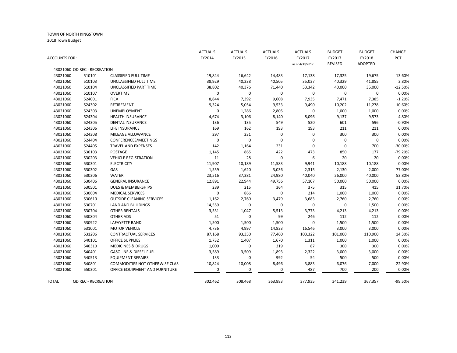|                      |                              |                                   | <b>ACTUALS</b> | <b>ACTUALS</b> | <b>ACTUALS</b> | <b>ACTUALS</b>  | <b>BUDGET</b>  | <b>BUDGET</b>  | CHANGE    |
|----------------------|------------------------------|-----------------------------------|----------------|----------------|----------------|-----------------|----------------|----------------|-----------|
| <b>ACCOUNTS FOR:</b> |                              |                                   | FY2014         | FY2015         | FY2016         | FY2017          | FY2017         | FY2018         | PCT       |
|                      |                              |                                   |                |                |                | as of 4/30/2017 | <b>REVISED</b> | <b>ADOPTED</b> |           |
|                      | 43021060 QD REC - RECREATION |                                   |                |                |                |                 |                |                |           |
| 43021060             | 510101                       | <b>CLASSIFIED FULL TIME</b>       | 19,844         | 16,642         | 14,483         | 17,138          | 17,325         | 19,675         | 13.60%    |
| 43021060             | 510103                       | UNCLASSIFIED FULL TIME            | 38,929         | 40,238         | 40,505         | 35,037          | 40,329         | 41,855         | 3.80%     |
| 43021060             | 510104                       | UNCLASSIFIED PART TIME            | 38,802         | 40,376         | 71,440         | 53,342          | 40,000         | 35,000         | $-12.50%$ |
| 43021060             | 510107                       | <b>OVERTIME</b>                   | 0              | 0              | $\mathbf 0$    | 0               | 0              | $\mathbf 0$    | 0.00%     |
| 43021060             | 524001                       | <b>FICA</b>                       | 8,844          | 7,392          | 9,608          | 7,935           | 7,471          | 7,385          | $-1.20%$  |
| 43021060             | 524302                       | RETIREMENT                        | 9,324          | 5,054          | 9,533          | 9,490           | 10,202         | 11,278         | 10.60%    |
| 43021060             | 524303                       | <b>UNEMPLOYMENT</b>               | 0              | 1,286          | 2,805          | $\mathbf 0$     | 1,000          | 1,000          | 0.00%     |
| 43021060             | 524304                       | <b>HEALTH INSURANCE</b>           | 4,674          | 3,106          | 8,140          | 8,096           | 9,137          | 9,573          | 4.80%     |
| 43021060             | 524305                       | <b>DENTAL INSURANCE</b>           | 136            | 135            | 549            | 520             | 601            | 596            | $-0.90%$  |
| 43021060             | 524306                       | LIFE INSURANCE                    | 169            | 162            | 193            | 193             | 211            | 211            | 0.00%     |
| 43021060             | 524308                       | MILEAGE ALLOWANCE                 | 297            | 231            | $\pmb{0}$      | 0               | 300            | 300            | 0.00%     |
| 43021060             | 524404                       | CONFERENCES/MEETINGS              | 0              | $\mathbf 0$    | $\mathbf 0$    | 0               | 0              | $\mathbf 0$    | 0.00%     |
| 43021060             | 524405                       | <b>TRAVEL AND EXPENSES</b>        | 142            | 1,164          | 231            | 0               | $\mathbf 0$    | 700            | $-30.00%$ |
| 43021060             | 530103                       | POSTAGE                           | 1,145          | 865            | 422            | 473             | 850            | 177            | $-79.20%$ |
| 43021060             | 530203                       | <b>VEHICLE REGISTRATION</b>       | 11             | 28             | $\mathbf 0$    | 6               | 20             | 20             | 0.00%     |
| 43021060             | 530301                       | <b>ELECTRICITY</b>                | 11,907         | 10,189         | 11,583         | 9,941           | 10,188         | 10,188         | 0.00%     |
| 43021060             | 530302                       | GAS                               | 1,559          | 1,620          | 3,036          | 2,315           | 2,130          | 2,000          | 77.00%    |
| 43021060             | 530306                       | <b>WATER</b>                      | 23,516         | 37,381         | 24,980         | 40,040          | 26,000         | 40,000         | 53.80%    |
| 43021060             | 530406                       | <b>GENERAL INSURANCE</b>          | 12,891         | 22,944         | 49,756         | 57,107          | 50,000         | 50,000         | 0.00%     |
| 43021060             | 530501                       | <b>DUES &amp; MEMBERSHIPS</b>     | 289            | 215            | 364            | 375             | 315            | 415            | 31.70%    |
| 43021060             | 530604                       | <b>MEDICAL SERVICES</b>           | 0              | 866            | $\mathbf 0$    | 214             | 1,000          | 1,000          | 0.00%     |
| 43021060             | 530610                       | <b>OUTSIDE CLEANING SERVICES</b>  | 1,162          | 2,760          | 3,479          | 3,683           | 2,760          | 2,760          | 0.00%     |
| 43021060             | 530701                       | LAND AND BUILDINGS                | 14,559         | $\mathbf 0$    | 0              | $\mathbf 0$     | 0              | 1,500          | 0.00%     |
| 43021060             | 530704                       | <b>OTHER RENTALS</b>              | 3,531          | 1,047          | 5,513          | 3,773           | 4,213          | 4,213          | 0.00%     |
| 43021060             | 530804                       | <b>OTHER ADS</b>                  | 51             | $\mathbf 0$    | 99             | 246             | 112            | 112            | 0.00%     |
| 43021060             | 530922                       | LAFAYETTE BAND                    | 1,500          | 1,500          | 1,500          | $\mathbf 0$     | 1,500          | 1,500          | 0.00%     |
| 43021060             | 531001                       | <b>MOTOR VEHICLE</b>              | 4,736          | 4,997          | 14,833         | 16,546          | 3,000          | 3,000          | 0.00%     |
| 43021060             | 531206                       | <b>CONTRACTUAL SERVICES</b>       | 87,168         | 93,350         | 77,460         | 103,322         | 101,000        | 110,900        | 14.30%    |
| 43021060             | 540101                       | OFFICE SUPPLIES                   | 1,732          | 1,407          | 1,670          | 1,311           | 1,000          | 1,000          | 0.00%     |
| 43021060             | 540310                       | <b>MEDICINES &amp; DRUGS</b>      | 1,000          | $\mathbf 0$    | 319            | 87              | 300            | 300            | 0.00%     |
| 43021060             | 540401                       | <b>GASOLINE &amp; DIESEL FUEL</b> | 3,589          | 3,509          | 1,893          | 2,322           | 3,000          | 3,000          | 0.00%     |
| 43021060             | 540513                       | <b>EQUIPMENT REPAIRS</b>          | 133            | $\mathbf 0$    | 992            | 54              | 500            | 500            | 0.00%     |
| 43021060             | 540801                       | COMMODITIES NOT OTHERWISE CLAS    | 10,824         | 10,008         | 8,496          | 3,883           | 6,076          | 7,000          | $-22.90%$ |
| 43021060             | 550301                       | OFFICE EQUIPMENT AND FURNITURE    | 0              | $\mathbf 0$    | 0              | 487             | 700            | 200            | 0.00%     |
| TOTAL                | <b>QD REC - RECREATION</b>   |                                   | 302,462        | 308,468        | 363,883        | 377,935         | 341,239        | 367,357        | -99.50%   |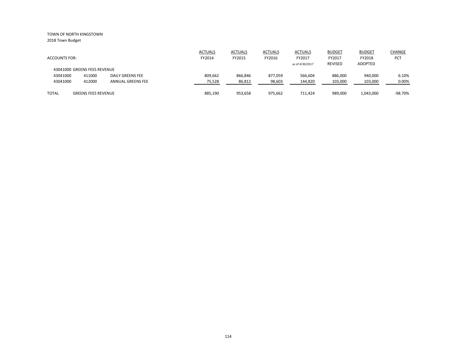|                              |                            |                          | <b>ACTUALS</b> | <b>ACTUALS</b> | <b>ACTUALS</b> | <b>ACTUALS</b>  | <b>BUDGET</b> | <b>BUDGET</b> | <b>CHANGE</b> |
|------------------------------|----------------------------|--------------------------|----------------|----------------|----------------|-----------------|---------------|---------------|---------------|
| <b>ACCOUNTS FOR:</b>         |                            |                          | FY2014         | FY2015         | FY2016         | FY2017          | FY2017        | FY2018        | <b>PCT</b>    |
|                              |                            |                          |                |                |                | as of 4/30/2017 | REVISED       | ADOPTED       |               |
| 43041000 GREENS FEES REVENUE |                            |                          |                |                |                |                 |               |               |               |
| 43041000                     | 411000                     | DAILY GREENS FEE         | 809.662        | 866,846        | 877,059        | 566,604         | 886,000       | 940,000       | 6.10%         |
| 43041000                     | 412000                     | <b>ANNUAL GREENS FEE</b> | 75,528         | 86,812         | 98,603         | 144,820         | 103,000       | 103,000       | 0.00%         |
|                              |                            |                          |                |                |                |                 |               |               |               |
| <b>TOTAL</b>                 | <b>GREENS FEES REVENUE</b> |                          | 885,190        | 953,658        | 975,662        | 711.424         | 989,000       | 1,043,000     | $-98.70%$     |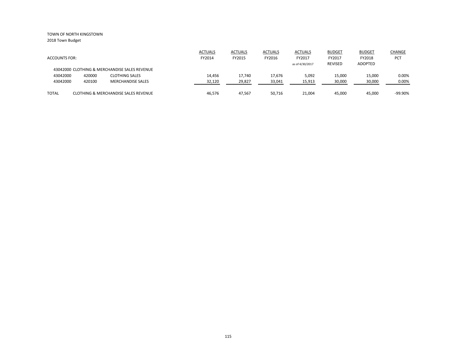|                      |        |                                                 | <b>ACTUALS</b> | <b>ACTUALS</b> | <b>ACTUALS</b> | <b>ACTUALS</b>  | <b>BUDGET</b> | <b>BUDGET</b> | <b>CHANGE</b> |
|----------------------|--------|-------------------------------------------------|----------------|----------------|----------------|-----------------|---------------|---------------|---------------|
| <b>ACCOUNTS FOR:</b> |        |                                                 | FY2014         | FY2015         | FY2016         | FY2017          | FY2017        | FY2018        | <b>PCT</b>    |
|                      |        |                                                 |                |                |                | as of 4/30/2017 | REVISED       | ADOPTED       |               |
|                      |        | 43042000 CLOTHING & MERCHANDISE SALES REVENUE   |                |                |                |                 |               |               |               |
| 43042000             | 420000 | <b>CLOTHING SALES</b>                           | 14,456         | 17.740         | 17,676         | 5,092           | 15,000        | 15,000        | 0.00%         |
| 43042000             | 420100 | <b>MERCHANDISE SALES</b>                        | 32,120         | 29,827         | 33,041         | 15,913          | 30,000        | 30,000        | 0.00%         |
|                      |        |                                                 |                |                |                |                 |               |               |               |
| <b>TOTAL</b>         |        | <b>CLOTHING &amp; MERCHANDISE SALES REVENUE</b> | 46.576         | 47,567         | 50,716         | 21,004          | 45,000        | 45,000        | $-99.90%$     |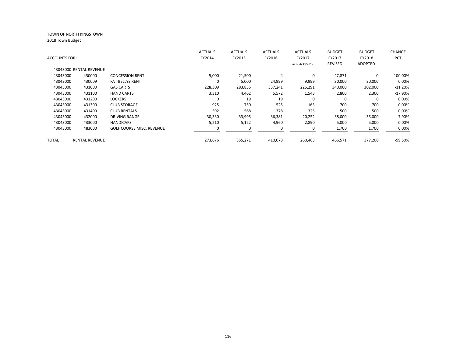|                      |                         |                                  | <b>ACTUALS</b> | <b>ACTUALS</b> | <b>ACTUALS</b> | <b>ACTUALS</b>  | <b>BUDGET</b> | <b>BUDGET</b>  | CHANGE      |
|----------------------|-------------------------|----------------------------------|----------------|----------------|----------------|-----------------|---------------|----------------|-------------|
| <b>ACCOUNTS FOR:</b> |                         |                                  | FY2014         | FY2015         | FY2016         | FY2017          | FY2017        | FY2018         | PCT         |
|                      |                         |                                  |                |                |                | as of 4/30/2017 | REVISED       | <b>ADOPTED</b> |             |
|                      | 43043000 RENTAL REVENUE |                                  |                |                |                |                 |               |                |             |
| 43043000             | 430000                  | <b>CONCESSION RENT</b>           | 5,000          | 21,500         | 4              | $\mathbf 0$     | 47,871        | $\Omega$       | $-100.00\%$ |
| 43043000             | 430009                  | <b>FAT BELLYS RENT</b>           | 0              | 5,000          | 24,999         | 9,999           | 30,000        | 30,000         | 0.00%       |
| 43043000             | 431000                  | <b>GAS CARTS</b>                 | 228,309        | 283,855        | 337,241        | 225,291         | 340,000       | 302,000        | $-11.20%$   |
| 43043000             | 431100                  | <b>HAND CARTS</b>                | 3,310          | 4,462          | 5,572          | 1,543           | 2,800         | 2,300          | $-17.90%$   |
| 43043000             | 431200                  | <b>LOCKERS</b>                   | 0              | 19             | 19             | 0               | 0             | 0              | 0.00%       |
| 43043000             | 431300                  | <b>CLUB STORAGE</b>              | 925            | 750            | 525            | 163             | 700           | 700            | 0.00%       |
| 43043000             | 431400                  | <b>CLUB RENTALS</b>              | 592            | 568            | 378            | 325             | 500           | 500            | 0.00%       |
| 43043000             | 432000                  | <b>DRIVING RANGE</b>             | 30,330         | 33,995         | 36,381         | 20,252          | 38,000        | 35,000         | $-7.90%$    |
| 43043000             | 433000                  | <b>HANDICAPS</b>                 | 5,210          | 5,122          | 4,960          | 2,890           | 5,000         | 5,000          | 0.00%       |
| 43043000             | 483000                  | <b>GOLF COURSE MISC. REVENUE</b> |                |                | 0              |                 | 1,700         | 1,700          | 0.00%       |
|                      |                         |                                  |                |                |                |                 |               |                |             |
| TOTAL                | <b>RENTAL REVENUE</b>   |                                  | 273,676        | 355,271        | 410,078        | 260,463         | 466,571       | 377,200        | -99.50%     |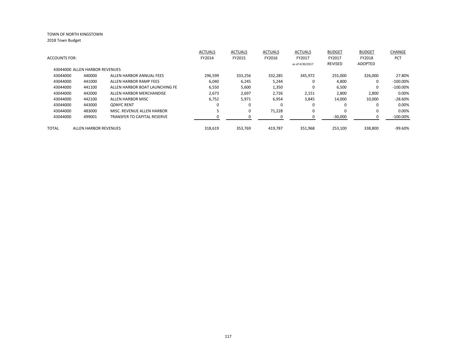|                      |                                |                                | <b>ACTUALS</b> | <b>ACTUALS</b> | <b>ACTUALS</b> | <b>ACTUALS</b>  | <b>BUDGET</b> | <b>BUDGET</b>  | <b>CHANGE</b> |
|----------------------|--------------------------------|--------------------------------|----------------|----------------|----------------|-----------------|---------------|----------------|---------------|
| <b>ACCOUNTS FOR:</b> |                                |                                | FY2014         | FY2015         | FY2016         | FY2017          | FY2017        | FY2018         | <b>PCT</b>    |
|                      |                                |                                |                |                |                | as of 4/30/2017 | REVISED       | <b>ADOPTED</b> |               |
|                      | 43044000 ALLEN HARBOR REVENUES |                                |                |                |                |                 |               |                |               |
| 43044000             | 440000                         | ALLEN HARBOR ANNUAL FEES       | 296,599        | 333,256        | 332,285        | 345,972         | 255,000       | 326,000        | 27.80%        |
| 43044000             | 441000                         | ALLEN HARBOR RAMP FEES         | 6,040          | 6,245          | 5,244          | 0               | 4,800         | $\Omega$       | $-100.00\%$   |
| 43044000             | 441100                         | ALLEN HARBOR BOAT LAUNCHING FE | 6,550          | 5,600          | 1,350          | 0               | 6,500         | $\Omega$       | $-100.00\%$   |
| 43044000             | 442000                         | ALLEN HARBOR MERCHANDISE       | 2,673          | 2,697          | 2,726          | 2,151           | 2,800         | 2,800          | 0.00%         |
| 43044000             | 442100                         | ALLEN HARBOR MISC              | 6,752          | 5,971          | 6,954          | 3,845           | 14,000        | 10,000         | $-28.60%$     |
| 43044000             | 443000                         | <b>ODNYC RENT</b>              |                | $\Omega$       | 0              | 0               | 0             |                | 0.00%         |
| 43044000             | 483000                         | MISC. REVENUE ALLEN HARBOR     |                | 0              | 71,228         | $\Omega$        | 0             | 0              | 0.00%         |
| 43044000             | 499001                         | TRANSFER TO CAPITAL RESERVE    |                |                |                | 0               | $-30,000$     |                | $-100.00\%$   |
| TOTAL                | ALLEN HARBOR REVENUES          |                                | 318.619        | 353.769        | 419.787        | 351,968         | 253.100       | 338.800        | $-99.60\%$    |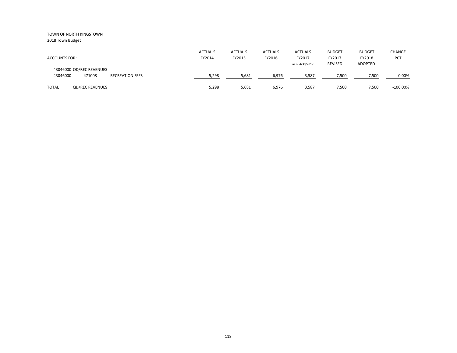2018 Town Budget

| <b>ACCOUNTS FOR:</b>                                                     | <b>ACTUALS</b><br>FY2014 | <b>ACTUALS</b><br>FY2015 | <b>ACTUALS</b><br>FY2016 | <b>ACTUALS</b><br>FY2017<br>as of 4/30/2017 | <b>BUDGET</b><br>FY2017<br><b>REVISED</b> | <b>BUDGET</b><br>FY2018<br><b>ADOPTED</b> | <b>CHANGE</b><br><b>PCT</b> |
|--------------------------------------------------------------------------|--------------------------|--------------------------|--------------------------|---------------------------------------------|-------------------------------------------|-------------------------------------------|-----------------------------|
| 43046000 QD/REC REVENUES<br>43046000<br>471008<br><b>RECREATION FEES</b> | 5,298                    | 5,681                    | 6,976                    | 3,587                                       | 7,500                                     | 7,500                                     | 0.00%                       |
| <b>QD/REC REVENUES</b><br><b>TOTAL</b>                                   | 5,298                    | 5,681                    | 6,976                    | 3,587                                       | 7,500                                     | 7,500                                     | $-100.00\%$                 |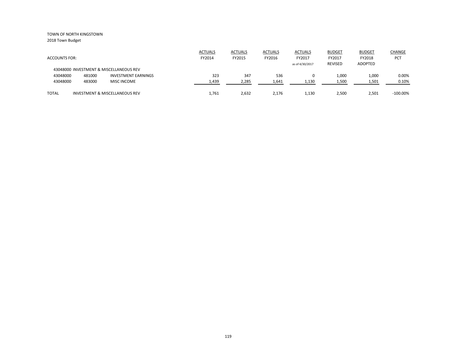|                      |        |                                           | <b>ACTUALS</b> | <b>ACTUALS</b> | <b>ACTUALS</b> | <b>ACTUALS</b>  | <b>BUDGET</b> | <b>BUDGET</b> | <b>CHANGE</b> |
|----------------------|--------|-------------------------------------------|----------------|----------------|----------------|-----------------|---------------|---------------|---------------|
| <b>ACCOUNTS FOR:</b> |        |                                           | FY2014         | FY2015         | FY2016         | FY2017          | FY2017        | FY2018        | <b>PCT</b>    |
|                      |        | 43048000 INVESTMENT & MISCELLANEOUS REV   |                |                |                | as of 4/30/2017 | REVISED       | ADOPTED       |               |
| 43048000             | 481000 | <b>INVESTMENT EARNINGS</b>                | 323            | 347            | 536            |                 | 1,000         | 1,000         | 0.00%         |
| 43048000             | 483000 | <b>MISC INCOME</b>                        | 1,439          | 2,285          | 1,641          | 1,130           | 1,500         | 1,501         | 0.10%         |
| <b>TOTAL</b>         |        | <b>INVESTMENT &amp; MISCELLANEOUS REV</b> | 1.761          | 2,632          | 2,176          | 1,130           | 2,500         | 2,501         | $-100.00\%$   |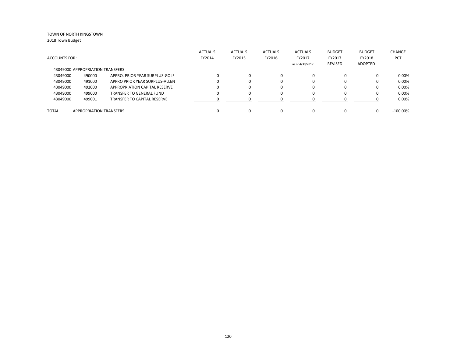|                      |                                  |                                    | <b>ACTUALS</b> | <b>ACTUALS</b> | <b>ACTUALS</b> | <b>ACTUALS</b>  | <b>BUDGET</b> | <b>BUDGET</b> | CHANGE      |
|----------------------|----------------------------------|------------------------------------|----------------|----------------|----------------|-----------------|---------------|---------------|-------------|
| <b>ACCOUNTS FOR:</b> |                                  |                                    | FY2014         | FY2015         | FY2016         | FY2017          | FY2017        | FY2018        | <b>PCT</b>  |
|                      |                                  |                                    |                |                |                | as of 4/30/2017 | REVISED       | ADOPTED       |             |
|                      | 43049000 APPROPRIATION TRANSFERS |                                    |                |                |                |                 |               |               |             |
| 43049000             | 490000                           | APPRO. PRIOR YEAR SURPLUS-GOLF     |                | $\Omega$       | 0              |                 | 0             | 0             | 0.00%       |
| 43049000             | 491000                           | APPRO PRIOR YEAR SURPLUS-ALLEN     |                | $\Omega$       | 0              |                 | 0             | 0             | 0.00%       |
| 43049000             | 492000                           | APPROPRIATION CAPITAL RESERVE      |                | $\Omega$       | 0              |                 | 0             | 0             | 0.00%       |
| 43049000             | 499000                           | TRANSFER TO GENERAL FUND           |                | $\Omega$       | 0              |                 | 0             | 0             | 0.00%       |
| 43049000             | 499001                           | <b>TRANSFER TO CAPITAL RESERVE</b> |                | n              | <sup>0</sup>   |                 |               |               | 0.00%       |
|                      |                                  |                                    |                |                |                |                 |               |               |             |
| <b>TOTAL</b>         | <b>APPROPRIATION TRANSFERS</b>   |                                    |                | $\Omega$       | 0              |                 |               | 0             | $-100.00\%$ |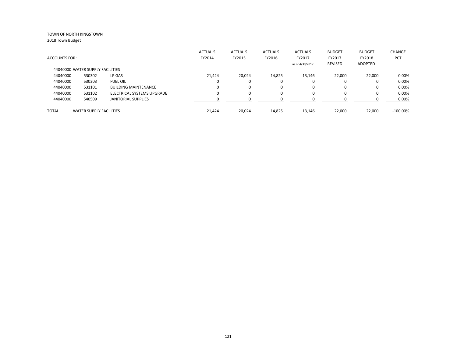2018 Town Budget

|                                  |                                |                             | <b>ACTUALS</b> | <b>ACTUALS</b> | <b>ACTUALS</b> | <b>ACTUALS</b>  | <b>BUDGET</b> | <b>BUDGET</b> | CHANGE      |
|----------------------------------|--------------------------------|-----------------------------|----------------|----------------|----------------|-----------------|---------------|---------------|-------------|
| <b>ACCOUNTS FOR:</b>             |                                |                             | FY2014         | FY2015         | FY2016         | FY2017          | FY2017        | FY2018        | <b>PCT</b>  |
|                                  |                                |                             |                |                |                | as of 4/30/2017 | REVISED       | ADOPTED       |             |
| 44040000 WATER SUPPLY FACILITIES |                                |                             |                |                |                |                 |               |               |             |
| 44040000                         | 530302                         | LP GAS                      | 21,424         | 20,024         | 14,825         | 13,146          | 22,000        | 22,000        | 0.00%       |
| 44040000                         | 530303                         | <b>FUEL OIL</b>             | $\Omega$       |                | 0              | 0               |               | 0             | 0.00%       |
| 44040000                         | 531101                         | <b>BUILDING MAINTENANCE</b> | $\Omega$       |                | 0              | $\Omega$        | 0             | 0             | 0.00%       |
| 44040000                         | 531102                         | ELECTRICAL SYSTEMS UPGRADE  | $\Omega$       |                | 0              | 0               |               | 0             | 0.00%       |
| 44040000                         | 540509                         | <b>JANITORIAL SUPPLIES</b>  | O              |                | O              | $\Omega$        |               |               | 0.00%       |
| TOTAL                            | <b>WATER SUPPLY FACILITIES</b> |                             | 21.424         | 20.024         | 14.825         | 13.146          | 22.000        | 22.000        | $-100.00\%$ |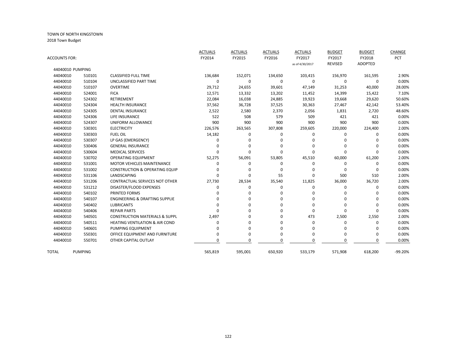| ACCOUNTS FOR: |                  |                                           | <b>ACTUALS</b><br>FY2014 | <b>ACTUALS</b><br>FY2015 | <b>ACTUALS</b><br>FY2016 | <b>ACTUALS</b><br>FY2017<br>as of 4/30/2017 | <b>BUDGET</b><br>FY2017<br><b>REVISED</b> | <b>BUDGET</b><br>FY2018<br><b>ADOPTED</b> | CHANGE<br>PCT |
|---------------|------------------|-------------------------------------------|--------------------------|--------------------------|--------------------------|---------------------------------------------|-------------------------------------------|-------------------------------------------|---------------|
|               | 44040010 PUMPING |                                           |                          |                          |                          |                                             |                                           |                                           |               |
| 44040010      | 510101           | <b>CLASSIFIED FULL TIME</b>               | 136,684                  | 152,071                  | 134,650                  | 103,415                                     | 156,970                                   | 161,595                                   | 2.90%         |
| 44040010      | 510104           | UNCLASSIFIED PART TIME                    | 0                        | 0                        | 0                        | 0                                           | 0                                         | 0                                         | 0.00%         |
| 44040010      | 510107           | <b>OVERTIME</b>                           | 29,712                   | 24,655                   | 39,601                   | 47,149                                      | 31,253                                    | 40,000                                    | 28.00%        |
| 44040010      | 524001           | <b>FICA</b>                               | 12,571                   | 13,332                   | 13,202                   | 11,452                                      | 14,399                                    | 15,422                                    | 7.10%         |
| 44040010      | 524302           | RETIREMENT                                | 22,084                   | 16,038                   | 24,885                   | 19,923                                      | 19,668                                    | 29,620                                    | 50.60%        |
| 44040010      | 524304           | <b>HEALTH INSURANCE</b>                   | 37,562                   | 36,728                   | 37,525                   | 30,363                                      | 27,467                                    | 42,142                                    | 53.40%        |
| 44040010      | 524305           | <b>DENTAL INSURANCE</b>                   | 2,522                    | 2,580                    | 2,370                    | 2,056                                       | 1,831                                     | 2,720                                     | 48.60%        |
| 44040010      | 524306           | LIFE INSURANCE                            | 522                      | 508                      | 579                      | 509                                         | 421                                       | 421                                       | 0.00%         |
| 44040010      | 524307           | UNIFORM ALLOWANCE                         | 900                      | 900                      | 900                      | 900                                         | 900                                       | 900                                       | 0.00%         |
| 44040010      | 530301           | <b>ELECTRICITY</b>                        | 226,576                  | 263,565                  | 307,808                  | 259,605                                     | 220,000                                   | 224,400                                   | 2.00%         |
| 44040010      | 530303           | <b>FUEL OIL</b>                           | 14,182                   | 0                        | 0                        | 0                                           | 0                                         | $\Omega$                                  | 0.00%         |
| 44040010      | 530307           | LP GAS (EMERGENCY)                        | 0                        | 0                        | $\Omega$                 | n                                           | 0                                         | $\Omega$                                  | 0.00%         |
| 44040010      | 530406           | <b>GENERAL INSURANCE</b>                  | $\Omega$                 | 0                        | 0                        | $\Omega$                                    | $\Omega$                                  | <sup>0</sup>                              | 0.00%         |
| 44040010      | 530604           | <b>MEDICAL SERVICES</b>                   | $\Omega$                 | 0                        | $\Omega$                 | $\Omega$                                    | 0                                         | $\Omega$                                  | 0.00%         |
| 44040010      | 530702           | <b>OPERATING EQUIPMENT</b>                | 52,275                   | 56,091                   | 53,805                   | 45,510                                      | 60,000                                    | 61,200                                    | 2.00%         |
| 44040010      | 531001           | <b>MOTOR VEHICLES MAINTENANCE</b>         | 0                        | 0                        | 0                        | 0                                           | 0                                         | 0                                         | 0.00%         |
| 44040010      | 531002           | <b>CONSTRUCTION &amp; OPERATING EQUIP</b> | 0                        | $\Omega$                 | $\Omega$                 | n                                           | $\mathbf 0$                               | $\Omega$                                  | 0.00%         |
| 44040010      | 531106           | LANDSCAPING                               | 0                        | 0                        | 55                       | $\Omega$                                    | 500                                       | 510                                       | 2.00%         |
| 44040010      | 531206           | CONTRACTUAL SERVICES NOT OTHER            | 27,730                   | 28,534                   | 35,540                   | 11,825                                      | 36,000                                    | 36,720                                    | 2.00%         |
| 44040010      | 531212           | DISASTER/FLOOD EXPENSES                   | $\Omega$                 | 0                        | 0                        | $\Omega$                                    | 0                                         | $\Omega$                                  | 0.00%         |
| 44040010      | 540102           | PRINTED FORMS                             | ŋ                        | 0                        | 0                        | n                                           | $\Omega$                                  | <sup>0</sup>                              | 0.00%         |
| 44040010      | 540107           | <b>ENGINEERING &amp; DRAFTING SUPPLIE</b> | ŋ                        | 0                        | 0                        | U                                           | $\Omega$                                  | <sup>0</sup>                              | 0.00%         |
| 44040010      | 540402           | <b>LUBRICANTS</b>                         | ŋ                        | 0                        | 0                        | n                                           | $\Omega$                                  | 0                                         | 0.00%         |
| 44040010      | 540406           | <b>REPAIR PARTS</b>                       | ŋ                        | 0                        | $\Omega$                 | $\Omega$                                    | $\mathbf 0$                               | $\Omega$                                  | 0.00%         |
| 44040010      | 540501           | <b>CONSTRUCTION MATERIALS &amp; SUPPL</b> | 2,497                    | 0                        | 0                        | 473                                         | 2,500                                     | 2,550                                     | 2.00%         |
| 44040010      | 540511           | <b>HEATING VENTILATION &amp; AIR COND</b> | 0                        | 0                        | $\mathbf 0$              | 0                                           | $\mathbf 0$                               | $\Omega$                                  | 0.00%         |
| 44040010      | 540601           | PUMPING EQUIPMENT                         | $\Omega$                 | 0                        | $\mathbf 0$              | $\Omega$                                    | $\Omega$                                  | $\Omega$                                  | 0.00%         |
| 44040010      | 550301           | OFFICE EQUIPMENT AND FURNITURE            | $\Omega$                 | 0                        | $\mathbf 0$              | 0                                           | 0                                         | 0                                         | 0.00%         |
| 44040010      | 550701           | OTHER CAPITAL OUTLAY                      | $\Omega$                 | 0                        | $\Omega$                 | $\Omega$                                    | $\Omega$                                  | 0                                         | 0.00%         |
| TOTAL         | <b>PUMPING</b>   |                                           | 565,819                  | 595,001                  | 650,920                  | 533,179                                     | 571,908                                   | 618,200                                   | $-99.20%$     |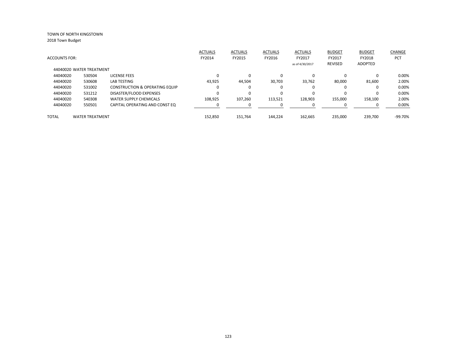2018 Town Budget

|                      |                          |                                           | <b>ACTUALS</b> | <b>ACTUALS</b> | <b>ACTUALS</b> | <b>ACTUALS</b>  | <b>BUDGET</b>  | <b>BUDGET</b>  | CHANGE     |
|----------------------|--------------------------|-------------------------------------------|----------------|----------------|----------------|-----------------|----------------|----------------|------------|
| <b>ACCOUNTS FOR:</b> |                          |                                           | FY2014         | FY2015         | FY2016         | FY2017          | FY2017         | FY2018         | <b>PCT</b> |
|                      |                          |                                           |                |                |                | as of 4/30/2017 | <b>REVISED</b> | <b>ADOPTED</b> |            |
|                      | 44040020 WATER TREATMENT |                                           |                |                |                |                 |                |                |            |
| 44040020             | 530504                   | LICENSE FEES                              |                | $\Omega$       | 0              | $\Omega$        | $\Omega$       |                | 0.00%      |
| 44040020             | 530608                   | <b>LAB TESTING</b>                        | 43,925         | 44,504         | 30,703         | 33,762          | 80,000         | 81,600         | 2.00%      |
| 44040020             | 531002                   | <b>CONSTRUCTION &amp; OPERATING EQUIP</b> |                | $\Omega$       | 0              | $\Omega$        | $\Omega$       |                | 0.00%      |
| 44040020             | 531212                   | DISASTER/FLOOD EXPENSES                   |                | $\Omega$       | 0              | $\Omega$        | $\Omega$       |                | 0.00%      |
| 44040020             | 540308                   | <b>WATER SUPPLY CHEMICALS</b>             | 108.925        | 107,260        | 113,521        | 128,903         | 155,000        | 158,100        | 2.00%      |
| 44040020             | 550501                   | CAPITAL OPERATING AND CONST EQ            |                |                |                |                 |                |                | 0.00%      |
| TOTAL                | <b>WATER TREATMENT</b>   |                                           | 152.850        | 151.764        | 144.224        | 162.665         | 235.000        | 239.700        | $-99.70%$  |
|                      |                          |                                           |                |                |                |                 |                |                |            |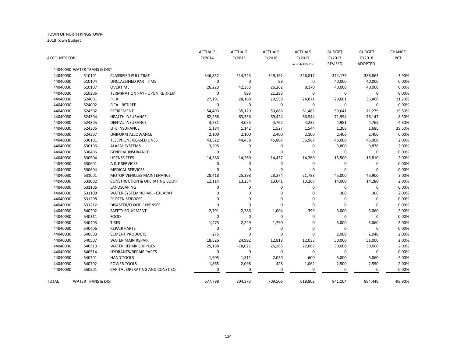| ACCOUNTS FOR: |                               |                                           | <b>ACTUALS</b><br>FY2014 | <b>ACTUALS</b><br>FY2015 | <b>ACTUALS</b><br>FY2016 | <b>ACTUALS</b><br>FY2017 | <b>BUDGET</b><br>FY2017 | <b>BUDGET</b><br>FY2018 | CHANGE<br><b>PCT</b> |
|---------------|-------------------------------|-------------------------------------------|--------------------------|--------------------------|--------------------------|--------------------------|-------------------------|-------------------------|----------------------|
|               | 44040030 WATER TRANS & DIST   |                                           |                          |                          |                          | as of 4/30/2017          | REVISED                 | <b>ADOPTED</b>          |                      |
| 44040030      | 510101                        | <b>CLASSIFIED FULL TIME</b>               | 346,852                  | 514,723                  | 349,161                  | 326,817                  | 374,179                 | 388,863                 | 3.90%                |
| 44040030      | 510104                        | UNCLASSIFIED PART TIME                    | $\mathbf 0$              | $\mathbf 0$              | 98                       | $\mathbf 0$              | 40,000                  | 40,000                  | 0.00%                |
| 44040030      | 510107                        | <b>OVERTIME</b>                           | 26,223                   | 42,383                   | 26,262                   | 8,170                    | 40,000                  | 40,000                  | 0.00%                |
| 44040030      | 510206                        | TERMINATION PAY - UPON RETIREM            | 0                        | 893                      | 21,293                   | 0                        | 0                       | 0                       | 0.00%                |
| 44040030      | 524001                        | <b>FICA</b>                               | 27,191                   | 28,168                   | 29,559                   | 24,871                   | 29,601                  | 35,868                  | 21.20%               |
| 44040030      | 524002                        | FICA - RETIREE                            | 0                        | 0                        | 0                        | $\mathbf 0$              | 0                       | $\Omega$                | 0.00%                |
| 44040030      | 524302                        | <b>RETIREMENT</b>                         | 54,493                   | 35,129                   | 59,886                   | 61,483                   | 59,641                  | 71,279                  | 19.50%               |
| 44040030      | 524304                        | <b>HEALTH INSURANCE</b>                   | 62,268                   | 63,336                   | 69,424                   | 66,544                   | 71,994                  | 78,147                  | 8.50%                |
| 44040030      | 524305                        | <b>DENTAL INSURANCE</b>                   | 3,731                    | 4,055                    | 4,762                    | 4,232                    | 4,981                   | 4,765                   | $-4.30%$             |
| 44040030      | 524306                        | LIFE INSURANCE                            | 1,184                    | 1,142                    | 1,527                    | 1,544                    | 1,208                   | 1,685                   | 39.50%               |
| 44040030      | 524307                        | UNIFORM ALLOWANCE                         | 2,100                    | 2,100                    | 2,400                    | 2,100                    | 2,400                   | 2,400                   | 0.00%                |
| 44040030      | 530101                        | <b>TELEPHONE/LEASED LINES</b>             | 43,522                   | 44,438                   | 45,807                   | 36,967                   | 45,000                  | 45,900                  | 2.00%                |
| 44040030      | 530106                        | <b>ALARM SYSTEMS</b>                      | 3,295                    | 0                        | 0                        | 0                        | 3,800                   | 3,876                   | 2.00%                |
| 44040030      | 530406                        | <b>GENERAL INSURANCE</b>                  | 0                        | $\mathbf 0$              | 0                        | 0                        | 0                       | 0                       | 0.00%                |
| 44040030      | 530504                        | <b>LICENSE FEES</b>                       | 14,386                   | 14,260                   | 14,437                   | 14,260                   | 15,500                  | 15,810                  | 2.00%                |
| 44040030      | 530601                        | A & E SERVICES                            | 0                        | 0                        | 0                        | 0                        | $\mathbf 0$             | 0                       | 0.00%                |
| 44040030      | 530604                        | <b>MEDICAL SERVICES</b>                   | $\Omega$                 | 0                        | $\Omega$                 | $\Omega$                 | $\mathbf 0$             | 0                       | 0.00%                |
| 44040030      | 531001                        | <b>MOTOR VEHICLES MAINTENANCE</b>         | 28,418                   | 25,398                   | 28,374                   | 21,783                   | 45,000                  | 45,900                  | 2.00%                |
| 44040030      | 531002                        | <b>CONSTRUCTION &amp; OPERATING EQUIP</b> | 12,114                   | 13,234                   | 13,041                   | 13,267                   | 14,000                  | 14,280                  | 2.00%                |
| 44040030      | 531106                        | LANDSCAPING                               | 0                        | 0                        | 0                        | 0                        | $\pmb{0}$               | $\mathbf 0$             | 0.00%                |
| 44040030      | 531109                        | WATER SYSTEM REPAIR - EXCAVATI            | 0                        | 0                        | 0                        | 0                        | 300                     | 306                     | 2.00%                |
| 44040030      | 531208                        | <b>FROZEN SERVICES</b>                    | $\Omega$                 | 0                        | 0                        | $\Omega$                 | $\mathbf 0$             | $\Omega$                | 0.00%                |
| 44040030      | 531212                        | DISASTER/FLOOD EXPENSES                   | $\Omega$                 | $\mathbf 0$              | $\mathbf 0$              | 0                        | $\mathbf 0$             | $\Omega$                | 0.00%                |
| 44040030      | 540202                        | SAFETY EQUIPMENT                          | 2,791                    | 2,286                    | 1,004                    | 399                      | 3,000                   | 3,060                   | 2.00%                |
| 44040030      | 540311                        | <b>FOOD</b>                               | $\mathbf 0$              | 0                        | $\Omega$                 | 0                        | $\mathbf 0$             | $\Omega$                | 0.00%                |
| 44040030      | 540403                        | <b>TIRES</b>                              | 1,473                    | 2,249                    | 1,790                    | 0                        | 3,000                   | 3,060                   | 2.00%                |
| 44040030      | 540406                        | <b>REPAIR PARTS</b>                       | 0                        | 0                        | 0                        | 0                        | 0                       | $\Omega$                | 0.00%                |
| 44040030      | 540503                        | <b>CEMENT PRODUCTS</b>                    | 275                      | $\mathbf 0$              | $\mathbf 0$              | 0                        | 2,000                   | 2,040                   | 2.00%                |
| 44040030      | 540507                        | <b>WATER MAIN REPAIR</b>                  | 18,526                   | 24,992                   | 12,818                   | 12,033                   | 50,000                  | 51,000                  | 2.00%                |
| 44040030      | 540513                        | <b>WATER REPAIR SUPPLIES</b>              | 25,188                   | $-18,021$                | 25,385                   | 22,669                   | 30,000                  | 30,600                  | 2.00%                |
| 44040030      | 540514                        | <b>HYDRANTS/REPAIR PARTS</b>              | $\mathbf 0$              | $\mathbf 0$              | 0                        | $\mathbf 0$              | 0                       | 0                       | 0.00%                |
| 44040030      | 540701                        | <b>HAND TOOLS</b>                         | 1,905                    | 1,511                    | 2,050                    | 600                      | 3,000                   | 3,060                   | 2.00%                |
| 44040030      | 540702                        | POWER TOOLS                               | 1,865                    | 2,096                    | 428                      | 1,062                    | 2,500                   | 2,550                   | 2.00%                |
| 44040030      | 550501                        | CAPITAL OPERATING AND CONST EQ            | 0                        | 0                        | $\mathbf 0$              | 0                        | 0                       | 0                       | 0.00%                |
| TOTAL         | <b>WATER TRANS &amp; DIST</b> |                                           | 677,798                  | 804,373                  | 709,506                  | 618,802                  | 841,104                 | 884,449                 | -98.90%              |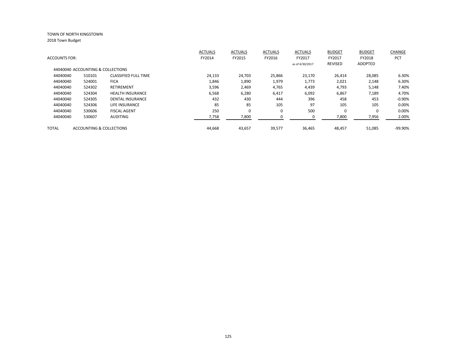|                      |                                   |                             | <b>ACTUALS</b> | <b>ACTUALS</b> | <b>ACTUALS</b> | <b>ACTUALS</b>  | <b>BUDGET</b> | <b>BUDGET</b>  | <b>CHANGE</b> |
|----------------------|-----------------------------------|-----------------------------|----------------|----------------|----------------|-----------------|---------------|----------------|---------------|
| <b>ACCOUNTS FOR:</b> |                                   |                             | FY2014         | FY2015         | FY2016         | FY2017          | FY2017        | FY2018         | <b>PCT</b>    |
|                      |                                   |                             |                |                |                | as of 4/30/2017 | REVISED       | <b>ADOPTED</b> |               |
|                      | 44040040 ACCOUNTING & COLLECTIONS |                             |                |                |                |                 |               |                |               |
| 44040040             | 510101                            | <b>CLASSIFIED FULL TIME</b> | 24,133         | 24,703         | 25,866         | 23,170          | 26,414        | 28,085         | 6.30%         |
| 44040040             | 524001                            | <b>FICA</b>                 | 1,846          | 1,890          | 1,979          | 1,773           | 2,021         | 2,148          | 6.30%         |
| 44040040             | 524302                            | <b>RETIREMENT</b>           | 3,596          | 2,469          | 4,765          | 4,439           | 4,793         | 5,148          | 7.40%         |
| 44040040             | 524304                            | <b>HEALTH INSURANCE</b>     | 6,568          | 6,280          | 6,417          | 6,092           | 6,867         | 7,189          | 4.70%         |
| 44040040             | 524305                            | <b>DENTAL INSURANCE</b>     | 432            | 430            | 444            | 396             | 458           | 453            | $-0.90%$      |
| 44040040             | 524306                            | LIFE INSURANCE              | 85             | 85             | 105            | 97              | 105           | 105            | 0.00%         |
| 44040040             | 530606                            | <b>FISCAL AGENT</b>         | 250            | 0              | 0              | 500             | 0             | $\Omega$       | 0.00%         |
| 44040040             | 530607                            | <b>AUDITING</b>             | 7,758          | 7,800          |                | 0               | 7,800         | 7,956          | 2.00%         |
| <b>TOTAL</b>         | ACCOUNTING & COLLECTIONS          |                             | 44.668         | 43,657         | 39,577         | 36,465          | 48,457        | 51,085         | -99.90%       |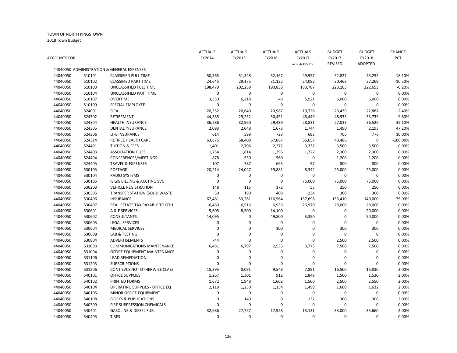| ACCOUNTS FOR: |        |                                            | <b>ACTUALS</b><br>FY2014 | <b>ACTUALS</b><br>FY2015 | <b>ACTUALS</b><br>FY2016 | <b>ACTUALS</b><br>FY2017 | <b>BUDGET</b><br>FY2017 | <b>BUDGET</b><br>FY2018 | CHANGE<br>PCT |
|---------------|--------|--------------------------------------------|--------------------------|--------------------------|--------------------------|--------------------------|-------------------------|-------------------------|---------------|
|               |        |                                            |                          |                          |                          | as of 4/30/2017          | <b>REVISED</b>          | <b>ADOPTED</b>          |               |
|               |        | 44040050 ADMINISTRATION & GENERAL EXPENSES |                          |                          |                          |                          |                         |                         |               |
| 44040050      | 510101 | <b>CLASSIFIED FULL TIME</b>                | 50,365                   | 51,348                   | 52,167                   | 49,957                   | 52,827                  | 43,252                  | $-18.10%$     |
| 44040050      | 510102 | <b>CLASSIFIED PART TIME</b>                | 24,645                   | 29,175                   | 31,132                   | 24,092                   | 30,463                  | 27,269                  | $-10.50%$     |
| 44040050      | 510103 | UNCLASSIFIED FULL TIME                     | 198,479                  | 202,289                  | 190,838                  | 183,787                  | 223,103                 | 222,653                 | $-0.20%$      |
| 44040050      | 510104 | UNCLASSIFIED PART TIME                     | 0                        | $\mathbf 0$              | 0                        | $\mathbf{0}$             | $\mathbf 0$             | $\mathbf{0}$            | 0.00%         |
| 44040050      | 510107 | <b>OVERTIME</b>                            | 3,330                    | 6,218                    | 49                       | 5,921                    | 6,000                   | 6,000                   | 0.00%         |
| 44040050      | 510109 | SPECIAL EMPLOYEE                           | 0                        | $\mathbf 0$              | $\mathbf 0$              | $\mathbf 0$              | 0                       | 0                       | 0.00%         |
| 44040050      | 524001 | <b>FICA</b>                                | 20,352                   | 20,640                   | 20,987                   | 19,726                   | 23,439                  | 22,887                  | $-2.40%$      |
| 44040050      | 524302 | RETIREMENT                                 | 44,385                   | 29,232                   | 50,451                   | 45,449                   | 48,933                  | 53,739                  | 9.80%         |
| 44040050      | 524304 | <b>HEALTH INSURANCE</b>                    | 36,286                   | 32,960                   | 29,489                   | 28,831                   | 27,033                  | 36,526                  | 35.10%        |
| 44040050      | 524305 | <b>DENTAL INSURANCE</b>                    | 2,093                    | 2,048                    | 1,673                    | 1,744                    | 1,490                   | 2,193                   | 47.20%        |
| 44040050      | 524306 | LIFE INSURANCE                             | 614                      | 598                      | 723                      | 693                      | 705                     | 776                     | 10.00%        |
| 44040050      | 524314 | RETIREE HEALTH CARE                        | 63,875                   | 58,409                   | 67,067                   | 55,657                   | 43,486                  | $\mathbf 0$             | $-100.00%$    |
| 44040050      | 524401 | <b>TUITION &amp; FEES</b>                  | 1,401                    | 2,706                    | 2,272                    | 3,337                    | 3,500                   | 3,500                   | 0.00%         |
| 44040050      | 524403 | <b>ASSOCIATION DUES</b>                    | 1,754                    | 1,814                    | 1,295                    | 1,722                    | 2,300                   | 2,300                   | 0.00%         |
| 44040050      | 524404 | CONFERENCES/MEETINGS                       | 878                      | 530                      | 560                      | $\mathbf 0$              | 1,200                   | 1,200                   | 0.00%         |
| 44040050      | 524405 | <b>TRAVEL &amp; EXPENSES</b>               | 107                      | 787                      | 663                      | 97                       | 800                     | 800                     | 0.00%         |
| 44040050      | 530103 | POSTAGE                                    | 20,214                   | 24,047                   | 19,881                   | 8,342                    | 25,000                  | 25,000                  | 0.00%         |
| 44040050      | 530104 | <b>RADIO SYSTEMS</b>                       | 0                        | $\mathbf 0$              | $\pmb{0}$                | $\pmb{0}$                | $\mathbf 0$             | 0                       | 0.00%         |
| 44040050      | 530105 | IS GIS BILLING & ACCTING SVC               | 0                        | $\mathbf 0$              | $\mathbf 0$              | 75,000                   | 75,000                  | 75,000                  | 0.00%         |
| 44040050      | 530203 | <b>VEHICLE REGISTRATION</b>                | 148                      | 115                      | 172                      | 55                       | 250                     | 250                     | 0.00%         |
| 44040050      | 530305 | TRANSFER STATION (SOLID WASTE              | 50                       | 190                      | 408                      | 234                      | 300                     | 300                     | 0.00%         |
| 44040050      | 530406 | <b>INSURANCE</b>                           | 67,481                   | 53,261                   | 116,564                  | 137,698                  | 136,410                 | 140,000                 | 75.00%        |
| 44040050      | 530407 | REAL ESTATE TAX PAYABLE TO OTH             | 6,469                    | 6,516                    | 6,936                    | 26,970                   | 28,000                  | 28,000                  | 0.00%         |
| 44040050      | 530601 | A & E SERVICES                             | 5,605                    | 8,500                    | 14,100                   | 0                        | 0                       | 20,000                  | 0.00%         |
| 44040050      | 530602 | <b>CONSULTANTS</b>                         | 14,095                   | $\mathbf 0$              | 49,800                   | 3,350                    | $\boldsymbol{0}$        | 50,000                  | 0.00%         |
| 44040050      | 530603 | <b>LEGAL SERVICES</b>                      | 0                        | 0                        | $\mathbf 0$              | 0                        | $\mathbf 0$             | $\mathbf{0}$            | 0.00%         |
| 44040050      | 530604 | <b>MEDICAL SERVICES</b>                    | 0                        | $\mathbf 0$              | 100                      | $\mathbf 0$              | 300                     | 300                     | 0.00%         |
| 44040050      | 530608 | LAB & TESTING                              | 0                        | $\mathbf 0$              | $\mathbf 0$              | 0                        | $\mathbf 0$             | 0                       | 0.00%         |
| 44040050      | 530804 | ADVERTISEMENTS                             | 744                      | $\Omega$                 | $\mathbf 0$              | $\mathbf 0$              | 2,500                   | 2,500                   | 0.00%         |
| 44040050      | 531003 | <b>COMMUNICATIONS MAINTENANCE</b>          | 6,481                    | 6,797                    | 2,533                    | 3,775                    | 7,500                   | 7,500                   | 0.00%         |
| 44040050      | 531004 | OFFICE EQUIPMENT MAINTENANCE               | 0                        | 0                        | $\mathbf 0$              | $\mathbf 0$              | 0                       | 0                       | 0.00%         |
| 44040050      | 531106 | <b>LEAD REMEDIATION</b>                    | 0                        | $\mathbf 0$              | $\mathbf 0$              | $\pmb{0}$                | $\mathbf 0$             | 0                       | 0.00%         |
| 44040050      | 531203 | <b>SUBSCRIPTIONS</b>                       | $\Omega$                 | $\Omega$                 | $\mathbf 0$              | $\mathbf 0$              | $\Omega$                | 0                       | 0.00%         |
| 44040050      | 531206 | CONT SVCS NOT OTHERWISE CLASS              | 15,395                   | 8,091                    | 9,548                    | 7,891                    | 16,500                  | 16,830                  | 2.00%         |
| 44040050      | 540101 | <b>OFFICE SUPPLIES</b>                     | 1,267                    | 1,301                    | 912                      | 1,849                    | 1,500                   | 1,530                   | 2.00%         |
| 44040050      | 540102 | PRINTED FORMS                              | 1,672                    | 1,948                    | 1,602                    | 1,500                    | 2,500                   | 2,550                   | 2.00%         |
| 44040050      | 540104 | OPERATING SUPPLIES - OFFICE EQ             | 2,119                    | 1,230                    | 1,134                    | 1,498                    | 1,600                   | 1,632                   | 2.00%         |
| 44040050      | 540105 | MINOR OFFICE EQUIPMENT                     | 0                        | $\mathbf 0$              | $\mathbf 0$              | $\mathbf{0}$             | $\mathbf 0$             | 0                       | 0.00%         |
| 44040050      | 540108 | <b>BOOKS &amp; PUBLICATIONS</b>            | 0                        | 140                      | $\mathbf 0$              | 132                      | 300                     | 306                     | 2.00%         |
| 44040050      | 540309 | FIRE SUPPRESSION CHEMICALS                 | 0                        | $\Omega$                 | $\mathbf 0$              | $\mathbf 0$              | $\mathbf 0$             | 0                       | 0.00%         |
| 44040050      | 540401 | <b>GASOLINE &amp; DIESEL FUEL</b>          | 32,686                   | 27,757                   | 17,928                   | 13,131                   | 33,000                  | 33,660                  | 2.00%         |
| 44040050      | 540403 | <b>TIRES</b>                               | $\Omega$                 | $\Omega$                 | $\Omega$                 | $\Omega$                 | $\Omega$                | $\Omega$                | 0.00%         |
|               |        |                                            |                          |                          |                          |                          |                         |                         |               |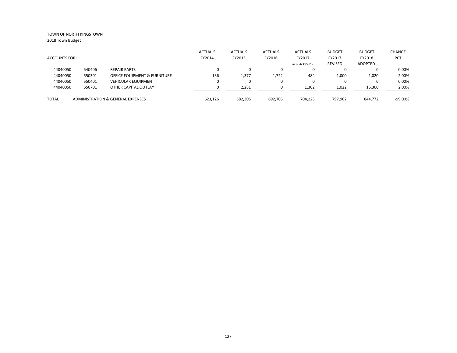|                      |        |                                         | <b>ACTUALS</b> | <b>ACTUALS</b> | <b>ACTUALS</b> | <b>ACTUALS</b>  | <b>BUDGET</b>  | <b>BUDGET</b> | <b>CHANGE</b> |
|----------------------|--------|-----------------------------------------|----------------|----------------|----------------|-----------------|----------------|---------------|---------------|
| <b>ACCOUNTS FOR:</b> |        |                                         | FY2014         | FY2015         | FY2016         | FY2017          | FY2017         | FY2018        | <b>PCT</b>    |
|                      |        |                                         |                |                |                | as of 4/30/2017 | <b>REVISED</b> | ADOPTED       |               |
| 44040050             | 540406 | <b>REPAIR PARTS</b>                     |                | $\Omega$       | 0              |                 |                | 0             | 0.00%         |
| 44040050             | 550301 | <b>OFFICE EQUIPMENT &amp; FURNITURE</b> | 136            | 1,377          | 1,722          | 484             | 1,000          | 1,020         | 2.00%         |
| 44040050             | 550401 | <b>VEHICULAR EQUIPMENT</b>              |                | 0              | 0              |                 |                | 0             | 0.00%         |
| 44040050             | 550701 | OTHER CAPITAL OUTLAY                    |                | 2,281          |                | 1,302           | 1,022          | 15,300        | 2.00%         |
| <b>TOTAL</b>         |        | ADMINISTRATION & GENERAL EXPENSES       | 623.126        | 582,305        | 692.705        | 704.225         | 797.962        | 844.772       | $-99.00\%$    |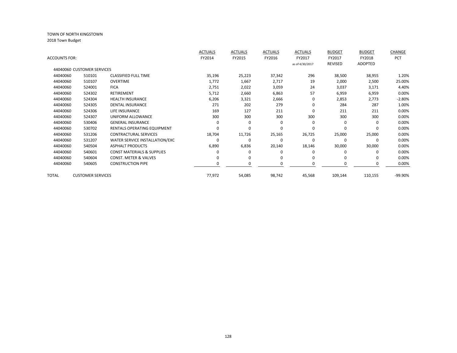|               |                            |                                       | <b>ACTUALS</b> | <b>ACTUALS</b> | <b>ACTUALS</b> | <b>ACTUALS</b>  | <b>BUDGET</b> | <b>BUDGET</b> | CHANGE   |
|---------------|----------------------------|---------------------------------------|----------------|----------------|----------------|-----------------|---------------|---------------|----------|
| ACCOUNTS FOR: |                            |                                       | FY2014         | FY2015         | FY2016         | FY2017          | FY2017        | FY2018        | PCT      |
|               |                            |                                       |                |                |                | as of 4/30/2017 | REVISED       | ADOPTED       |          |
|               | 44040060 CUSTOMER SERVICES |                                       |                |                |                |                 |               |               |          |
| 44040060      | 510101                     | <b>CLASSIFIED FULL TIME</b>           | 35,196         | 25,223         | 37,342         | 296             | 38,500        | 38,955        | 1.20%    |
| 44040060      | 510107                     | <b>OVERTIME</b>                       | 1,772          | 1,667          | 2,717          | 19              | 2,000         | 2,500         | 25.00%   |
| 44040060      | 524001                     | <b>FICA</b>                           | 2,751          | 2,022          | 3,059          | 24              | 3,037         | 3,171         | 4.40%    |
| 44040060      | 524302                     | <b>RETIREMENT</b>                     | 5,712          | 2,660          | 6,863          | 57              | 6,959         | 6,959         | 0.00%    |
| 44040060      | 524304                     | <b>HEALTH INSURANCE</b>               | 6,206          | 3,321          | 2,666          | 0               | 2,853         | 2,773         | $-2.80%$ |
| 44040060      | 524305                     | <b>DENTAL INSURANCE</b>               | 271            | 202            | 279            | $\mathbf 0$     | 284           | 287           | 1.00%    |
| 44040060      | 524306                     | <b>LIFE INSURANCE</b>                 | 169            | 127            | 211            | $\mathbf 0$     | 211           | 211           | 0.00%    |
| 44040060      | 524307                     | UNIFORM ALLOWANCE                     | 300            | 300            | 300            | 300             | 300           | 300           | 0.00%    |
| 44040060      | 530406                     | <b>GENERAL INSURANCE</b>              | 0              | 0              | 0              | 0               | $\Omega$      | 0             | 0.00%    |
| 44040060      | 530702                     | RENTALS OPERATING EQUIPMENT           | 0              | 0              | $\Omega$       | 0               | 0             | 0             | 0.00%    |
| 44040060      | 531206                     | CONTRACTURAL SERVICES                 | 18,704         | 11,726         | 25,165         | 26,725          | 25,000        | 25,000        | 0.00%    |
| 44040060      | 531207                     | WATER SERVICE INSTALLATION/EXC        | O              | 0              | 0              | 0               | $\Omega$      | $\Omega$      | 0.00%    |
| 44040060      | 540504                     | <b>ASPHALT PRODUCTS</b>               | 6,890          | 6,836          | 20,140         | 18,146          | 30,000        | 30,000        | 0.00%    |
| 44040060      | 540601                     | <b>CONST MATERIALS &amp; SUPPLIES</b> |                | <sup>0</sup>   | 0              | $\Omega$        | 0             | 0             | 0.00%    |
| 44040060      | 540604                     | <b>CONST. METER &amp; VALVES</b>      | 0              | 0              | $\Omega$       | 0               | $\Omega$      | $\Omega$      | 0.00%    |
| 44040060      | 540605                     | <b>CONSTRUCTION PIPE</b>              |                | O              | $\Omega$       | $\Omega$        | 0             | 0             | 0.00%    |
| TOTAL         | <b>CUSTOMER SERVICES</b>   |                                       | 77,972         | 54,085         | 98,742         | 45,568          | 109,144       | 110,155       | -99.90%  |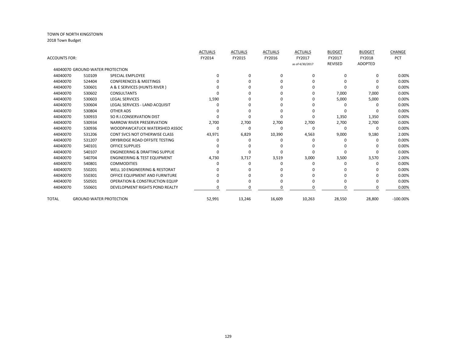|                      |                                  |                                           | <b>ACTUALS</b> | <b>ACTUALS</b> | <b>ACTUALS</b> | <b>ACTUALS</b>  | <b>BUDGET</b>  | <b>BUDGET</b>  | <b>CHANGE</b> |
|----------------------|----------------------------------|-------------------------------------------|----------------|----------------|----------------|-----------------|----------------|----------------|---------------|
| <b>ACCOUNTS FOR:</b> |                                  |                                           | FY2014         | FY2015         | FY2016         | FY2017          | FY2017         | FY2018         | <b>PCT</b>    |
|                      |                                  |                                           |                |                |                | as of 4/30/2017 | <b>REVISED</b> | <b>ADOPTED</b> |               |
|                      | 44040070 GROUND WATER PROTECTION |                                           |                |                |                |                 |                |                |               |
| 44040070             | 510109                           | <b>SPECIAL EMPLOYEE</b>                   | 0              | $\Omega$       | $\Omega$       | $\Omega$        | $\Omega$       | 0              | 0.00%         |
| 44040070             | 524404                           | <b>CONFERENCES &amp; MEETINGS</b>         |                | O              |                | n               |                |                | 0.00%         |
| 44040070             | 530601                           | A & E SERVICES (HUNTS RIVER)              |                |                |                |                 |                |                | 0.00%         |
| 44040070             | 530602                           | <b>CONSULTANTS</b>                        |                |                |                | <sup>0</sup>    | 7,000          | 7,000          | 0.00%         |
| 44040070             | 530603                           | <b>LEGAL SERVICES</b>                     | 1,590          | U              | n              | ∩               | 5,000          | 5,000          | 0.00%         |
| 44040070             | 530604                           | LEGAL SERVICES - LAND ACQUISIT            | o              | U              |                |                 | $\Omega$       |                | 0.00%         |
| 44040070             | 530804                           | <b>OTHER ADS</b>                          |                |                |                |                 |                |                | 0.00%         |
| 44040070             | 530933                           | SO R.I.CONSERVATION DIST                  |                | $\Omega$       |                | $\Omega$        | 1,350          | 1,350          | 0.00%         |
| 44040070             | 530934                           | NARROW RIVER PRESERVATION                 | 2,700          | 2,700          | 2,700          | 2,700           | 2,700          | 2,700          | 0.00%         |
| 44040070             | 530936                           | WOODPAWCATUCK WATERSHED ASSOC             | O              | 0              | $\Omega$       | $\Omega$        | 0              | $\Omega$       | 0.00%         |
| 44040070             | 531206                           | <b>CONT SVCS NOT OTHERWISE CLASS</b>      | 43,971         | 6,829          | 10,390         | 4,563           | 9,000          | 9,180          | 2.00%         |
| 44040070             | 531207                           | DRYBRIDGE ROAD OFFSITE TESTING            | ი              |                |                | ∩               | ŋ              |                | 0.00%         |
| 44040070             | 540101                           | <b>OFFICE SUPPLIES</b>                    | n              |                |                |                 |                |                | 0.00%         |
| 44040070             | 540107                           | <b>ENGINEERING &amp; DRAFTING SUPPLIE</b> | n              | $\Omega$       |                | n               | O              |                | 0.00%         |
| 44040070             | 540704                           | <b>ENGINEERING &amp; TEST EQUIPMENT</b>   | 4,730          | 3,717          | 3,519          | 3,000           | 3,500          | 3,570          | 2.00%         |
| 44040070             | 540801                           | <b>COMMODITIES</b>                        |                |                |                |                 |                |                | 0.00%         |
| 44040070             | 550201                           | WELL 10 ENGINEERING & RESTORAT            |                |                |                |                 |                |                | 0.00%         |
| 44040070             | 550301                           | OFFICE EQUIPMENT AND FURNITURE            |                |                |                |                 |                |                | 0.00%         |
| 44040070             | 550501                           | <b>OPERATION &amp; CONSTRUCTION EQUIP</b> |                | O              |                |                 | ŋ              | O              | 0.00%         |
| 44040070             | 550601                           | DEVELOPMENT RIGHTS POND REALTY            | o              | O              | n              | n               | 0              | $\Omega$       | 0.00%         |
| TOTAL                | <b>GROUND WATER PROTECTION</b>   |                                           | 52,991         | 13,246         | 16,609         | 10,263          | 28,550         | 28,800         | $-100.00\%$   |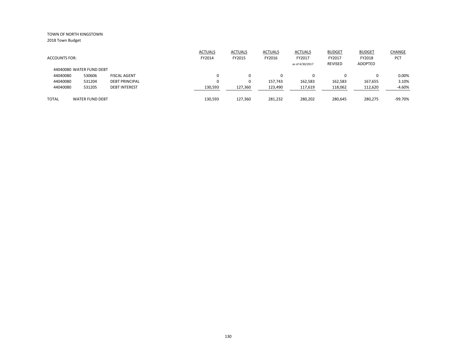|                          |                        |                       | <b>ACTUALS</b> | <b>ACTUALS</b> | <b>ACTUALS</b> | <b>ACTUALS</b>  | <b>BUDGET</b> | <b>BUDGET</b> | <b>CHANGE</b> |
|--------------------------|------------------------|-----------------------|----------------|----------------|----------------|-----------------|---------------|---------------|---------------|
| <b>ACCOUNTS FOR:</b>     |                        |                       | FY2014         | FY2015         | FY2016         | FY2017          | FY2017        | FY2018        | PCT           |
|                          |                        |                       |                |                |                | as of 4/30/2017 | REVISED       | ADOPTED       |               |
| 44040080 WATER FUND DEBT |                        |                       |                |                |                |                 |               |               |               |
| 44040080                 | 530606                 | <b>FISCAL AGENT</b>   | 0              |                | 0              | $\Omega$        |               | 0             | 0.00%         |
| 44040080                 | 531204                 | <b>DEBT PRINCIPAL</b> | 0              |                | 157.743        | 162,583         | 162,583       | 167,655       | 3.10%         |
| 44040080                 | 531205                 | <b>DEBT INTEREST</b>  | 130,593        | 127,360        | 123,490        | 117,619         | 118,062       | 112,620       | $-4.60%$      |
| <b>TOTAL</b>             | <b>WATER FUND DEBT</b> |                       | 130,593        | 127.360        | 281,232        | 280,202         | 280,645       | 280.275       | $-99.70%$     |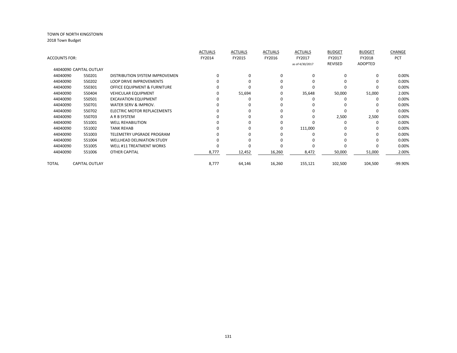|               |                         |                                   | <b>ACTUALS</b> | <b>ACTUALS</b> | <b>ACTUALS</b> | <b>ACTUALS</b>  | <b>BUDGET</b> | <b>BUDGET</b> | CHANGE     |
|---------------|-------------------------|-----------------------------------|----------------|----------------|----------------|-----------------|---------------|---------------|------------|
| ACCOUNTS FOR: |                         |                                   | FY2014         | FY2015         | FY2016         | FY2017          | FY2017        | FY2018        | <b>PCT</b> |
|               |                         |                                   |                |                |                | as of 4/30/2017 | REVISED       | ADOPTED       |            |
|               | 44040090 CAPITAL OUTLAY |                                   |                |                |                |                 |               |               |            |
| 44040090      | 550201                  | DISTRIBUTION SYSTEM IMPROVEMEN    |                | $\Omega$       | 0              | $\Omega$        |               | $\Omega$      | 0.00%      |
| 44040090      | 550202                  | <b>LOOP DRIVE IMPROVEMENTS</b>    |                |                | 0              | O               |               | $\Omega$      | 0.00%      |
| 44040090      | 550301                  | OFFICE EQUIPMENT & FURNITURE      |                |                | 0              |                 |               |               | 0.00%      |
| 44040090      | 550404                  | <b>VEHICULAR EQUIPMENT</b>        |                | 51,694         | 0              | 35,648          | 50,000        | 51,000        | 2.00%      |
| 44040090      | 550501                  | <b>EXCAVATION EQUIPMENT</b>       |                |                |                | O               |               |               | 0.00%      |
| 44040090      | 550701                  | WATER SERV & IMPROV.              |                |                | 0              | O               |               | $\Omega$      | 0.00%      |
| 44040090      | 550702                  | ELECTRIC MOTOR REPLACEMENTS       |                |                | 0              | O               |               | $\Omega$      | 0.00%      |
| 44040090      | 550703                  | A R B SYSTEM                      |                |                | 0              | 0               | 2,500         | 2,500         | 0.00%      |
| 44040090      | 551001                  | <b>WELL REHABILITION</b>          |                |                | 0              |                 |               | $\Omega$      | 0.00%      |
| 44040090      | 551002                  | <b>TANK REHAB</b>                 |                | O              | 0              | 111,000         |               | $\Omega$      | 0.00%      |
| 44040090      | 551003                  | TELEMETRY UPGRADE PROGRAM         |                |                |                |                 |               |               | 0.00%      |
| 44040090      | 551004                  | <b>WELLHEAD DELINIATION STUDY</b> |                |                |                |                 |               |               | 0.00%      |
| 44040090      | 551005                  | <b>WELL #11 TREATMENT WORKS</b>   |                |                |                |                 |               |               | 0.00%      |
| 44040090      | 551006                  | <b>OTHER CAPITAL</b>              | 8,777          | 12,452         | 16,260         | 8,472           | 50,000        | 51,000        | 2.00%      |
|               |                         |                                   |                |                |                |                 |               |               |            |
| TOTAL         | <b>CAPITAL OUTLAY</b>   |                                   | 8,777          | 64,146         | 16,260         | 155,121         | 102,500       | 104,500       | -99.90%    |
|               |                         |                                   |                |                |                |                 |               |               |            |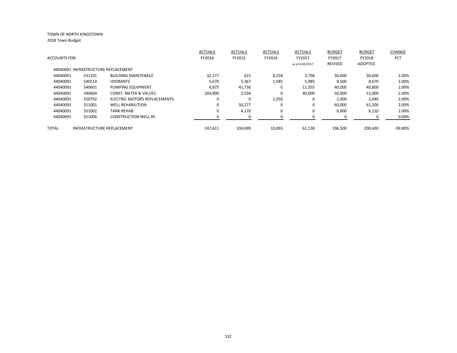|                      |        |                                     | <b>ACTUALS</b> | <b>ACTUALS</b> | <b>ACTUALS</b> | <b>ACTUALS</b>  | <b>BUDGET</b>  | <b>BUDGET</b>  | CHANGE     |
|----------------------|--------|-------------------------------------|----------------|----------------|----------------|-----------------|----------------|----------------|------------|
| <b>ACCOUNTS FOR:</b> |        |                                     | FY2014         | FY2015         | FY2016         | FY2017          | FY2017         | FY2018         | <b>PCT</b> |
|                      |        |                                     |                |                |                | as of 4/30/2017 | <b>REVISED</b> | <b>ADOPTED</b> |            |
|                      |        | 44040091 INFRASTRUCTURE REPLACEMENT |                |                |                |                 |                |                |            |
| 44040091             | 531101 | <b>BUILDING MAINTENACE</b>          | 32,177         | 621            | 8,258          | 3,798           | 30,000         | 30,600         | 2.00%      |
| 44040091             | 540514 | <b>HYDRANTS</b>                     | 5,670          | 5,367          | 1,585          | 5,985           | 8,500          | 8,670          | 2.00%      |
| 44040091             | 540601 | PUMPING EQUIPMENT                   | 4,875          | 41,730         | $\Omega$       | 11,355          | 40,000         | 40,800         | 2.00%      |
| 44040091             | 540604 | <b>CONST. METER &amp; VALVES</b>    | 204.890        | 2,534          | $\Omega$       | 40,000          | 50,000         | 51,000         | 2.00%      |
| 44040091             | 550702 | ELECTRIC MOTORS REPLACEMENTS        | 0              | 0              | 1,050          | 0               | 2,000          | 2,040          | 2.00%      |
| 44040091             | 551001 | <b>WELL REHABILITION</b>            | 0              | 50,277         | $\Omega$       | $\mathbf 0$     | 60,000         | 61,200         | 2.00%      |
| 44040091             | 551002 | <b>TANK REHAB</b>                   | 0              | 4,170          | 0              | 0               | 6,000          | 6,120          | 2.00%      |
| 44040091             | 551006 | <b>CONSTRUCTION WELL #5</b>         |                | 0              |                |                 |                | 0              | 0.00%      |
| TOTAL                |        | <b>INFRASTRUCTURE REPLACEMENT</b>   | 247,611        | 104.699        | 10,893         | 61,138          | 196,500        | 200.430        | $-99.80%$  |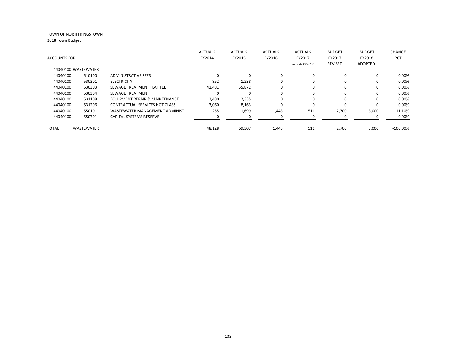|                      |                     |                                | <b>ACTUALS</b> | <b>ACTUALS</b> | <b>ACTUALS</b> | <b>ACTUALS</b>  | <b>BUDGET</b>  | <b>BUDGET</b> | <b>CHANGE</b> |
|----------------------|---------------------|--------------------------------|----------------|----------------|----------------|-----------------|----------------|---------------|---------------|
| <b>ACCOUNTS FOR:</b> |                     |                                | FY2014         | FY2015         | FY2016         | FY2017          | FY2017         | FY2018        | <b>PCT</b>    |
|                      |                     |                                |                |                |                | as of 4/30/2017 | <b>REVISED</b> | ADOPTED       |               |
|                      | 44040100 WASTEWATER |                                |                |                |                |                 |                |               |               |
| 44040100             | 510100              | <b>ADMINISTRATIVE FEES</b>     | $\Omega$       | $\Omega$       | $\Omega$       | $\mathbf 0$     | $\Omega$       | 0             | 0.00%         |
| 44040100             | 530301              | <b>ELECTRICITY</b>             | 852            | 1,238          | 0              | 0               | $\Omega$       | 0             | 0.00%         |
| 44040100             | 530303              | SEWAGE TREATMENT FLAT FEE      | 41,481         | 55,872         | $\Omega$       | $\Omega$        | $\Omega$       | 0             | 0.00%         |
| 44040100             | 530304              | <b>SEWAGE TREATMENT</b>        | O              | $\Omega$       | $\Omega$       | $\Omega$        | $\Omega$       | 0             | 0.00%         |
| 44040100             | 531108              | EQUIPMENT REPAIR & MAINTENANCE | 2,480          | 2,335          | 0              | 0               | $\Omega$       | 0             | 0.00%         |
| 44040100             | 531206              | CONTRACTUAL SERVICES NOT CLASS | 3,060          | 8,163          | $\Omega$       | $\Omega$        | $\Omega$       | 0             | 0.00%         |
| 44040100             | 550101              | WASTEWATER MANAGEMENT ADMINIST | 255            | 1,699          | 1,443          | 511             | 2,700          | 3,000         | 11.10%        |
| 44040100             | 550701              | CAPITAL SYSTEMS RESERVE        |                |                |                |                 |                |               | $0.00\%$      |
| <b>TOTAL</b>         | <b>WASTEWATER</b>   |                                | 48.128         | 69,307         | 1,443          | 511             | 2.700          | 3,000         | $-100.00\%$   |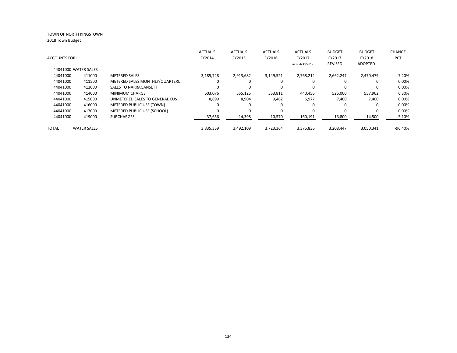|                      |                      |                                | <b>ACTUALS</b> | <b>ACTUALS</b> | <b>ACTUALS</b> | <b>ACTUALS</b>  | <b>BUDGET</b>  | <b>BUDGET</b>  | CHANGE     |
|----------------------|----------------------|--------------------------------|----------------|----------------|----------------|-----------------|----------------|----------------|------------|
| <b>ACCOUNTS FOR:</b> |                      |                                | FY2014         | FY2015         | FY2016         | FY2017          | FY2017         | FY2018         | <b>PCT</b> |
|                      |                      |                                |                |                |                | as of 4/30/2017 | <b>REVISED</b> | <b>ADOPTED</b> |            |
|                      | 44041000 WATER SALES |                                |                |                |                |                 |                |                |            |
| 44041000             | 411000               | <b>METERED SALES</b>           | 3,185,728      | 2,913,682      | 3,149,521      | 2,768,212       | 2.662.247      | 2,470,479      | $-7.20%$   |
| 44041000             | 411500               | METERED SALES MONTHLY/QUARTERL | υ              | 0              | $\Omega$       | $\Omega$        | 0              | 0              | 0.00%      |
| 44041000             | 412000               | <b>SALES TO NARRAGANSETT</b>   |                | $\Omega$       |                | $\Omega$        |                | 0              | 0.00%      |
| 44041000             | 414000               | <b>MINIMUM CHARGE</b>          | 603.076        | 555.125        | 553,811        | 440.456         | 525.000        | 557.962        | 6.30%      |
| 44041000             | 415000               | UNMETERED SALES TO GENERAL CUS | 8,899          | 8,904          | 9,462          | 6,977           | 7,400          | 7,400          | 0.00%      |
| 44041000             | 416000               | METERED PUBLIC USE (TOWN)      |                | 0              |                | $\Omega$        |                | 0              | 0.00%      |
| 44041000             | 417000               | METERED PUBLIC USE (SCHOOL)    |                | $\Omega$       | $\Omega$       | $\Omega$        |                | 0              | 0.00%      |
| 44041000             | 419000               | <b>SURCHARGES</b>              | 37,656         | 14,398         | 10,570         | 160,191         | 13,800         | 14,500         | 5.10%      |
| <b>TOTAL</b>         | <b>WATER SALES</b>   |                                | 3,835,359      | 3,492,109      | 3,723,364      | 3,375,836       | 3,208,447      | 3,050,341      | $-96.40%$  |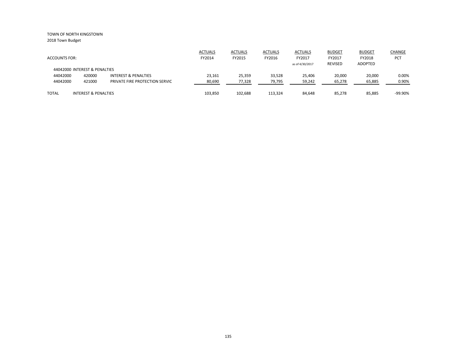2018 Town Budget

|                               |                                 |                                | <b>ACTUALS</b> | <b>ACTUALS</b> | <b>ACTUALS</b> | <b>ACTUALS</b>  | <b>BUDGET</b>  | <b>BUDGET</b> | <b>CHANGE</b> |
|-------------------------------|---------------------------------|--------------------------------|----------------|----------------|----------------|-----------------|----------------|---------------|---------------|
| <b>ACCOUNTS FOR:</b>          |                                 |                                | FY2014         | FY2015         | FY2016         | FY2017          | FY2017         | FY2018        | <b>PCT</b>    |
|                               |                                 |                                |                |                |                | as of 4/30/2017 | <b>REVISED</b> | ADOPTED       |               |
| 44042000 INTEREST & PENALTIES |                                 |                                |                |                |                |                 |                |               |               |
| 44042000                      | 420000                          | INTEREST & PENALTIES           | 23,161         | 25,359         | 33,528         | 25.406          | 20,000         | 20,000        | 0.00%         |
| 44042000                      | 421000                          | PRIVATE FIRE PROTECTION SERVIC | 80,690         | 77,328         | 79,795         | 59,242          | 65,278         | 65,885        | 0.90%         |
|                               |                                 |                                |                |                |                |                 |                |               |               |
| <b>TOTAL</b>                  | <b>INTEREST &amp; PENALTIES</b> |                                | 103,850        | 102,688        | 113,324        | 84,648          | 85,278         | 85,885        | $-99.90\%$    |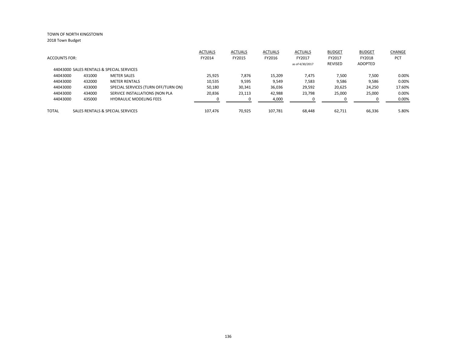|                      |        |                                           | <b>ACTUALS</b> | <b>ACTUALS</b> | <b>ACTUALS</b> | <b>ACTUALS</b>  | <b>BUDGET</b> | <b>BUDGET</b> | CHANGE |
|----------------------|--------|-------------------------------------------|----------------|----------------|----------------|-----------------|---------------|---------------|--------|
| <b>ACCOUNTS FOR:</b> |        |                                           | FY2014         | FY2015         | FY2016         | FY2017          | FY2017        | FY2018        | PCT    |
|                      |        |                                           |                |                |                | as of 4/30/2017 | REVISED       | ADOPTED       |        |
|                      |        | 44043000 SALES RENTALS & SPECIAL SERVICES |                |                |                |                 |               |               |        |
| 44043000             | 431000 | <b>METER SALES</b>                        | 25.925         | 7.876          | 15,209         | 7.475           | 7,500         | 7,500         | 0.00%  |
| 44043000             | 432000 | <b>METER RENTALS</b>                      | 10,535         | 9,595          | 9,549          | 7,583           | 9,586         | 9,586         | 0.00%  |
| 44043000             | 433000 | SPECIAL SERVICES (TURN OFF/TURN ON)       | 50,180         | 30,341         | 36,036         | 29,592          | 20,625        | 24,250        | 17.60% |
| 44043000             | 434000 | SERVICE INSTALLATIONS (NON PLA            | 20,836         | 23,113         | 42,988         | 23,798          | 25,000        | 25,000        | 0.00%  |
| 44043000             | 435000 | <b>HYDRAULIC MODELING FEES</b>            |                |                | 4,000          |                 | <sup>0</sup>  |               | 0.00%  |
| <b>TOTAL</b>         |        | SALES RENTALS & SPECIAL SERVICES          | 107.476        | 70.925         | 107.781        | 68.448          | 62.711        | 66,336        | 5.80%  |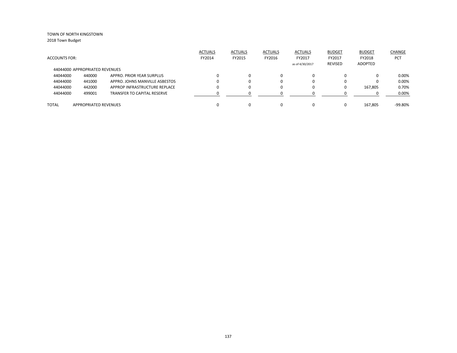|                      |                                |                                    | <b>ACTUALS</b> | <b>ACTUALS</b> | <b>ACTUALS</b> | <b>ACTUALS</b>  | <b>BUDGET</b>  | <b>BUDGET</b> | CHANGE     |
|----------------------|--------------------------------|------------------------------------|----------------|----------------|----------------|-----------------|----------------|---------------|------------|
| <b>ACCOUNTS FOR:</b> |                                |                                    | FY2014         | FY2015         | FY2016         | FY2017          | FY2017         | FY2018        | <b>PCT</b> |
|                      |                                |                                    |                |                |                | as of 4/30/2017 | <b>REVISED</b> | ADOPTED       |            |
|                      | 44044000 APPROPRIATED REVENUES |                                    |                |                |                |                 |                |               |            |
| 44044000             | 440000                         | APPRO. PRIOR YEAR SURPLUS          |                |                | $\Omega$       | $\Omega$        | $\Omega$       |               | 0.00%      |
| 44044000             | 441000                         | APPRO. JOHNS MANVILLE ASBESTOS     |                |                | 0              |                 | 0              |               | 0.00%      |
| 44044000             | 442000                         | APPROP INFRASTRUCTURE REPLACE      |                |                | 0              |                 | $\Omega$       | 167,805       | 0.70%      |
| 44044000             | 499001                         | <b>TRANSFER TO CAPITAL RESERVE</b> |                |                |                |                 |                |               | 0.00%      |
|                      |                                |                                    |                |                |                |                 |                |               |            |
| <b>TOTAL</b>         | <b>APPROPRIATED REVENUES</b>   |                                    |                |                | 0              |                 |                | 167.805       | -99.80%    |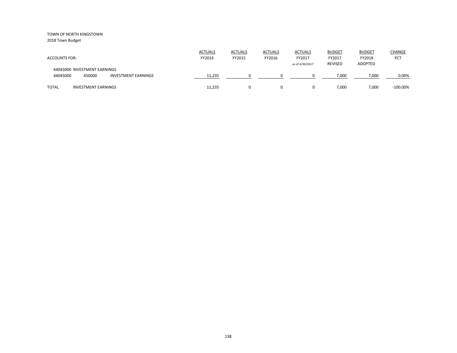2018 Town Budget

| <b>ACCOUNTS FOR:</b>                                                             | <b>ACTUALS</b><br>FY2014 | <b>ACTUALS</b><br>FY2015 | <b>ACTUALS</b><br>FY2016 | <b>ACTUALS</b><br>FY2017<br>as of 4/30/2017 | <b>BUDGET</b><br>FY2017<br><b>REVISED</b> | <b>BUDGET</b><br>FY2018<br><b>ADOPTED</b> | <b>CHANGE</b><br><b>PCT</b> |
|----------------------------------------------------------------------------------|--------------------------|--------------------------|--------------------------|---------------------------------------------|-------------------------------------------|-------------------------------------------|-----------------------------|
| 44045000 INVESTMENT EARNINGS<br>44045000<br>450000<br><b>INVESTMENT EARNINGS</b> | 11,235                   |                          |                          |                                             | 7,000                                     | 7,000                                     | 0.00%                       |
| <b>TOTAL</b><br><b>INVESTMENT EARNINGS</b>                                       | 11,235                   |                          | 0                        |                                             | 7,000                                     | 7,000                                     | $-100.00\%$                 |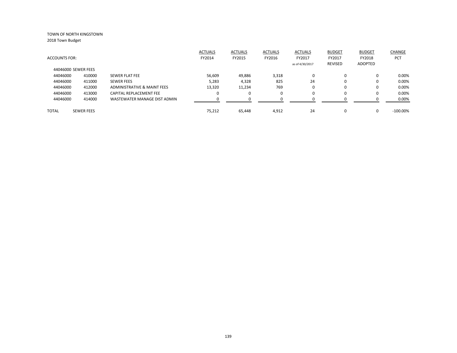| <b>ACCOUNTS FOR:</b> |                   |                              | <b>ACTUALS</b><br>FY2014 | <b>ACTUALS</b><br>FY2015 | <b>ACTUALS</b><br>FY2016 | <b>ACTUALS</b><br>FY2017 | <b>BUDGET</b><br>FY2017 | <b>BUDGET</b><br>FY2018 | CHANGE<br><b>PCT</b> |
|----------------------|-------------------|------------------------------|--------------------------|--------------------------|--------------------------|--------------------------|-------------------------|-------------------------|----------------------|
|                      |                   |                              |                          |                          |                          | as of 4/30/2017          | REVISED                 | ADOPTED                 |                      |
| 44046000 SEWER FEES  |                   |                              |                          |                          |                          |                          |                         |                         |                      |
| 44046000             | 410000            | SEWER FLAT FEE               | 56.609                   | 49,886                   | 3,318                    | $\Omega$                 |                         | 0                       | 0.00%                |
| 44046000             | 411000            | <b>SEWER FEES</b>            | 5,283                    | 4,328                    | 825                      | 24                       |                         | 0                       | 0.00%                |
| 44046000             | 412000            | ADMINISTRATIVE & MAINT FEES  | 13,320                   | 11,234                   | 769                      | $\Omega$                 | $\Omega$                | 0                       | 0.00%                |
| 44046000             | 413000            | CAPITAL REPLACEMENT FEE      | 0                        |                          | 0                        | 0                        |                         | 0                       | 0.00%                |
| 44046000             | 414000            | WASTEWATER MANAGE DIST ADMIN | ŋ                        |                          | n                        | U                        |                         |                         | 0.00%                |
| <b>TOTAL</b>         | <b>SEWER FEES</b> |                              | 75,212                   | 65,448                   | 4,912                    | 24                       |                         | 0                       | $-100.00\%$          |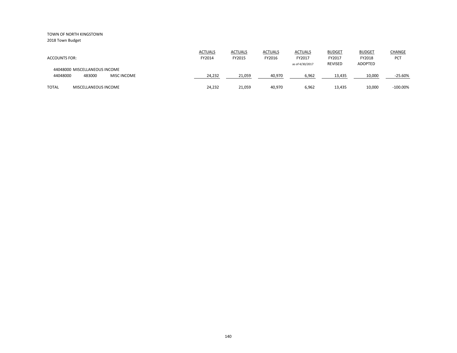|                                                                           | <b>ACTUALS</b> | <b>ACTUALS</b> | <b>ACTUALS</b> | <b>ACTUALS</b>  | <b>BUDGET</b>  | <b>BUDGET</b>  | CHANGE      |
|---------------------------------------------------------------------------|----------------|----------------|----------------|-----------------|----------------|----------------|-------------|
| <b>ACCOUNTS FOR:</b>                                                      | FY2014         | FY2015         | FY2016         | FY2017          | FY2017         | FY2018         | PCT         |
|                                                                           |                |                |                | as of 4/30/2017 | <b>REVISED</b> | <b>ADOPTED</b> |             |
| 44048000 MISCELLANEOUS INCOME<br>483000<br>44048000<br><b>MISC INCOME</b> | 24,232         | 21,059         | 40,970         | 6,962           | 13,435         | 10,000         | $-25.60%$   |
|                                                                           |                |                |                |                 |                |                |             |
| TOTAL<br>MISCELLANEOUS INCOME                                             | 24,232         | 21,059         | 40,970         | 6,962           | 13,435         | 10.000         | $-100.00\%$ |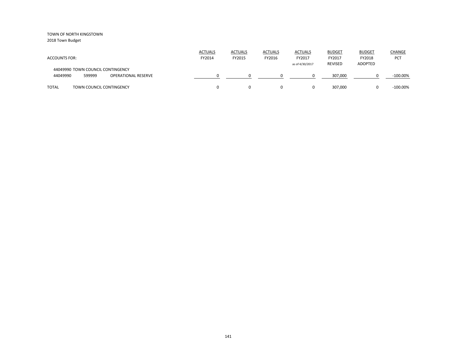2018 Town Budget

| <b>ACCOUNTS FOR:</b>                                                                  | <b>ACTUALS</b><br>FY2014 | <b>ACTUALS</b><br>FY2015 | <b>ACTUALS</b><br>FY2016 | <b>ACTUALS</b><br>FY2017<br>as of 4/30/2017 | <b>BUDGET</b><br>FY2017<br><b>REVISED</b> | <b>BUDGET</b><br>FY2018<br><b>ADOPTED</b> | CHANGE<br><b>PCT</b> |
|---------------------------------------------------------------------------------------|--------------------------|--------------------------|--------------------------|---------------------------------------------|-------------------------------------------|-------------------------------------------|----------------------|
| 44049990 TOWN COUNCIL CONTINGENCY<br>44049990<br>599999<br><b>OPERATIONAL RESERVE</b> |                          |                          |                          |                                             | 307,000                                   |                                           | $-100.00\%$          |
| <b>TOTAL</b><br>TOWN COUNCIL CONTINGENCY                                              |                          |                          | 0                        | 0                                           | 307.000                                   |                                           | $-100.00\%$          |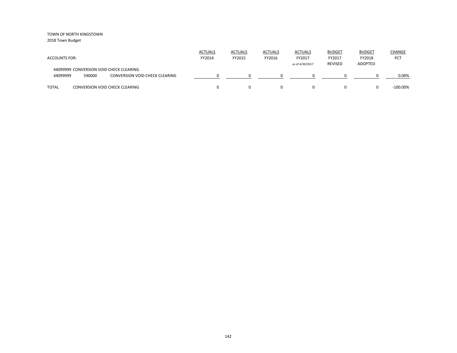2018 Town Budget

| <b>ACCOUNTS FOR:</b> |        |                                                                                  | <b>ACTUALS</b><br>FY2014 | <b>ACTUALS</b><br>FY2015 | <b>ACTUALS</b><br>FY2016 | <b>ACTUALS</b><br>FY2017<br>as of 4/30/2017 | <b>BUDGET</b><br>FY2017<br><b>REVISED</b> | <b>BUDGET</b><br>FY2018<br>ADOPTED | <b>CHANGE</b><br>PCT |
|----------------------|--------|----------------------------------------------------------------------------------|--------------------------|--------------------------|--------------------------|---------------------------------------------|-------------------------------------------|------------------------------------|----------------------|
| 44099999             | 590000 | 44099999 CONVERSION VOID CHECK CLEARING<br><b>CONVERSION VOID CHECK CLEARING</b> |                          |                          |                          |                                             |                                           |                                    | 0.00%                |
| <b>TOTAL</b>         |        | <b>CONVERSION VOID CHECK CLEARING</b>                                            |                          |                          | $\Omega$                 |                                             | 0                                         |                                    | $-100.00\%$          |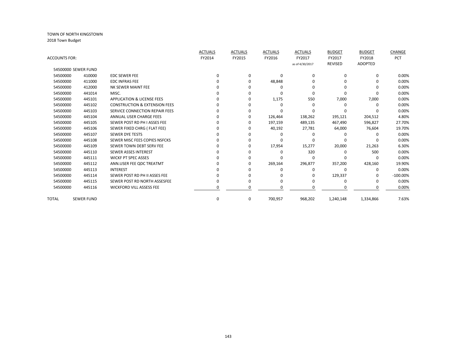|                      |                     |                                          | <b>ACTUALS</b> | <b>ACTUALS</b> | <b>ACTUALS</b> | <b>ACTUALS</b>  | <b>BUDGET</b>  | <b>BUDGET</b>  | CHANGE      |
|----------------------|---------------------|------------------------------------------|----------------|----------------|----------------|-----------------|----------------|----------------|-------------|
| <b>ACCOUNTS FOR:</b> |                     |                                          | FY2014         | FY2015         | FY2016         | FY2017          | FY2017         | FY2018         | PCT         |
|                      |                     |                                          |                |                |                | as of 4/30/2017 | <b>REVISED</b> | <b>ADOPTED</b> |             |
|                      | 54500000 SEWER FUND |                                          |                |                |                |                 |                |                |             |
| 54500000             | 410000              | <b>EDC SEWER FEE</b>                     | $\Omega$       | $\Omega$       | $\Omega$       | $\Omega$        | 0              | 0              | 0.00%       |
| 54500000             | 411000              | <b>EDC INFRAS FEE</b>                    | 0              | 0              | 48,848         |                 | 0              |                | 0.00%       |
| 54500000             | 412000              | NK SEWER MAINT FEE                       |                | ŋ              | O              |                 | 0              |                | 0.00%       |
| 54500000             | 441014              | MISC.                                    |                |                | n              |                 | U              |                | 0.00%       |
| 54500000             | 445101              | <b>APPLICATION &amp; LICENSE FEES</b>    |                | O              | 1,175          | 550             | 7,000          | 7,000          | 0.00%       |
| 54500000             | 445102              | <b>CONSTRUCTION &amp; EXTENSION FEES</b> | n              | ŋ              | $\Omega$       | n               | $\Omega$       |                | 0.00%       |
| 54500000             | 445103              | SERVICE CONNECTION REPAIR FEES           | 0              | O              |                |                 | ŋ              |                | 0.00%       |
| 54500000             | 445104              | ANNUAL USER CHARGE FEES                  |                | O              | 126,464        | 138,262         | 195,121        | 204,512        | 4.80%       |
| 54500000             | 445105              | SEWER POST RD PH I ASSES FEE             |                | O              | 197,159        | 489,135         | 467,490        | 596,827        | 27.70%      |
| 54500000             | 445106              | SEWER FIXED CHRG (FLAT FEE)              |                | 0              | 40,192         | 27,781          | 64,000         | 76,604         | 19.70%      |
| 54500000             | 445107              | <b>SEWER DYE TESTS</b>                   |                |                |                |                 | O              |                | 0.00%       |
| 54500000             | 445108              | SEWER MISC FEES COPIES NSFCKS            |                | ŋ              |                |                 | ŋ              |                | 0.00%       |
| 54500000             | 445109              | SEWER TOWN DEBT SERV FEE                 |                | O              | 17,954         | 15,277          | 20,000         | 21,263         | 6.30%       |
| 54500000             | 445110              | <b>SEWER ASSES INTEREST</b>              | n              |                | O              | 320             | $\Omega$       | 500            | 0.00%       |
| 54500000             | 445111              | <b>WICKF PT SPEC ASSES</b>               | 0              | O              | O              | n               | $\Omega$       |                | 0.00%       |
| 54500000             | 445112              | ANN.USER FEE ODC TREATMT                 |                | O              | 269,164        | 296,877         | 357,200        | 428,160        | 19.90%      |
| 54500000             | 445113              | <b>INTEREST</b>                          |                | O              |                | $\Omega$        | $\Omega$       | 0              | 0.00%       |
| 54500000             | 445114              | SEWER POST RD PH II ASSES FEE            |                |                |                | 0               | 129,337        |                | $-100.00\%$ |
| 54500000             | 445115              | SEWER POST RD NORTH ASSESFEE             |                | ŋ              |                |                 | $\Omega$       |                | 0.00%       |
| 54500000             | 445116              | <b>WICKFORD VILL ASSESS FEE</b>          | ი              |                |                |                 |                |                | 0.00%       |
| TOTAL                | <b>SEWER FUND</b>   |                                          | 0              | 0              | 700,957        | 968,202         | 1,240,148      | 1,334,866      | 7.63%       |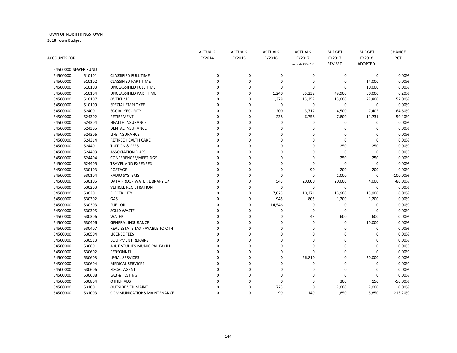TOWN OF NORTH KINGSTOWN 2018 Town Budget

|                     |        |                                   | <b>ACTUALS</b> | <b>ACTUALS</b> | <b>ACTUALS</b>   | <b>ACTUALS</b>  | <b>BUDGET</b>  | <b>BUDGET</b>  | CHANGE     |
|---------------------|--------|-----------------------------------|----------------|----------------|------------------|-----------------|----------------|----------------|------------|
| ACCOUNTS FOR:       |        |                                   | FY2014         | FY2015         | FY2016           | FY2017          | FY2017         | FY2018         | PCT        |
|                     |        |                                   |                |                |                  | as of 4/30/2017 | <b>REVISED</b> | <b>ADOPTED</b> |            |
| 54500000 SEWER FUND |        |                                   |                |                |                  |                 |                |                |            |
| 54500000            | 510101 | <b>CLASSIFIED FULL TIME</b>       | 0              | $\pmb{0}$      | 0                | $\pmb{0}$       | 0              | $\mathbf 0$    | 0.00%      |
| 54500000            | 510102 | <b>CLASSIFIED PART TIME</b>       | $\Omega$       | $\mathbf 0$    | $\mathbf 0$      | $\mathbf 0$     | $\Omega$       | 14,000         | 0.00%      |
| 54500000            | 510103 | UNCLASSIFIED FULL TIME            | 0              | $\Omega$       | $\mathbf 0$      | $\mathbf 0$     | 0              | 10,000         | 0.00%      |
| 54500000            | 510104 | UNCLASSIFIED PART TIME            | 0              | $\Omega$       | 1,240            | 35,232          | 49,900         | 50,000         | 0.20%      |
| 54500000            | 510107 | <b>OVERTIME</b>                   | 0              | $\Omega$       | 1,378            | 13,352          | 15,000         | 22,800         | 52.00%     |
| 54500000            | 510109 | <b>SPECIAL EMPLOYEE</b>           | 0              | $\Omega$       | $\boldsymbol{0}$ | $\mathbf 0$     | 0              | $\mathbf 0$    | 0.00%      |
| 54500000            | 524001 | <b>SOCIAL SECURITY</b>            | 0              | $\mathbf 0$    | 200              | 3,717           | 4,500          | 7,405          | 64.60%     |
| 54500000            | 524302 | <b>RETIREMENT</b>                 | 0              | $\mathbf 0$    | 238              | 6,758           | 7,800          | 11,731         | 50.40%     |
| 54500000            | 524304 | <b>HEALTH INSURANCE</b>           | 0              | 0              | 0                | 0               | 0              | 0              | 0.00%      |
| 54500000            | 524305 | <b>DENTAL INSURANCE</b>           | 0              | $\overline{0}$ | 0                | $\mathbf 0$     | 0              | 0              | 0.00%      |
| 54500000            | 524306 | LIFE INSURANCE                    | 0              | $\Omega$       | $\mathbf 0$      | $\Omega$        | $\Omega$       | $\Omega$       | 0.00%      |
| 54500000            | 524314 | RETIREE HEALTH CARE               | 0              | $\Omega$       | $\mathbf 0$      | $\Omega$        | $\mathbf 0$    | $\Omega$       | 0.00%      |
| 54500000            | 524401 | <b>TUITION &amp; FEES</b>         | 0              | $\Omega$       | $\mathbf 0$      | $\Omega$        | 250            | 250            | 0.00%      |
| 54500000            | 524403 | <b>ASSOCIATION DUES</b>           | 0              | $\Omega$       | 0                | 0               | 0              | $\mathbf 0$    | 0.00%      |
| 54500000            | 524404 | CONFERENCES/MEETINGS              | 0              | $\Omega$       | $\mathbf 0$      | $\mathbf 0$     | 250            | 250            | 0.00%      |
| 54500000            | 524405 | <b>TRAVEL AND EXPENSES</b>        | 0              | $\Omega$       | $\mathbf 0$      | $\mathbf 0$     | 0              | $\mathbf 0$    | 0.00%      |
| 54500000            | 530103 | <b>POSTAGE</b>                    | $\Omega$       | $\Omega$       | $\mathbf 0$      | 90              | 200            | 200            | 0.00%      |
| 54500000            | 530104 | <b>RADIO SYSTEMS</b>              | 0              | $\Omega$       | $\mathbf 0$      | $\mathbf 0$     | 1,000          | 0              | $-100.00%$ |
| 54500000            | 530105 | DATA PROC - WATER LIBRARY Q/      | 0              | 0              | 543              | 20,000          | 20,000         | 4,000          | $-80.00%$  |
| 54500000            | 530203 | <b>VEHICLE REGISTRATION</b>       | 0              | $\Omega$       | $\mathbf 0$      | $\mathbf 0$     | 0              | $\Omega$       | 0.00%      |
| 54500000            | 530301 | <b>ELECTRICITY</b>                | 0              | $\pmb{0}$      | 7,023            | 10,371          | 13,900         | 13,900         | 0.00%      |
| 54500000            | 530302 | GAS                               | $\Omega$       | $\Omega$       | 945              | 805             | 1,200          | 1,200          | 0.00%      |
| 54500000            | 530303 | <b>FUEL OIL</b>                   | 0              | $\mathbf 0$    | 14,546           | $\mathbf 0$     | 0              | 0              | 0.00%      |
| 54500000            | 530305 | <b>SOLID WASTE</b>                | 0              | $\Omega$       | 0                | $\mathbf 0$     | $\mathbf 0$    | 0              | 0.00%      |
| 54500000            | 530306 | <b>WATER</b>                      | 0              | $\Omega$       | 0                | 43              | 600            | 600            | 0.00%      |
| 54500000            | 530406 | <b>GENERAL INSURANCE</b>          | 0              | $\Omega$       | $\mathbf 0$      | $\Omega$        | $\mathbf 0$    | 10,000         | 0.00%      |
| 54500000            | 530407 | REAL ESTATE TAX PAYABLE TO OTH    | 0              | $\Omega$       | $\mathbf 0$      | $\Omega$        | 0              | $\Omega$       | 0.00%      |
| 54500000            | 530504 | <b>LICENSE FEES</b>               | 0              | $\Omega$       | $\mathbf 0$      | $\Omega$        | $\mathbf 0$    | $\Omega$       | 0.00%      |
| 54500000            | 530513 | <b>EQUIPMENT REPAIRS</b>          | 0              | $\Omega$       | 0                | 0               | 0              | $\Omega$       | 0.00%      |
| 54500000            | 530601 | A & E STUDIES-MUNICIPAL FACILI    | 0              | $\Omega$       | $\mathbf 0$      | $\Omega$        | $\Omega$       | $\Omega$       | 0.00%      |
| 54500000            | 530602 | PERSONNEL                         | 0              | $\mathbf 0$    | $\mathbf 0$      | 0               | $\Omega$       | $\Omega$       | 0.00%      |
| 54500000            | 530603 | <b>LEGAL SERVICES</b>             | 0              | $\mathbf 0$    | $\mathbf 0$      | 26,810          | $\mathbf 0$    | 20,000         | 0.00%      |
| 54500000            | 530604 | <b>MEDICAL SERVICES</b>           | 0              | $\Omega$       | 0                | $\mathbf 0$     | 0              | 0              | 0.00%      |
| 54500000            | 530606 | <b>FISCAL AGENT</b>               | $\Omega$       | $\Omega$       | $\mathbf 0$      | 0               | 0              | 0              | 0.00%      |
| 54500000            | 530608 | LAB & TESTING                     | 0              | $\Omega$       | $\mathbf 0$      | $\Omega$        | $\mathbf 0$    | $\Omega$       | 0.00%      |
| 54500000            | 530804 | <b>OTHER ADS</b>                  | 0              | $\Omega$       | 0                | $\Omega$        | 300            | 150            | $-50.00%$  |
| 54500000            | 531001 | <b>OUTSIDE VEH MAINT</b>          | 0              | $\Omega$       | 723              | $\Omega$        | 2,000          | 2,000          | 0.00%      |
| 54500000            | 531003 | <b>COMMUNICATIONS MAINTENANCE</b> | 0              | $\Omega$       | 99               | 149             | 1,850          | 5,850          | 216.20%    |
|                     |        |                                   |                |                |                  |                 |                |                |            |